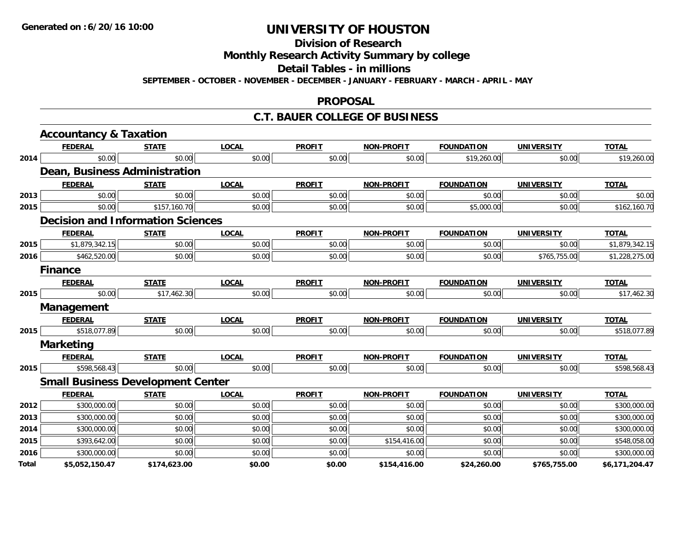**Division of Research**

**Monthly Research Activity Summary by college**

**Detail Tables - in millions**

**SEPTEMBER - OCTOBER - NOVEMBER - DECEMBER - JANUARY - FEBRUARY - MARCH - APRIL - MAY**

#### **PROPOSAL**

#### **C.T. BAUER COLLEGE OF BUSINESS**

|       | <b>Accountancy &amp; Taxation</b>        |              |              |               |                   |                   |                   |                |
|-------|------------------------------------------|--------------|--------------|---------------|-------------------|-------------------|-------------------|----------------|
|       | <b>FEDERAL</b>                           | <b>STATE</b> | <b>LOCAL</b> | <b>PROFIT</b> | <b>NON-PROFIT</b> | <b>FOUNDATION</b> | <b>UNIVERSITY</b> | <b>TOTAL</b>   |
| 2014  | \$0.00                                   | \$0.00       | \$0.00       | \$0.00        | \$0.00            | \$19,260.00       | \$0.00            | \$19,260.00    |
|       | Dean, Business Administration            |              |              |               |                   |                   |                   |                |
|       | <b>FEDERAL</b>                           | <b>STATE</b> | <b>LOCAL</b> | <b>PROFIT</b> | <b>NON-PROFIT</b> | <b>FOUNDATION</b> | <b>UNIVERSITY</b> | <b>TOTAL</b>   |
| 2013  | \$0.00                                   | \$0.00       | \$0.00       | \$0.00        | \$0.00            | \$0.00            | \$0.00            | \$0.00         |
| 2015  | \$0.00                                   | \$157,160.70 | \$0.00       | \$0.00        | \$0.00            | \$5,000.00        | \$0.00            | \$162,160.70   |
|       | <b>Decision and Information Sciences</b> |              |              |               |                   |                   |                   |                |
|       | <b>FEDERAL</b>                           | <b>STATE</b> | <b>LOCAL</b> | <b>PROFIT</b> | <b>NON-PROFIT</b> | <b>FOUNDATION</b> | <b>UNIVERSITY</b> | <b>TOTAL</b>   |
| 2015  | \$1,879,342.15                           | \$0.00       | \$0.00       | \$0.00        | \$0.00            | \$0.00            | \$0.00            | \$1,879,342.15 |
| 2016  | \$462,520.00                             | \$0.00       | \$0.00       | \$0.00        | \$0.00            | \$0.00            | \$765,755.00      | \$1,228,275.00 |
|       | <b>Finance</b>                           |              |              |               |                   |                   |                   |                |
|       | <b>FEDERAL</b>                           | <b>STATE</b> | <b>LOCAL</b> | <b>PROFIT</b> | <b>NON-PROFIT</b> | <b>FOUNDATION</b> | <b>UNIVERSITY</b> | <b>TOTAL</b>   |
| 2015  | \$0.00                                   | \$17,462.30  | \$0.00       | \$0.00        | \$0.00            | \$0.00            | \$0.00            | \$17,462.30    |
|       | Management                               |              |              |               |                   |                   |                   |                |
|       | <b>FEDERAL</b>                           | <b>STATE</b> | <b>LOCAL</b> | <b>PROFIT</b> | <b>NON-PROFIT</b> | <b>FOUNDATION</b> | <b>UNIVERSITY</b> | <b>TOTAL</b>   |
| 2015  | \$518,077.89                             | \$0.00       | \$0.00       | \$0.00        | \$0.00            | \$0.00            | \$0.00            | \$518,077.89   |
|       | <b>Marketing</b>                         |              |              |               |                   |                   |                   |                |
|       | <b>FEDERAL</b>                           | <b>STATE</b> | <b>LOCAL</b> | <b>PROFIT</b> | <b>NON-PROFIT</b> | <b>FOUNDATION</b> | <b>UNIVERSITY</b> | <b>TOTAL</b>   |
| 2015  | \$598,568.43                             | \$0.00       | \$0.00       | \$0.00        | \$0.00            | \$0.00            | \$0.00            | \$598,568.43   |
|       | <b>Small Business Development Center</b> |              |              |               |                   |                   |                   |                |
|       | <b>FEDERAL</b>                           | <b>STATE</b> | <b>LOCAL</b> | <b>PROFIT</b> | <b>NON-PROFIT</b> | <b>FOUNDATION</b> | <b>UNIVERSITY</b> | <b>TOTAL</b>   |
| 2012  | \$300,000.00                             | \$0.00       | \$0.00       | \$0.00        | \$0.00            | \$0.00            | \$0.00            | \$300,000.00   |
| 2013  | \$300,000.00                             | \$0.00       | \$0.00       | \$0.00        | \$0.00            | \$0.00            | \$0.00            | \$300,000.00   |
| 2014  | \$300,000.00                             | \$0.00       | \$0.00       | \$0.00        | \$0.00            | \$0.00            | \$0.00            | \$300,000.00   |
| 2015  | \$393,642.00                             | \$0.00       | \$0.00       | \$0.00        | \$154,416.00      | \$0.00            | \$0.00            | \$548,058.00   |
| 2016  | \$300,000.00                             | \$0.00       | \$0.00       | \$0.00        | \$0.00            | \$0.00            | \$0.00            | \$300,000.00   |
| Total | \$5,052,150.47                           | \$174,623.00 | \$0.00       | \$0.00        | \$154,416.00      | \$24,260.00       | \$765,755.00      | \$6,171,204.47 |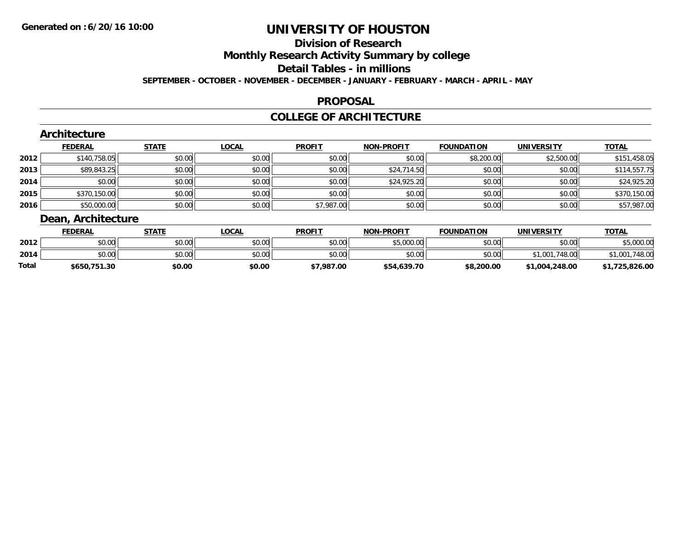# **Division of Research**

**Monthly Research Activity Summary by college**

**Detail Tables - in millions**

**SEPTEMBER - OCTOBER - NOVEMBER - DECEMBER - JANUARY - FEBRUARY - MARCH - APRIL - MAY**

### **PROPOSAL**

### **COLLEGE OF ARCHITECTURE**

|      | Architecture          |              |              |               |                   |                   |                   |              |
|------|-----------------------|--------------|--------------|---------------|-------------------|-------------------|-------------------|--------------|
|      | <b>FEDERAL</b>        | <b>STATE</b> | <b>LOCAL</b> | <b>PROFIT</b> | <b>NON-PROFIT</b> | <b>FOUNDATION</b> | <b>UNIVERSITY</b> | <b>TOTAL</b> |
| 2012 | \$140,758.05          | \$0.00       | \$0.00       | \$0.00        | \$0.00            | \$8,200.00        | \$2,500.00        | \$151,458.05 |
| 2013 | \$89,843.25           | \$0.00       | \$0.00       | \$0.00        | \$24,714.50       | \$0.00            | \$0.00            | \$114,557.75 |
| 2014 | \$0.00                | \$0.00       | \$0.00       | \$0.00        | \$24,925.20       | \$0.00            | \$0.00            | \$24,925.20  |
| 2015 | \$370,150.00          | \$0.00       | \$0.00       | \$0.00        | \$0.00            | \$0.00            | \$0.00            | \$370,150.00 |
| 2016 | \$50,000.00           | \$0.00       | \$0.00       | \$7,987.00    | \$0.00            | \$0.00            | \$0.00            | \$57,987.00  |
|      | Desir Angletts attend |              |              |               |                   |                   |                   |              |

# **Dean, Architecture**

|       | <b>FEDERAL</b> | STATE  | <b>LOCAL</b> | <b>PROFIT</b> | <b>NON-PROFIT</b> | <b>FOUNDATION</b> | <b>UNIVERSITY</b> | <b>TOTAL</b> |
|-------|----------------|--------|--------------|---------------|-------------------|-------------------|-------------------|--------------|
| 2012  | \$0.00         | \$0.00 | \$0.00       | \$0.00        | \$5,000.00        | \$0.00            | \$0.00            | .000.00      |
| 2014  | \$0.00         | \$0.00 | \$0.00       | \$0.00        | \$0.00            | \$0.00            | 748.00<br>\$1,001 | .748.00      |
| Total | \$650,751.30   | \$0.00 | \$0.00       | \$7,987.00    | \$54,639.70       | \$8,200.00        | \$1,004,248.00    | .725.826.00  |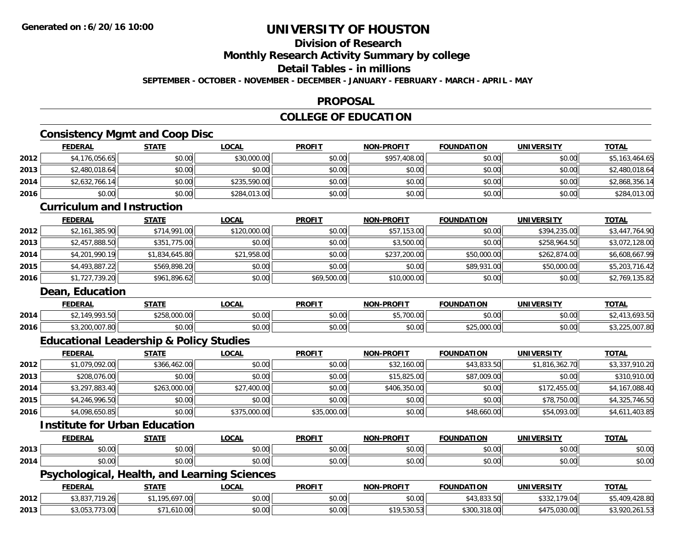**2014**

**2015**

**2016**

**2014**

**2016**

**Dean, Education**

# **UNIVERSITY OF HOUSTON**

### **Division of Research**

**Monthly Research Activity Summary by college**

#### **Detail Tables - in millions**

**SEPTEMBER - OCTOBER - NOVEMBER - DECEMBER - JANUARY - FEBRUARY - MARCH - APRIL - MAY**

### **PROPOSAL**

### **COLLEGE OF EDUCATION**

### **Consistency Mgmt and Coop Disc**

|      | <b>FEDERAL</b>                    | <b>STATE</b> | <b>LOCAL</b> | <b>PROFIT</b> | <b>NON-PROFIT</b> | <b>FOUNDATION</b> | <b>UNIVERSITY</b> | <b>TOTAL</b>   |
|------|-----------------------------------|--------------|--------------|---------------|-------------------|-------------------|-------------------|----------------|
| 2012 | \$4,176,056.65                    | \$0.00       | \$30,000.00  | \$0.00        | \$957,408.00      | \$0.00            | \$0.00            | \$5,163,464.65 |
| 2013 | \$2,480,018.64                    | \$0.00       | \$0.00       | \$0.00        | \$0.00            | \$0.00            | \$0.00            | \$2,480,018.64 |
| 2014 | \$2,632,766.14                    | \$0.00       | \$235,590.00 | \$0.00        | \$0.00            | \$0.00            | \$0.00            | \$2,868,356.14 |
| 2016 | \$0.00                            | \$0.00       | \$284,013.00 | \$0.00        | \$0.00            | \$0.00            | \$0.00            | \$284,013.00   |
|      | <b>Curriculum and Instruction</b> |              |              |               |                   |                   |                   |                |
|      | <b>FEDERAL</b>                    | <b>STATE</b> | <b>LOCAL</b> | <b>PROFIT</b> | <b>NON-PROFIT</b> | <b>FOUNDATION</b> | <b>UNIVERSITY</b> | <b>TOTAL</b>   |
| 2012 | \$2,161,385.90                    | \$714,991.00 | \$120,000.00 | \$0.00        | \$57,153.00       | \$0.00            | \$394,235.00      | \$3,447,764.90 |
| 2013 | \$2,457,888.50                    | \$351,775.00 | \$0.00       | \$0.00        | \$3,500.00        | \$0.00            | \$258,964.50      | \$3,072,128.00 |

4 \$4,201,990.19|| \$1,834,645.80|| \$21,958.00|| \$0.00|| \$237,200.00|| \$50,000.00|| \$262,874.00|| \$6,608,667.99

\$4,493,887.22 \$569,898.20 \$0.00 \$0.00 \$0.00 \$89,931.00 \$50,000.00 \$5,203,716.42

\$1,727,739.20 \$961,896.62 \$0.00 \$69,500.00 \$10,000.00 \$0.00 \$0.00 \$2,769,135.82

**FEDERAL STATE LOCAL PROFIT NON-PROFIT FOUNDATION UNIVERSITY TOTAL**

4 \$2,149,993.50| \$258,000.00| \$0.00| \$0.00| \$5,700.00| \$0.00| \$2,413,693.50

6 \$3,200,007.80|| \$0.00|| \$0.00|| \$0.00|| \$0.00|| \$25,000.00|| \$0.00|| \$3,225,007.80

### **Educational Leadership & Policy Studies**

|      | <b>FEDERAL</b> | <b>STATE</b> | <u>LOCAL</u> | <b>PROFIT</b> | <b>NON-PROFIT</b> | <b>FOUNDATION</b> | <b>UNIVERSITY</b> | <b>TOTAL</b>   |
|------|----------------|--------------|--------------|---------------|-------------------|-------------------|-------------------|----------------|
| 2012 | \$1,079,092.00 | \$366,462.00 | \$0.00       | \$0.00        | \$32,160.00       | \$43,833.50       | \$1,816,362.70    | \$3,337,910.20 |
| 2013 | \$208,076.00   | \$0.00       | \$0.00       | \$0.00        | \$15,825.00       | \$87,009.00       | \$0.00            | \$310,910.00   |
| 2014 | \$3,297,883.40 | \$263,000.00 | \$27,400.00  | \$0.00        | \$406,350.00      | \$0.00            | \$172,455.00      | \$4,167,088.40 |
| 2015 | \$4,246,996.50 | \$0.00       | \$0.00       | \$0.00        | \$0.00            | \$0.00            | \$78,750.00       | \$4,325,746.50 |
| 2016 | \$4,098,650.85 | \$0.00       | \$375,000.00 | \$35,000.00   | \$0.00            | \$48,660.00       | \$54,093.00       | \$4,611,403.85 |

#### **Institute for Urban Education**

|      | <b>FEDERAL</b> | <b>CTATE</b>       | 0 <sup>n</sup><br>UUA | <b>PROFIT</b>                             | -PROFIT<br>NON- | <b>FOUNDATION</b> | <b>UNIVERSITY</b> | $T^{\prime}$<br>v.      |
|------|----------------|--------------------|-----------------------|-------------------------------------------|-----------------|-------------------|-------------------|-------------------------|
| 2013 | 60.00<br>u.uu  | $\sim$ 00<br>JU.UU | 0.00<br>vv.vv         | $\sim$ 0.00<br>JU.                        | 0000<br>vv.vv   | 0000              | 0.00<br>PU.UU     | $\sim$ $\sim$<br>D.U¢   |
| 2014 | \$0.00         | $\sim$ 00<br>JU.UU | 0.00<br>pu.uu         | $\uparrow$ $\uparrow$ $\uparrow$<br>vv.vu | 0000<br>vv.vv   | 0000              | 0000<br>JU.UU     | $\sim$ $\sim$<br>\$0.0C |

#### **Psychological, Health, and Learning Sciences**

|      | <b>FEDERAL</b>                    | <b>STATE</b> | <u>LOCAL</u>                     | <b>PROFIT</b> | <b>NON-PROFIT</b> | <b>FOUNDATION</b> | <b>UNIVERSITY</b> | <b>TOTAL</b>                           |
|------|-----------------------------------|--------------|----------------------------------|---------------|-------------------|-------------------|-------------------|----------------------------------------|
| 2012 | 0.02771001<br>. 1.ZOH<br>JJ, UJ / | .195.697.00  | $\circ$ $\circ$ $\circ$<br>DU.UU | \$0.00        | \$0.00            | \$43,833.50       | \$332,179.04      | .428.80<br>$\sqrt{2}$<br>¢Γ<br>\$5,4UY |
| 2013 | \$3,053,773.00                    | \$71,610.00  | nn na<br>DU.UU                   | \$0.00        | \$19,530.53       | \$300,318.00      | \$475,030.00      | \$3,920,261.53                         |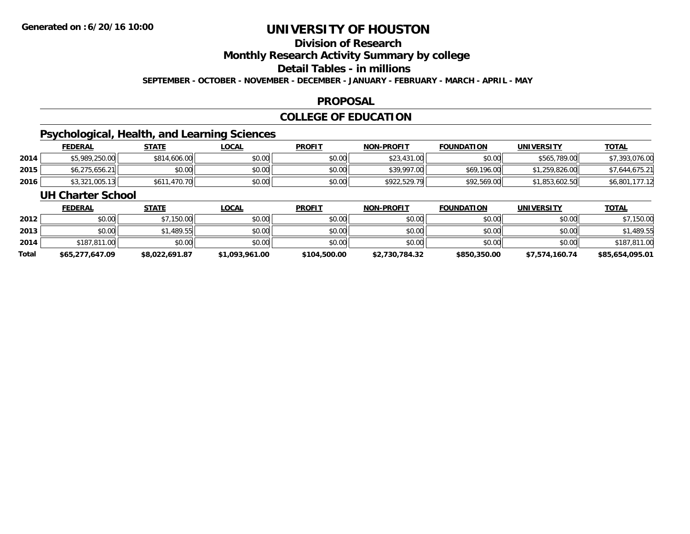### **Division of Research**

**Monthly Research Activity Summary by college**

**Detail Tables - in millions**

**SEPTEMBER - OCTOBER - NOVEMBER - DECEMBER - JANUARY - FEBRUARY - MARCH - APRIL - MAY**

#### **PROPOSAL**

### **COLLEGE OF EDUCATION**

### **Psychological, Health, and Learning Sciences**

|      | <b>FEDERAL</b> | <u>STATE</u>         | _OCAL  | <b>PROFIT</b> | <b>NON-PROFIT</b> | <b>FOUNDATION</b> | UNIVERSITY     | <b>TOTAL</b>   |
|------|----------------|----------------------|--------|---------------|-------------------|-------------------|----------------|----------------|
| 2014 | \$5,989,250.00 | \$814,606.00         | \$0.00 | \$0.00        | \$23,431.00       | \$0.00            | \$565,789.00   | \$7,393,076.00 |
| 2015 | \$6,275,656.21 | \$0.00               | \$0.00 | \$0.00        | \$39,997.00       | \$69,196.00       | \$1,259,826.00 | \$7,644,675.21 |
| 2016 | \$3,321,005.13 | ا 470.70, ب<br>\$611 | \$0.00 | \$0.00        | \$922,529.79      | \$92,569.00       | \$1,853,602.50 | \$6,801,       |

#### **UH Charter School**

|       | <b>FEDERAL</b>  | <b>STATE</b>   | <u>LOCAL</u>   | <b>PROFIT</b> | <b>NON-PROFIT</b> | <b>FOUNDATION</b> | <b>UNIVERSITY</b> | <u>TOTAL</u>    |
|-------|-----------------|----------------|----------------|---------------|-------------------|-------------------|-------------------|-----------------|
| 2012  | \$0.00          | \$7,150.00     | \$0.00         | \$0.00        | \$0.00            | \$0.00            | \$0.00            | 150.00          |
| 2013  | \$0.00          | \$1,489.55     | \$0.00         | \$0.00        | \$0.00            | \$0.00            | \$0.00            | \$1,489.55      |
| 2014  | \$187,811.00    | \$0.00         | \$0.00         | \$0.00        | \$0.00            | \$0.00            | \$0.00            | \$187,811.00    |
| Total | \$65,277,647.09 | \$8,022,691.87 | \$1,093,961.00 | \$104,500.00  | \$2,730,784.32    | \$850,350.00      | \$7,574,160.74    | \$85,654,095.01 |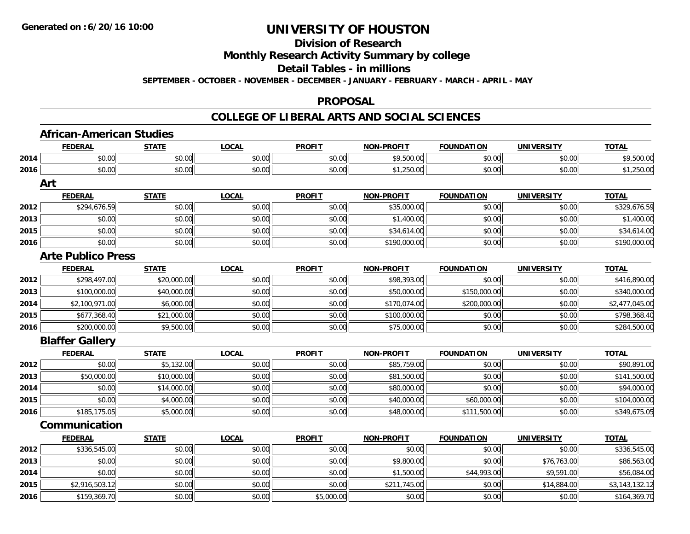#### **Division of Research**

**Monthly Research Activity Summary by college**

**Detail Tables - in millions**

**SEPTEMBER - OCTOBER - NOVEMBER - DECEMBER - JANUARY - FEBRUARY - MARCH - APRIL - MAY**

#### **PROPOSAL**

### **COLLEGE OF LIBERAL ARTS AND SOCIAL SCIENCES**

|      | <b>FEDERAL</b>            | <b>STATE</b> | <b>LOCAL</b> | <b>PROFIT</b> | <b>NON-PROFIT</b> | <b>FOUNDATION</b> | <b>UNIVERSITY</b> | <b>TOTAL</b>   |
|------|---------------------------|--------------|--------------|---------------|-------------------|-------------------|-------------------|----------------|
| 2014 | \$0.00                    | \$0.00       | \$0.00       | \$0.00        | \$9,500.00        | \$0.00            | \$0.00            | \$9,500.00     |
| 2016 | \$0.00                    | \$0.00       | \$0.00       | \$0.00        | \$1,250.00        | \$0.00            | \$0.00            | \$1,250.00     |
|      | Art                       |              |              |               |                   |                   |                   |                |
|      | <b>FEDERAL</b>            | <b>STATE</b> | <b>LOCAL</b> | <b>PROFIT</b> | <b>NON-PROFIT</b> | <b>FOUNDATION</b> | <b>UNIVERSITY</b> | <b>TOTAL</b>   |
| 2012 | \$294,676.59              | \$0.00       | \$0.00       | \$0.00        | \$35,000.00       | \$0.00            | \$0.00            | \$329,676.59   |
| 2013 | \$0.00                    | \$0.00       | \$0.00       | \$0.00        | \$1,400.00        | \$0.00            | \$0.00            | \$1,400.00     |
| 2015 | \$0.00                    | \$0.00       | \$0.00       | \$0.00        | \$34,614.00       | \$0.00            | \$0.00            | \$34,614.00    |
| 2016 | \$0.00                    | \$0.00       | \$0.00       | \$0.00        | \$190,000.00      | \$0.00            | \$0.00            | \$190,000.00   |
|      | <b>Arte Publico Press</b> |              |              |               |                   |                   |                   |                |
|      | <b>FEDERAL</b>            | <b>STATE</b> | <b>LOCAL</b> | <b>PROFIT</b> | <b>NON-PROFIT</b> | <b>FOUNDATION</b> | <b>UNIVERSITY</b> | <b>TOTAL</b>   |
| 2012 | \$298,497.00              | \$20,000.00  | \$0.00       | \$0.00        | \$98,393.00       | \$0.00            | \$0.00            | \$416,890.00   |
| 2013 | \$100,000.00              | \$40,000.00  | \$0.00       | \$0.00        | \$50,000.00       | \$150,000.00      | \$0.00            | \$340,000.00   |
| 2014 | \$2,100,971.00            | \$6,000.00   | \$0.00       | \$0.00        | \$170,074.00      | \$200,000.00      | \$0.00            | \$2,477,045.00 |
| 2015 | \$677,368.40              | \$21,000.00  | \$0.00       | \$0.00        | \$100,000.00      | \$0.00            | \$0.00            | \$798,368.40   |
| 2016 | \$200,000.00              | \$9,500.00   | \$0.00       | \$0.00        | \$75,000.00       | \$0.00            | \$0.00            | \$284,500.00   |
|      | <b>Blaffer Gallery</b>    |              |              |               |                   |                   |                   |                |
|      | <b>FEDERAL</b>            | <b>STATE</b> | <b>LOCAL</b> | <b>PROFIT</b> | <b>NON-PROFIT</b> | <b>FOUNDATION</b> | <b>UNIVERSITY</b> | <b>TOTAL</b>   |
| 2012 | \$0.00                    | \$5,132.00   | \$0.00       | \$0.00        | \$85,759.00       | \$0.00            | \$0.00            | \$90,891.00    |
| 2013 | \$50,000.00               | \$10,000.00  | \$0.00       | \$0.00        | \$81,500.00       | \$0.00            | \$0.00            | \$141,500.00   |
| 2014 | \$0.00                    | \$14,000.00  | \$0.00       | \$0.00        | \$80,000.00       | \$0.00            | \$0.00            | \$94,000.00    |
| 2015 | \$0.00                    | \$4,000.00   | \$0.00       | \$0.00        | \$40,000.00       | \$60,000.00       | \$0.00            | \$104,000.00   |
| 2016 | \$185,175.05              | \$5,000.00   | \$0.00       | \$0.00        | \$48,000.00       | \$111,500.00      | \$0.00            | \$349,675.05   |
|      | Communication             |              |              |               |                   |                   |                   |                |
|      | <b>FEDERAL</b>            | <b>STATE</b> | <b>LOCAL</b> | <b>PROFIT</b> | NON-PROFIT        | <b>FOUNDATION</b> | <b>UNIVERSITY</b> | <b>TOTAL</b>   |
| 2012 | \$336,545.00              | \$0.00       | \$0.00       | \$0.00        | \$0.00            | \$0.00            | \$0.00            | \$336,545.00   |
| 2013 | \$0.00                    | \$0.00       | \$0.00       | \$0.00        | \$9,800.00        | \$0.00            | \$76,763.00       | \$86,563.00    |
| 2014 | \$0.00                    | \$0.00       | \$0.00       | \$0.00        | \$1,500.00        | \$44,993.00       | \$9,591.00        | \$56,084.00    |
| 2015 | \$2,916,503.12            | \$0.00       | \$0.00       | \$0.00        | \$211,745.00      | \$0.00            | \$14,884.00       | \$3,143,132.12 |
| 2016 | \$159,369.70              | \$0.00       | \$0.00       | \$5,000.00    | \$0.00            | \$0.00            | \$0.00            | \$164,369.70   |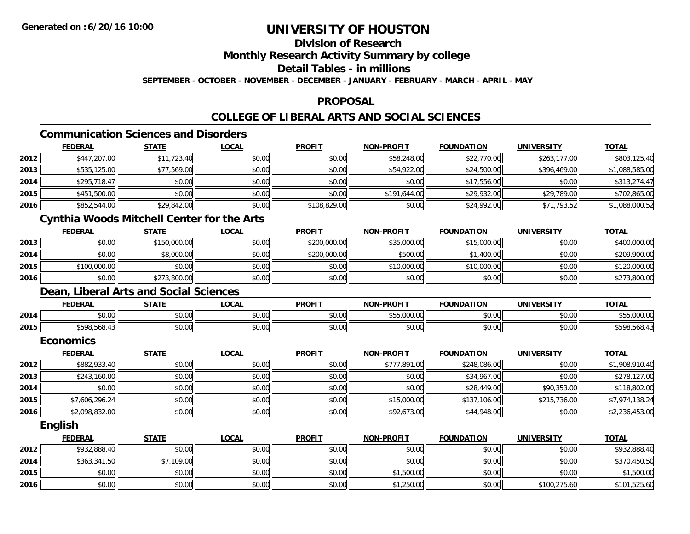### **Division of Research**

**Monthly Research Activity Summary by college**

**Detail Tables - in millions**

**SEPTEMBER - OCTOBER - NOVEMBER - DECEMBER - JANUARY - FEBRUARY - MARCH - APRIL - MAY**

### **PROPOSAL**

### **COLLEGE OF LIBERAL ARTS AND SOCIAL SCIENCES**

### **Communication Sciences and Disorders**

|      | <b>FEDERAL</b>                                    | <b>STATE</b> | <b>LOCAL</b> | <b>PROFIT</b> | <b>NON-PROFIT</b> | <b>FOUNDATION</b> | <b>UNIVERSITY</b> | <b>TOTAL</b>   |
|------|---------------------------------------------------|--------------|--------------|---------------|-------------------|-------------------|-------------------|----------------|
| 2012 | \$447,207.00                                      | \$11,723.40  | \$0.00       | \$0.00        | \$58,248.00       | \$22,770.00       | \$263,177.00      | \$803,125.40   |
| 2013 | \$535,125.00                                      | \$77,569.00  | \$0.00       | \$0.00        | \$54,922.00       | \$24,500.00       | \$396,469.00      | \$1,088,585.00 |
| 2014 | \$295,718.47                                      | \$0.00       | \$0.00       | \$0.00        | \$0.00            | \$17,556.00       | \$0.00            | \$313,274.47   |
| 2015 | \$451,500.00                                      | \$0.00       | \$0.00       | \$0.00        | \$191,644.00      | \$29,932.00       | \$29,789.00       | \$702,865.00   |
| 2016 | \$852,544.00                                      | \$29,842.00  | \$0.00       | \$108,829.00  | \$0.00            | \$24,992.00       | \$71,793.52       | \$1,088,000.52 |
|      | <b>Cynthia Woods Mitchell Center for the Arts</b> |              |              |               |                   |                   |                   |                |
|      | <b>FEDERAL</b>                                    | <b>STATE</b> | <b>LOCAL</b> | <b>PROFIT</b> | <b>NON-PROFIT</b> | <b>FOUNDATION</b> | <b>UNIVERSITY</b> | <b>TOTAL</b>   |
| 2013 | \$0.00                                            | \$150,000.00 | \$0.00       | \$200,000.00  | \$35,000.00       | \$15,000.00       | \$0.00            | \$400,000.00   |
| 2014 | \$0.00                                            | \$8,000.00   | \$0.00       | \$200,000.00  | \$500.00          | \$1,400.00        | \$0.00            | \$209,900.00   |
| 2015 | \$100,000.00                                      | \$0.00       | \$0.00       | \$0.00        | \$10,000.00       | \$10,000.00       | \$0.00            | \$120,000.00   |
| 2016 | \$0.00                                            | \$273,800.00 | \$0.00       | \$0.00        | \$0.00            | \$0.00            | \$0.00            | \$273,800.00   |
|      | Dean, Liberal Arts and Social Sciences            |              |              |               |                   |                   |                   |                |
|      | <b>FEDERAL</b>                                    | <b>STATE</b> | <b>LOCAL</b> | <b>PROFIT</b> | <b>NON-PROFIT</b> | <b>FOUNDATION</b> | <b>UNIVERSITY</b> | <b>TOTAL</b>   |
| 2014 | \$0.00                                            | \$0.00       | \$0.00       | \$0.00        | \$55,000.00       | \$0.00            | \$0.00            | \$55,000.00    |
| 2015 | \$598,568.43                                      | \$0.00       | \$0.00       | \$0.00        | \$0.00            | \$0.00            | \$0.00            | \$598,568.43   |
|      | <b>Economics</b>                                  |              |              |               |                   |                   |                   |                |
|      | <b>FEDERAL</b>                                    | <b>STATE</b> | <b>LOCAL</b> | <b>PROFIT</b> | <b>NON-PROFIT</b> | <b>FOUNDATION</b> | <b>UNIVERSITY</b> | <b>TOTAL</b>   |
| 2012 | \$882,933.40                                      | \$0.00       | \$0.00       | \$0.00        | \$777,891.00      | \$248,086.00      | \$0.00            | \$1,908,910.40 |
| 2013 | \$243,160.00                                      | \$0.00       | \$0.00       | \$0.00        | \$0.00            | \$34,967.00       | \$0.00            | \$278,127.00   |
| 2014 | \$0.00                                            | \$0.00       | \$0.00       | \$0.00        | \$0.00            | \$28,449.00       | \$90,353.00       | \$118,802.00   |
| 2015 | \$7,606,296.24                                    | \$0.00       | \$0.00       | \$0.00        | \$15,000.00       | \$137,106.00      | \$215,736.00      | \$7,974,138.24 |
| 2016 | \$2,098,832.00                                    | \$0.00       | \$0.00       | \$0.00        | \$92,673.00       | \$44,948.00       | \$0.00            | \$2,236,453.00 |

**English**

|      | <b>FEDERAL</b> | <u>STATE</u> | <u>LOCAL</u> | <b>PROFIT</b> | <b>NON-PROFIT</b> | <b>FOUNDATION</b> | <b>UNIVERSITY</b> | <b>TOTAL</b> |
|------|----------------|--------------|--------------|---------------|-------------------|-------------------|-------------------|--------------|
| 2012 | \$932,888.40   | \$0.00       | \$0.00       | \$0.00        | \$0.00            | \$0.00            | \$0.00            | \$932,888.40 |
| 2014 | \$363,341.50   | \$7,109.00   | \$0.00       | \$0.00        | \$0.00            | \$0.00            | \$0.00            | \$370,450.50 |
| 2015 | \$0.00         | \$0.00       | \$0.00       | \$0.00        | \$1,500.00        | \$0.00            | \$0.00            | \$1,500.00   |
| 2016 | \$0.00         | \$0.00       | \$0.00       | \$0.00        | \$1,250.00        | \$0.00            | \$100,275.60      | \$101,525.60 |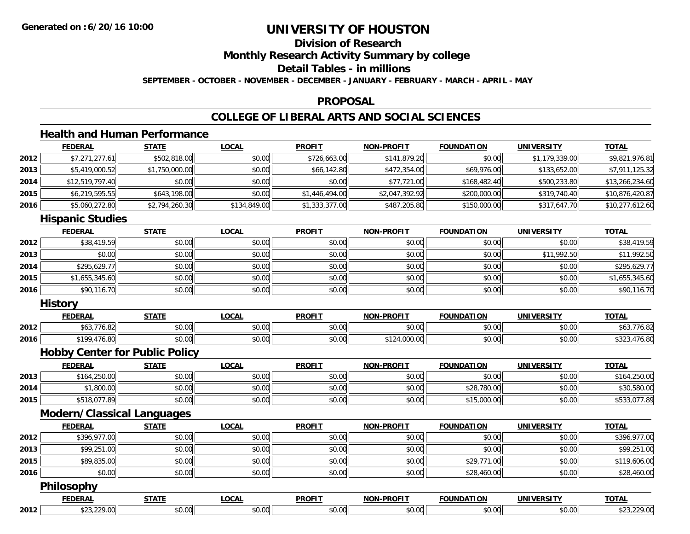### **Division of ResearchMonthly Research Activity Summary by college Detail Tables - in millions**

**SEPTEMBER - OCTOBER - NOVEMBER - DECEMBER - JANUARY - FEBRUARY - MARCH - APRIL - MAY**

### **PROPOSAL**

### **COLLEGE OF LIBERAL ARTS AND SOCIAL SCIENCES**

### **Health and Human Performance**

|      | <b>FEDERAL</b>  | <b>STATE</b>   | <b>LOCAL</b> | <b>PROFIT</b>  | <b>NON-PROFIT</b> | <b>FOUNDATION</b> | <b>UNIVERSITY</b> | <b>TOTAL</b>    |
|------|-----------------|----------------|--------------|----------------|-------------------|-------------------|-------------------|-----------------|
| 2012 | \$7,271,277.61  | \$502,818.00   | \$0.00       | \$726,663.00   | \$141,879.20      | \$0.00            | \$1,179,339.00    | \$9,821,976.81  |
| 2013 | \$5,419,000.52  | \$1,750,000.00 | \$0.00       | \$66,142.80    | \$472,354.00      | \$69,976.00       | \$133,652.00      | \$7,911,125.32  |
| 2014 | \$12,519,797.40 | \$0.00         | \$0.00       | \$0.00         | \$77,721.00       | \$168,482.40      | \$500,233.80      | \$13,266,234.60 |
| 2015 | \$6,219,595.55  | \$643,198.00   | \$0.00       | \$1,446,494.00 | \$2,047,392.92    | \$200,000.00      | \$319,740.40      | \$10,876,420.87 |
| 2016 | \$5,060,272.80  | \$2,794,260.30 | \$134,849.00 | \$1,333,377.00 | \$487,205.80      | \$150,000.00      | \$317,647.70      | \$10,277,612.60 |

#### **Hispanic Studies**

|      | <b>FEDERAL</b> | <b>STATE</b> | <b>LOCAL</b> | <b>PROFIT</b> | <b>NON-PROFIT</b> | <b>FOUNDATION</b> | <b>UNIVERSITY</b> | <b>TOTAL</b>   |
|------|----------------|--------------|--------------|---------------|-------------------|-------------------|-------------------|----------------|
| 2012 | \$38,419.59    | \$0.00       | \$0.00       | \$0.00        | \$0.00            | \$0.00            | \$0.00            | \$38,419.59    |
| 2013 | \$0.00         | \$0.00       | \$0.00       | \$0.00        | \$0.00            | \$0.00            | \$11,992.50       | \$11,992.50    |
| 2014 | \$295,629.77   | \$0.00       | \$0.00       | \$0.00        | \$0.00            | \$0.00            | \$0.00            | \$295,629.77   |
| 2015 | \$1,655,345.60 | \$0.00       | \$0.00       | \$0.00        | \$0.00            | \$0.00            | \$0.00            | \$1,655,345.60 |
| 2016 | \$90,116.70    | \$0.00       | \$0.00       | \$0.00        | \$0.00            | \$0.00            | \$0.00            | \$90,116.70    |

#### **History**

|      | <b>FEDERAL</b>                                              | <b>CTATI</b> | <b>OCAL</b>                  | <b>PROFIT</b>                   | ------             | <b>FOUNDATION</b> | <b>INIVE</b>  | <b>TOT.</b>      |
|------|-------------------------------------------------------------|--------------|------------------------------|---------------------------------|--------------------|-------------------|---------------|------------------|
| 2012 | o.o.                                                        | 0000<br>JU.U | $\sim$ 00<br>vu.uu           | $n \cap \Omega$<br><b>JU.UU</b> | 0000<br>vu.vu      | 0000<br>JU.UU     | 0.00<br>vu.vu | 70.02<br>, טי    |
| 2016 | $\uparrow$ 100<br>76.80<br>$\overline{a}$<br>$\overline{1}$ | ሖ ∩<br>וטט.  | $*$ $\circ$ $\circ$<br>JU.UU | \$0.00                          | $\sim$<br>, JUU.UU | 0000<br>JU.UU     | \$0.00        | 76.8U<br>، ب ے ب |

#### **Hobby Center for Public Policy**

|      | <b>FEDERAL</b> | STATE  | <b>LOCAL</b> | <b>PROFIT</b> | <b>NON-PROFIT</b> | <b>FOUNDATION</b> | <b>UNIVERSITY</b> | <b>TOTAL</b> |
|------|----------------|--------|--------------|---------------|-------------------|-------------------|-------------------|--------------|
| 2013 | \$164,250.00   | \$0.00 | \$0.00       | \$0.00        | \$0.00            | \$0.00            | \$0.00            | \$164,250.00 |
| 2014 | \$1,800.00     | \$0.00 | \$0.00       | \$0.00        | \$0.00            | \$28,780.00       | \$0.00            | \$30,580.00  |
| 2015 | \$518,077.89   | \$0.00 | \$0.00       | \$0.00        | \$0.00            | \$15,000.00       | \$0.00            | \$533,077.89 |

### **Modern/Classical Languages**

|      | <b>FEDERAL</b> | <b>STATE</b> | <u>LOCAL</u> | <b>PROFIT</b> | <b>NON-PROFIT</b> | <b>FOUNDATION</b> | UNIVERSITY | <b>TOTAL</b> |
|------|----------------|--------------|--------------|---------------|-------------------|-------------------|------------|--------------|
| 2012 | \$396,977.00   | \$0.00       | \$0.00       | \$0.00        | \$0.00            | \$0.00            | \$0.00     | \$396,977.00 |
| 2013 | \$99,251.00    | \$0.00       | \$0.00       | \$0.00        | \$0.00            | \$0.00            | \$0.00     | \$99,251.00  |
| 2015 | \$89,835.00    | \$0.00       | \$0.00       | \$0.00        | \$0.00            | \$29,771.00       | \$0.00     | \$119,606.00 |
| 2016 | \$0.00         | \$0.00       | \$0.00       | \$0.00        | \$0.00            | \$28,460.00       | \$0.00     | \$28,460.00  |
|      |                |              |              |               |                   |                   |            |              |

#### **Philosophy**

|     | _______<br>.                     | -----                  | <b>OCAL</b>   | <b>DDOFIT</b> | ------<br>הוא | IINDATION                                       | $\sim$ $\sim$ $\sim$<br>UNIVFT | <b>TOTAL</b> |
|-----|----------------------------------|------------------------|---------------|---------------|---------------|-------------------------------------------------|--------------------------------|--------------|
| 012 | $\sim$<br>$\sim$<br>$\mathbf{u}$ | $\sim$ $\sim$<br>,,,,, | 0.00<br>JU.UU | ⌒             | $\sim$        | $\triangle$ $\triangle$ $\triangle$<br>้ง . ง ง | $\sim$ 00                      |              |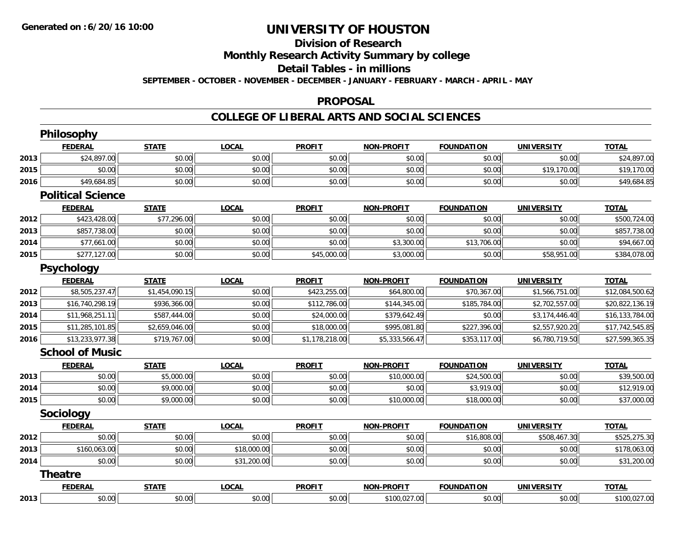### **Division of Research**

**Monthly Research Activity Summary by college**

#### **Detail Tables - in millions**

**SEPTEMBER - OCTOBER - NOVEMBER - DECEMBER - JANUARY - FEBRUARY - MARCH - APRIL - MAY**

#### **PROPOSAL**

#### **COLLEGE OF LIBERAL ARTS AND SOCIAL SCIENCES**

|      | Philosophy               |                |              |                |                   |                   |                   |                 |
|------|--------------------------|----------------|--------------|----------------|-------------------|-------------------|-------------------|-----------------|
|      | <b>FEDERAL</b>           | <b>STATE</b>   | <b>LOCAL</b> | <b>PROFIT</b>  | <b>NON-PROFIT</b> | <b>FOUNDATION</b> | <b>UNIVERSITY</b> | <b>TOTAL</b>    |
| 2013 | \$24,897.00              | \$0.00         | \$0.00       | \$0.00         | \$0.00            | \$0.00            | \$0.00            | \$24,897.00     |
| 2015 | \$0.00                   | \$0.00         | \$0.00       | \$0.00         | \$0.00            | \$0.00            | \$19,170.00       | \$19,170.00     |
| 2016 | \$49,684.85              | \$0.00         | \$0.00       | \$0.00         | \$0.00            | \$0.00            | \$0.00            | \$49,684.85     |
|      | <b>Political Science</b> |                |              |                |                   |                   |                   |                 |
|      | <b>FEDERAL</b>           | <b>STATE</b>   | <b>LOCAL</b> | <b>PROFIT</b>  | <b>NON-PROFIT</b> | <b>FOUNDATION</b> | <b>UNIVERSITY</b> | <b>TOTAL</b>    |
| 2012 | \$423,428.00             | \$77,296.00    | \$0.00       | \$0.00         | \$0.00            | \$0.00            | \$0.00            | \$500,724.00    |
| 2013 | \$857,738.00             | \$0.00         | \$0.00       | \$0.00         | \$0.00            | \$0.00            | \$0.00            | \$857,738.00    |
| 2014 | \$77,661.00              | \$0.00         | \$0.00       | \$0.00         | \$3,300.00        | \$13,706.00       | \$0.00            | \$94,667.00     |
| 2015 | \$277,127.00             | \$0.00         | \$0.00       | \$45,000.00    | \$3,000.00        | \$0.00            | \$58,951.00       | \$384,078.00    |
|      | <b>Psychology</b>        |                |              |                |                   |                   |                   |                 |
|      | <b>FEDERAL</b>           | <b>STATE</b>   | <b>LOCAL</b> | <b>PROFIT</b>  | <b>NON-PROFIT</b> | <b>FOUNDATION</b> | <b>UNIVERSITY</b> | <b>TOTAL</b>    |
| 2012 | \$8,505,237.47           | \$1,454,090.15 | \$0.00       | \$423,255.00   | \$64,800.00       | \$70,367.00       | \$1,566,751.00    | \$12,084,500.62 |
| 2013 | \$16,740,298.19          | \$936,366.00   | \$0.00       | \$112,786.00   | \$144,345.00      | \$185,784.00      | \$2,702,557.00    | \$20,822,136.19 |
| 2014 | \$11,968,251.11          | \$587,444.00   | \$0.00       | \$24,000.00    | \$379,642.49      | \$0.00            | \$3,174,446.40    | \$16,133,784.00 |
| 2015 | \$11,285,101.85          | \$2,659,046.00 | \$0.00       | \$18,000.00    | \$995,081.80      | \$227,396.00      | \$2,557,920.20    | \$17,742,545.85 |
| 2016 | \$13,233,977.38          | \$719,767.00   | \$0.00       | \$1,178,218.00 | \$5,333,566.47    | \$353,117.00      | \$6,780,719.50    | \$27,599,365.35 |
|      | <b>School of Music</b>   |                |              |                |                   |                   |                   |                 |
|      | <b>FEDERAL</b>           | <b>STATE</b>   | <b>LOCAL</b> | <b>PROFIT</b>  | <b>NON-PROFIT</b> | <b>FOUNDATION</b> | <b>UNIVERSITY</b> | <b>TOTAL</b>    |
| 2013 | \$0.00                   | \$5,000.00     | \$0.00       | \$0.00         | \$10,000.00       | \$24,500.00       | \$0.00            | \$39,500.00     |
| 2014 | \$0.00                   | \$9,000.00     | \$0.00       | \$0.00         | \$0.00            | \$3,919.00        | \$0.00            | \$12,919.00     |
| 2015 | \$0.00                   | \$9,000.00     | \$0.00       | \$0.00         | \$10,000.00       | \$18,000.00       | \$0.00            | \$37,000.00     |
|      | Sociology                |                |              |                |                   |                   |                   |                 |
|      | <b>FEDERAL</b>           | <b>STATE</b>   | <b>LOCAL</b> | <b>PROFIT</b>  | <b>NON-PROFIT</b> | <b>FOUNDATION</b> | <b>UNIVERSITY</b> | <b>TOTAL</b>    |
| 2012 | \$0.00                   | \$0.00         | \$0.00       | \$0.00         | \$0.00            | \$16,808.00       | \$508,467.30      | \$525,275.30    |
| 2013 | \$160,063.00             | \$0.00         | \$18,000.00  | \$0.00         | \$0.00            | \$0.00            | \$0.00            | \$178,063.00    |
| 2014 | \$0.00                   | \$0.00         | \$31,200.00  | \$0.00         | \$0.00            | \$0.00            | \$0.00            | \$31,200.00     |
|      | <b>Theatre</b>           |                |              |                |                   |                   |                   |                 |
|      | <b>FEDERAL</b>           | <b>STATE</b>   | <b>LOCAL</b> | <b>PROFIT</b>  | <b>NON-PROFIT</b> | <b>FOUNDATION</b> | <b>UNIVERSITY</b> | <b>TOTAL</b>    |
| 2013 | \$0.00                   | \$0.00         | \$0.00       | \$0.00         | \$100,027.00      | \$0.00            | \$0.00            | \$100,027.00    |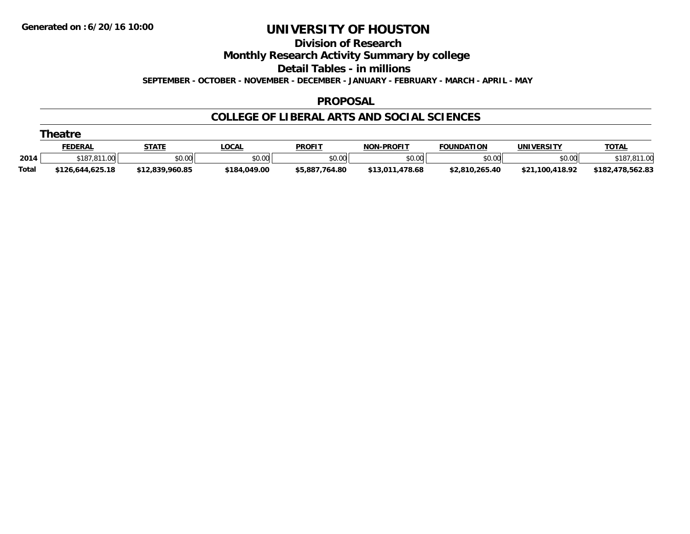#### **Division of Research**

**Monthly Research Activity Summary by college**

**Detail Tables - in millions**

**SEPTEMBER - OCTOBER - NOVEMBER - DECEMBER - JANUARY - FEBRUARY - MARCH - APRIL - MAY**

#### **PROPOSAL**

### **COLLEGE OF LIBERAL ARTS AND SOCIAL SCIENCES**

|  | Theatre |
|--|---------|
|--|---------|

|       | FEDERAI          | <b>STATE</b>    | LOCAL        | <b>PROFIT</b>  | <b>L-PROFIT</b><br><b>NON</b> | <b>FOUNDATION</b> | UNIVERSITY           | <b>TOTAL</b>         |
|-------|------------------|-----------------|--------------|----------------|-------------------------------|-------------------|----------------------|----------------------|
| 2014  | 187.811ء<br>00.1 | \$0.00          | \$0.00       | \$0.00         | \$0.00                        | \$0.00            | \$0.00               | 0.10                 |
| Total | \$126.644.625.18 | \$12,839,960.85 | \$184.049.00 | \$5,887,764.80 | .478.68<br>\$13.011.          | \$2,810,265.40    | .100.418.92<br>\$21, | .478,562.83<br>\$182 |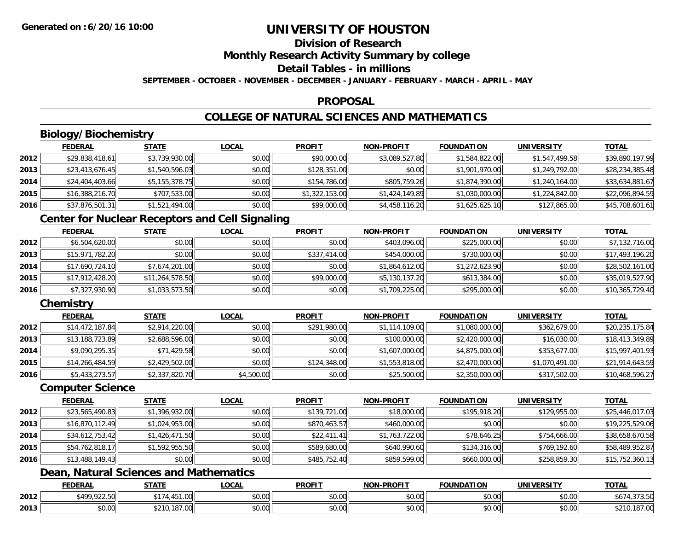# **Division of Research**

**Monthly Research Activity Summary by college**

### **Detail Tables - in millions**

**SEPTEMBER - OCTOBER - NOVEMBER - DECEMBER - JANUARY - FEBRUARY - MARCH - APRIL - MAY**

### **PROPOSAL**

### **COLLEGE OF NATURAL SCIENCES AND MATHEMATICS**

### **Biology/Biochemistry**

|      | <b>FEDERAL</b>  | <b>STATE</b>   | <u>LOCAL</u> | <b>PROFIT</b>  | <b>NON-PROFIT</b> | <b>FOUNDATION</b> | <b>UNIVERSITY</b> | <b>TOTAL</b>    |
|------|-----------------|----------------|--------------|----------------|-------------------|-------------------|-------------------|-----------------|
| 2012 | \$29,838,418.61 | \$3,739,930.00 | \$0.00       | \$90,000.00    | \$3,089,527.80    | \$1,584,822.00    | \$1,547,499.58    | \$39,890,197.99 |
| 2013 | \$23,413,676.45 | \$1,540,596.03 | \$0.00       | \$128,351.00   | \$0.00            | \$1,901,970.00    | \$1,249,792.00    | \$28,234,385.48 |
| 2014 | \$24,404,403.66 | \$5,155,378.75 | \$0.00       | \$154,786.00   | \$805,759.26      | \$1,874,390.00    | \$1,240,164.00    | \$33,634,881.67 |
| 2015 | \$16,388,216.70 | \$707,533.00   | \$0.00       | \$1,322,153.00 | \$1,424,149.89    | \$1,030,000.00    | \$1,224,842.00    | \$22,096,894.59 |
| 2016 | \$37,876,501.31 | \$1,521,494.00 | \$0.00       | \$99,000.00    | \$4,458,116.20    | \$1,625,625.10    | \$127,865.00      | \$45,708,601.61 |

### **Center for Nuclear Receptors and Cell Signaling**

|      | <b>FEDERAL</b>  | <b>STATE</b>    | <b>LOCAL</b> | <b>PROFIT</b> | <b>NON-PROFIT</b> | <b>FOUNDATION</b> | <b>UNIVERSITY</b> | <u>TOTAL</u>    |
|------|-----------------|-----------------|--------------|---------------|-------------------|-------------------|-------------------|-----------------|
| 2012 | \$6,504,620.00  | \$0.00          | \$0.00       | \$0.00        | \$403,096.00      | \$225,000.00      | \$0.00            | \$7,132,716.00  |
| 2013 | \$15,971,782.20 | \$0.00          | \$0.00       | \$337,414.00  | \$454,000.00      | \$730,000.00      | \$0.00            | \$17,493,196.20 |
| 2014 | \$17,690,724.10 | \$7,674,201.00  | \$0.00       | \$0.00        | \$1,864,612.00    | \$1,272,623.90    | \$0.00            | \$28,502,161.00 |
| 2015 | \$17,912,428.20 | \$11,264,578.50 | \$0.00       | \$99,000.00   | \$5,130,137.20    | \$613,384.00      | \$0.00            | \$35,019,527.90 |
| 2016 | \$7,327,930.90  | \$1,033,573.50  | \$0.00       | \$0.00        | \$1,709,225.00    | \$295,000.00      | \$0.00            | \$10,365,729.40 |

### **Chemistry**

|      | <b>FEDERAL</b>  | <u>STATE</u>   | <b>LOCAL</b> | <b>PROFIT</b> | <b>NON-PROFIT</b> | <b>FOUNDATION</b> | <b>UNIVERSITY</b> | <u>TOTAL</u>    |
|------|-----------------|----------------|--------------|---------------|-------------------|-------------------|-------------------|-----------------|
| 2012 | \$14,472,187.84 | \$2,914,220.00 | \$0.00       | \$291,980.00  | \$1,114,109.00    | \$1,080,000.00    | \$362,679.00      | \$20,235,175.84 |
| 2013 | \$13,188,723.89 | \$2,688,596.00 | \$0.00       | \$0.00        | \$100,000.00      | \$2,420,000.00    | \$16,030.00       | \$18,413,349.89 |
| 2014 | \$9,090,295.35  | \$71,429.58    | \$0.00       | \$0.00        | \$1,607,000.00    | \$4,875,000.00    | \$353,677.00      | \$15,997,401.93 |
| 2015 | \$14,266,484.59 | \$2,429,502.00 | \$0.00       | \$124,348.00  | \$1,553,818.00    | \$2,470,000.00    | \$1,070,491.00    | \$21,914,643.59 |
| 2016 | \$5,433,273.57  | \$2,337,820.70 | \$4,500.00   | \$0.00        | \$25,500.00       | \$2,350,000.00    | \$317,502.00      | \$10,468,596.27 |

#### **Computer Science**

|      | <b>FEDERAL</b>  | <b>STATE</b>   | <b>LOCAL</b> | <b>PROFIT</b> | <b>NON-PROFIT</b> | <b>FOUNDATION</b> | <b>UNIVERSITY</b> | <b>TOTAL</b>    |
|------|-----------------|----------------|--------------|---------------|-------------------|-------------------|-------------------|-----------------|
| 2012 | \$23,565,490.83 | \$1,396,932.00 | \$0.00       | \$139,721.00  | \$18,000.00       | \$195,918.20      | \$129,955.00      | \$25,446,017.03 |
| 2013 | \$16,870,112.49 | \$1,024,953.00 | \$0.00       | \$870,463.57  | \$460,000.00      | \$0.00            | \$0.00            | \$19,225,529.06 |
| 2014 | \$34,612,753.42 | \$1,426,471.50 | \$0.00       | \$22,411.41   | \$1,763,722.00    | \$78,646.25       | \$754,666.00      | \$38,658,670.58 |
| 2015 | \$54,762,818.17 | \$1,592,955.50 | \$0.00       | \$589,680.00  | \$640,990.60      | \$134,316.00      | \$769,192.60      | \$58,489,952.87 |
| 2016 | \$13,488,149.43 | \$0.00         | \$0.00       | \$485,752.40  | \$859,599.00      | \$660,000.00      | \$258,859.30      | \$15,752,360.13 |

### **Dean, Natural Sciences and Mathematics**

|      | <b>FEDERAL</b>  | <b>STATE</b> | LOCAI                      | <b>PROFIT</b>          | LDD<br>וחרות           | <b>FOUNDATION</b>    | UNIVERSIT                 | <b>TOTA</b>                  |
|------|-----------------|--------------|----------------------------|------------------------|------------------------|----------------------|---------------------------|------------------------------|
| 2012 | $*100.000.01$   | - - -        | $\sim$ 00<br>וטטוע         | $\sim$ $\sim$<br>vu.vu | $\sim$ $\sim$<br>J∪.∪u | 0000<br><b>JU.UU</b> | $\sim$ 00<br>vv.vv        | $\sim$ $\sim$<br>---<br>ں. ن |
| 2013 | $\sim$<br>vv.vv | $\cdots$     | $\sim$ 0.0 $\sim$<br>JU.UU | 0000<br>PO.OO          | 0.00<br>PU.UU          | 0000<br>JU.UU        | $\sim$ 00<br><b>PU.UU</b> | $\sim$<br>טט. י<br>.         |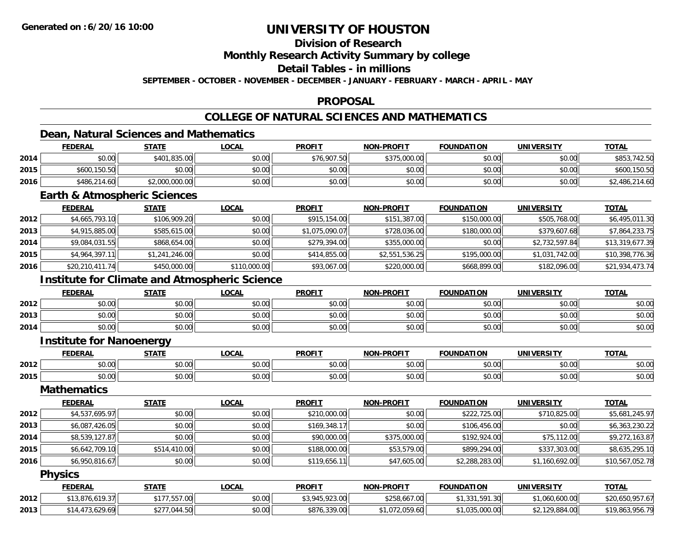### **Division of Research**

**Monthly Research Activity Summary by college**

**Detail Tables - in millions**

**SEPTEMBER - OCTOBER - NOVEMBER - DECEMBER - JANUARY - FEBRUARY - MARCH - APRIL - MAY**

#### **PROPOSAL**

### **COLLEGE OF NATURAL SCIENCES AND MATHEMATICS**

### **Dean, Natural Sciences and Mathematics**

|      | <b>FEDERAL</b> | <b>STATE</b>   | <u>LOCAL</u> | <b>PROFIT</b> | <b>NON-PROFIT</b> | <b>FOUNDATION</b> | <b>UNIVERSITY</b> | <b>TOTAL</b>   |
|------|----------------|----------------|--------------|---------------|-------------------|-------------------|-------------------|----------------|
| 2014 | \$0.00         | \$401,835.00   | \$0.00       | \$76,907.50   | \$375,000.00      | \$0.00            | \$0.00            | \$853,742.50   |
| 2015 | \$600,150.50   | \$0.00         | \$0.00       | \$0.00        | \$0.00            | \$0.00            | \$0.00            | \$600,150.50   |
| 2016 | \$486,214.60   | \$2,000,000.00 | \$0.00       | \$0.00        | \$0.00            | \$0.00            | \$0.00            | \$2,486,214.60 |

### **Earth & Atmospheric Sciences**

|      | <b>FEDERAL</b>  | <b>STATE</b>   | <b>LOCAL</b> | <b>PROFIT</b>  | <b>NON-PROFIT</b> | <b>FOUNDATION</b> | UNIVERSITY     | <b>TOTAL</b>    |
|------|-----------------|----------------|--------------|----------------|-------------------|-------------------|----------------|-----------------|
| 2012 | \$4,665,793.10  | \$106,909.20   | \$0.00       | \$915,154.00   | \$151,387.00      | \$150,000.00      | \$505,768.00   | \$6,495,011.30  |
| 2013 | \$4,915,885.00  | \$585,615.00   | \$0.00       | \$1,075,090.07 | \$728,036.00      | \$180,000.00      | \$379,607.68   | \$7,864,233.75  |
| 2014 | \$9,084,031.55  | \$868,654.00   | \$0.00       | \$279,394.00   | \$355,000.00      | \$0.00            | \$2,732,597.84 | \$13,319,677.39 |
| 2015 | \$4,964,397.11  | \$1,241,246.00 | \$0.00       | \$414,855.00   | \$2,551,536.25    | \$195,000.00      | \$1,031,742.00 | \$10,398,776.36 |
| 2016 | \$20,210,411.74 | \$450,000.00   | \$110,000.00 | \$93,067.00    | \$220,000.00      | \$668,899.00      | \$182,096.00   | \$21,934,473.74 |

### **Institute for Climate and Atmospheric Science**

|      | <b>FEDERAL</b> | <b>STATE</b> | LOCAL  | <b>PROFIT</b> | <b>NON-PROFIT</b> | <b>FOUNDATION</b> | UNIVERSITY | <b>TOTAL</b> |
|------|----------------|--------------|--------|---------------|-------------------|-------------------|------------|--------------|
| 2012 | \$0.00         | \$0.00       | \$0.00 | \$0.00        | \$0.00            | \$0.00            | \$0.00     | \$0.00       |
| 2013 | \$0.00         | \$0.00       | \$0.00 | \$0.00        | \$0.00            | \$0.00            | \$0.00     | \$0.00       |
| 2014 | \$0.00         | \$0.00       | \$0.00 | \$0.00        | \$0.00            | \$0.00            | \$0.00     | \$0.00       |

#### **Institute for Nanoenergy**

|      | <b>FFBFBA</b> | $C = C$         | $\bigcap$                 | <b>DDAEI</b> | <b>DRAFIT</b><br><b>NIONI</b> | $-0.0000000000$<br>חחוז | <b>'INIVERSITY</b>            | $-2$                   |
|------|---------------|-----------------|---------------------------|--------------|-------------------------------|-------------------------|-------------------------------|------------------------|
| 2012 |               | ሐሴ ሰሰ<br>ט.טע   | $\sim$ $\sim$ $\sim$<br>. |              | $\cdots$<br>ט.טי              | $\sim$ $\sim$ $\sim$    | $\sim$ $\sim$ $\sim$<br>ンひ・いい | $\sim$ $\sim$<br>יט.טי |
| 2015 | 70.UU         | $\sim$<br>vv.vv | $\sim$ 00 $\sim$<br>vv.vv | - PO.C.      | 0000<br>vv.vv                 | .<br>JU.∪∪              | $\sim$ $\sim$ $\sim$<br>PO.OO | $\sim$ $\sim$<br>JU.U  |

#### **Mathematics**

|      | <b>FEDERAL</b> | <b>STATE</b> | <u>LOCAL</u> | <b>PROFIT</b> | <b>NON-PROFIT</b> | <b>FOUNDATION</b> | <b>UNIVERSITY</b> | <b>TOTAL</b>    |
|------|----------------|--------------|--------------|---------------|-------------------|-------------------|-------------------|-----------------|
| 2012 | \$4,537,695.97 | \$0.00       | \$0.00       | \$210,000.00  | \$0.00            | \$222,725.00      | \$710,825.00      | \$5,681,245.97  |
| 2013 | \$6.087.426.05 | \$0.00       | \$0.00       | \$169,348.17  | \$0.00            | \$106,456.00      | \$0.00            | \$6,363,230.22  |
| 2014 | \$8,539,127.87 | \$0.00       | \$0.00       | \$90,000.00   | \$375,000.00      | \$192,924.00      | \$75,112.00       | \$9,272,163.87  |
| 2015 | \$6,642,709.10 | \$514,410.00 | \$0.00       | \$188,000.00  | \$53,579.00       | \$899,294.00      | \$337,303.00      | \$8,635,295.10  |
| 2016 | \$6,950,816.67 | \$0.00       | \$0.00       | \$119,656.11  | \$47,605.00       | \$2,288,283.00    | \$1,160,692.00    | \$10,567,052.78 |

#### **Physics**

|      | <b>FEDERAL</b>     | <b>STATE</b>                  | <u>LOCAL</u> | <b>PROFIT</b>  | <b>NON-PROFIT</b> | <b>FOUNDATION</b>    | UNIVERSITY     | <b>TOTAL</b>    |
|------|--------------------|-------------------------------|--------------|----------------|-------------------|----------------------|----------------|-----------------|
| 2012 | 1.876.619.37       | .557.00<br>. . <del>. .</del> | \$0.00       | \$3,945,923.00 | \$258,667.00      | .331.591.30<br>ن ن ر | 1,060,600.00   | \$20,650,957.67 |
| 2013 | ,3.629.69<br>\$14. | 044.50<br>$+277$<br>JZ 1      | \$0.00       | \$876,339.00   | 072.059.60        | 1.035.000.00         | \$2,129,884.00 | \$19,863,956.79 |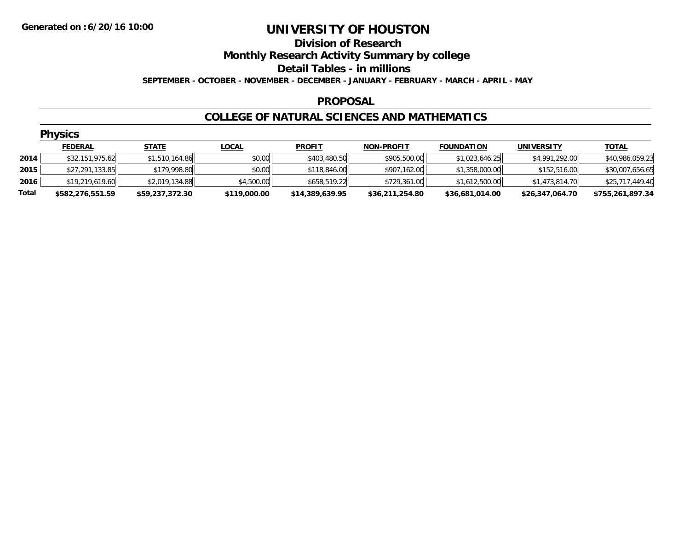### **Division of Research Monthly Research Activity Summary by college Detail Tables - in millions SEPTEMBER - OCTOBER - NOVEMBER - DECEMBER - JANUARY - FEBRUARY - MARCH - APRIL - MAY**

#### **PROPOSAL**

### **COLLEGE OF NATURAL SCIENCES AND MATHEMATICS**

|       | <b>Physics</b>   |                 |              |                 |                   |                   |                   |                  |  |  |  |
|-------|------------------|-----------------|--------------|-----------------|-------------------|-------------------|-------------------|------------------|--|--|--|
|       | <b>FEDERAL</b>   | <b>STATE</b>    | <u>LOCAL</u> | <b>PROFIT</b>   | <b>NON-PROFIT</b> | <b>FOUNDATION</b> | <b>UNIVERSITY</b> | <b>TOTAL</b>     |  |  |  |
| 2014  | \$32,151,975.62  | \$1,510,164.86  | \$0.00       | \$403,480.50    | \$905,500.00      | \$1,023,646.25    | \$4,991,292.00    | \$40,986,059.23  |  |  |  |
| 2015  | \$27,291,133.85  | \$179,998.80    | \$0.00       | \$118,846.00    | \$907,162.00      | \$1,358,000.00    | \$152,516.00      | \$30,007,656.65  |  |  |  |
| 2016  | \$19,219,619.60  | \$2,019,134.88  | \$4,500.00   | \$658,519.22    | \$729,361.00      | \$1,612,500.00    | \$1,473,814.70    | \$25,717,449.40  |  |  |  |
| Total | \$582,276,551.59 | \$59,237,372.30 | \$119,000.00 | \$14,389,639.95 | \$36,211,254.80   | \$36,681,014.00   | \$26,347,064.70   | \$755,261,897.34 |  |  |  |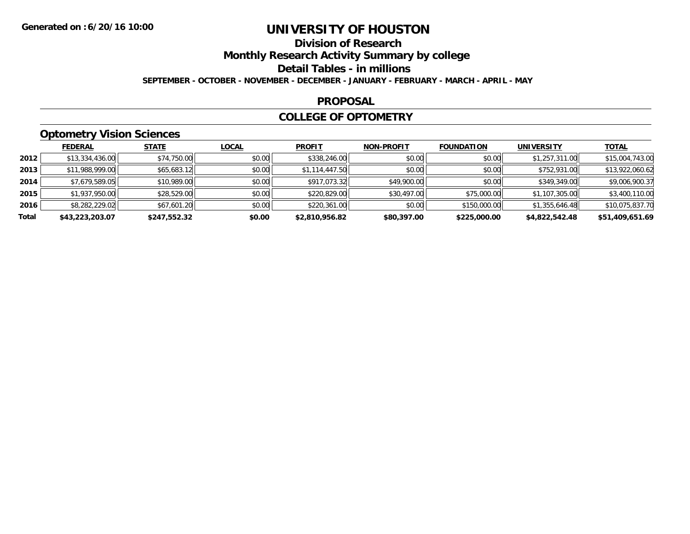# **Division of Research**

**Monthly Research Activity Summary by college**

**Detail Tables - in millions**

**SEPTEMBER - OCTOBER - NOVEMBER - DECEMBER - JANUARY - FEBRUARY - MARCH - APRIL - MAY**

### **PROPOSAL**

### **COLLEGE OF OPTOMETRY**

### **Optometry Vision Sciences**

|       | <b>FEDERAL</b>  | <b>STATE</b> | <u>LOCAL</u> | <b>PROFIT</b>  | <b>NON-PROFIT</b> | <b>FOUNDATION</b> | <b>UNIVERSITY</b> | <u>TOTAL</u>    |
|-------|-----------------|--------------|--------------|----------------|-------------------|-------------------|-------------------|-----------------|
| 2012  | \$13,334,436.00 | \$74,750.00  | \$0.00       | \$338,246.00   | \$0.00            | \$0.00            | \$1,257,311.00    | \$15,004,743.00 |
| 2013  | \$11,988,999.00 | \$65,683.12  | \$0.00       | \$1,114,447.50 | \$0.00            | \$0.00            | \$752,931.00      | \$13,922,060.62 |
| 2014  | \$7,679,589.05  | \$10,989.00  | \$0.00       | \$917,073.32   | \$49,900.00       | \$0.00            | \$349,349.00      | \$9,006,900.37  |
| 2015  | \$1,937,950.00  | \$28,529.00  | \$0.00       | \$220,829.00   | \$30,497.00       | \$75,000.00       | \$1,107,305.00    | \$3,400,110.00  |
| 2016  | \$8,282,229.02  | \$67,601.20  | \$0.00       | \$220,361.00   | \$0.00            | \$150,000.00      | \$1,355,646.48    | \$10,075,837.70 |
| Total | \$43,223,203.07 | \$247,552.32 | \$0.00       | \$2,810,956.82 | \$80,397.00       | \$225,000.00      | \$4,822,542.48    | \$51,409,651.69 |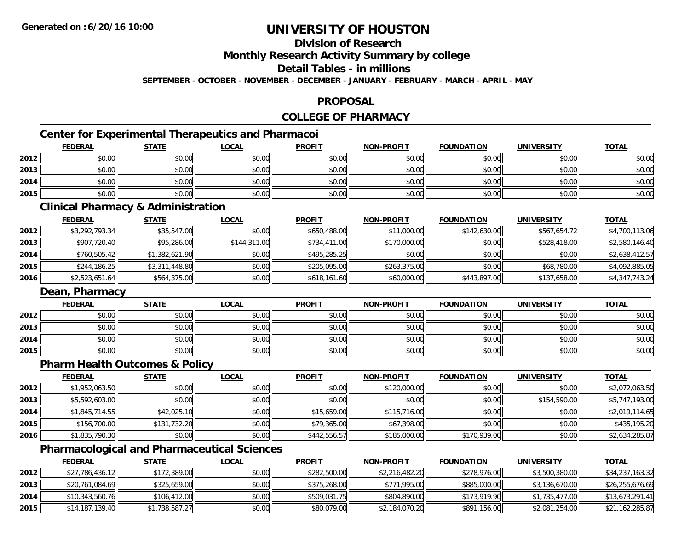### **Division of Research**

**Monthly Research Activity Summary by college**

**Detail Tables - in millions**

**SEPTEMBER - OCTOBER - NOVEMBER - DECEMBER - JANUARY - FEBRUARY - MARCH - APRIL - MAY**

### **PROPOSAL**

### **COLLEGE OF PHARMACY**

### **Center for Experimental Therapeutics and Pharmacoi**

|      | <b>FEDERAL</b> | <b>STATE</b> | <u>LOCAL</u> | <b>PROFIT</b> | <b>NON-PROFIT</b> | <b>FOUNDATION</b> | <b>UNIVERSITY</b> | <b>TOTAL</b> |
|------|----------------|--------------|--------------|---------------|-------------------|-------------------|-------------------|--------------|
| 2012 | \$0.00         | \$0.00       | \$0.00       | \$0.00        | \$0.00            | \$0.00            | \$0.00            | \$0.00       |
| 2013 | \$0.00         | \$0.00       | \$0.00       | \$0.00        | \$0.00            | \$0.00            | \$0.00            | \$0.00       |
| 2014 | \$0.00         | \$0.00       | \$0.00       | \$0.00        | \$0.00            | \$0.00            | \$0.00            | \$0.00       |
| 2015 | \$0.00         | \$0.00       | \$0.00       | \$0.00        | \$0.00            | \$0.00            | \$0.00            | \$0.00       |

### **Clinical Pharmacy & Administration**

|      | <b>FEDERAL</b> | <b>STATE</b>   | <b>LOCAL</b> | <b>PROFIT</b> | <b>NON-PROFIT</b> | <b>FOUNDATION</b> | <b>UNIVERSITY</b> | <b>TOTAL</b>   |
|------|----------------|----------------|--------------|---------------|-------------------|-------------------|-------------------|----------------|
| 2012 | \$3,292,793.34 | \$35,547.00    | \$0.00       | \$650,488.00  | \$11,000.00       | \$142,630.00      | \$567,654.72      | \$4,700,113.06 |
| 2013 | \$907,720.40   | \$95,286.00    | \$144,311,00 | \$734,411.00  | \$170,000.00      | \$0.00            | \$528,418.00      | \$2,580,146.40 |
| 2014 | \$760,505.42   | \$1,382,621.90 | \$0.00       | \$495,285.25  | \$0.00            | \$0.00            | \$0.00            | \$2,638,412.57 |
| 2015 | \$244,186.25   | \$3,311,448.80 | \$0.00       | \$205,095.00  | \$263,375.00      | \$0.00            | \$68,780.00       | \$4,092,885.05 |
| 2016 | \$2,523,651.64 | \$564,375.00   | \$0.00       | \$618,161.60  | \$60,000.00       | \$443,897.00      | \$137,658.00      | \$4,347,743.24 |

### **Dean, Pharmacy**

|      | <b>FEDERAL</b> | <b>STATE</b> | <u>LOCAL</u> | <b>PROFIT</b> | <b>NON-PROFIT</b> | <b>FOUNDATION</b> | <b>UNIVERSITY</b> | <b>TOTAL</b> |
|------|----------------|--------------|--------------|---------------|-------------------|-------------------|-------------------|--------------|
| 2012 | \$0.00         | \$0.00       | \$0.00       | \$0.00        | \$0.00            | \$0.00            | \$0.00            | \$0.00       |
| 2013 | \$0.00         | \$0.00       | \$0.00       | \$0.00        | \$0.00            | \$0.00            | \$0.00            | \$0.00       |
| 2014 | \$0.00         | \$0.00       | \$0.00       | \$0.00        | \$0.00            | \$0.00            | \$0.00            | \$0.00       |
| 2015 | \$0.00         | \$0.00       | \$0.00       | \$0.00        | \$0.00            | \$0.00            | \$0.00            | \$0.00       |

### **Pharm Health Outcomes & Policy**

|      | <b>FEDERAL</b> | <b>STATE</b> | <b>LOCAL</b> | <b>PROFIT</b> | <b>NON-PROFIT</b> | <b>FOUNDATION</b> | <b>UNIVERSITY</b> | <b>TOTAL</b>   |
|------|----------------|--------------|--------------|---------------|-------------------|-------------------|-------------------|----------------|
| 2012 | \$1,952,063.50 | \$0.00       | \$0.00       | \$0.00        | \$120,000.00      | \$0.00            | \$0.00            | \$2,072,063.50 |
| 2013 | \$5,592,603.00 | \$0.00       | \$0.00       | \$0.00        | \$0.00            | \$0.00            | \$154,590.00      | \$5,747,193.00 |
| 2014 | \$1,845,714.55 | \$42,025.10  | \$0.00       | \$15,659.00   | \$115,716.00      | \$0.00            | \$0.00            | \$2,019,114.65 |
| 2015 | \$156,700.00   | \$131,732.20 | \$0.00       | \$79,365.00   | \$67,398.00       | \$0.00            | \$0.00            | \$435,195.20   |
| 2016 | \$1,835,790.30 | \$0.00       | \$0.00       | \$442,556.57  | \$185,000.00      | \$170,939.00      | \$0.00            | \$2,634,285.87 |

### **Pharmacological and Pharmaceutical Sciences**

|      | <b>FEDERAL</b>  | <b>STATE</b>   | <u>LOCAL</u> | <b>PROFIT</b> | <b>NON-PROFIT</b> | <b>FOUNDATION</b> | UNIVERSITY     | <b>TOTAL</b>    |
|------|-----------------|----------------|--------------|---------------|-------------------|-------------------|----------------|-----------------|
| 2012 | \$27,786,436.12 | \$172,389.00   | \$0.00       | \$282,500.00  | \$2,216,482.20    | \$278,976.00      | \$3,500,380.00 | \$34,237,163.32 |
| 2013 | \$20,761,084.69 | \$325,659.00   | \$0.00       | \$375,268,00  | \$771,995.00      | \$885,000,00      | \$3,136,670.00 | \$26,255,676.69 |
| 2014 | \$10,343,560.76 | \$106,412.00   | \$0.00       | \$509,031.75  | \$804,890.00      | \$173,919.90      | \$1,735,477.00 | \$13,673,291.41 |
| 2015 | \$14,187,139.40 | \$1,738,587.27 | \$0.00       | \$80,079.00   | \$2,184,070.20    | \$891,156.00      | \$2,081,254.00 | \$21,162,285.87 |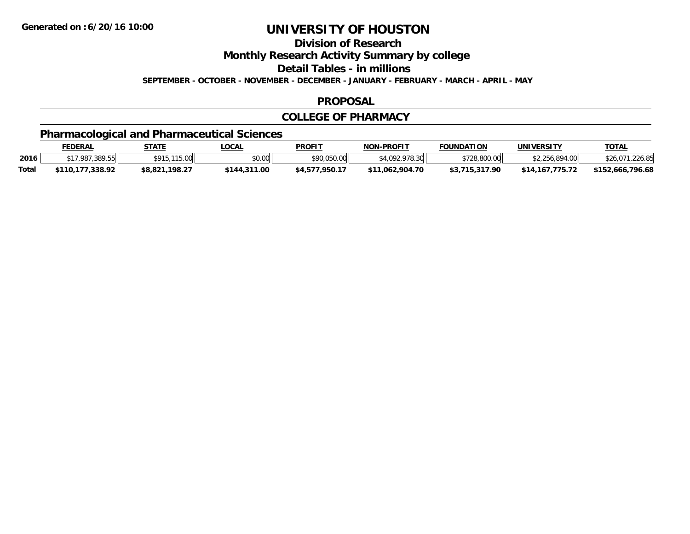**Division of Research**

**Monthly Research Activity Summary by college**

**Detail Tables - in millions**

**SEPTEMBER - OCTOBER - NOVEMBER - DECEMBER - JANUARY - FEBRUARY - MARCH - APRIL - MAY**

### **PROPOSAL**

### **COLLEGE OF PHARMACY**

### **Pharmacological and Pharmaceutical Sciences**

|       | <b>FEDERAL</b>   | STATE          | <b>_OCAL</b> | <b>PROFIT</b>  | <b>NON-PROFIT</b> | <b>FOUNDATION</b> | UNIVERSITY      | <b>TOTAL</b>         |
|-------|------------------|----------------|--------------|----------------|-------------------|-------------------|-----------------|----------------------|
| 2016  | \$17,987,389.55  | \$915,115,00   | \$0.00       | \$90,050.00    | \$4,092,978.30    | \$728,800.00      | \$2,256,894.00  | \$26,071<br>1,226.85 |
| Total | \$110.177.338.92 | \$8,821,198.27 | \$144,311.00 | \$4,577,950.17 | \$11.062.904.70   | \$3,715,317.90    | \$14,167,775.72 | \$152,666,796.68     |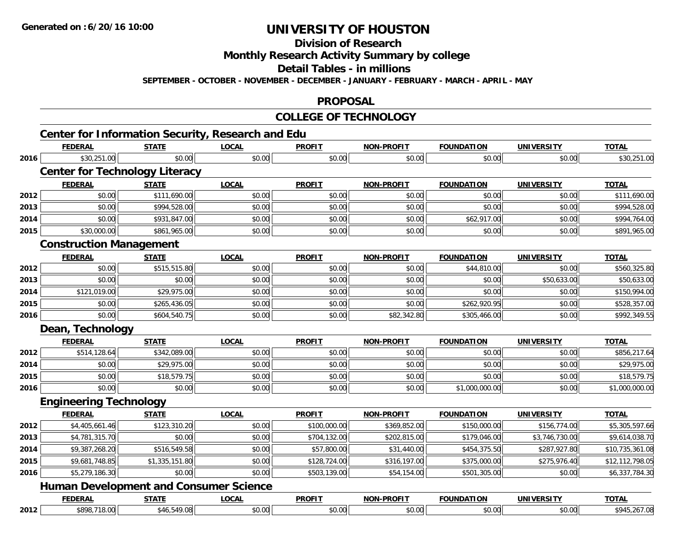**2012**

# **UNIVERSITY OF HOUSTON**

**Division of Research**

**Monthly Research Activity Summary by college**

**Detail Tables - in millions**

**SEPTEMBER - OCTOBER - NOVEMBER - DECEMBER - JANUARY - FEBRUARY - MARCH - APRIL - MAY**

### **PROPOSAL**

### **COLLEGE OF TECHNOLOGY**

2 | \$898,718.00| \$46,549.08| \$0.00| \$0.00| \$0.00| \$0.00| \$0.00| \$0.00| \$0.00| \$0.00| \$945,267.08

|      | <b>FEDERAL</b>                                | <b>STATE</b>   | <b>LOCAL</b> | <b>PROFIT</b> | <b>NON-PROFIT</b> | <b>FOUNDATION</b> | <b>UNIVERSITY</b> | <b>TOTAL</b>    |
|------|-----------------------------------------------|----------------|--------------|---------------|-------------------|-------------------|-------------------|-----------------|
| 2016 | \$30,251.00                                   | \$0.00         | \$0.00       | \$0.00        | \$0.00            | \$0.00            | \$0.00            | \$30,251.00     |
|      | <b>Center for Technology Literacy</b>         |                |              |               |                   |                   |                   |                 |
|      | <b>FEDERAL</b>                                | <b>STATE</b>   | <b>LOCAL</b> | <b>PROFIT</b> | <b>NON-PROFIT</b> | <b>FOUNDATION</b> | <b>UNIVERSITY</b> | <b>TOTAL</b>    |
| 2012 | \$0.00                                        | \$111,690.00   | \$0.00       | \$0.00        | \$0.00            | \$0.00            | \$0.00            | \$111,690.00    |
| 2013 | \$0.00                                        | \$994,528.00   | \$0.00       | \$0.00        | \$0.00            | \$0.00            | \$0.00            | \$994,528.00    |
| 2014 | \$0.00                                        | \$931,847.00   | \$0.00       | \$0.00        | \$0.00            | \$62,917.00       | \$0.00            | \$994,764.00    |
| 2015 | \$30,000.00                                   | \$861,965.00   | \$0.00       | \$0.00        | \$0.00            | \$0.00            | \$0.00            | \$891,965.00    |
|      | <b>Construction Management</b>                |                |              |               |                   |                   |                   |                 |
|      | <b>FEDERAL</b>                                | <b>STATE</b>   | <b>LOCAL</b> | <b>PROFIT</b> | <b>NON-PROFIT</b> | <b>FOUNDATION</b> | <b>UNIVERSITY</b> | <b>TOTAL</b>    |
| 2012 | \$0.00                                        | \$515,515.80   | \$0.00       | \$0.00        | \$0.00            | \$44,810.00       | \$0.00            | \$560,325.80    |
| 2013 | \$0.00                                        | \$0.00         | \$0.00       | \$0.00        | \$0.00            | \$0.00            | \$50,633.00       | \$50,633.00     |
| 2014 | \$121,019.00                                  | \$29,975.00    | \$0.00       | \$0.00        | \$0.00            | \$0.00            | \$0.00            | \$150,994.00    |
| 2015 | \$0.00                                        | \$265,436.05   | \$0.00       | \$0.00        | \$0.00            | \$262,920.95      | \$0.00            | \$528,357.00    |
| 2016 | \$0.00                                        | \$604,540.75   | \$0.00       | \$0.00        | \$82,342.80       | \$305,466.00      | \$0.00            | \$992,349.55    |
|      | Dean, Technology                              |                |              |               |                   |                   |                   |                 |
|      | <b>FEDERAL</b>                                | <b>STATE</b>   | <b>LOCAL</b> | <b>PROFIT</b> | <b>NON-PROFIT</b> | <b>FOUNDATION</b> | <b>UNIVERSITY</b> | <b>TOTAL</b>    |
| 2012 | \$514,128.64                                  | \$342,089.00   | \$0.00       | \$0.00        | \$0.00            | \$0.00            | \$0.00            | \$856,217.64    |
| 2014 | \$0.00                                        | \$29,975.00    | \$0.00       | \$0.00        | \$0.00            | \$0.00            | \$0.00            | \$29,975.00     |
| 2015 | \$0.00                                        | \$18,579.75    | \$0.00       | \$0.00        | \$0.00            | \$0.00            | \$0.00            | \$18,579.75     |
| 2016 | \$0.00                                        | \$0.00         | \$0.00       | \$0.00        | \$0.00            | \$1,000,000.00    | \$0.00            | \$1,000,000.00  |
|      | <b>Engineering Technology</b>                 |                |              |               |                   |                   |                   |                 |
|      | <b>FEDERAL</b>                                | <b>STATE</b>   | <b>LOCAL</b> | <b>PROFIT</b> | <b>NON-PROFIT</b> | <b>FOUNDATION</b> | <b>UNIVERSITY</b> | <b>TOTAL</b>    |
| 2012 | \$4,405,661.46                                | \$123,310.20   | \$0.00       | \$100,000.00  | \$369,852.00      | \$150,000.00      | \$156,774.00      | \$5,305,597.66  |
| 2013 | \$4,781,315.70                                | \$0.00         | \$0.00       | \$704,132.00  | \$202,815.00      | \$179,046.00      | \$3,746,730.00    | \$9,614,038.70  |
| 2014 | \$9,387,268.20                                | \$516,549.58   | \$0.00       | \$57,800.00   | \$31,440.00       | \$454,375.50      | \$287,927.80      | \$10,735,361.08 |
| 2015 | \$9,681,748.85                                | \$1,335,151.80 | \$0.00       | \$128,724.00  | \$316,197.00      | \$375,000.00      | \$275,976.40      | \$12,112,798.05 |
| 2016 | \$5,279,186.30                                | \$0.00         | \$0.00       | \$503,139.00  | \$54,154.00       | \$501,305.00      | \$0.00            | \$6,337,784.30  |
|      | <b>Human Development and Consumer Science</b> |                |              |               |                   |                   |                   |                 |
|      | <b>FEDERAL</b>                                | <b>STATE</b>   | <b>LOCAL</b> | <b>PROFIT</b> | <b>NON-PROFIT</b> | <b>FOUNDATION</b> | <b>UNIVERSITY</b> | <b>TOTAL</b>    |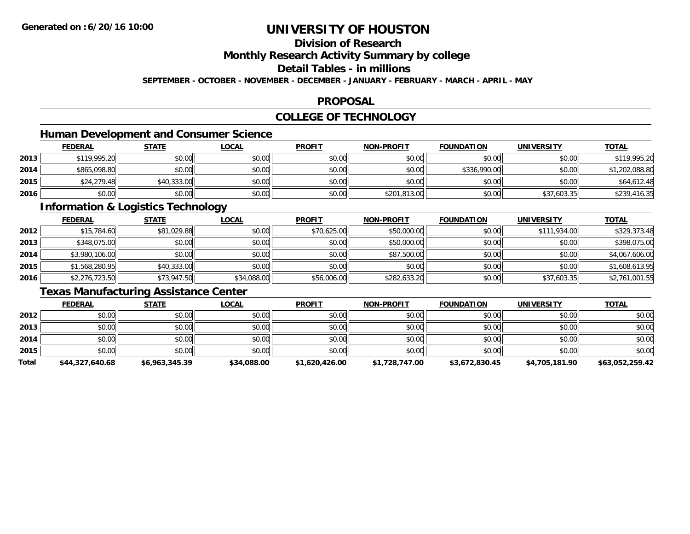### **Division of Research**

**Monthly Research Activity Summary by college**

**Detail Tables - in millions**

**SEPTEMBER - OCTOBER - NOVEMBER - DECEMBER - JANUARY - FEBRUARY - MARCH - APRIL - MAY**

#### **PROPOSAL**

### **COLLEGE OF TECHNOLOGY**

### **Human Development and Consumer Science**

|      | <b>FEDERAL</b> | <b>STATE</b> | <u>LOCAL</u> | <b>PROFIT</b> | <b>NON-PROFIT</b> | <b>FOUNDATION</b> | <b>UNIVERSITY</b> | <b>TOTAL</b>   |
|------|----------------|--------------|--------------|---------------|-------------------|-------------------|-------------------|----------------|
| 2013 | \$119,995.20   | \$0.00       | \$0.00       | \$0.00        | \$0.00            | \$0.00            | \$0.00            | \$119,995.20   |
| 2014 | \$865,098.80   | \$0.00       | \$0.00       | \$0.00        | \$0.00            | \$336,990.00      | \$0.00            | \$1,202,088.80 |
| 2015 | \$24,279.48    | \$40,333.00  | \$0.00       | \$0.00        | \$0.00            | \$0.00            | \$0.00            | \$64,612.48    |
| 2016 | \$0.00         | \$0.00       | \$0.00       | \$0.00        | \$201,813.00      | \$0.00            | \$37,603.35       | \$239,416.35   |

### **Information & Logistics Technology**

|      | <u>FEDERAL</u> | <u>STATE</u> | <u>LOCAL</u> | <b>PROFIT</b> | <b>NON-PROFIT</b> | <b>FOUNDATION</b> | <b>UNIVERSITY</b> | <b>TOTAL</b>   |
|------|----------------|--------------|--------------|---------------|-------------------|-------------------|-------------------|----------------|
| 2012 | \$15,784.60    | \$81,029.88  | \$0.00       | \$70,625.00   | \$50,000.00       | \$0.00            | \$111,934.00      | \$329,373.48   |
| 2013 | \$348,075.00   | \$0.00       | \$0.00       | \$0.00        | \$50,000.00       | \$0.00            | \$0.00            | \$398,075.00   |
| 2014 | \$3,980,106.00 | \$0.00       | \$0.00       | \$0.00        | \$87,500.00       | \$0.00            | \$0.00            | \$4,067,606.00 |
| 2015 | \$1,568,280.95 | \$40,333.00  | \$0.00       | \$0.00        | \$0.00            | \$0.00            | \$0.00            | \$1,608,613.95 |
| 2016 | \$2,276,723.50 | \$73,947.50  | \$34,088.00  | \$56,006.00   | \$282,633.20      | \$0.00            | \$37,603.35       | \$2,761,001.55 |

### **Texas Manufacturing Assistance Center**

|       | <b>FEDERAL</b>  | <u>STATE</u>   | <u>LOCAL</u> | <b>PROFIT</b>  | <b>NON-PROFIT</b> | <b>FOUNDATION</b> | <b>UNIVERSITY</b> | <b>TOTAL</b>    |
|-------|-----------------|----------------|--------------|----------------|-------------------|-------------------|-------------------|-----------------|
| 2012  | \$0.00          | \$0.00         | \$0.00       | \$0.00         | \$0.00            | \$0.00            | \$0.00            | \$0.00          |
| 2013  | \$0.00          | \$0.00         | \$0.00       | \$0.00         | \$0.00            | \$0.00            | \$0.00            | \$0.00          |
| 2014  | \$0.00          | \$0.00         | \$0.00       | \$0.00         | \$0.00            | \$0.00            | \$0.00            | \$0.00          |
| 2015  | \$0.00          | \$0.00         | \$0.00       | \$0.00         | \$0.00            | \$0.00            | \$0.00            | \$0.00          |
| Total | \$44,327,640.68 | \$6,963,345.39 | \$34,088.00  | \$1,620,426.00 | \$1,728,747.00    | \$3,672,830.45    | \$4,705,181.90    | \$63,052,259.42 |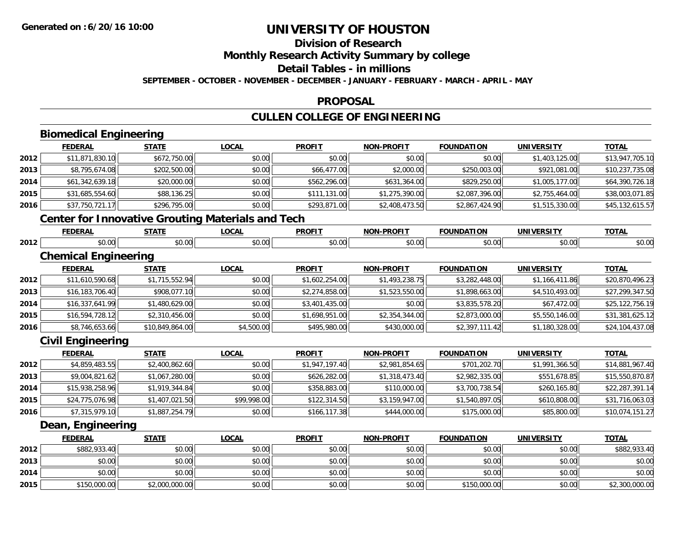### **Division of Research**

**Monthly Research Activity Summary by college**

**Detail Tables - in millions**

**SEPTEMBER - OCTOBER - NOVEMBER - DECEMBER - JANUARY - FEBRUARY - MARCH - APRIL - MAY**

### **PROPOSAL**

### **CULLEN COLLEGE OF ENGINEERING**

|      | <b>Biomedical Engineering</b>                            |                 |              |                |                   |                   |                   |                 |
|------|----------------------------------------------------------|-----------------|--------------|----------------|-------------------|-------------------|-------------------|-----------------|
|      | <b>FEDERAL</b>                                           | <b>STATE</b>    | <b>LOCAL</b> | <b>PROFIT</b>  | <b>NON-PROFIT</b> | <b>FOUNDATION</b> | <b>UNIVERSITY</b> | <b>TOTAL</b>    |
| 2012 | \$11,871,830.10                                          | \$672,750.00    | \$0.00       | \$0.00         | \$0.00            | \$0.00            | \$1,403,125.00    | \$13,947,705.10 |
| 2013 | \$8,795,674.08                                           | \$202,500.00    | \$0.00       | \$66,477.00    | \$2,000.00        | \$250,003.00      | \$921,081.00      | \$10,237,735.08 |
| 2014 | \$61,342,639.18                                          | \$20,000.00     | \$0.00       | \$562,296.00   | \$631,364.00      | \$829,250.00      | \$1,005,177.00    | \$64,390,726.18 |
| 2015 | \$31,685,554.60                                          | \$88,136.25     | \$0.00       | \$111,131.00   | \$1,275,390.00    | \$2,087,396.00    | \$2,755,464.00    | \$38,003,071.85 |
| 2016 | \$37,750,721.17                                          | \$296,795.00    | \$0.00       | \$293,871.00   | \$2,408,473.50    | \$2,867,424.90    | \$1,515,330.00    | \$45,132,615.57 |
|      | <b>Center for Innovative Grouting Materials and Tech</b> |                 |              |                |                   |                   |                   |                 |
|      | <b>FEDERAL</b>                                           | <b>STATE</b>    | <b>LOCAL</b> | <b>PROFIT</b>  | <b>NON-PROFIT</b> | <b>FOUNDATION</b> | <b>UNIVERSITY</b> | <b>TOTAL</b>    |
| 2012 | \$0.00                                                   | \$0.00          | \$0.00       | \$0.00         | \$0.00            | \$0.00            | \$0.00            | \$0.00          |
|      | <b>Chemical Engineering</b>                              |                 |              |                |                   |                   |                   |                 |
|      | <b>FEDERAL</b>                                           | <b>STATE</b>    | <b>LOCAL</b> | <b>PROFIT</b>  | <b>NON-PROFIT</b> | <b>FOUNDATION</b> | <b>UNIVERSITY</b> | <b>TOTAL</b>    |
| 2012 | \$11,610,590.68                                          | \$1,715,552.94  | \$0.00       | \$1,602,254.00 | \$1,493,238.75    | \$3,282,448.00    | \$1,166,411.86    | \$20,870,496.23 |
| 2013 | \$16,183,706.40                                          | \$908,077.10    | \$0.00       | \$2,274,858.00 | \$1,523,550.00    | \$1,898,663.00    | \$4,510,493.00    | \$27,299,347.50 |
| 2014 | \$16,337,641.99                                          | \$1,480,629.00  | \$0.00       | \$3,401,435.00 | \$0.00            | \$3,835,578.20    | \$67,472.00       | \$25,122,756.19 |
| 2015 | \$16,594,728.12                                          | \$2,310,456.00  | \$0.00       | \$1,698,951.00 | \$2,354,344.00    | \$2,873,000.00    | \$5,550,146.00    | \$31,381,625.12 |
| 2016 | \$8,746,653.66                                           | \$10,849,864.00 | \$4,500.00   | \$495,980.00   | \$430,000.00      | \$2,397,111.42    | \$1,180,328.00    | \$24,104,437.08 |
|      | <b>Civil Engineering</b>                                 |                 |              |                |                   |                   |                   |                 |
|      | <b>FEDERAL</b>                                           | <b>STATE</b>    | <b>LOCAL</b> | <b>PROFIT</b>  | <b>NON-PROFIT</b> | <b>FOUNDATION</b> | <b>UNIVERSITY</b> | <b>TOTAL</b>    |
| 2012 | \$4,859,483.55                                           | \$2,400,862.60  | \$0.00       | \$1,947,197.40 | \$2,981,854.65    | \$701,202.70      | \$1,991,366.50    | \$14,881,967.40 |
| 2013 | \$9,004,821.62                                           | \$1,067,280.00  | \$0.00       | \$626,282.00   | \$1,318,473.40    | \$2,982,335.00    | \$551,678.85      | \$15,550,870.87 |
| 2014 | \$15,938,258.96                                          | \$1,919,344.84  | \$0.00       | \$358,883.00   | \$110,000.00      | \$3,700,738.54    | \$260,165.80      | \$22,287,391.14 |
| 2015 | \$24,775,076.98                                          | \$1,407,021.50  | \$99,998.00  | \$122,314.50   | \$3,159,947.00    | \$1,540,897.05    | \$610,808.00      | \$31,716,063.03 |
| 2016 | \$7,315,979.10                                           | \$1,887,254.79  | \$0.00       | \$166,117.38   | \$444,000.00      | \$175,000.00      | \$85,800.00       | \$10,074,151.27 |
|      | Dean, Engineering                                        |                 |              |                |                   |                   |                   |                 |
|      | <b>FEDERAL</b>                                           | <b>STATE</b>    | <b>LOCAL</b> | <b>PROFIT</b>  | <b>NON-PROFIT</b> | <b>FOUNDATION</b> | <b>UNIVERSITY</b> | <b>TOTAL</b>    |
| 2012 | \$882,933.40                                             | \$0.00          | \$0.00       | \$0.00         | \$0.00            | \$0.00            | \$0.00            | \$882,933.40    |
| 2013 | \$0.00                                                   | \$0.00          | \$0.00       | \$0.00         | \$0.00            | \$0.00            | \$0.00            | \$0.00          |
| 2014 | \$0.00                                                   | \$0.00          | \$0.00       | \$0.00         | \$0.00            | \$0.00            | \$0.00            | \$0.00          |
| 2015 | \$150,000.00                                             | \$2,000,000.00  | \$0.00       | \$0.00         | \$0.00            | \$150,000.00      | \$0.00            | \$2,300,000.00  |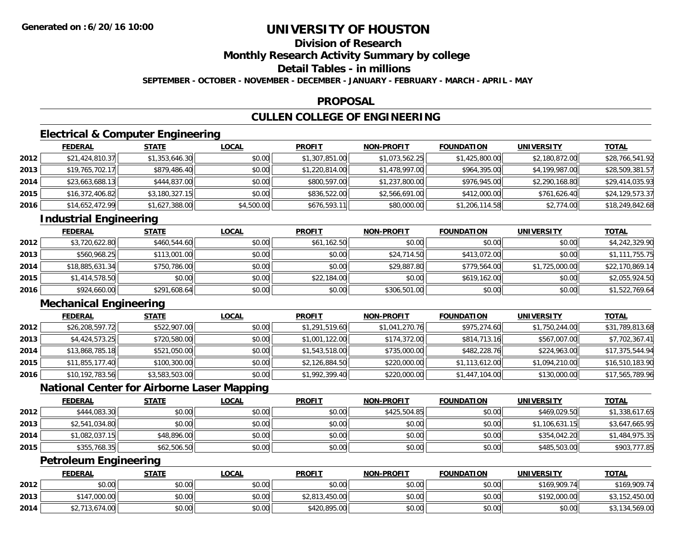### **Division of Research**

**Monthly Research Activity Summary by college**

**Detail Tables - in millions**

**SEPTEMBER - OCTOBER - NOVEMBER - DECEMBER - JANUARY - FEBRUARY - MARCH - APRIL - MAY**

#### **PROPOSAL**

### **CULLEN COLLEGE OF ENGINEERING**

### **Electrical & Computer Engineering**

|      | <b>FEDERAL</b>  | <b>STATE</b>   | <u>LOCAL</u> | <b>PROFIT</b>  | <b>NON-PROFIT</b> | <b>FOUNDATION</b> | UNIVERSITY     | <u>TOTAL</u>    |
|------|-----------------|----------------|--------------|----------------|-------------------|-------------------|----------------|-----------------|
| 2012 | \$21,424,810.37 | \$1,353,646.30 | \$0.00       | \$1,307,851.00 | \$1,073,562.25    | \$1,425,800.00    | \$2,180,872.00 | \$28,766,541.92 |
| 2013 | \$19,765,702.17 | \$879,486.40   | \$0.00       | \$1,220,814.00 | \$1,478,997.00    | \$964,395.00      | \$4,199,987.00 | \$28,509,381.57 |
| 2014 | \$23,663,688.13 | \$444,837.00   | \$0.00       | \$800,597.00   | \$1,237,800.00    | \$976,945.00      | \$2,290,168.80 | \$29,414,035.93 |
| 2015 | \$16,372,406.82 | \$3,180,327.15 | \$0.00       | \$836,522.00   | \$2,566,691.00    | \$412,000.00      | \$761,626.40   | \$24,129,573.37 |
| 2016 | \$14,652,472.99 | \$1,627,388.00 | \$4,500.00   | \$676,593.11   | \$80,000.00       | \$1,206,114.58    | \$2,774.00     | \$18,249,842.68 |

### **Industrial Engineering**

|      | <b>FEDERAL</b>  | <b>STATE</b> | <u>LOCAL</u> | <b>PROFIT</b> | <b>NON-PROFIT</b> | <b>FOUNDATION</b> | <b>UNIVERSITY</b> | <b>TOTAL</b>    |
|------|-----------------|--------------|--------------|---------------|-------------------|-------------------|-------------------|-----------------|
| 2012 | \$3,720,622.80  | \$460,544.60 | \$0.00       | \$61,162.50   | \$0.00            | \$0.00            | \$0.00            | \$4,242,329.90  |
| 2013 | \$560,968.25    | \$113,001.00 | \$0.00       | \$0.00        | \$24,714.50       | \$413,072,00      | \$0.00            | \$1,111,755.75  |
| 2014 | \$18,885,631.34 | \$750,786.00 | \$0.00       | \$0.00        | \$29,887.80       | \$779,564,00      | \$1,725,000.00    | \$22,170,869.14 |
| 2015 | \$1,414,578.50  | \$0.00       | \$0.00       | \$22,184.00   | \$0.00            | \$619,162.00      | \$0.00            | \$2,055,924.50  |
| 2016 | \$924,660.00    | \$291,608.64 | \$0.00       | \$0.00        | \$306,501.00      | \$0.00            | \$0.00            | \$1,522,769.64  |

### **Mechanical Engineering**

|      | <b>FEDERAL</b>  | <b>STATE</b>   | <u>LOCAL</u> | <b>PROFIT</b>  | <b>NON-PROFIT</b> | <b>FOUNDATION</b> | <b>UNIVERSITY</b> | <b>TOTAL</b>    |
|------|-----------------|----------------|--------------|----------------|-------------------|-------------------|-------------------|-----------------|
| 2012 | \$26,208,597.72 | \$522,907.00   | \$0.00       | \$1,291,519.60 | \$1,041,270.76    | \$975,274.60      | \$1,750,244.00    | \$31,789,813.68 |
| 2013 | \$4,424,573.25  | \$720,580.00   | \$0.00       | \$1,001,122.00 | \$174,372.00      | \$814,713.16      | \$567,007.00      | \$7,702,367.41  |
| 2014 | \$13,868,785.18 | \$521,050.00   | \$0.00       | \$1,543,518.00 | \$735,000.00      | \$482,228.76      | \$224,963.00      | \$17,375,544.94 |
| 2015 | \$11,855,177.40 | \$100,300.00   | \$0.00       | \$2,126,884.50 | \$220,000.00      | \$1,113,612.00    | \$1,094,210.00    | \$16,510,183.90 |
| 2016 | \$10,192,783.56 | \$3,583,503.00 | \$0.00       | \$1,992,399.40 | \$220,000.00      | \$1,447,104.00    | \$130,000.00      | \$17,565,789.96 |

### **National Center for Airborne Laser Mapping**

|      | <b>FEDERAL</b> | <u>STATE</u> | <u>LOCAL</u> | <b>PROFIT</b> | <b>NON-PROFIT</b> | <b>FOUNDATION</b> | <b>UNIVERSITY</b> | <b>TOTAL</b>   |
|------|----------------|--------------|--------------|---------------|-------------------|-------------------|-------------------|----------------|
| 2012 | \$444,083.30   | \$0.00       | \$0.00       | \$0.00        | \$425,504.85      | \$0.00            | \$469,029.50      | \$1,338,617.65 |
| 2013 | \$2,541,034.80 | \$0.00       | \$0.00       | \$0.00        | \$0.00            | \$0.00            | \$1,106,631.15    | \$3,647,665.95 |
| 2014 | \$1,082,037.15 | \$48,896.00  | \$0.00       | \$0.00        | \$0.00            | \$0.00            | \$354,042.20      | \$1,484,975.35 |
| 2015 | \$355,768.35   | \$62,506.50  | \$0.00       | \$0.00        | \$0.00            | \$0.00            | \$485,503.00      | \$903,777.85   |

### **Petroleum Engineering**

|      | <b>FEDERAL</b> | <b>STATE</b> | <b>LOCAL</b> | <b>PROFIT</b>  | <b>NON-PROFIT</b> | <b>FOUNDATION</b> | <b>UNIVERSITY</b> | <b>TOTAL</b>   |
|------|----------------|--------------|--------------|----------------|-------------------|-------------------|-------------------|----------------|
| 2012 | \$0.00         | \$0.00       | \$0.00       | \$0.00         | \$0.00            | \$0.00            | \$169,909.74      | \$169,909.74   |
| 2013 | \$147,000.00   | \$0.00       | \$0.00       | \$2,813,450.00 | \$0.00            | \$0.00            | \$192,000.00      | \$3,152,450.00 |
| 2014 | \$2,713,674.00 | \$0.00       | \$0.00       | \$420,895.00   | \$0.00            | \$0.00            | \$0.00            | \$3,134,569.00 |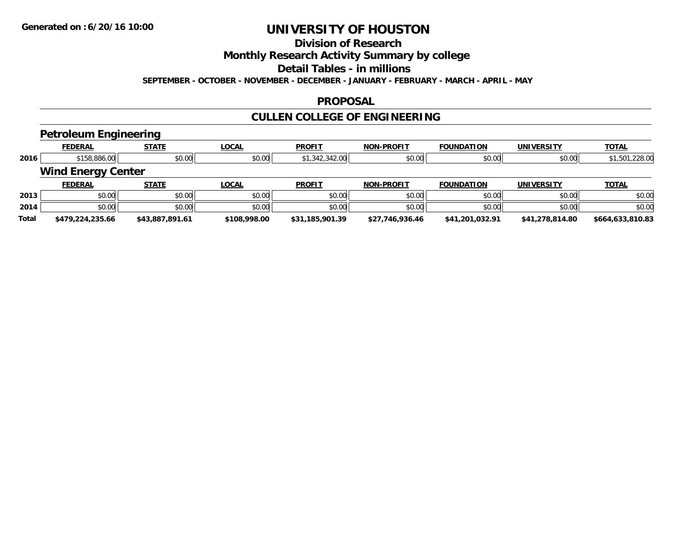### **Division of Research**

**Monthly Research Activity Summary by college**

**Detail Tables - in millions**

**SEPTEMBER - OCTOBER - NOVEMBER - DECEMBER - JANUARY - FEBRUARY - MARCH - APRIL - MAY**

#### **PROPOSAL**

### **CULLEN COLLEGE OF ENGINEERING**

### **Petroleum Engineering**

|       | $\sim$                    | .               |              |                 |                   |                   |                   |                  |
|-------|---------------------------|-----------------|--------------|-----------------|-------------------|-------------------|-------------------|------------------|
|       | <b>FEDERAL</b>            | <b>STATE</b>    | <b>LOCAL</b> | <b>PROFIT</b>   | <b>NON-PROFIT</b> | <b>FOUNDATION</b> | <b>UNIVERSITY</b> | <b>TOTAL</b>     |
| 2016  | \$158,886.00              | \$0.00          | \$0.00       | \$1,342,342.00  | \$0.00            | \$0.00            | \$0.00            | \$1,501,228.00   |
|       | <b>Wind Energy Center</b> |                 |              |                 |                   |                   |                   |                  |
|       | <b>FEDERAL</b>            | <b>STATE</b>    | <b>LOCAL</b> | <b>PROFIT</b>   | <b>NON-PROFIT</b> | <b>FOUNDATION</b> | <b>UNIVERSITY</b> | <b>TOTAL</b>     |
| 2013  | \$0.00                    | \$0.00          | \$0.00       | \$0.00          | \$0.00            | \$0.00            | \$0.00            | \$0.00           |
| 2014  | \$0.00                    | \$0.00          | \$0.00       | \$0.00          | \$0.00            | \$0.00            | \$0.00            | \$0.00           |
| Total | \$479,224,235.66          | \$43,887,891.61 | \$108,998.00 | \$31,185,901.39 | \$27,746,936.46   | \$41,201,032.91   | \$41,278,814.80   | \$664,633,810.83 |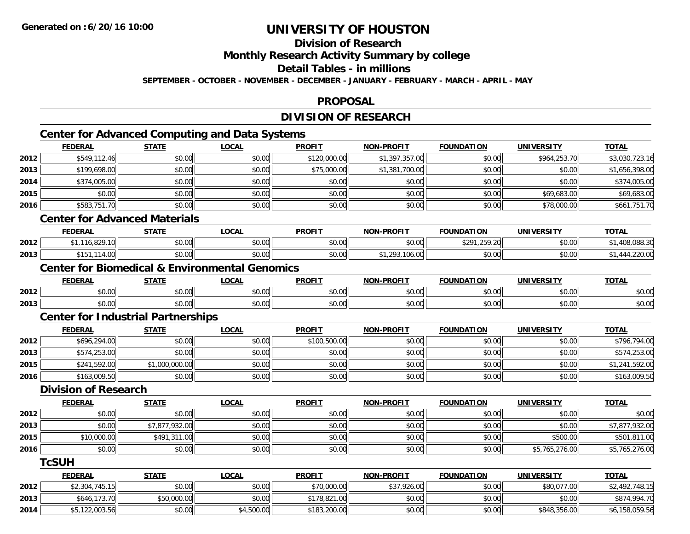**2014**

# **UNIVERSITY OF HOUSTON**

### **Division of Research**

**Monthly Research Activity Summary by college**

**Detail Tables - in millions**

**SEPTEMBER - OCTOBER - NOVEMBER - DECEMBER - JANUARY - FEBRUARY - MARCH - APRIL - MAY**

#### **PROPOSAL**

### **DIVISION OF RESEARCH**

### **Center for Advanced Computing and Data Systems**

|      | <b>FEDERAL</b>                            | <b>STATE</b>   | <b>LOCAL</b>                                              | <b>PROFIT</b> | <b>NON-PROFIT</b> | <b>FOUNDATION</b> | <b>UNIVERSITY</b> | <b>TOTAL</b>   |
|------|-------------------------------------------|----------------|-----------------------------------------------------------|---------------|-------------------|-------------------|-------------------|----------------|
| 2012 | \$549,112.46                              | \$0.00         | \$0.00                                                    | \$120,000.00  | \$1,397,357.00    | \$0.00            | \$964,253.70      | \$3,030,723.16 |
| 2013 | \$199,698.00                              | \$0.00         | \$0.00                                                    | \$75,000.00   | \$1,381,700.00    | \$0.00            | \$0.00            | \$1,656,398.00 |
| 2014 | \$374,005.00                              | \$0.00         | \$0.00                                                    | \$0.00        | \$0.00            | \$0.00            | \$0.00            | \$374,005.00   |
| 2015 | \$0.00                                    | \$0.00         | \$0.00                                                    | \$0.00        | \$0.00            | \$0.00            | \$69,683.00       | \$69,683.00    |
| 2016 | \$583,751.70                              | \$0.00         | \$0.00                                                    | \$0.00        | \$0.00            | \$0.00            | \$78,000.00       | \$661,751.70   |
|      | <b>Center for Advanced Materials</b>      |                |                                                           |               |                   |                   |                   |                |
|      | <b>FEDERAL</b>                            | <b>STATE</b>   | <b>LOCAL</b>                                              | <b>PROFIT</b> | <b>NON-PROFIT</b> | <b>FOUNDATION</b> | <b>UNIVERSITY</b> | <b>TOTAL</b>   |
| 2012 | \$1,116,829.10                            | \$0.00         | \$0.00                                                    | \$0.00        | \$0.00            | \$291,259.20      | \$0.00            | \$1,408,088.30 |
| 2013 | \$151,114.00                              | \$0.00         | \$0.00                                                    | \$0.00        | \$1,293,106.00    | \$0.00            | \$0.00            | \$1,444,220.00 |
|      |                                           |                | <b>Center for Biomedical &amp; Environmental Genomics</b> |               |                   |                   |                   |                |
|      | <b>FEDERAL</b>                            | <b>STATE</b>   | <b>LOCAL</b>                                              | <b>PROFIT</b> | <b>NON-PROFIT</b> | <b>FOUNDATION</b> | <b>UNIVERSITY</b> | <b>TOTAL</b>   |
| 2012 | \$0.00                                    | \$0.00         | \$0.00                                                    | \$0.00        | \$0.00            | \$0.00            | \$0.00            | \$0.00         |
| 2013 | \$0.00                                    | \$0.00         | \$0.00                                                    | \$0.00        | \$0.00            | \$0.00            | \$0.00            | \$0.00         |
|      | <b>Center for Industrial Partnerships</b> |                |                                                           |               |                   |                   |                   |                |
|      | <b>FEDERAL</b>                            | <b>STATE</b>   | <b>LOCAL</b>                                              | <b>PROFIT</b> | <b>NON-PROFIT</b> | <b>FOUNDATION</b> | <b>UNIVERSITY</b> | <b>TOTAL</b>   |
| 2012 | \$696,294.00                              | \$0.00         | \$0.00                                                    | \$100,500.00  | \$0.00            | \$0.00            | \$0.00            | \$796,794.00   |
| 2013 | \$574,253.00                              | \$0.00         | \$0.00                                                    | \$0.00        | \$0.00            | \$0.00            | \$0.00            | \$574,253.00   |
| 2015 | \$241,592.00                              | \$1,000,000.00 | \$0.00                                                    | \$0.00        | \$0.00            | \$0.00            | \$0.00            | \$1,241,592.00 |
| 2016 | \$163,009.50                              | \$0.00         | \$0.00                                                    | \$0.00        | \$0.00            | \$0.00            | \$0.00            | \$163,009.50   |
|      | <b>Division of Research</b>               |                |                                                           |               |                   |                   |                   |                |
|      | <b>FEDERAL</b>                            | <b>STATE</b>   | <b>LOCAL</b>                                              | <b>PROFIT</b> | <b>NON-PROFIT</b> | <b>FOUNDATION</b> | <b>UNIVERSITY</b> | <b>TOTAL</b>   |
| 2012 | \$0.00                                    | \$0.00         | \$0.00                                                    | \$0.00        | \$0.00            | \$0.00            | \$0.00            | \$0.00         |
| 2013 | \$0.00                                    | \$7,877,932.00 | \$0.00                                                    | \$0.00        | \$0.00            | \$0.00            | \$0.00            | \$7,877,932.00 |
| 2015 | \$10,000.00                               | \$491,311.00   | \$0.00                                                    | \$0.00        | \$0.00            | \$0.00            | \$500.00          | \$501,811.00   |
| 2016 | \$0.00                                    | \$0.00         | \$0.00                                                    | \$0.00        | \$0.00            | \$0.00            | \$5,765,276.00    | \$5,765,276.00 |
|      | <b>TcSUH</b>                              |                |                                                           |               |                   |                   |                   |                |
|      | <b>FEDERAL</b>                            | <b>STATE</b>   | <b>LOCAL</b>                                              | <b>PROFIT</b> | <b>NON-PROFIT</b> | <b>FOUNDATION</b> | <b>UNIVERSITY</b> | <b>TOTAL</b>   |
| 2012 | \$2,304,745.15                            | \$0.00         | \$0.00                                                    | \$70,000.00   | \$37,926.00       | \$0.00            | \$80,077.00       | \$2,492,748.15 |
| 2013 | \$646,173.70                              | \$50,000.00    | \$0.00                                                    | \$178,821.00  | \$0.00            | \$0.00            | \$0.00            | \$874,994.70   |

4 \$5,122,003.56|| \$0.00|| \$4,500.00|| \$183,200.00|| \$0.00|| \$0.00|| \$848,356.00|| \$6,158,059.56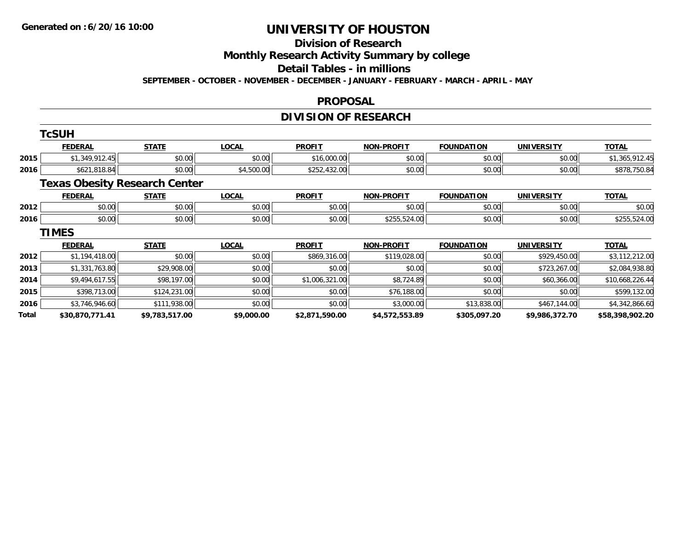#### **Division of Research**

**Monthly Research Activity Summary by college**

**Detail Tables - in millions**

**SEPTEMBER - OCTOBER - NOVEMBER - DECEMBER - JANUARY - FEBRUARY - MARCH - APRIL - MAY**

#### **PROPOSAL**

### **DIVISION OF RESEARCH**

|       | <b>TcSUH</b>    |                                      |              |                |                   |                   |                   |                 |
|-------|-----------------|--------------------------------------|--------------|----------------|-------------------|-------------------|-------------------|-----------------|
|       | <b>FEDERAL</b>  | <b>STATE</b>                         | <b>LOCAL</b> | <b>PROFIT</b>  | <b>NON-PROFIT</b> | <b>FOUNDATION</b> | <b>UNIVERSITY</b> | <b>TOTAL</b>    |
| 2015  | \$1,349,912.45  | \$0.00                               | \$0.00       | \$16,000.00    | \$0.00            | \$0.00            | \$0.00            | \$1,365,912.45  |
| 2016  | \$621,818.84    | \$0.00                               | \$4,500.00   | \$252,432.00   | \$0.00            | \$0.00            | \$0.00            | \$878,750.84    |
|       |                 | <b>Texas Obesity Research Center</b> |              |                |                   |                   |                   |                 |
|       | <b>FEDERAL</b>  | <b>STATE</b>                         | <b>LOCAL</b> | <b>PROFIT</b>  | <b>NON-PROFIT</b> | <b>FOUNDATION</b> | <b>UNIVERSITY</b> | <b>TOTAL</b>    |
| 2012  | \$0.00          | \$0.00                               | \$0.00       | \$0.00         | \$0.00            | \$0.00            | \$0.00            | \$0.00          |
| 2016  | \$0.00          | \$0.00                               | \$0.00       | \$0.00         | \$255,524.00      | \$0.00            | \$0.00            | \$255,524.00    |
|       | <b>TIMES</b>    |                                      |              |                |                   |                   |                   |                 |
|       | <b>FEDERAL</b>  | <b>STATE</b>                         | <b>LOCAL</b> | <b>PROFIT</b>  | <b>NON-PROFIT</b> | <b>FOUNDATION</b> | <b>UNIVERSITY</b> | <u>TOTAL</u>    |
| 2012  | \$1,194,418.00  | \$0.00                               | \$0.00       | \$869,316.00   | \$119,028.00      | \$0.00            | \$929,450.00      | \$3,112,212.00  |
| 2013  | \$1,331,763.80  | \$29,908.00                          | \$0.00       | \$0.00         | \$0.00            | \$0.00            | \$723,267.00      | \$2,084,938.80  |
| 2014  | \$9,494,617.55  | \$98,197.00                          | \$0.00       | \$1,006,321.00 | \$8,724.89        | \$0.00            | \$60,366.00       | \$10,668,226.44 |
| 2015  | \$398,713.00    | \$124,231.00                         | \$0.00       | \$0.00         | \$76,188.00       | \$0.00            | \$0.00            | \$599,132.00    |
| 2016  | \$3,746,946.60  | \$111,938.00                         | \$0.00       | \$0.00         | \$3,000.00        | \$13,838.00       | \$467,144.00      | \$4,342,866.60  |
| Total | \$30,870,771.41 | \$9,783,517.00                       | \$9,000.00   | \$2,871,590.00 | \$4,572,553.89    | \$305,097.20      | \$9,986,372.70    | \$58,398,902.20 |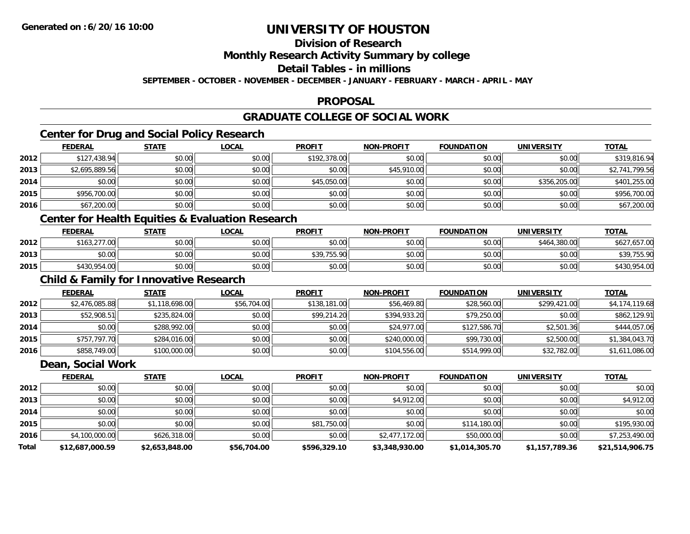### **Division of Research**

**Monthly Research Activity Summary by college**

**Detail Tables - in millions**

**SEPTEMBER - OCTOBER - NOVEMBER - DECEMBER - JANUARY - FEBRUARY - MARCH - APRIL - MAY**

#### **PROPOSAL**

### **GRADUATE COLLEGE OF SOCIAL WORK**

### **Center for Drug and Social Policy Research**

|      | <b>FEDERAL</b> | <b>STATE</b> | <u>LOCAL</u> | <b>PROFIT</b> | <b>NON-PROFIT</b> | <b>FOUNDATION</b> | <b>UNIVERSITY</b> | <b>TOTAL</b>   |
|------|----------------|--------------|--------------|---------------|-------------------|-------------------|-------------------|----------------|
| 2012 | \$127,438.94   | \$0.00       | \$0.00       | \$192,378.00  | \$0.00            | \$0.00            | \$0.00            | \$319,816.94   |
| 2013 | \$2,695,889.56 | \$0.00       | \$0.00       | \$0.00        | \$45,910.00       | \$0.00            | \$0.00            | \$2,741,799.56 |
| 2014 | \$0.00         | \$0.00       | \$0.00       | \$45,050.00   | \$0.00            | \$0.00            | \$356,205,00      | \$401,255.00   |
| 2015 | \$956,700.00   | \$0.00       | \$0.00       | \$0.00        | \$0.00            | \$0.00            | \$0.00            | \$956,700.00   |
| 2016 | \$67,200.00    | \$0.00       | \$0.00       | \$0.00        | \$0.00            | \$0.00            | \$0.00            | \$67,200.00    |

### **Center for Health Equities & Evaluation Research**

|      | <b>FEDERAL</b> | <b>STATE</b> | <b>LOCAL</b> | <b>PROFIT</b>                       | <b>NON-PROFIT</b> | <b>FOUNDATION</b> | UNIVERSITY   | <b>TOTAL</b>     |
|------|----------------|--------------|--------------|-------------------------------------|-------------------|-------------------|--------------|------------------|
| 2012 | \$163,277.00   | \$0.00       | \$0.00       | \$0.00                              | \$0.00            | \$0.00            | \$464,380.00 | 657.00,<br>\$627 |
| 2013 | \$0.00         | \$0.00       | \$0.00       | \$30.755.90<br><b>PU7, I JU. 7U</b> | \$0.00            | \$0.00            | \$0.00       | \$39,755.90      |
| 2015 | \$430,954.00   | \$0.00       | \$0.00       | \$0.00                              | \$0.00            | \$0.00            | \$0.00       | \$430,954.00     |

### **Child & Family for Innovative Research**

|      | <b>FEDERAL</b> | <u>STATE</u>   | <b>LOCAL</b> | <b>PROFIT</b> | <b>NON-PROFIT</b> | <b>FOUNDATION</b> | <b>UNIVERSITY</b> | <b>TOTAL</b>   |
|------|----------------|----------------|--------------|---------------|-------------------|-------------------|-------------------|----------------|
| 2012 | \$2,476,085.88 | \$1,118,698.00 | \$56,704.00  | \$138,181.00  | \$56,469.80       | \$28,560.00       | \$299,421.00      | \$4,174,119.68 |
| 2013 | \$52,908.51    | \$235,824.00   | \$0.00       | \$99,214.20   | \$394,933.20      | \$79,250.00       | \$0.00            | \$862,129.91   |
| 2014 | \$0.00         | \$288,992.00   | \$0.00       | \$0.00        | \$24,977.00       | \$127,586.70      | \$2,501.36        | \$444,057.06   |
| 2015 | \$757,797.70   | \$284,016.00   | \$0.00       | \$0.00        | \$240,000.00      | \$99,730.00       | \$2,500.00        | \$1,384,043.70 |
| 2016 | \$858,749.00   | \$100,000.00   | \$0.00       | \$0.00        | \$104,556.00      | \$514,999.00      | \$32,782.00       | \$1,611,086.00 |

#### **Dean, Social Work**

|       | <b>FEDERAL</b>  | <b>STATE</b>   | <u>LOCAL</u> | <b>PROFIT</b> | <b>NON-PROFIT</b> | <b>FOUNDATION</b> | <b>UNIVERSITY</b> | <b>TOTAL</b>    |
|-------|-----------------|----------------|--------------|---------------|-------------------|-------------------|-------------------|-----------------|
| 2012  | \$0.00          | \$0.00         | \$0.00       | \$0.00        | \$0.00            | \$0.00            | \$0.00            | \$0.00          |
| 2013  | \$0.00          | \$0.00         | \$0.00       | \$0.00        | \$4,912.00        | \$0.00            | \$0.00            | \$4,912.00      |
| 2014  | \$0.00          | \$0.00         | \$0.00       | \$0.00        | \$0.00            | \$0.00            | \$0.00            | \$0.00          |
| 2015  | \$0.00          | \$0.00         | \$0.00       | \$81,750.00   | \$0.00            | \$114,180.00      | \$0.00            | \$195,930.00    |
| 2016  | \$4,100,000.00  | \$626,318.00   | \$0.00       | \$0.00        | \$2,477,172.00    | \$50,000.00       | \$0.00            | \$7,253,490.00  |
| Total | \$12,687,000.59 | \$2,653,848.00 | \$56,704.00  | \$596,329.10  | \$3,348,930.00    | \$1,014,305.70    | \$1,157,789.36    | \$21,514,906.75 |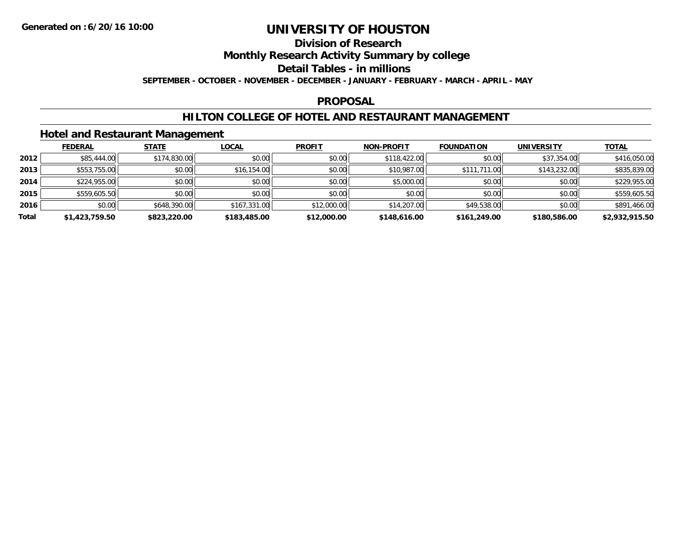### **Division of Research**

**Monthly Research Activity Summary by college**

**Detail Tables - in millions**

**SEPTEMBER - OCTOBER - NOVEMBER - DECEMBER - JANUARY - FEBRUARY - MARCH - APRIL - MAY**

### **PROPOSAL**

### **HILTON COLLEGE OF HOTEL AND RESTAURANT MANAGEMENT**

### **Hotel and Restaurant Management**

|       | <b>FEDERAL</b> | <b>STATE</b> | <u>LOCAL</u> | <b>PROFIT</b> | NON-PROFIT   | <b>FOUNDATION</b> | <b>UNIVERSITY</b> | <b>TOTAL</b>   |
|-------|----------------|--------------|--------------|---------------|--------------|-------------------|-------------------|----------------|
| 2012  | \$85,444.00    | \$174,830.00 | \$0.00       | \$0.00        | \$118,422.00 | \$0.00            | \$37,354.00       | \$416,050.00   |
| 2013  | \$553,755.00   | \$0.00       | \$16,154.00  | \$0.00        | \$10,987.00  | \$111,711.00      | \$143,232.00      | \$835,839.00   |
| 2014  | \$224,955.00   | \$0.00       | \$0.00       | \$0.00        | \$5,000.00   | \$0.00            | \$0.00            | \$229,955.00   |
| 2015  | \$559,605.50   | \$0.00       | \$0.00       | \$0.00        | \$0.00       | \$0.00            | \$0.00            | \$559,605.50   |
| 2016  | \$0.00         | \$648,390.00 | \$167,331.00 | \$12,000.00   | \$14,207.00  | \$49,538,00       | \$0.00            | \$891,466.00   |
| Total | \$1,423,759.50 | \$823,220.00 | \$183,485.00 | \$12,000.00   | \$148,616.00 | \$161,249.00      | \$180,586.00      | \$2,932,915.50 |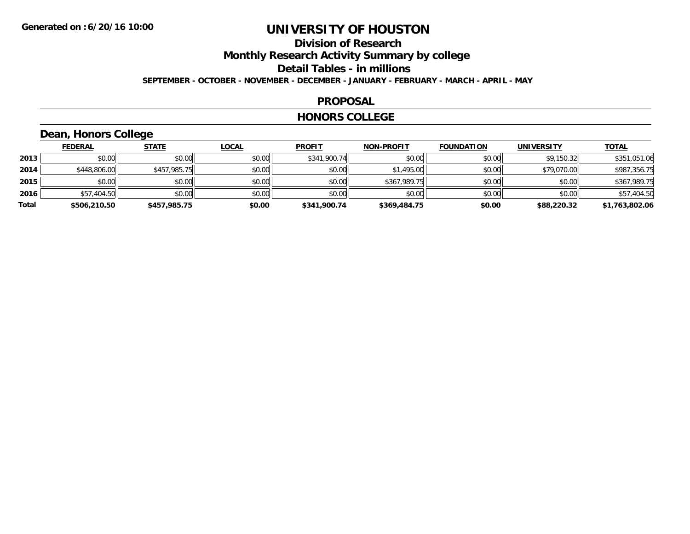### **Division of ResearchMonthly Research Activity Summary by college Detail Tables - in millions SEPTEMBER - OCTOBER - NOVEMBER - DECEMBER - JANUARY - FEBRUARY - MARCH - APRIL - MAY**

#### **PROPOSAL**

#### **HONORS COLLEGE**

### **Dean, Honors College**

|       | <b>FEDERAL</b> | <b>STATE</b> | <b>LOCAL</b> | <b>PROFIT</b> | <b>NON-PROFIT</b> | <b>FOUNDATION</b> | <b>UNIVERSITY</b> | <b>TOTAL</b>   |
|-------|----------------|--------------|--------------|---------------|-------------------|-------------------|-------------------|----------------|
| 2013  | \$0.00         | \$0.00       | \$0.00       | \$341,900.74  | \$0.00            | \$0.00            | \$9,150.32        | \$351,051.06   |
| 2014  | \$448,806.00   | \$457,985.75 | \$0.00       | \$0.00        | \$1,495.00        | \$0.00            | \$79,070.00       | \$987,356.75   |
| 2015  | \$0.00         | \$0.00       | \$0.00       | \$0.00        | \$367,989.75      | \$0.00            | \$0.00            | \$367,989.75   |
| 2016  | \$57,404.50    | \$0.00       | \$0.00       | \$0.00        | \$0.00            | \$0.00            | \$0.00            | \$57,404.50    |
| Total | \$506,210.50   | \$457,985.75 | \$0.00       | \$341,900.74  | \$369,484.75      | \$0.00            | \$88,220.32       | \$1,763,802.06 |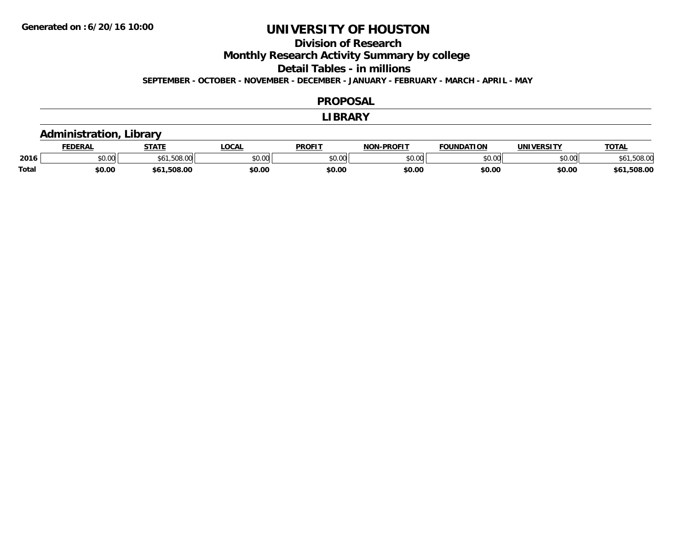### **Division of Research**

**Monthly Research Activity Summary by college**

**Detail Tables - in millions**

**SEPTEMBER - OCTOBER - NOVEMBER - DECEMBER - JANUARY - FEBRUARY - MARCH - APRIL - MAY**

#### **PROPOSAL**

#### **LIBRARY**

### **Administration, Library**

|              | EDERAL | <b>STATE</b>                  | <b>LOCAL</b>  | <b>PROFIT</b> | -PROFIT<br>NIAN | <b>FOUNDATION</b>      | UNIVERSITY | <b>TOTAL</b>     |
|--------------|--------|-------------------------------|---------------|---------------|-----------------|------------------------|------------|------------------|
| 2016         | \$0.00 | <b>FOO</b><br>UU.8UG.I<br>DO. | 0000<br>50.UU | 0000<br>JU.UU | ልስ አሰ<br>DU.UU  | $\overline{0}$<br>, vv | \$0.00     | <b>JU.JUO.UU</b> |
| <b>Total</b> | \$0.00 | ,508.00<br>56٬                | \$0.00        | \$0.00        | \$0.00          | \$0.00                 | \$0.00     | .508.00<br>56    |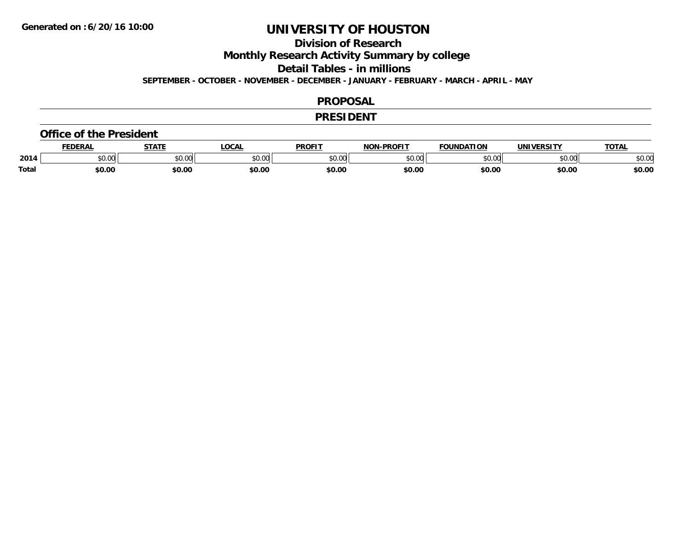### **Division of Research**

**Monthly Research Activity Summary by college**

**Detail Tables - in millions**

**SEPTEMBER - OCTOBER - NOVEMBER - DECEMBER - JANUARY - FEBRUARY - MARCH - APRIL - MAY**

#### **PROPOSAL**

#### **PRESIDENT**

#### **Office of the President**

|              | <b>EDERAL</b>                       | <b>CTATE</b>  | <b>OCAL</b> | <b>PROFIT</b> | -PROFIT<br>NIANI | <b>FOUNDATION</b>       | UNIVERSITY | <b>TOTAL</b> |
|--------------|-------------------------------------|---------------|-------------|---------------|------------------|-------------------------|------------|--------------|
| 2014         | $\theta$ $\theta$ $\theta$<br>JU.UU | 0.00<br>JU.UU | \$0.00      | 0000<br>PO.OO | nn nn<br>pu.uu   | $n \cap \Omega$<br>∪.∪∪ | \$0.00     | \$0.00       |
| <b>Total</b> | \$0.00                              | \$0.00        | \$0.00      | \$0.00        | \$0.00           | \$0.00                  | \$0.00     | \$0.00       |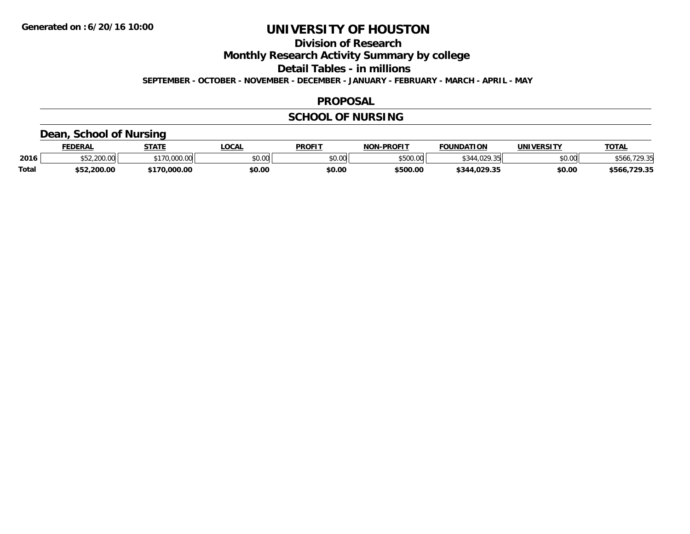**Division of Research**

**Monthly Research Activity Summary by college**

**Detail Tables - in millions**

**SEPTEMBER - OCTOBER - NOVEMBER - DECEMBER - JANUARY - FEBRUARY - MARCH - APRIL - MAY**

### **PROPOSAL**

### **SCHOOL OF NURSING**

### **Dean, School of Nursing**

|              | <b>FEDERAL</b>   | <b>STATE</b> | <b>OCAL</b>                               | <b>PROFIT</b> | <b>NON-PROFIT</b> | <b>FOUNDATION</b>                   | UNIVERSITY | <b>TOTAL</b>      |
|--------------|------------------|--------------|-------------------------------------------|---------------|-------------------|-------------------------------------|------------|-------------------|
| 2016         | 200.00<br>700.00 | 00.000.00    | $\uparrow$ $\uparrow$ $\uparrow$<br>JU.UU | \$0.00        | \$500.00          | $\overline{11000}$<br>$\sim$ $\sim$ | \$0.00     | '70 25            |
| <b>Total</b> | \$52,200.00      | 70,000.00    | \$0.00                                    | \$0.00        | \$500.00          | \$344.029.35                        | \$0.00     | .729.35<br>\$566. |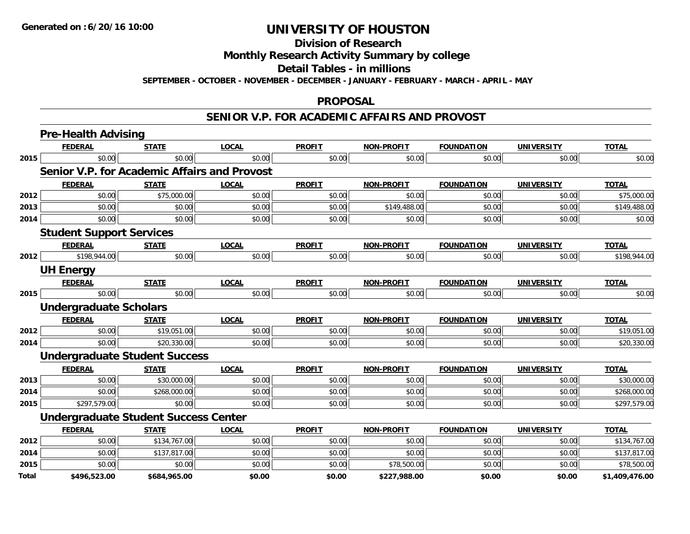**Division of Research**

**Monthly Research Activity Summary by college**

**Detail Tables - in millions**

**SEPTEMBER - OCTOBER - NOVEMBER - DECEMBER - JANUARY - FEBRUARY - MARCH - APRIL - MAY**

#### **PROPOSAL**

#### **SENIOR V.P. FOR ACADEMIC AFFAIRS AND PROVOST**

|              | <b>Pre-Health Advising</b>                          |              |              |               |                   |                   |                   |                |
|--------------|-----------------------------------------------------|--------------|--------------|---------------|-------------------|-------------------|-------------------|----------------|
|              | <b>FEDERAL</b>                                      | <b>STATE</b> | <b>LOCAL</b> | <b>PROFIT</b> | <b>NON-PROFIT</b> | <b>FOUNDATION</b> | <b>UNIVERSITY</b> | <b>TOTAL</b>   |
| 2015         | \$0.00                                              | \$0.00       | \$0.00       | \$0.00        | \$0.00            | \$0.00            | \$0.00            | \$0.00         |
|              | <b>Senior V.P. for Academic Affairs and Provost</b> |              |              |               |                   |                   |                   |                |
|              | <b>FEDERAL</b>                                      | <b>STATE</b> | <b>LOCAL</b> | <b>PROFIT</b> | <b>NON-PROFIT</b> | <b>FOUNDATION</b> | <b>UNIVERSITY</b> | <b>TOTAL</b>   |
| 2012         | \$0.00                                              | \$75,000.00  | \$0.00       | \$0.00        | \$0.00            | \$0.00            | \$0.00            | \$75,000.00    |
| 2013         | \$0.00                                              | \$0.00       | \$0.00       | \$0.00        | \$149,488.00      | \$0.00            | \$0.00            | \$149,488.00   |
| 2014         | \$0.00                                              | \$0.00       | \$0.00       | \$0.00        | \$0.00            | \$0.00            | \$0.00            | \$0.00         |
|              | <b>Student Support Services</b>                     |              |              |               |                   |                   |                   |                |
|              | <b>FEDERAL</b>                                      | <b>STATE</b> | <b>LOCAL</b> | <b>PROFIT</b> | <b>NON-PROFIT</b> | <b>FOUNDATION</b> | <b>UNIVERSITY</b> | <b>TOTAL</b>   |
| 2012         | \$198,944.00                                        | \$0.00       | \$0.00       | \$0.00        | \$0.00            | \$0.00            | \$0.00            | \$198,944.00   |
|              | <b>UH Energy</b>                                    |              |              |               |                   |                   |                   |                |
|              | <b>FEDERAL</b>                                      | <b>STATE</b> | <b>LOCAL</b> | <b>PROFIT</b> | <b>NON-PROFIT</b> | <b>FOUNDATION</b> | <b>UNIVERSITY</b> | <b>TOTAL</b>   |
| 2015         | \$0.00                                              | \$0.00       | \$0.00       | \$0.00        | \$0.00            | \$0.00            | \$0.00            | \$0.00         |
|              | Undergraduate Scholars                              |              |              |               |                   |                   |                   |                |
|              | <b>FEDERAL</b>                                      | <b>STATE</b> | <b>LOCAL</b> | <b>PROFIT</b> | <b>NON-PROFIT</b> | <b>FOUNDATION</b> | <b>UNIVERSITY</b> | <b>TOTAL</b>   |
| 2012         | \$0.00                                              | \$19,051.00  | \$0.00       | \$0.00        | \$0.00            | \$0.00            | \$0.00            | \$19,051.00    |
| 2014         | \$0.00                                              | \$20,330.00  | \$0.00       | \$0.00        | \$0.00            | \$0.00            | \$0.00            | \$20,330.00    |
|              | <b>Undergraduate Student Success</b>                |              |              |               |                   |                   |                   |                |
|              | <b>FEDERAL</b>                                      | <b>STATE</b> | <b>LOCAL</b> | <b>PROFIT</b> | <b>NON-PROFIT</b> | <b>FOUNDATION</b> | <b>UNIVERSITY</b> | <b>TOTAL</b>   |
| 2013         | \$0.00                                              | \$30,000.00  | \$0.00       | \$0.00        | \$0.00            | \$0.00            | \$0.00            | \$30,000.00    |
| 2014         | \$0.00                                              | \$268,000.00 | \$0.00       | \$0.00        | \$0.00            | \$0.00            | \$0.00            | \$268,000.00   |
| 2015         | \$297,579.00                                        | \$0.00       | \$0.00       | \$0.00        | \$0.00            | \$0.00            | \$0.00            | \$297,579.00   |
|              | <b>Undergraduate Student Success Center</b>         |              |              |               |                   |                   |                   |                |
|              | <b>FEDERAL</b>                                      | <b>STATE</b> | <b>LOCAL</b> | <b>PROFIT</b> | <b>NON-PROFIT</b> | <b>FOUNDATION</b> | <b>UNIVERSITY</b> | <b>TOTAL</b>   |
| 2012         | \$0.00                                              | \$134,767.00 | \$0.00       | \$0.00        | \$0.00            | \$0.00            | \$0.00            | \$134,767.00   |
| 2014         | \$0.00                                              | \$137,817.00 | \$0.00       | \$0.00        | \$0.00            | \$0.00            | \$0.00            | \$137,817.00   |
| 2015         | \$0.00                                              | \$0.00       | \$0.00       | \$0.00        | \$78,500.00       | \$0.00            | \$0.00            | \$78,500.00    |
| <b>Total</b> | \$496,523.00                                        | \$684,965.00 | \$0.00       | \$0.00        | \$227,988.00      | \$0.00            | \$0.00            | \$1,409,476.00 |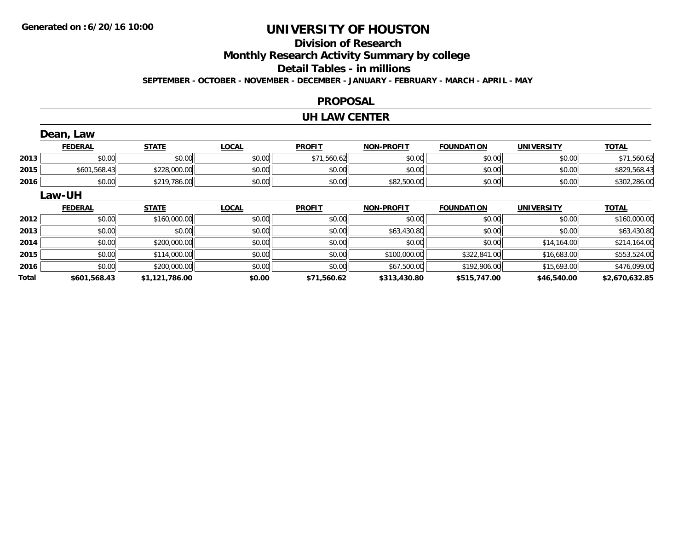### **Division of ResearchMonthly Research Activity Summary by college Detail Tables - in millions**

**SEPTEMBER - OCTOBER - NOVEMBER - DECEMBER - JANUARY - FEBRUARY - MARCH - APRIL - MAY**

#### **PROPOSAL**

#### **UH LAW CENTER**

|       | Dean, Law      |                |              |               |                   |                   |                   |                |
|-------|----------------|----------------|--------------|---------------|-------------------|-------------------|-------------------|----------------|
|       | <b>FEDERAL</b> | <b>STATE</b>   | <b>LOCAL</b> | <b>PROFIT</b> | <b>NON-PROFIT</b> | <b>FOUNDATION</b> | <b>UNIVERSITY</b> | <b>TOTAL</b>   |
| 2013  | \$0.00         | \$0.00         | \$0.00       | \$71,560.62   | \$0.00            | \$0.00            | \$0.00            | \$71,560.62    |
| 2015  | \$601,568.43   | \$228,000.00   | \$0.00       | \$0.00        | \$0.00            | \$0.00            | \$0.00            | \$829,568.43   |
| 2016  | \$0.00         | \$219,786.00   | \$0.00       | \$0.00        | \$82,500.00       | \$0.00            | \$0.00            | \$302,286.00   |
|       | Law-UH         |                |              |               |                   |                   |                   |                |
|       | <b>FEDERAL</b> | <b>STATE</b>   | <b>LOCAL</b> | <b>PROFIT</b> | <b>NON-PROFIT</b> | <b>FOUNDATION</b> | <b>UNIVERSITY</b> | <b>TOTAL</b>   |
| 2012  | \$0.00         | \$160,000.00   | \$0.00       | \$0.00        | \$0.00            | \$0.00            | \$0.00            | \$160,000.00   |
| 2013  | \$0.00         | \$0.00         | \$0.00       | \$0.00        | \$63,430.80       | \$0.00            | \$0.00            | \$63,430.80    |
| 2014  | \$0.00         | \$200,000.00   | \$0.00       | \$0.00        | \$0.00            | \$0.00            | \$14,164.00       | \$214,164.00   |
| 2015  | \$0.00         | \$114,000.00   | \$0.00       | \$0.00        | \$100,000.00      | \$322,841.00      | \$16,683.00       | \$553,524.00   |
| 2016  | \$0.00         | \$200,000.00   | \$0.00       | \$0.00        | \$67,500.00       | \$192,906.00      | \$15,693.00       | \$476,099.00   |
| Total | \$601,568.43   | \$1,121,786.00 | \$0.00       | \$71,560.62   | \$313,430.80      | \$515,747.00      | \$46,540.00       | \$2,670,632.85 |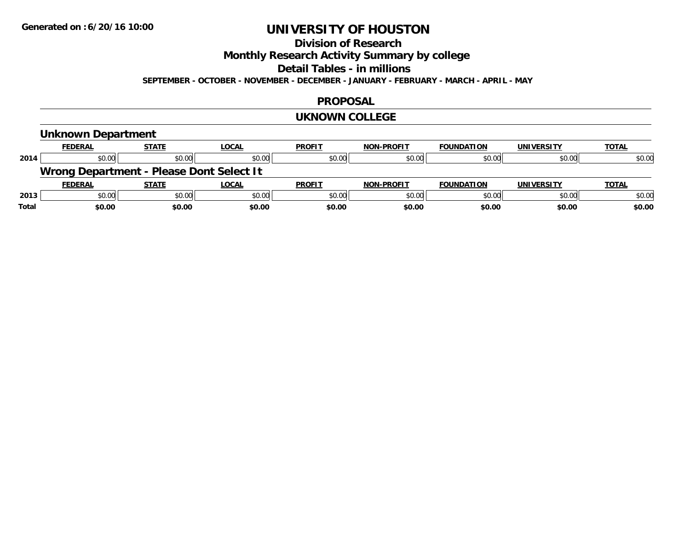### **Division of Research**

**Monthly Research Activity Summary by college**

**Detail Tables - in millions**

**SEPTEMBER - OCTOBER - NOVEMBER - DECEMBER - JANUARY - FEBRUARY - MARCH - APRIL - MAY**

#### **PROPOSAL**

#### **UKNOWN COLLEGE**

### **Unknown Department**

| <b>FEDERAL</b> | <b>STATE</b> | <u>LOCAL</u>     | <b>PROFIT</b>                                                | <b>NON-PROFIT</b> | <b>FOUNDATION</b> | UNIVERSITY | <b>TOTAL</b>                                                       |
|----------------|--------------|------------------|--------------------------------------------------------------|-------------------|-------------------|------------|--------------------------------------------------------------------|
|                |              | \$0.00           | \$0.00                                                       | \$0.00            | \$0.00            | \$0.00     | \$0.00                                                             |
|                |              |                  |                                                              |                   |                   |            |                                                                    |
| <b>FEDERAL</b> | STATE        | <u>LOCAL</u>     | <b>PROFIT</b>                                                | <b>NON-PROFIT</b> | <b>FOUNDATION</b> | UNIVERSITY | <b>TOTAL</b>                                                       |
|                |              | \$0.00           | \$0.00                                                       | \$0.00            | \$0.00            | \$0.00     | \$0.00                                                             |
|                |              |                  |                                                              |                   |                   |            | \$0.00                                                             |
|                |              | \$0.00<br>\$0.00 | \$0.00<br>Wrong Department - Please Dont Select It<br>\$0.00 |                   |                   |            | \$0.00<br>\$0.00<br>\$0.00<br>\$0.00<br>\$0.00<br>\$0.00<br>\$0.00 |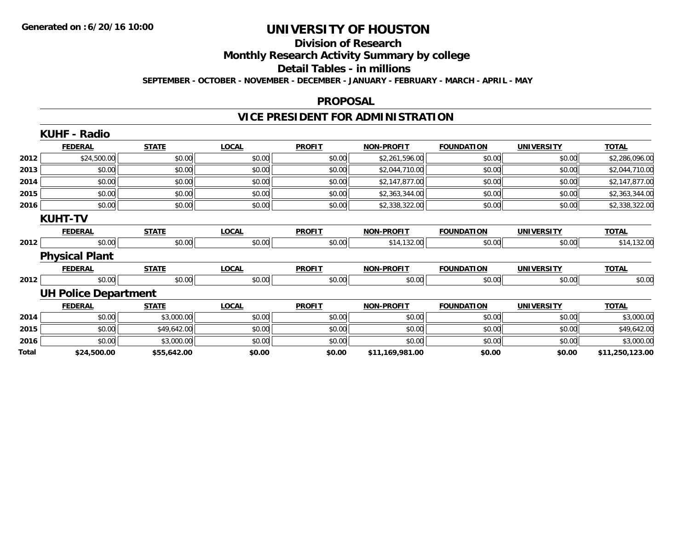# **Division of Research**

**Monthly Research Activity Summary by college**

#### **Detail Tables - in millions**

**SEPTEMBER - OCTOBER - NOVEMBER - DECEMBER - JANUARY - FEBRUARY - MARCH - APRIL - MAY**

#### **PROPOSAL**

### **VICE PRESIDENT FOR ADMINISTRATION**

|       | <b>KUHF - Radio</b>         |              |              |               |                   |                   |                   |                 |
|-------|-----------------------------|--------------|--------------|---------------|-------------------|-------------------|-------------------|-----------------|
|       | <b>FEDERAL</b>              | <b>STATE</b> | <b>LOCAL</b> | <b>PROFIT</b> | <b>NON-PROFIT</b> | <b>FOUNDATION</b> | <b>UNIVERSITY</b> | <b>TOTAL</b>    |
| 2012  | \$24,500.00                 | \$0.00       | \$0.00       | \$0.00        | \$2,261,596.00    | \$0.00            | \$0.00            | \$2,286,096.00  |
| 2013  | \$0.00                      | \$0.00       | \$0.00       | \$0.00        | \$2,044,710.00    | \$0.00            | \$0.00            | \$2,044,710.00  |
| 2014  | \$0.00                      | \$0.00       | \$0.00       | \$0.00        | \$2,147,877.00    | \$0.00            | \$0.00            | \$2,147,877.00  |
| 2015  | \$0.00                      | \$0.00       | \$0.00       | \$0.00        | \$2,363,344.00    | \$0.00            | \$0.00            | \$2,363,344.00  |
| 2016  | \$0.00                      | \$0.00       | \$0.00       | \$0.00        | \$2,338,322.00    | \$0.00            | \$0.00            | \$2,338,322.00  |
|       | <b>KUHT-TV</b>              |              |              |               |                   |                   |                   |                 |
|       | <b>FEDERAL</b>              | <b>STATE</b> | <b>LOCAL</b> | <b>PROFIT</b> | <b>NON-PROFIT</b> | <b>FOUNDATION</b> | <b>UNIVERSITY</b> | <b>TOTAL</b>    |
| 2012  | \$0.00                      | \$0.00       | \$0.00       | \$0.00        | \$14,132.00       | \$0.00            | \$0.00            | \$14,132.00     |
|       | <b>Physical Plant</b>       |              |              |               |                   |                   |                   |                 |
|       | <b>FEDERAL</b>              | <b>STATE</b> | <b>LOCAL</b> | <b>PROFIT</b> | <b>NON-PROFIT</b> | <b>FOUNDATION</b> | <b>UNIVERSITY</b> | <b>TOTAL</b>    |
| 2012  | \$0.00                      | \$0.00       | \$0.00       | \$0.00        | \$0.00            | \$0.00            | \$0.00            | \$0.00          |
|       | <b>UH Police Department</b> |              |              |               |                   |                   |                   |                 |
|       | <b>FEDERAL</b>              | <b>STATE</b> | <b>LOCAL</b> | <b>PROFIT</b> | <b>NON-PROFIT</b> | <b>FOUNDATION</b> | <b>UNIVERSITY</b> | <b>TOTAL</b>    |
| 2014  | \$0.00                      | \$3,000.00   | \$0.00       | \$0.00        | \$0.00            | \$0.00            | \$0.00            | \$3,000.00      |
| 2015  | \$0.00                      | \$49,642.00  | \$0.00       | \$0.00        | \$0.00            | \$0.00            | \$0.00            | \$49,642.00     |
| 2016  | \$0.00                      | \$3,000.00   | \$0.00       | \$0.00        | \$0.00            | \$0.00            | \$0.00            | \$3,000.00      |
| Total | \$24,500.00                 | \$55,642.00  | \$0.00       | \$0.00        | \$11,169,981.00   | \$0.00            | \$0.00            | \$11,250,123.00 |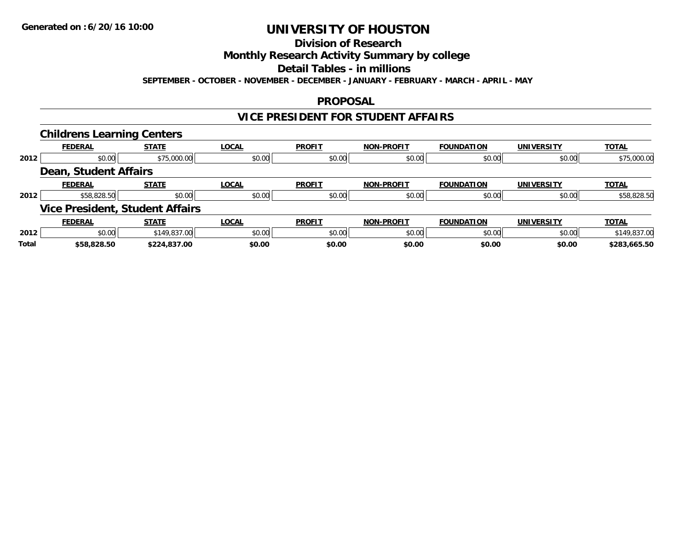### **Division of Research**

### **Monthly Research Activity Summary by college**

**Detail Tables - in millions**

**SEPTEMBER - OCTOBER - NOVEMBER - DECEMBER - JANUARY - FEBRUARY - MARCH - APRIL - MAY**

### **PROPOSAL**

### **VICE PRESIDENT FOR STUDENT AFFAIRS**

|              | <b>Childrens Learning Centers</b> |                                        |              |               |                   |                   |                   |              |
|--------------|-----------------------------------|----------------------------------------|--------------|---------------|-------------------|-------------------|-------------------|--------------|
|              | <b>FEDERAL</b>                    | <b>STATE</b>                           | <b>LOCAL</b> | <b>PROFIT</b> | <b>NON-PROFIT</b> | <b>FOUNDATION</b> | <b>UNIVERSITY</b> | <b>TOTAL</b> |
| 2012         | \$0.00                            | \$75,000.00                            | \$0.00       | \$0.00        | \$0.00            | \$0.00            | \$0.00            | \$75,000.00  |
|              | <b>Dean, Student Affairs</b>      |                                        |              |               |                   |                   |                   |              |
|              | <b>FEDERAL</b>                    | <b>STATE</b>                           | <b>LOCAL</b> | <b>PROFIT</b> | <b>NON-PROFIT</b> | <b>FOUNDATION</b> | <b>UNIVERSITY</b> | <b>TOTAL</b> |
| 2012         | \$58,828.50                       | \$0.00                                 | \$0.00       | \$0.00        | \$0.00            | \$0.00            | \$0.00            | \$58,828.50  |
|              |                                   | <b>Vice President, Student Affairs</b> |              |               |                   |                   |                   |              |
|              | <b>FEDERAL</b>                    | <b>STATE</b>                           | <b>LOCAL</b> | <b>PROFIT</b> | <b>NON-PROFIT</b> | <b>FOUNDATION</b> | <b>UNIVERSITY</b> | <b>TOTAL</b> |
| 2012         | \$0.00                            | \$149,837.00                           | \$0.00       | \$0.00        | \$0.00            | \$0.00            | \$0.00            | \$149,837.00 |
| <b>Total</b> | \$58,828.50                       | \$224,837.00                           | \$0.00       | \$0.00        | \$0.00            | \$0.00            | \$0.00            | \$283.665.50 |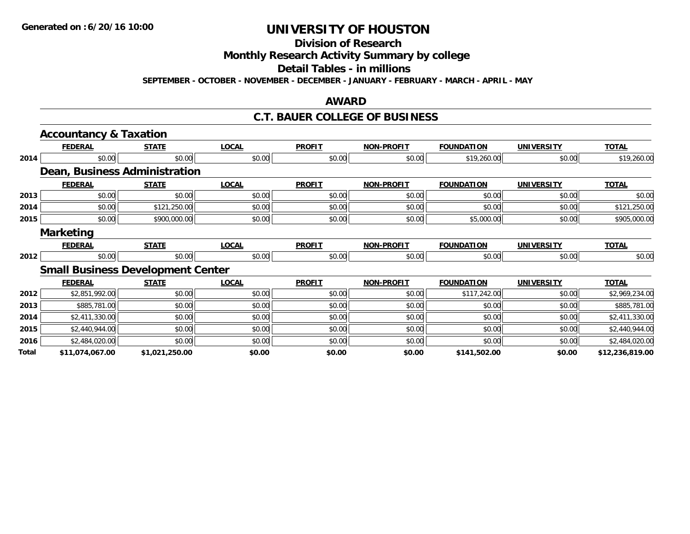### **Division of Research**

**Monthly Research Activity Summary by college**

**Detail Tables - in millions**

**SEPTEMBER - OCTOBER - NOVEMBER - DECEMBER - JANUARY - FEBRUARY - MARCH - APRIL - MAY**

### **AWARD**

### **C.T. BAUER COLLEGE OF BUSINESS**

|       | <b>Accountancy &amp; Taxation</b> |                                          |              |               |                   |                   |                   |                 |
|-------|-----------------------------------|------------------------------------------|--------------|---------------|-------------------|-------------------|-------------------|-----------------|
|       | <b>FEDERAL</b>                    | <b>STATE</b>                             | <b>LOCAL</b> | <b>PROFIT</b> | <b>NON-PROFIT</b> | <b>FOUNDATION</b> | <b>UNIVERSITY</b> | <b>TOTAL</b>    |
| 2014  | \$0.00                            | \$0.00                                   | \$0.00       | \$0.00        | \$0.00            | \$19,260.00       | \$0.00            | \$19,260.00     |
|       |                                   | Dean, Business Administration            |              |               |                   |                   |                   |                 |
|       | <b>FEDERAL</b>                    | <b>STATE</b>                             | <b>LOCAL</b> | <b>PROFIT</b> | <b>NON-PROFIT</b> | <b>FOUNDATION</b> | <b>UNIVERSITY</b> | <b>TOTAL</b>    |
| 2013  | \$0.00                            | \$0.00                                   | \$0.00       | \$0.00        | \$0.00            | \$0.00            | \$0.00            | \$0.00          |
| 2014  | \$0.00                            | \$121,250.00                             | \$0.00       | \$0.00        | \$0.00            | \$0.00            | \$0.00            | \$121,250.00    |
| 2015  | \$0.00                            | \$900,000.00                             | \$0.00       | \$0.00        | \$0.00            | \$5,000.00        | \$0.00            | \$905,000.00    |
|       | <b>Marketing</b>                  |                                          |              |               |                   |                   |                   |                 |
|       | <b>FEDERAL</b>                    | <b>STATE</b>                             | <b>LOCAL</b> | <b>PROFIT</b> | <b>NON-PROFIT</b> | <b>FOUNDATION</b> | <b>UNIVERSITY</b> | <b>TOTAL</b>    |
| 2012  | \$0.00                            | \$0.00                                   | \$0.00       | \$0.00        | \$0.00            | \$0.00            | \$0.00            | \$0.00          |
|       |                                   | <b>Small Business Development Center</b> |              |               |                   |                   |                   |                 |
|       | <b>FEDERAL</b>                    | <b>STATE</b>                             | <b>LOCAL</b> | <b>PROFIT</b> | <b>NON-PROFIT</b> | <b>FOUNDATION</b> | <b>UNIVERSITY</b> | <b>TOTAL</b>    |
| 2012  | \$2,851,992.00                    | \$0.00                                   | \$0.00       | \$0.00        | \$0.00            | \$117,242.00      | \$0.00            | \$2,969,234.00  |
| 2013  | \$885,781.00                      | \$0.00                                   | \$0.00       | \$0.00        | \$0.00            | \$0.00            | \$0.00            | \$885,781.00    |
| 2014  | \$2,411,330.00                    | \$0.00                                   | \$0.00       | \$0.00        | \$0.00            | \$0.00            | \$0.00            | \$2,411,330.00  |
| 2015  | \$2,440,944.00                    | \$0.00                                   | \$0.00       | \$0.00        | \$0.00            | \$0.00            | \$0.00            | \$2,440,944.00  |
| 2016  | \$2,484,020.00                    | \$0.00                                   | \$0.00       | \$0.00        | \$0.00            | \$0.00            | \$0.00            | \$2,484,020.00  |
| Total | \$11,074,067.00                   | \$1,021,250.00                           | \$0.00       | \$0.00        | \$0.00            | \$141,502.00      | \$0.00            | \$12,236,819.00 |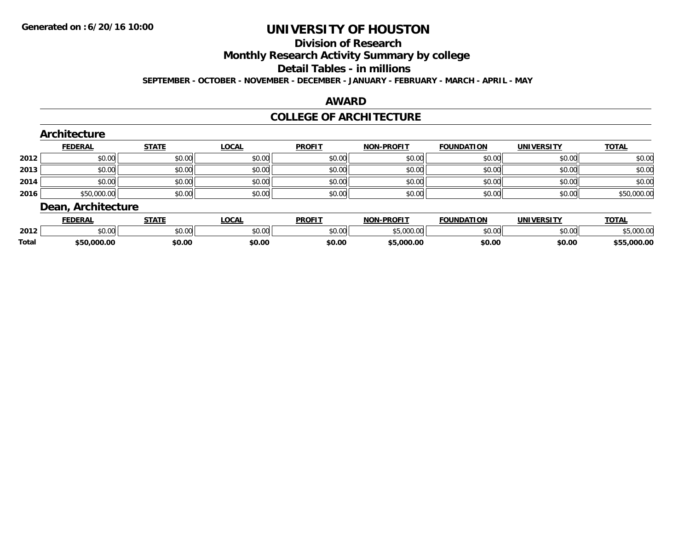#### **Division of Research**

**Monthly Research Activity Summary by college**

**Detail Tables - in millions**

**SEPTEMBER - OCTOBER - NOVEMBER - DECEMBER - JANUARY - FEBRUARY - MARCH - APRIL - MAY**

#### **AWARD**

### **COLLEGE OF ARCHITECTURE**

|      | Architecture       |              |              |               |                   |                   |                   |              |
|------|--------------------|--------------|--------------|---------------|-------------------|-------------------|-------------------|--------------|
|      | <b>FEDERAL</b>     | <b>STATE</b> | <b>LOCAL</b> | <b>PROFIT</b> | <b>NON-PROFIT</b> | <b>FOUNDATION</b> | <b>UNIVERSITY</b> | <b>TOTAL</b> |
| 2012 | \$0.00             | \$0.00       | \$0.00       | \$0.00        | \$0.00            | \$0.00            | \$0.00            | \$0.00       |
| 2013 | \$0.00             | \$0.00       | \$0.00       | \$0.00        | \$0.00            | \$0.00            | \$0.00            | \$0.00       |
| 2014 | \$0.00             | \$0.00       | \$0.00       | \$0.00        | \$0.00            | \$0.00            | \$0.00            | \$0.00       |
| 2016 | \$50,000.00        | \$0.00       | \$0.00       | \$0.00        | \$0.00            | \$0.00            | \$0.00            | \$50,000.00  |
|      | Dean, Architecture |              |              |               |                   |                   |                   |              |
|      | <b>FEDERAL</b>     | <b>STATE</b> | LOCAL        | <b>PROFIT</b> | <b>NON-PROFIT</b> | <b>FOUNDATION</b> | <b>UNIVERSITY</b> | <b>TOTAL</b> |

|       | <b>FEDERAL</b> | 3 I A I F                                                                                 | .UCAL  | <b>PROFI</b> | NUN-PRUFI      | <b>FOUNDATION</b> | UNIVERSITY | <b>'UIAL</b> |
|-------|----------------|-------------------------------------------------------------------------------------------|--------|--------------|----------------|-------------------|------------|--------------|
| 2012  | \$0.00         | \$0.00                                                                                    | \$0.00 | \$0.00       | non nol<br>uuu | \$0.00            | \$0.00     | 00000        |
| Total | \$50,000.00    | \$0.00<br>the contract of the contract of the contract of the contract of the contract of | \$0.00 | \$0.00       | \$5,000.00     | \$0.00            | \$0.00     | .000.00      |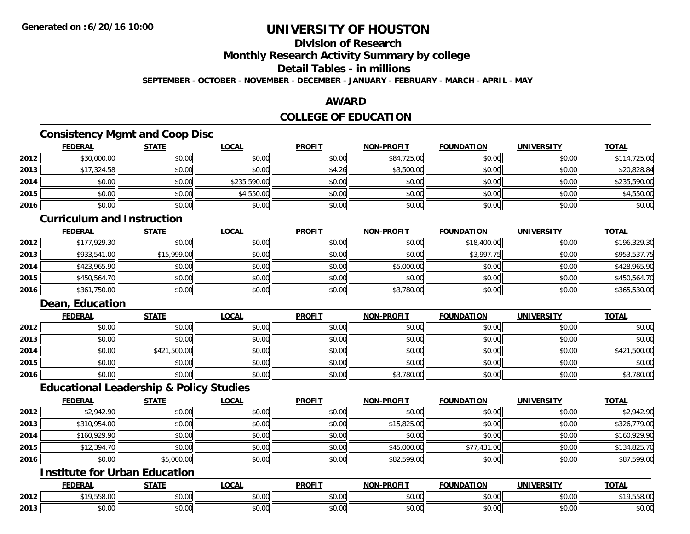### **Division of Research**

**Monthly Research Activity Summary by college**

**Detail Tables - in millions**

**SEPTEMBER - OCTOBER - NOVEMBER - DECEMBER - JANUARY - FEBRUARY - MARCH - APRIL - MAY**

### **AWARD**

### **COLLEGE OF EDUCATION**

### **Consistency Mgmt and Coop Disc**

|      | <b>FEDERAL</b> | <b>STATE</b> | <b>LOCAL</b> | <b>PROFIT</b> | <b>NON-PROFIT</b> | <b>FOUNDATION</b> | <b>UNIVERSITY</b> | <b>TOTAL</b> |
|------|----------------|--------------|--------------|---------------|-------------------|-------------------|-------------------|--------------|
| 2012 | \$30,000.00    | \$0.00       | \$0.00       | \$0.00        | \$84,725.00       | \$0.00            | \$0.00            | \$114,725.00 |
| 2013 | \$17,324.58    | \$0.00       | \$0.00       | \$4.26        | \$3,500.00        | \$0.00            | \$0.00            | \$20,828.84  |
| 2014 | \$0.00         | \$0.00       | \$235,590.00 | \$0.00        | \$0.00            | \$0.00            | \$0.00            | \$235,590.00 |
| 2015 | \$0.00         | \$0.00       | \$4,550.00   | \$0.00        | \$0.00            | \$0.00            | \$0.00            | \$4,550.00   |
| 2016 | \$0.00         | \$0.00       | \$0.00       | \$0.00        | \$0.00            | \$0.00            | \$0.00            | \$0.00       |

#### **Curriculum and Instruction**

|      | <b>FEDERAL</b> | <b>STATE</b> | <b>LOCAL</b> | <b>PROFIT</b> | <b>NON-PROFIT</b> | <b>FOUNDATION</b> | <b>UNIVERSITY</b> | <b>TOTAL</b> |
|------|----------------|--------------|--------------|---------------|-------------------|-------------------|-------------------|--------------|
| 2012 | \$177,929.30   | \$0.00       | \$0.00       | \$0.00        | \$0.00            | \$18,400.00       | \$0.00            | \$196,329.30 |
| 2013 | \$933,541.00   | \$15,999.00  | \$0.00       | \$0.00        | \$0.00            | \$3,997.75        | \$0.00            | \$953,537.75 |
| 2014 | \$423,965.90   | \$0.00       | \$0.00       | \$0.00        | \$5,000.00        | \$0.00            | \$0.00            | \$428,965.90 |
| 2015 | \$450,564.70   | \$0.00       | \$0.00       | \$0.00        | \$0.00            | \$0.00            | \$0.00            | \$450,564.70 |
| 2016 | \$361,750.00   | \$0.00       | \$0.00       | \$0.00        | \$3,780.00        | \$0.00            | \$0.00            | \$365,530.00 |

### **Dean, Education**

|      | <b>FEDERAL</b> | <b>STATE</b> | <u>LOCAL</u> | <b>PROFIT</b> | <b>NON-PROFIT</b> | <b>FOUNDATION</b> | <b>UNIVERSITY</b> | <b>TOTAL</b> |
|------|----------------|--------------|--------------|---------------|-------------------|-------------------|-------------------|--------------|
| 2012 | \$0.00         | \$0.00       | \$0.00       | \$0.00        | \$0.00            | \$0.00            | \$0.00            | \$0.00       |
| 2013 | \$0.00         | \$0.00       | \$0.00       | \$0.00        | \$0.00            | \$0.00            | \$0.00            | \$0.00       |
| 2014 | \$0.00         | \$421,500.00 | \$0.00       | \$0.00        | \$0.00            | \$0.00            | \$0.00            | \$421,500.00 |
| 2015 | \$0.00         | \$0.00       | \$0.00       | \$0.00        | \$0.00            | \$0.00            | \$0.00            | \$0.00       |
| 2016 | \$0.00         | \$0.00       | \$0.00       | \$0.00        | \$3,780.00        | \$0.00            | \$0.00            | \$3,780.00   |

### **Educational Leadership & Policy Studies**

|      | <b>FEDERAL</b> | <b>STATE</b> | <u>LOCAL</u> | <b>PROFIT</b> | <b>NON-PROFIT</b> | <b>FOUNDATION</b> | <b>UNIVERSITY</b> | <b>TOTAL</b> |
|------|----------------|--------------|--------------|---------------|-------------------|-------------------|-------------------|--------------|
| 2012 | \$2,942.90     | \$0.00       | \$0.00       | \$0.00        | \$0.00            | \$0.00            | \$0.00            | \$2,942.90   |
| 2013 | \$310,954.00   | \$0.00       | \$0.00       | \$0.00        | \$15,825.00       | \$0.00            | \$0.00            | \$326,779.00 |
| 2014 | \$160,929.90   | \$0.00       | \$0.00       | \$0.00        | \$0.00            | \$0.00            | \$0.00            | \$160,929.90 |
| 2015 | \$12,394.70    | \$0.00       | \$0.00       | \$0.00        | \$45,000.00       | \$77,431.00       | \$0.00            | \$134,825.70 |
| 2016 | \$0.00         | \$5,000.00   | \$0.00       | \$0.00        | \$82,599.00       | \$0.00            | \$0.00            | \$87,599.00  |

### **Institute for Urban Education**

|      | <b>FEDERAL</b>     | <b>STATE</b>  | LOCAL                     | <b>PROFIT</b>      | J-PROFIT<br><b>MANI</b>                               | <b>FOUNDATION</b> | <b>UNIVERSITY</b><br>-кэг | <b>TOTAL</b> |
|------|--------------------|---------------|---------------------------|--------------------|-------------------------------------------------------|-------------------|---------------------------|--------------|
| 2012 | $\sim$<br>UU.õCC.' | \$0.00        | $\sim$<br>$\sim$<br>vv.vv | 0000<br>DU.UU      | 0000<br>vu.vu                                         | \$0.00            | 0.00<br>\$0.00            | 19,558.00    |
| 2013 | 0000<br>JU.UU      | 0000<br>ง∪.∪บ | ሐ ሴ<br>$\sim$<br>vu.uu    | $\sim$ 00<br>DU.UU | $\mathsf{A} \cap \mathsf{A} \cap \mathsf{A}$<br>JU.UU | \$0.00            | 0.00<br>\$0.00            | \$0.00       |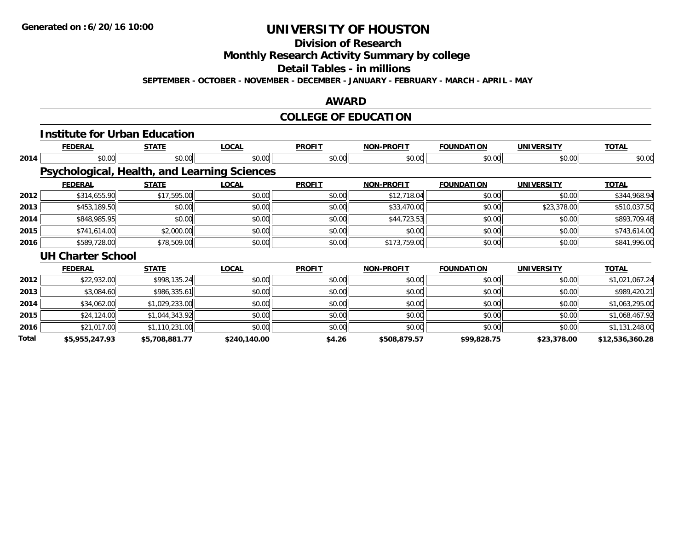## **Division of Research**

**Monthly Research Activity Summary by college**

**Detail Tables - in millions**

**SEPTEMBER - OCTOBER - NOVEMBER - DECEMBER - JANUARY - FEBRUARY - MARCH - APRIL - MAY**

### **AWARD**

## **COLLEGE OF EDUCATION**

|              | <b>Institute for Urban Education</b>         |                |              |               |                   |                   |                   |                 |
|--------------|----------------------------------------------|----------------|--------------|---------------|-------------------|-------------------|-------------------|-----------------|
|              | <b>FEDERAL</b>                               | <b>STATE</b>   | <b>LOCAL</b> | <b>PROFIT</b> | <b>NON-PROFIT</b> | <b>FOUNDATION</b> | <b>UNIVERSITY</b> | <b>TOTAL</b>    |
| 2014         | \$0.00                                       | \$0.00         | \$0.00       | \$0.00        | \$0.00            | \$0.00            | \$0.00            | \$0.00          |
|              | Psychological, Health, and Learning Sciences |                |              |               |                   |                   |                   |                 |
|              | <b>FEDERAL</b>                               | <b>STATE</b>   | <b>LOCAL</b> | <b>PROFIT</b> | <b>NON-PROFIT</b> | <b>FOUNDATION</b> | <b>UNIVERSITY</b> | <b>TOTAL</b>    |
| 2012         | \$314,655.90                                 | \$17,595.00    | \$0.00       | \$0.00        | \$12,718.04       | \$0.00            | \$0.00            | \$344,968.94    |
| 2013         | \$453,189.50                                 | \$0.00         | \$0.00       | \$0.00        | \$33,470.00       | \$0.00            | \$23,378.00       | \$510,037.50    |
| 2014         | \$848,985.95                                 | \$0.00         | \$0.00       | \$0.00        | \$44,723.53       | \$0.00            | \$0.00            | \$893,709.48    |
| 2015         | \$741,614.00                                 | \$2,000.00     | \$0.00       | \$0.00        | \$0.00            | \$0.00            | \$0.00            | \$743,614.00    |
| 2016         | \$589,728.00                                 | \$78,509.00    | \$0.00       | \$0.00        | \$173,759.00      | \$0.00            | \$0.00            | \$841,996.00    |
|              | <b>UH Charter School</b>                     |                |              |               |                   |                   |                   |                 |
|              | <b>FEDERAL</b>                               | <b>STATE</b>   | <b>LOCAL</b> | <b>PROFIT</b> | <b>NON-PROFIT</b> | <b>FOUNDATION</b> | <b>UNIVERSITY</b> | <b>TOTAL</b>    |
| 2012         | \$22,932.00                                  | \$998,135.24   | \$0.00       | \$0.00        | \$0.00            | \$0.00            | \$0.00            | \$1,021,067.24  |
| 2013         | \$3,084.60                                   | \$986,335.61   | \$0.00       | \$0.00        | \$0.00            | \$0.00            | \$0.00            | \$989,420.21    |
| 2014         | \$34,062.00                                  | \$1,029,233.00 | \$0.00       | \$0.00        | \$0.00            | \$0.00            | \$0.00            | \$1,063,295.00  |
| 2015         | \$24,124.00                                  | \$1,044,343.92 | \$0.00       | \$0.00        | \$0.00            | \$0.00            | \$0.00            | \$1,068,467.92  |
| 2016         | \$21,017.00                                  | \$1,110,231.00 | \$0.00       | \$0.00        | \$0.00            | \$0.00            | \$0.00            | \$1,131,248.00  |
| <b>Total</b> | \$5,955,247.93                               | \$5,708,881.77 | \$240,140.00 | \$4.26        | \$508,879.57      | \$99,828.75       | \$23,378.00       | \$12,536,360.28 |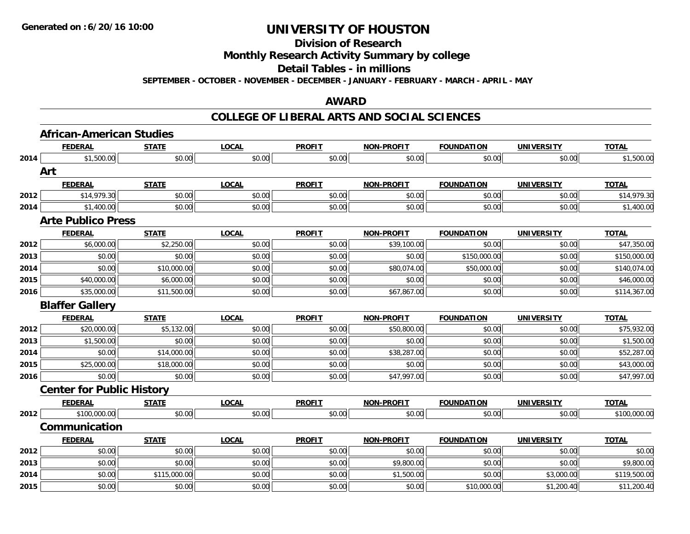**Division of Research**

**Monthly Research Activity Summary by college**

**Detail Tables - in millions**

**SEPTEMBER - OCTOBER - NOVEMBER - DECEMBER - JANUARY - FEBRUARY - MARCH - APRIL - MAY**

### **AWARD**

#### **COLLEGE OF LIBERAL ARTS AND SOCIAL SCIENCES**

|      | <b>African-American Studies</b>  |              |              |               |                   |                   |                   |              |
|------|----------------------------------|--------------|--------------|---------------|-------------------|-------------------|-------------------|--------------|
|      | <b>FEDERAL</b>                   | <b>STATE</b> | <b>LOCAL</b> | <b>PROFIT</b> | <b>NON-PROFIT</b> | <b>FOUNDATION</b> | <b>UNIVERSITY</b> | <b>TOTAL</b> |
| 2014 | \$1,500.00                       | \$0.00       | \$0.00       | \$0.00        | \$0.00            | \$0.00            | \$0.00            | \$1,500.00   |
|      | Art                              |              |              |               |                   |                   |                   |              |
|      | <b>FEDERAL</b>                   | <b>STATE</b> | <b>LOCAL</b> | <b>PROFIT</b> | <b>NON-PROFIT</b> | <b>FOUNDATION</b> | <b>UNIVERSITY</b> | <b>TOTAL</b> |
| 2012 | \$14,979.30                      | \$0.00       | \$0.00       | \$0.00        | \$0.00            | \$0.00            | \$0.00            | \$14,979.30  |
| 2014 | \$1,400.00                       | \$0.00       | \$0.00       | \$0.00        | \$0.00            | \$0.00            | \$0.00            | \$1,400.00   |
|      | <b>Arte Publico Press</b>        |              |              |               |                   |                   |                   |              |
|      | <b>FEDERAL</b>                   | <b>STATE</b> | <b>LOCAL</b> | <b>PROFIT</b> | <b>NON-PROFIT</b> | <b>FOUNDATION</b> | <b>UNIVERSITY</b> | <b>TOTAL</b> |
| 2012 | \$6,000.00                       | \$2,250.00   | \$0.00       | \$0.00        | \$39,100.00       | \$0.00            | \$0.00            | \$47,350.00  |
| 2013 | \$0.00                           | \$0.00       | \$0.00       | \$0.00        | \$0.00            | \$150,000.00      | \$0.00            | \$150,000.00 |
| 2014 | \$0.00                           | \$10,000.00  | \$0.00       | \$0.00        | \$80,074.00       | \$50,000.00       | \$0.00            | \$140,074.00 |
| 2015 | \$40,000.00                      | \$6,000.00   | \$0.00       | \$0.00        | \$0.00            | \$0.00            | \$0.00            | \$46,000.00  |
| 2016 | \$35,000.00                      | \$11,500.00  | \$0.00       | \$0.00        | \$67,867.00       | \$0.00            | \$0.00            | \$114,367.00 |
|      | <b>Blaffer Gallery</b>           |              |              |               |                   |                   |                   |              |
|      | <b>FEDERAL</b>                   | <b>STATE</b> | <b>LOCAL</b> | <b>PROFIT</b> | <b>NON-PROFIT</b> | <b>FOUNDATION</b> | <b>UNIVERSITY</b> | <b>TOTAL</b> |
| 2012 | \$20,000.00                      | \$5,132.00   | \$0.00       | \$0.00        | \$50,800.00       | \$0.00            | \$0.00            | \$75,932.00  |
| 2013 | \$1,500.00                       | \$0.00       | \$0.00       | \$0.00        | \$0.00            | \$0.00            | \$0.00            | \$1,500.00   |
| 2014 | \$0.00                           | \$14,000.00  | \$0.00       | \$0.00        | \$38,287.00       | \$0.00            | \$0.00            | \$52,287.00  |
| 2015 | \$25,000.00                      | \$18,000.00  | \$0.00       | \$0.00        | \$0.00            | \$0.00            | \$0.00            | \$43,000.00  |
| 2016 | \$0.00                           | \$0.00       | \$0.00       | \$0.00        | \$47,997.00       | \$0.00            | \$0.00            | \$47,997.00  |
|      | <b>Center for Public History</b> |              |              |               |                   |                   |                   |              |
|      | <b>FEDERAL</b>                   | <b>STATE</b> | <b>LOCAL</b> | <b>PROFIT</b> | <b>NON-PROFIT</b> | <b>FOUNDATION</b> | <b>UNIVERSITY</b> | <b>TOTAL</b> |
| 2012 | \$100,000.00                     | \$0.00       | \$0.00       | \$0.00        | \$0.00            | \$0.00            | \$0.00            | \$100,000.00 |
|      | Communication                    |              |              |               |                   |                   |                   |              |
|      | <b>FEDERAL</b>                   | <b>STATE</b> | <b>LOCAL</b> | <b>PROFIT</b> | <b>NON-PROFIT</b> | <b>FOUNDATION</b> | <b>UNIVERSITY</b> | <b>TOTAL</b> |
| 2012 | \$0.00                           | \$0.00       | \$0.00       | \$0.00        | \$0.00            | \$0.00            | \$0.00            | \$0.00       |
| 2013 | \$0.00                           | \$0.00       | \$0.00       | \$0.00        | \$9,800.00        | \$0.00            | \$0.00            | \$9,800.00   |
| 2014 | \$0.00                           | \$115,000.00 | \$0.00       | \$0.00        | \$1,500.00        | \$0.00            | \$3,000.00        | \$119,500.00 |
| 2015 | \$0.00                           | \$0.00       | \$0.00       | \$0.00        | \$0.00            | \$10,000.00       | \$1,200.40        | \$11,200.40  |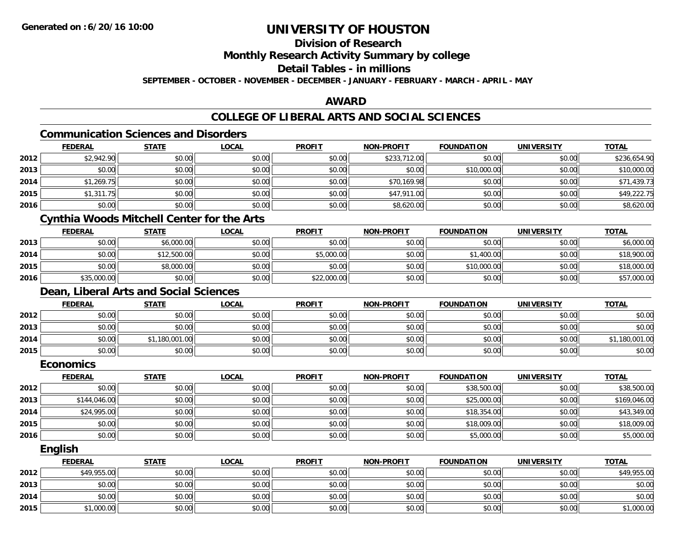## **Division of Research**

**Monthly Research Activity Summary by college**

### **Detail Tables - in millions**

**SEPTEMBER - OCTOBER - NOVEMBER - DECEMBER - JANUARY - FEBRUARY - MARCH - APRIL - MAY**

### **AWARD**

## **COLLEGE OF LIBERAL ARTS AND SOCIAL SCIENCES**

#### **Communication Sciences and Disorders**

|      | <b>FEDERAL</b> | <b>STATE</b> | <u>LOCAL</u> | <b>PROFIT</b> | <b>NON-PROFIT</b> | <b>FOUNDATION</b> | <b>UNIVERSITY</b> | <b>TOTAL</b> |
|------|----------------|--------------|--------------|---------------|-------------------|-------------------|-------------------|--------------|
| 2012 | \$2,942.90     | \$0.00       | \$0.00       | \$0.00        | \$233,712.00      | \$0.00            | \$0.00            | \$236,654.90 |
| 2013 | \$0.00         | \$0.00       | \$0.00       | \$0.00        | \$0.00            | \$10,000.00       | \$0.00            | \$10,000.00  |
| 2014 | \$1,269.75     | \$0.00       | \$0.00       | \$0.00        | \$70,169.98       | \$0.00            | \$0.00            | \$71,439.73  |
| 2015 | \$1,311.75     | \$0.00       | \$0.00       | \$0.00        | \$47,911.00       | \$0.00            | \$0.00            | \$49,222.75  |
| 2016 | \$0.00         | \$0.00       | \$0.00       | \$0.00        | \$8,620.00        | \$0.00            | \$0.00            | \$8,620.00   |

## **Cynthia Woods Mitchell Center for the Arts**

|      | <u>FEDERAL</u> | <u>STATE</u> | <u>LOCAL</u> | <b>PROFIT</b> | <b>NON-PROFIT</b> | <b>FOUNDATION</b> | UNIVERSITY | <b>TOTAL</b> |
|------|----------------|--------------|--------------|---------------|-------------------|-------------------|------------|--------------|
| 2013 | \$0.00         | \$6,000.00   | \$0.00       | \$0.00        | \$0.00            | \$0.00            | \$0.00     | \$6,000.00   |
| 2014 | \$0.00         | \$12,500.00  | \$0.00       | \$5,000.00    | \$0.00            | \$1,400.00        | \$0.00     | \$18,900.00  |
| 2015 | \$0.00         | \$8,000.00   | \$0.00       | \$0.00        | \$0.00            | \$10,000.00       | \$0.00     | \$18,000.00  |
| 2016 | \$35,000.00    | \$0.00       | \$0.00       | \$22,000.00   | \$0.00            | \$0.00            | \$0.00     | \$57,000.00  |

### **Dean, Liberal Arts and Social Sciences**

|      | <b>FEDERAL</b> | <b>STATE</b>   | <u>LOCAL</u> | <b>PROFIT</b> | <b>NON-PROFIT</b> | <b>FOUNDATION</b> | <b>UNIVERSITY</b> | <b>TOTAL</b>   |
|------|----------------|----------------|--------------|---------------|-------------------|-------------------|-------------------|----------------|
| 2012 | \$0.00         | \$0.00         | \$0.00       | \$0.00        | \$0.00            | \$0.00            | \$0.00            | \$0.00         |
| 2013 | \$0.00         | \$0.00         | \$0.00       | \$0.00        | \$0.00            | \$0.00            | \$0.00            | \$0.00         |
| 2014 | \$0.00         | \$1,180,001.00 | \$0.00       | \$0.00        | \$0.00            | \$0.00            | \$0.00            | \$1,180,001.00 |
| 2015 | \$0.00         | \$0.00         | \$0.00       | \$0.00        | \$0.00            | \$0.00            | \$0.00            | \$0.00         |

#### **Economics**

|      | <b>FEDERAL</b> | <b>STATE</b> | <b>LOCAL</b> | <b>PROFIT</b> | <b>NON-PROFIT</b> | <b>FOUNDATION</b> | <b>UNIVERSITY</b> | <b>TOTAL</b> |
|------|----------------|--------------|--------------|---------------|-------------------|-------------------|-------------------|--------------|
| 2012 | \$0.00         | \$0.00       | \$0.00       | \$0.00        | \$0.00            | \$38,500.00       | \$0.00            | \$38,500.00  |
| 2013 | \$144,046.00   | \$0.00       | \$0.00       | \$0.00        | \$0.00            | \$25,000.00       | \$0.00            | \$169,046.00 |
| 2014 | \$24,995.00    | \$0.00       | \$0.00       | \$0.00        | \$0.00            | \$18,354.00       | \$0.00            | \$43,349.00  |
| 2015 | \$0.00         | \$0.00       | \$0.00       | \$0.00        | \$0.00            | \$18,009.00       | \$0.00            | \$18,009.00  |
| 2016 | \$0.00         | \$0.00       | \$0.00       | \$0.00        | \$0.00            | \$5,000.00        | \$0.00            | \$5,000.00   |

#### **English**

|      | <b>FEDERAL</b> | <b>STATE</b> | <u>LOCAL</u> | <b>PROFIT</b> | <b>NON-PROFIT</b> | <b>FOUNDATION</b> | <b>UNIVERSITY</b> | <b>TOTAL</b> |
|------|----------------|--------------|--------------|---------------|-------------------|-------------------|-------------------|--------------|
| 2012 | \$49,955.00    | \$0.00       | \$0.00       | \$0.00        | \$0.00            | \$0.00            | \$0.00            | \$49,955.00  |
| 2013 | \$0.00         | \$0.00       | \$0.00       | \$0.00        | \$0.00            | \$0.00            | \$0.00            | \$0.00       |
| 2014 | \$0.00         | \$0.00       | \$0.00       | \$0.00        | \$0.00            | \$0.00            | \$0.00            | \$0.00       |
| 2015 | \$1,000.00     | \$0.00       | \$0.00       | \$0.00        | \$0.00            | \$0.00            | \$0.00            | \$1,000.00   |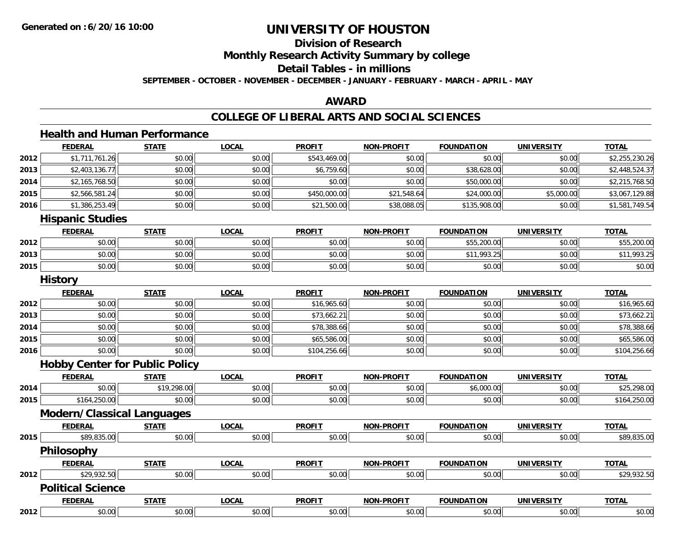## **Division of ResearchMonthly Research Activity Summary by college Detail Tables - in millionsSEPTEMBER - OCTOBER - NOVEMBER - DECEMBER - JANUARY - FEBRUARY - MARCH - APRIL - MAY**

#### **AWARD**

### **COLLEGE OF LIBERAL ARTS AND SOCIAL SCIENCES**

## **Health and Human Performance**

|      | <b>FEDERAL</b>                        | <b>STATE</b> | <b>LOCAL</b> | <b>PROFIT</b> | <b>NON-PROFIT</b> | <b>FOUNDATION</b> | <b>UNIVERSITY</b> | <b>TOTAL</b>   |
|------|---------------------------------------|--------------|--------------|---------------|-------------------|-------------------|-------------------|----------------|
| 2012 | \$1,711,761.26                        | \$0.00       | \$0.00       | \$543,469.00  | \$0.00            | \$0.00            | \$0.00            | \$2,255,230.26 |
| 2013 | \$2,403,136.77                        | \$0.00       | \$0.00       | \$6,759.60    | \$0.00            | \$38,628.00       | \$0.00            | \$2,448,524.37 |
| 2014 | \$2,165,768.50                        | \$0.00       | \$0.00       | \$0.00        | \$0.00            | \$50,000.00       | \$0.00            | \$2,215,768.50 |
| 2015 | \$2,566,581.24                        | \$0.00       | \$0.00       | \$450,000.00  | \$21,548.64       | \$24,000.00       | \$5,000.00        | \$3,067,129.88 |
| 2016 | \$1,386,253.49                        | \$0.00       | \$0.00       | \$21,500.00   | \$38,088.05       | \$135,908.00      | \$0.00            | \$1,581,749.54 |
|      | <b>Hispanic Studies</b>               |              |              |               |                   |                   |                   |                |
|      | <b>FEDERAL</b>                        | <b>STATE</b> | <b>LOCAL</b> | <b>PROFIT</b> | <b>NON-PROFIT</b> | <b>FOUNDATION</b> | <b>UNIVERSITY</b> | <b>TOTAL</b>   |
| 2012 | \$0.00                                | \$0.00       | \$0.00       | \$0.00        | \$0.00            | \$55,200.00       | \$0.00            | \$55,200.00    |
| 2013 | \$0.00                                | \$0.00       | \$0.00       | \$0.00        | \$0.00            | \$11,993.25       | \$0.00            | \$11,993.25    |
| 2015 | \$0.00                                | \$0.00       | \$0.00       | \$0.00        | \$0.00            | \$0.00            | \$0.00            | \$0.00         |
|      | <b>History</b>                        |              |              |               |                   |                   |                   |                |
|      | <b>FEDERAL</b>                        | <b>STATE</b> | <b>LOCAL</b> | <b>PROFIT</b> | <b>NON-PROFIT</b> | <b>FOUNDATION</b> | <b>UNIVERSITY</b> | <b>TOTAL</b>   |
| 2012 | \$0.00                                | \$0.00       | \$0.00       | \$16,965.60   | \$0.00            | \$0.00            | \$0.00            | \$16,965.60    |
| 2013 | \$0.00                                | \$0.00       | \$0.00       | \$73,662.21   | \$0.00            | \$0.00            | \$0.00            | \$73,662.21    |
| 2014 | \$0.00                                | \$0.00       | \$0.00       | \$78,388.66   | \$0.00            | \$0.00            | \$0.00            | \$78,388.66    |
| 2015 | \$0.00                                | \$0.00       | \$0.00       | \$65,586.00   | \$0.00            | \$0.00            | \$0.00            | \$65,586.00    |
| 2016 | \$0.00                                | \$0.00       | \$0.00       | \$104,256.66  | \$0.00            | \$0.00            | \$0.00            | \$104,256.66   |
|      | <b>Hobby Center for Public Policy</b> |              |              |               |                   |                   |                   |                |
|      | <b>FEDERAL</b>                        | <b>STATE</b> | <b>LOCAL</b> | <b>PROFIT</b> | <b>NON-PROFIT</b> | <b>FOUNDATION</b> | <b>UNIVERSITY</b> | <b>TOTAL</b>   |
| 2014 | \$0.00                                | \$19,298.00  | \$0.00       | \$0.00        | \$0.00            | \$6,000.00        | \$0.00            | \$25,298.00    |
| 2015 | \$164,250.00                          | \$0.00       | \$0.00       | \$0.00        | \$0.00            | \$0.00            | \$0.00            | \$164,250.00   |
|      | <b>Modern/Classical Languages</b>     |              |              |               |                   |                   |                   |                |
|      | <b>FEDERAL</b>                        | <b>STATE</b> | <b>LOCAL</b> | <b>PROFIT</b> | <b>NON-PROFIT</b> | <b>FOUNDATION</b> | <b>UNIVERSITY</b> | <b>TOTAL</b>   |
| 2015 | \$89,835.00                           | \$0.00       | \$0.00       | \$0.00        | \$0.00            | \$0.00            | \$0.00            | \$89,835.00    |
|      | Philosophy                            |              |              |               |                   |                   |                   |                |
|      | <b>FEDERAL</b>                        | <b>STATE</b> | <b>LOCAL</b> | <b>PROFIT</b> | <b>NON-PROFIT</b> | <b>FOUNDATION</b> | <b>UNIVERSITY</b> | <b>TOTAL</b>   |
| 2012 | \$29,932.50                           | \$0.00       | \$0.00       | \$0.00        | \$0.00            | \$0.00            | \$0.00            | \$29,932.50    |
|      | <b>Political Science</b>              |              |              |               |                   |                   |                   |                |
|      | <b>FEDERAL</b>                        | <b>STATE</b> | <b>LOCAL</b> | <b>PROFIT</b> | <b>NON-PROFIT</b> | <b>FOUNDATION</b> | <b>UNIVERSITY</b> | <b>TOTAL</b>   |
| 2012 | \$0.00                                | \$0.00       | \$0.00       | \$0.00        | \$0.00            | \$0.00            | \$0.00            | \$0.00         |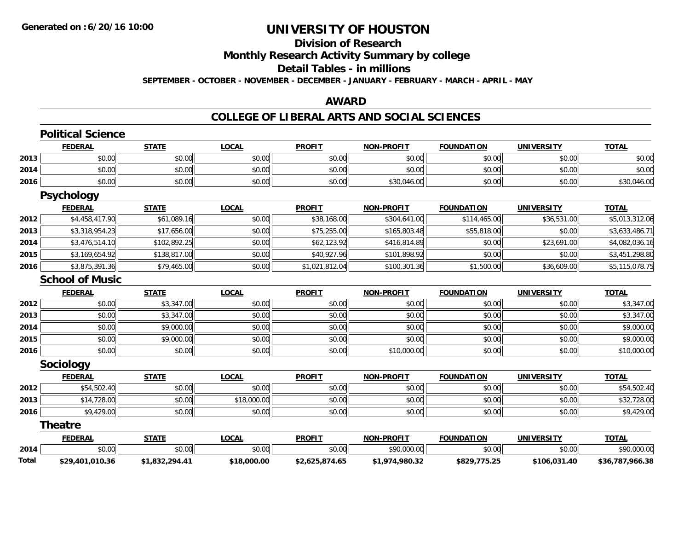# **Division of Research**

**Monthly Research Activity Summary by college**

#### **Detail Tables - in millions**

**SEPTEMBER - OCTOBER - NOVEMBER - DECEMBER - JANUARY - FEBRUARY - MARCH - APRIL - MAY**

#### **AWARD**

### **COLLEGE OF LIBERAL ARTS AND SOCIAL SCIENCES**

|       | <b>Political Science</b> |                |              |                |                   |                   |                   |                 |
|-------|--------------------------|----------------|--------------|----------------|-------------------|-------------------|-------------------|-----------------|
|       | <b>FEDERAL</b>           | <b>STATE</b>   | <b>LOCAL</b> | <b>PROFIT</b>  | <b>NON-PROFIT</b> | <b>FOUNDATION</b> | <b>UNIVERSITY</b> | <b>TOTAL</b>    |
| 2013  | \$0.00                   | \$0.00         | \$0.00       | \$0.00         | \$0.00            | \$0.00            | \$0.00            | \$0.00          |
| 2014  | \$0.00                   | \$0.00         | \$0.00       | \$0.00         | \$0.00            | \$0.00            | \$0.00            | \$0.00          |
| 2016  | \$0.00                   | \$0.00         | \$0.00       | \$0.00         | \$30,046.00       | \$0.00            | \$0.00            | \$30,046.00     |
|       | <b>Psychology</b>        |                |              |                |                   |                   |                   |                 |
|       | <b>FEDERAL</b>           | <b>STATE</b>   | <b>LOCAL</b> | <b>PROFIT</b>  | <b>NON-PROFIT</b> | <b>FOUNDATION</b> | <b>UNIVERSITY</b> | <b>TOTAL</b>    |
| 2012  | \$4,458,417.90           | \$61,089.16    | \$0.00       | \$38,168.00    | \$304,641.00      | \$114,465.00      | \$36,531.00       | \$5,013,312.06  |
| 2013  | \$3,318,954.23           | \$17,656.00    | \$0.00       | \$75,255.00    | \$165,803.48      | \$55,818.00       | \$0.00            | \$3,633,486.71  |
| 2014  | \$3,476,514.10           | \$102,892.25   | \$0.00       | \$62,123.92    | \$416,814.89      | \$0.00            | \$23,691.00       | \$4,082,036.16  |
| 2015  | \$3,169,654.92           | \$138,817.00   | \$0.00       | \$40,927.96    | \$101,898.92      | \$0.00            | \$0.00            | \$3,451,298.80  |
| 2016  | \$3,875,391.36           | \$79,465.00    | \$0.00       | \$1,021,812.04 | \$100,301.36      | \$1,500.00        | \$36,609.00       | \$5,115,078.75  |
|       | <b>School of Music</b>   |                |              |                |                   |                   |                   |                 |
|       | <b>FEDERAL</b>           | <b>STATE</b>   | <b>LOCAL</b> | <b>PROFIT</b>  | <b>NON-PROFIT</b> | <b>FOUNDATION</b> | <b>UNIVERSITY</b> | <b>TOTAL</b>    |
| 2012  | \$0.00                   | \$3,347.00     | \$0.00       | \$0.00         | \$0.00            | \$0.00            | \$0.00            | \$3,347.00      |
| 2013  | \$0.00                   | \$3,347.00     | \$0.00       | \$0.00         | \$0.00            | \$0.00            | \$0.00            | \$3,347.00      |
| 2014  | \$0.00                   | \$9,000.00     | \$0.00       | \$0.00         | \$0.00            | \$0.00            | \$0.00            | \$9,000.00      |
| 2015  | \$0.00                   | \$9,000.00     | \$0.00       | \$0.00         | \$0.00            | \$0.00            | \$0.00            | \$9,000.00      |
| 2016  | \$0.00                   | \$0.00         | \$0.00       | \$0.00         | \$10,000.00       | \$0.00            | \$0.00            | \$10,000.00     |
|       | Sociology                |                |              |                |                   |                   |                   |                 |
|       | <b>FEDERAL</b>           | <b>STATE</b>   | <b>LOCAL</b> | <b>PROFIT</b>  | <b>NON-PROFIT</b> | <b>FOUNDATION</b> | <b>UNIVERSITY</b> | <b>TOTAL</b>    |
| 2012  | \$54,502.40              | \$0.00         | \$0.00       | \$0.00         | \$0.00            | \$0.00            | \$0.00            | \$54,502.40     |
| 2013  | \$14,728.00              | \$0.00         | \$18,000.00  | \$0.00         | \$0.00            | \$0.00            | \$0.00            | \$32,728.00     |
| 2016  | \$9,429.00               | \$0.00         | \$0.00       | \$0.00         | \$0.00            | \$0.00            | \$0.00            | \$9,429.00      |
|       | <b>Theatre</b>           |                |              |                |                   |                   |                   |                 |
|       | <b>FEDERAL</b>           | <b>STATE</b>   | <b>LOCAL</b> | <b>PROFIT</b>  | <b>NON-PROFIT</b> | <b>FOUNDATION</b> | <b>UNIVERSITY</b> | <b>TOTAL</b>    |
| 2014  | \$0.00                   | \$0.00         | \$0.00       | \$0.00         | \$90,000.00       | \$0.00            | \$0.00            | \$90,000.00     |
| Total | \$29,401,010.36          | \$1,832,294.41 | \$18,000.00  | \$2,625,874.65 | \$1,974,980.32    | \$829,775.25      | \$106,031.40      | \$36,787,966.38 |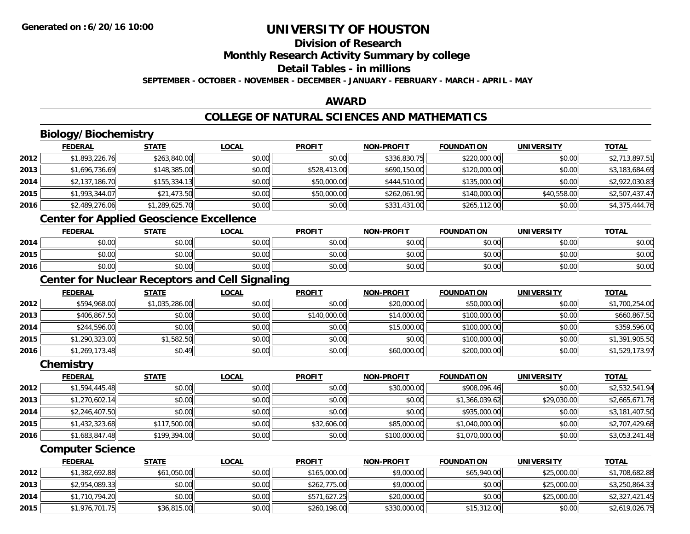## **Division of Research Monthly Research Activity Summary by college Detail Tables - in millions**

**SEPTEMBER - OCTOBER - NOVEMBER - DECEMBER - JANUARY - FEBRUARY - MARCH - APRIL - MAY**

### **AWARD**

### **COLLEGE OF NATURAL SCIENCES AND MATHEMATICS**

|      | <b>Biology/Biochemistry</b>                            |                |              |               |                   |                   |                   |                |
|------|--------------------------------------------------------|----------------|--------------|---------------|-------------------|-------------------|-------------------|----------------|
|      | <b>FEDERAL</b>                                         | <b>STATE</b>   | <b>LOCAL</b> | <b>PROFIT</b> | <b>NON-PROFIT</b> | <b>FOUNDATION</b> | <b>UNIVERSITY</b> | <b>TOTAL</b>   |
| 2012 | \$1,893,226.76                                         | \$263,840.00   | \$0.00       | \$0.00        | \$336,830.75      | \$220,000.00      | \$0.00            | \$2,713,897.51 |
| 2013 | \$1,696,736.69                                         | \$148,385.00   | \$0.00       | \$528,413.00  | \$690,150.00      | \$120,000.00      | \$0.00            | \$3,183,684.69 |
| 2014 | \$2,137,186.70                                         | \$155,334.13   | \$0.00       | \$50,000.00   | \$444,510.00      | \$135,000.00      | \$0.00            | \$2,922,030.83 |
| 2015 | \$1,993,344.07                                         | \$21,473.50    | \$0.00       | \$50,000.00   | \$262,061.90      | \$140,000.00      | \$40,558.00       | \$2,507,437.47 |
| 2016 | \$2,489,276.06                                         | \$1,289,625.70 | \$0.00       | \$0.00        | \$331,431.00      | \$265,112.00      | \$0.00            | \$4,375,444.76 |
|      | <b>Center for Applied Geoscience Excellence</b>        |                |              |               |                   |                   |                   |                |
|      | <b>FEDERAL</b>                                         | <b>STATE</b>   | <b>LOCAL</b> | <b>PROFIT</b> | <b>NON-PROFIT</b> | <b>FOUNDATION</b> | <b>UNIVERSITY</b> | <b>TOTAL</b>   |
| 2014 | \$0.00                                                 | \$0.00         | \$0.00       | \$0.00        | \$0.00            | \$0.00            | \$0.00            | \$0.00         |
| 2015 | \$0.00                                                 | \$0.00         | \$0.00       | \$0.00        | \$0.00            | \$0.00            | \$0.00            | \$0.00         |
| 2016 | \$0.00                                                 | \$0.00         | \$0.00       | \$0.00        | \$0.00            | \$0.00            | \$0.00            | \$0.00         |
|      | <b>Center for Nuclear Receptors and Cell Signaling</b> |                |              |               |                   |                   |                   |                |
|      | <b>FEDERAL</b>                                         | <b>STATE</b>   | <b>LOCAL</b> | <b>PROFIT</b> | <b>NON-PROFIT</b> | <b>FOUNDATION</b> | <b>UNIVERSITY</b> | <b>TOTAL</b>   |
| 2012 | \$594,968.00                                           | \$1,035,286.00 | \$0.00       | \$0.00        | \$20,000.00       | \$50,000.00       | \$0.00            | \$1,700,254.00 |
| 2013 | \$406,867.50                                           | \$0.00         | \$0.00       | \$140,000.00  | \$14,000.00       | \$100,000.00      | \$0.00            | \$660,867.50   |
| 2014 | \$244,596.00                                           | \$0.00         | \$0.00       | \$0.00        | \$15,000.00       | \$100,000.00      | \$0.00            | \$359,596.00   |
| 2015 | \$1,290,323.00                                         | \$1,582.50     | \$0.00       | \$0.00        | \$0.00            | \$100,000.00      | \$0.00            | \$1,391,905.50 |
| 2016 | \$1,269,173.48                                         | \$0.49         | \$0.00       | \$0.00        | \$60,000.00       | \$200,000.00      | \$0.00            | \$1,529,173.97 |
|      | Chemistry                                              |                |              |               |                   |                   |                   |                |
|      | <b>FEDERAL</b>                                         | <b>STATE</b>   | <b>LOCAL</b> | <b>PROFIT</b> | <b>NON-PROFIT</b> | <b>FOUNDATION</b> | <b>UNIVERSITY</b> | <b>TOTAL</b>   |
| 2012 | \$1,594,445.48                                         | \$0.00         | \$0.00       | \$0.00        | \$30,000.00       | \$908,096.46      | \$0.00            | \$2,532,541.94 |
| 2013 | \$1,270,602.14                                         | \$0.00         | \$0.00       | \$0.00        | \$0.00            | \$1,366,039.62    | \$29,030.00       | \$2,665,671.76 |
| 2014 | \$2,246,407.50                                         | \$0.00         | \$0.00       | \$0.00        | \$0.00            | \$935,000.00      | \$0.00            | \$3,181,407.50 |
| 2015 | \$1,432,323.68                                         | \$117,500.00   | \$0.00       | \$32,606.00   | \$85,000.00       | \$1,040,000.00    | \$0.00            | \$2,707,429.68 |
| 2016 | \$1,683,847.48                                         | \$199,394.00   | \$0.00       | \$0.00        | \$100,000.00      | \$1,070,000.00    | \$0.00            | \$3,053,241.48 |
|      | <b>Computer Science</b>                                |                |              |               |                   |                   |                   |                |
|      | <b>FEDERAL</b>                                         | <b>STATE</b>   | <b>LOCAL</b> | <b>PROFIT</b> | <b>NON-PROFIT</b> | <b>FOUNDATION</b> | <b>UNIVERSITY</b> | <b>TOTAL</b>   |

|      | <b>FEDERAL</b> | SIAIL       | <u>LUCAL</u> | <b>PROFII</b> | <b>NON-PROFIL</b> | <b>FOUNDATION</b> | UNIVERSITY  | <u>IOIAL</u>   |
|------|----------------|-------------|--------------|---------------|-------------------|-------------------|-------------|----------------|
| 2012 | \$1,382,692.88 | \$61,050.00 | \$0.00       | \$165,000.00  | \$9,000.00        | \$65,940.00       | \$25,000.00 | \$1,708,682.88 |
| 2013 | \$2,954,089.33 | \$0.00      | \$0.00       | \$262,775.00  | \$9,000.00        | \$0.00            | \$25,000.00 | \$3,250,864.33 |
| 2014 | \$1,710,794.20 | \$0.00      | \$0.00       | \$571,627.25  | \$20,000.00       | \$0.00            | \$25,000.00 | \$2,327,421.45 |
| 2015 | \$1,976,701.75 | \$36,815.00 | \$0.00       | \$260,198.00  | \$330,000.00      | \$15,312.00       | \$0.00      | \$2,619,026.75 |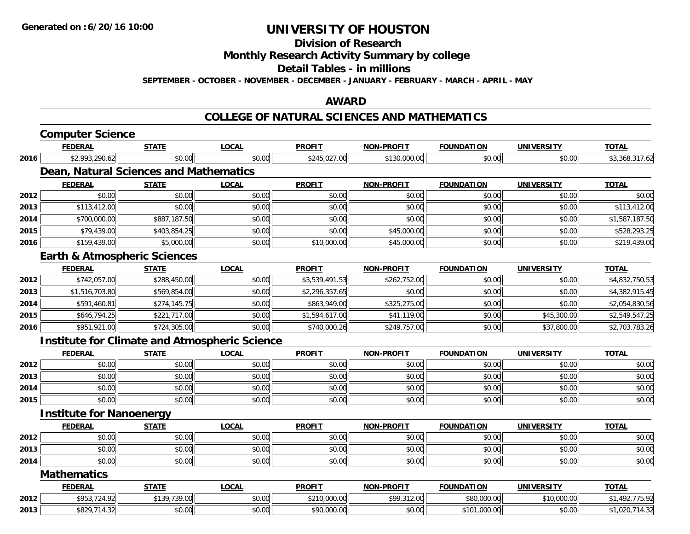**Division of Research**

**Monthly Research Activity Summary by college**

**Detail Tables - in millions**

**SEPTEMBER - OCTOBER - NOVEMBER - DECEMBER - JANUARY - FEBRUARY - MARCH - APRIL - MAY**

#### **AWARD**

#### **COLLEGE OF NATURAL SCIENCES AND MATHEMATICS**

| <b>FEDERAL</b>                                       | <b>STATE</b> | <b>LOCAL</b>                                                                                          | <b>PROFIT</b>                                 | <b>NON-PROFIT</b> | <b>FOUNDATION</b> | <b>UNIVERSITY</b> | <b>TOTAL</b>   |  |  |
|------------------------------------------------------|--------------|-------------------------------------------------------------------------------------------------------|-----------------------------------------------|-------------------|-------------------|-------------------|----------------|--|--|
| \$2,993,290.62                                       | \$0.00       | \$0.00                                                                                                | \$245,027.00                                  | \$130,000.00      | \$0.00            | \$0.00            | \$3,368,317.62 |  |  |
|                                                      |              |                                                                                                       |                                               |                   |                   |                   |                |  |  |
| <b>FEDERAL</b>                                       | <b>STATE</b> | <b>LOCAL</b>                                                                                          | <b>PROFIT</b>                                 | <b>NON-PROFIT</b> | <b>FOUNDATION</b> | <b>UNIVERSITY</b> | <b>TOTAL</b>   |  |  |
| \$0.00                                               | \$0.00       | \$0.00                                                                                                | \$0.00                                        | \$0.00            | \$0.00            | \$0.00            | \$0.00         |  |  |
| \$113,412.00                                         | \$0.00       | \$0.00                                                                                                | \$0.00                                        | \$0.00            | \$0.00            | \$0.00            | \$113,412.00   |  |  |
| \$700,000.00                                         | \$887,187.50 | \$0.00                                                                                                | \$0.00                                        | \$0.00            | \$0.00            | \$0.00            | \$1,587,187.50 |  |  |
| \$79,439.00                                          | \$403,854.25 | \$0.00                                                                                                | \$0.00                                        | \$45,000.00       | \$0.00            | \$0.00            | \$528,293.25   |  |  |
| \$159,439.00                                         | \$5,000.00   | \$0.00                                                                                                | \$10,000.00                                   | \$45,000.00       | \$0.00            | \$0.00            | \$219,439.00   |  |  |
|                                                      |              |                                                                                                       |                                               |                   |                   |                   |                |  |  |
| <b>FEDERAL</b>                                       | <b>STATE</b> | <b>LOCAL</b>                                                                                          | <b>PROFIT</b>                                 | <b>NON-PROFIT</b> | <b>FOUNDATION</b> | <b>UNIVERSITY</b> | <b>TOTAL</b>   |  |  |
| \$742,057.00                                         | \$288,450.00 | \$0.00                                                                                                | \$3,539,491.53                                | \$262,752.00      | \$0.00            | \$0.00            | \$4,832,750.53 |  |  |
| \$1,516,703.80                                       | \$569,854.00 | \$0.00                                                                                                | \$2,296,357.65                                | \$0.00            | \$0.00            | \$0.00            | \$4,382,915.45 |  |  |
| \$591,460.81                                         | \$274,145.75 | \$0.00                                                                                                | \$863,949.00                                  | \$325,275.00      | \$0.00            | \$0.00            | \$2,054,830.56 |  |  |
| \$646,794.25                                         | \$221,717.00 | \$0.00                                                                                                | \$1,594,617.00                                | \$41,119.00       | \$0.00            | \$45,300.00       | \$2,549,547.25 |  |  |
| \$951,921.00                                         | \$724,305.00 | \$0.00                                                                                                | \$740,000.26                                  | \$249,757.00      | \$0.00            | \$37,800.00       | \$2,703,783.26 |  |  |
| <b>Institute for Climate and Atmospheric Science</b> |              |                                                                                                       |                                               |                   |                   |                   |                |  |  |
| <b>FEDERAL</b>                                       | <b>STATE</b> | <b>LOCAL</b>                                                                                          | <b>PROFIT</b>                                 | <b>NON-PROFIT</b> | <b>FOUNDATION</b> | <b>UNIVERSITY</b> | <b>TOTAL</b>   |  |  |
| \$0.00                                               | \$0.00       | \$0.00                                                                                                | \$0.00                                        | \$0.00            | \$0.00            | \$0.00            | \$0.00         |  |  |
| \$0.00                                               | \$0.00       | \$0.00                                                                                                | \$0.00                                        | \$0.00            | \$0.00            | \$0.00            | \$0.00         |  |  |
| \$0.00                                               | \$0.00       | \$0.00                                                                                                | \$0.00                                        | \$0.00            | \$0.00            | \$0.00            | \$0.00         |  |  |
| \$0.00                                               | \$0.00       | \$0.00                                                                                                | \$0.00                                        | \$0.00            | \$0.00            | \$0.00            | \$0.00         |  |  |
|                                                      |              |                                                                                                       |                                               |                   |                   |                   |                |  |  |
| <b>FEDERAL</b>                                       | <b>STATE</b> | <b>LOCAL</b>                                                                                          | <b>PROFIT</b>                                 | <b>NON-PROFIT</b> | <b>FOUNDATION</b> | <b>UNIVERSITY</b> | <b>TOTAL</b>   |  |  |
| \$0.00                                               | \$0.00       | \$0.00                                                                                                | \$0.00                                        | \$0.00            | \$0.00            | \$0.00            | \$0.00         |  |  |
| \$0.00                                               | \$0.00       | \$0.00                                                                                                | \$0.00                                        | \$0.00            | \$0.00            | \$0.00            | \$0.00         |  |  |
| \$0.00                                               | \$0.00       | \$0.00                                                                                                | \$0.00                                        | \$0.00            | \$0.00            | \$0.00            | \$0.00         |  |  |
| <b>Mathematics</b>                                   |              |                                                                                                       |                                               |                   |                   |                   |                |  |  |
| <b>FEDERAL</b>                                       | <b>STATE</b> | <b>LOCAL</b>                                                                                          | <b>PROFIT</b>                                 | <b>NON-PROFIT</b> | <b>FOUNDATION</b> | <b>UNIVERSITY</b> | <b>TOTAL</b>   |  |  |
| \$953,724.92                                         | \$139,739.00 | \$0.00                                                                                                | \$210,000.00                                  | \$99,312.00       | \$80,000.00       | \$10,000.00       | \$1,492,775.92 |  |  |
| \$829,714.32                                         | \$0.00       | \$0.00                                                                                                | \$90,000.00                                   | \$0.00            | \$101,000.00      | \$0.00            | \$1,020,714.32 |  |  |
|                                                      |              | <b>Computer Science</b><br><b>Earth &amp; Atmospheric Sciences</b><br><b>Institute for Nanoenergy</b> | <b>Dean, Natural Sciences and Mathematics</b> |                   |                   |                   |                |  |  |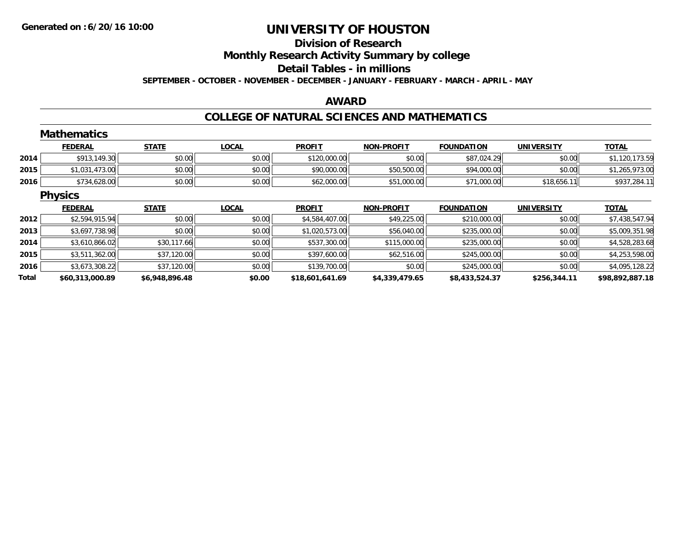## **Division of ResearchMonthly Research Activity Summary by college Detail Tables - in millions SEPTEMBER - OCTOBER - NOVEMBER - DECEMBER - JANUARY - FEBRUARY - MARCH - APRIL - MAY**

### **AWARD**

### **COLLEGE OF NATURAL SCIENCES AND MATHEMATICS**

|       | <b>Mathematics</b> |                |              |                 |                   |                   |                   |                 |
|-------|--------------------|----------------|--------------|-----------------|-------------------|-------------------|-------------------|-----------------|
|       | <b>FEDERAL</b>     | <b>STATE</b>   | <b>LOCAL</b> | <b>PROFIT</b>   | <b>NON-PROFIT</b> | <b>FOUNDATION</b> | <b>UNIVERSITY</b> | <b>TOTAL</b>    |
| 2014  | \$913,149.30       | \$0.00         | \$0.00       | \$120,000.00    | \$0.00            | \$87,024.29       | \$0.00            | \$1,120,173.59  |
| 2015  | \$1,031,473.00     | \$0.00         | \$0.00       | \$90,000.00     | \$50,500.00       | \$94,000.00       | \$0.00            | \$1,265,973.00  |
| 2016  | \$734,628.00       | \$0.00         | \$0.00       | \$62,000.00     | \$51,000.00       | \$71,000.00       | \$18,656.11       | \$937,284.11    |
|       | <b>Physics</b>     |                |              |                 |                   |                   |                   |                 |
|       | <b>FEDERAL</b>     | <b>STATE</b>   | <b>LOCAL</b> | <b>PROFIT</b>   | <b>NON-PROFIT</b> | <b>FOUNDATION</b> | <b>UNIVERSITY</b> | <b>TOTAL</b>    |
| 2012  | \$2,594,915.94     | \$0.00         | \$0.00       | \$4,584,407.00  | \$49,225.00       | \$210,000.00      | \$0.00            | \$7,438,547.94  |
| 2013  | \$3,697,738.98     | \$0.00         | \$0.00       | \$1,020,573.00  | \$56,040.00       | \$235,000.00      | \$0.00            | \$5,009,351.98  |
| 2014  | \$3,610,866.02     | \$30,117.66    | \$0.00       | \$537,300.00    | \$115,000.00      | \$235,000.00      | \$0.00            | \$4,528,283.68  |
| 2015  | \$3,511,362.00     | \$37,120.00    | \$0.00       | \$397,600.00    | \$62,516.00       | \$245,000.00      | \$0.00            | \$4,253,598.00  |
| 2016  | \$3,673,308.22     | \$37,120.00    | \$0.00       | \$139,700.00    | \$0.00            | \$245,000.00      | \$0.00            | \$4,095,128.22  |
| Total | \$60,313,000.89    | \$6,948,896.48 | \$0.00       | \$18,601,641.69 | \$4,339,479.65    | \$8,433,524.37    | \$256,344.11      | \$98,892,887.18 |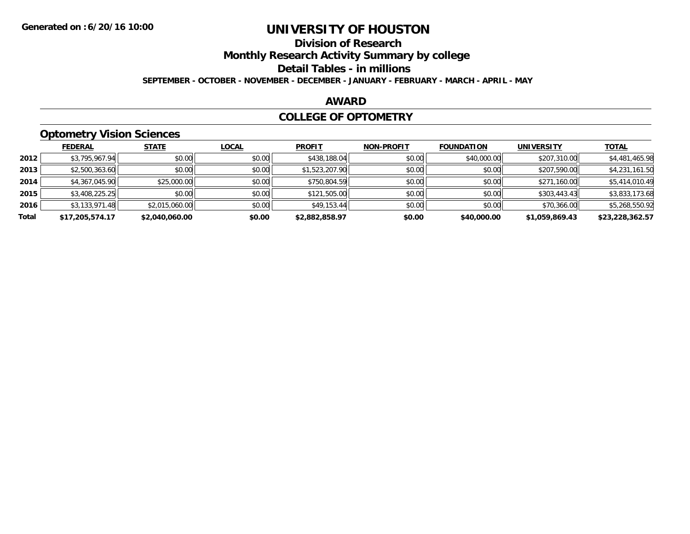## **Division of Research**

**Monthly Research Activity Summary by college**

**Detail Tables - in millions**

**SEPTEMBER - OCTOBER - NOVEMBER - DECEMBER - JANUARY - FEBRUARY - MARCH - APRIL - MAY**

### **AWARD**

### **COLLEGE OF OPTOMETRY**

## **Optometry Vision Sciences**

|       | ___             |                |              |                |                   |                   |                   |                 |
|-------|-----------------|----------------|--------------|----------------|-------------------|-------------------|-------------------|-----------------|
|       | <b>FEDERAL</b>  | <b>STATE</b>   | <u>LOCAL</u> | <b>PROFIT</b>  | <b>NON-PROFIT</b> | <b>FOUNDATION</b> | <b>UNIVERSITY</b> | <b>TOTAL</b>    |
| 2012  | \$3,795,967.94  | \$0.00         | \$0.00       | \$438,188.04   | \$0.00            | \$40,000.00       | \$207,310.00      | \$4,481,465.98  |
| 2013  | \$2,500,363.60  | \$0.00         | \$0.00       | \$1,523,207.90 | \$0.00            | \$0.00            | \$207,590.00      | \$4,231,161.50  |
| 2014  | \$4,367,045.90  | \$25,000.00    | \$0.00       | \$750,804.59   | \$0.00            | \$0.00            | \$271,160.00      | \$5,414,010.49  |
| 2015  | \$3,408,225.25  | \$0.00         | \$0.00       | \$121,505.00   | \$0.00            | \$0.00            | \$303,443.43      | \$3,833,173.68  |
| 2016  | \$3,133,971.48  | \$2,015,060.00 | \$0.00       | \$49,153.44    | \$0.00            | \$0.00            | \$70,366.00       | \$5,268,550.92  |
| Total | \$17,205,574.17 | \$2,040,060.00 | \$0.00       | \$2,882,858.97 | \$0.00            | \$40,000.00       | \$1,059,869.43    | \$23,228,362.57 |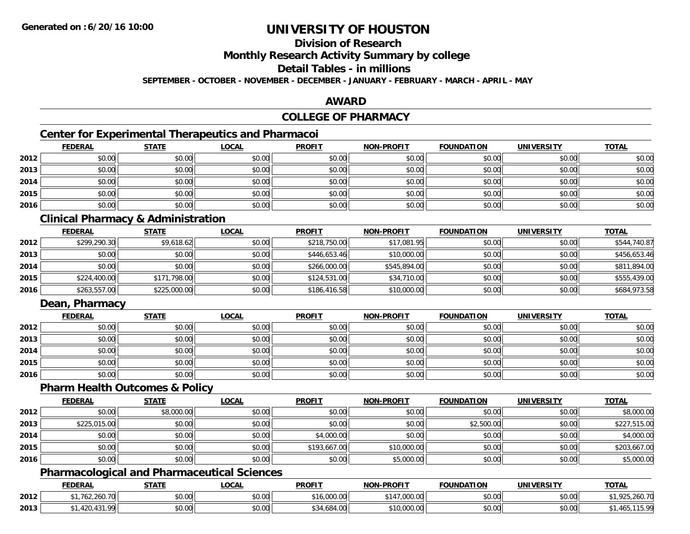## **Division of Research**

**Monthly Research Activity Summary by college**

**Detail Tables - in millions**

**SEPTEMBER - OCTOBER - NOVEMBER - DECEMBER - JANUARY - FEBRUARY - MARCH - APRIL - MAY**

### **AWARD**

## **COLLEGE OF PHARMACY**

## **Center for Experimental Therapeutics and Pharmacoi**

|      | <b>FEDERAL</b> | <b>STATE</b> | <b>LOCAL</b> | <b>PROFIT</b> | NON-PROFIT | <b>FOUNDATION</b> | <b>UNIVERSITY</b> | <b>TOTAL</b> |
|------|----------------|--------------|--------------|---------------|------------|-------------------|-------------------|--------------|
| 2012 | \$0.00         | \$0.00       | \$0.00       | \$0.00        | \$0.00     | \$0.00            | \$0.00            | \$0.00       |
| 2013 | \$0.00         | \$0.00       | \$0.00       | \$0.00        | \$0.00     | \$0.00            | \$0.00            | \$0.00       |
| 2014 | \$0.00         | \$0.00       | \$0.00       | \$0.00        | \$0.00     | \$0.00            | \$0.00            | \$0.00       |
| 2015 | \$0.00         | \$0.00       | \$0.00       | \$0.00        | \$0.00     | \$0.00            | \$0.00            | \$0.00       |
| 2016 | \$0.00         | \$0.00       | \$0.00       | \$0.00        | \$0.00     | \$0.00            | \$0.00            | \$0.00       |

## **Clinical Pharmacy & Administration**

|      | <b>FEDERAL</b> | <u>STATE</u> | <b>LOCAL</b> | <b>PROFIT</b> | <b>NON-PROFIT</b> | <b>FOUNDATION</b> | UNIVERSITY | <b>TOTAL</b> |
|------|----------------|--------------|--------------|---------------|-------------------|-------------------|------------|--------------|
| 2012 | \$299,290.30   | \$9,618.62   | \$0.00       | \$218,750.00  | \$17,081.95       | \$0.00            | \$0.00     | \$544,740.87 |
| 2013 | \$0.00         | \$0.00       | \$0.00       | \$446,653.46  | \$10,000.00       | \$0.00            | \$0.00     | \$456,653.46 |
| 2014 | \$0.00         | \$0.00       | \$0.00       | \$266,000.00  | \$545,894,00      | \$0.00            | \$0.00     | \$811,894.00 |
| 2015 | \$224,400.00   | \$171,798.00 | \$0.00       | \$124,531.00  | \$34,710.00       | \$0.00            | \$0.00     | \$555,439.00 |
| 2016 | \$263,557.00   | \$225,000.00 | \$0.00       | \$186,416.58  | \$10,000.00       | \$0.00            | \$0.00     | \$684,973.58 |

## **Dean, Pharmacy**

|      | <b>FEDERAL</b> | <u>STATE</u> | <u>LOCAL</u> | <b>PROFIT</b> | <b>NON-PROFIT</b> | <b>FOUNDATION</b> | <b>UNIVERSITY</b> | <b>TOTAL</b> |
|------|----------------|--------------|--------------|---------------|-------------------|-------------------|-------------------|--------------|
| 2012 | \$0.00         | \$0.00       | \$0.00       | \$0.00        | \$0.00            | \$0.00            | \$0.00            | \$0.00       |
| 2013 | \$0.00         | \$0.00       | \$0.00       | \$0.00        | \$0.00            | \$0.00            | \$0.00            | \$0.00       |
| 2014 | \$0.00         | \$0.00       | \$0.00       | \$0.00        | \$0.00            | \$0.00            | \$0.00            | \$0.00       |
| 2015 | \$0.00         | \$0.00       | \$0.00       | \$0.00        | \$0.00            | \$0.00            | \$0.00            | \$0.00       |
| 2016 | \$0.00         | \$0.00       | \$0.00       | \$0.00        | \$0.00            | \$0.00            | \$0.00            | \$0.00       |

#### **Pharm Health Outcomes & Policy**

|      | <b>FEDERAL</b> | <b>STATE</b> | <u>LOCAL</u> | <b>PROFIT</b> | <b>NON-PROFIT</b> | <b>FOUNDATION</b> | UNIVERSITY | <b>TOTAL</b> |
|------|----------------|--------------|--------------|---------------|-------------------|-------------------|------------|--------------|
| 2012 | \$0.00         | \$8,000.00   | \$0.00       | \$0.00        | \$0.00            | \$0.00            | \$0.00     | \$8,000.00   |
| 2013 | \$225,015.00   | \$0.00       | \$0.00       | \$0.00        | \$0.00            | \$2,500.00        | \$0.00     | \$227,515.00 |
| 2014 | \$0.00         | \$0.00       | \$0.00       | \$4,000.00    | \$0.00            | \$0.00            | \$0.00     | \$4,000.00   |
| 2015 | \$0.00         | \$0.00       | \$0.00       | \$193,667.00  | \$10,000.00       | \$0.00            | \$0.00     | \$203,667.00 |
| 2016 | \$0.00         | \$0.00       | \$0.00       | \$0.00        | \$5,000.00        | \$0.00            | \$0.00     | \$5,000.00   |

### **Pharmacological and Pharmaceutical Sciences**

|      | <b>FEDERAL</b>                  | <b>STATE</b>  | LOCAI  | <b>PROFIT</b>      | <b>NON-PROFIT</b>          | <b>FOUNDATION</b> | <b>UNIVERSITY</b>    | <b>TOTAL</b>                             |
|------|---------------------------------|---------------|--------|--------------------|----------------------------|-------------------|----------------------|------------------------------------------|
| 2012 | $\sim$ $\sim$ $\sim$<br>Z60.70° | 0000<br>JU.UU | \$0.00 | non or<br>₼ ⊿<br>  | $\sim$<br>. 4<br>,uuu.uu   | \$0.00            | 0000<br>PO.OO        | $\sim$ 70<br>$\sim$ $\sim$<br>925.260.70 |
| 2013 | oc<br>$\sim$<br>ההו             | 0000<br>JU.UU | \$0.00 | $+$ $-$<br>.684.UU | $\sim$<br><b>UU.UUU.UU</b> | ልስ ለሰ<br>JU.UU    | 0.00<br><b>JU.UU</b> | 5. QQ<br>T L J L J<br>.                  |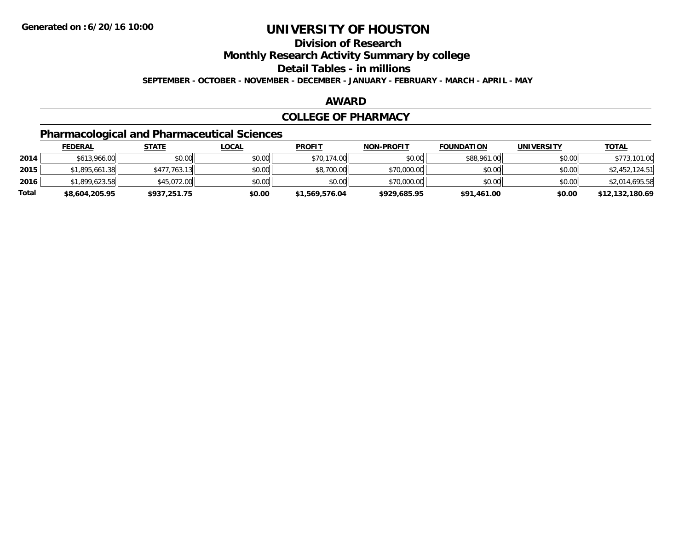## **Division of Research**

**Monthly Research Activity Summary by college**

**Detail Tables - in millions**

**SEPTEMBER - OCTOBER - NOVEMBER - DECEMBER - JANUARY - FEBRUARY - MARCH - APRIL - MAY**

#### **AWARD**

#### **COLLEGE OF PHARMACY**

## **Pharmacological and Pharmaceutical Sciences**

|       | <b>FEDERAL</b> | <u>STATE</u> | <u>LOCAL</u> | <b>PROFIT</b>  | <b>NON-PROFIT</b> | <b>FOUNDATION</b> | <b>UNIVERSITY</b> | <b>TOTAL</b>    |
|-------|----------------|--------------|--------------|----------------|-------------------|-------------------|-------------------|-----------------|
| 2014  | \$613,966.00   | \$0.00       | \$0.00       | \$70,174.00    | \$0.00            | \$88,961.00       | \$0.00            | \$773,101.00    |
| 2015  | \$1,895,661.38 | \$477,763.13 | \$0.00       | \$8,700.00     | \$70,000.00       | \$0.00            | \$0.00            | \$2,452,124.51  |
| 2016  | \$1,899,623.58 | \$45,072,00  | \$0.00       | \$0.00         | \$70,000.00       | \$0.00            | \$0.00            | \$2,014,695.58  |
| Total | \$8,604,205.95 | \$937,251.75 | \$0.00       | \$1,569,576.04 | \$929,685.95      | \$91,461.00       | \$0.00            | \$12,132,180.69 |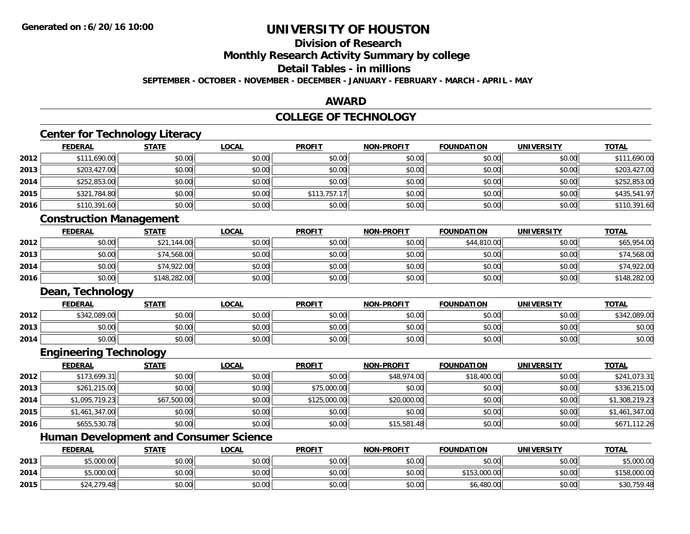**2015**

# **UNIVERSITY OF HOUSTON**

## **Division of Research**

**Monthly Research Activity Summary by college**

**Detail Tables - in millions**

**SEPTEMBER - OCTOBER - NOVEMBER - DECEMBER - JANUARY - FEBRUARY - MARCH - APRIL - MAY**

### **AWARD**

#### **COLLEGE OF TECHNOLOGY**

|      | <b>FEDERAL</b>                                | <b>STATE</b> | <b>LOCAL</b> | <b>PROFIT</b> | <b>NON-PROFIT</b> | <b>FOUNDATION</b> | <b>UNIVERSITY</b> | <b>TOTAL</b>   |
|------|-----------------------------------------------|--------------|--------------|---------------|-------------------|-------------------|-------------------|----------------|
| 2012 | \$111,690.00                                  | \$0.00       | \$0.00       | \$0.00        | \$0.00            | \$0.00            | \$0.00            | \$111,690.00   |
| 2013 | \$203,427.00                                  | \$0.00       | \$0.00       | \$0.00        | \$0.00            | \$0.00            | \$0.00            | \$203,427.00   |
| 2014 | \$252,853.00                                  | \$0.00       | \$0.00       | \$0.00        | \$0.00            | \$0.00            | \$0.00            | \$252,853.00   |
| 2015 | \$321,784.80                                  | \$0.00       | \$0.00       | \$113,757.17  | \$0.00            | \$0.00            | \$0.00            | \$435,541.97   |
| 2016 | \$110,391.60                                  | \$0.00       | \$0.00       | \$0.00        | \$0.00            | \$0.00            | \$0.00            | \$110,391.60   |
|      | <b>Construction Management</b>                |              |              |               |                   |                   |                   |                |
|      | <b>FEDERAL</b>                                | <b>STATE</b> | <b>LOCAL</b> | <b>PROFIT</b> | <b>NON-PROFIT</b> | <b>FOUNDATION</b> | <b>UNIVERSITY</b> | <b>TOTAL</b>   |
| 2012 | \$0.00                                        | \$21,144.00  | \$0.00       | \$0.00        | \$0.00            | \$44,810.00       | \$0.00            | \$65,954.00    |
| 2013 | \$0.00                                        | \$74,568.00  | \$0.00       | \$0.00        | \$0.00            | \$0.00            | \$0.00            | \$74,568.00    |
| 2014 | \$0.00                                        | \$74,922.00  | \$0.00       | \$0.00        | \$0.00            | \$0.00            | \$0.00            | \$74,922.00    |
| 2016 | \$0.00                                        | \$148,282.00 | \$0.00       | \$0.00        | \$0.00            | \$0.00            | \$0.00            | \$148,282.00   |
|      | Dean, Technology                              |              |              |               |                   |                   |                   |                |
|      | <b>FEDERAL</b>                                | <b>STATE</b> | <b>LOCAL</b> | <b>PROFIT</b> | <b>NON-PROFIT</b> | <b>FOUNDATION</b> | <b>UNIVERSITY</b> | <b>TOTAL</b>   |
| 2012 | \$342,089.00                                  | \$0.00       | \$0.00       | \$0.00        | \$0.00            | \$0.00            | \$0.00            | \$342,089.00   |
| 2013 | \$0.00                                        | \$0.00       | \$0.00       | \$0.00        | \$0.00            | \$0.00            | \$0.00            | \$0.00         |
| 2014 | \$0.00                                        | \$0.00       | \$0.00       | \$0.00        | \$0.00            | \$0.00            | \$0.00            | \$0.00         |
|      | <b>Engineering Technology</b>                 |              |              |               |                   |                   |                   |                |
|      | <b>FEDERAL</b>                                | <b>STATE</b> | <b>LOCAL</b> | <b>PROFIT</b> | <b>NON-PROFIT</b> | <b>FOUNDATION</b> | <b>UNIVERSITY</b> | <b>TOTAL</b>   |
| 2012 | \$173,699.31                                  | \$0.00       | \$0.00       | \$0.00        | \$48,974.00       | \$18,400.00       | \$0.00            | \$241,073.31   |
| 2013 | \$261,215.00                                  | \$0.00       | \$0.00       | \$75,000.00   | \$0.00            | \$0.00            | \$0.00            | \$336,215.00   |
| 2014 | \$1,095,719.23                                | \$67,500.00  | \$0.00       | \$125,000.00  | \$20,000.00       | \$0.00            | \$0.00            | \$1,308,219.23 |
| 2015 | \$1,461,347.00                                | \$0.00       | \$0.00       | \$0.00        | \$0.00            | \$0.00            | \$0.00            | \$1,461,347.00 |
| 2016 | \$655,530.78                                  | \$0.00       | \$0.00       | \$0.00        | \$15,581.48       | \$0.00            | \$0.00            | \$671,112.26   |
|      |                                               |              |              |               |                   |                   |                   |                |
|      | <b>Human Development and Consumer Science</b> |              |              |               |                   |                   |                   |                |
|      | <b>FEDERAL</b>                                | <b>STATE</b> | <b>LOCAL</b> | <b>PROFIT</b> | <b>NON-PROFIT</b> | <b>FOUNDATION</b> | <b>UNIVERSITY</b> | <b>TOTAL</b>   |
| 2013 | \$5,000.00                                    | \$0.00       | \$0.00       | \$0.00        | \$0.00            | \$0.00            | \$0.00            | \$5,000.00     |

\$24,279.48 \$0.00 \$0.00 \$0.00 \$0.00 \$6,480.00 \$0.00 \$30,759.48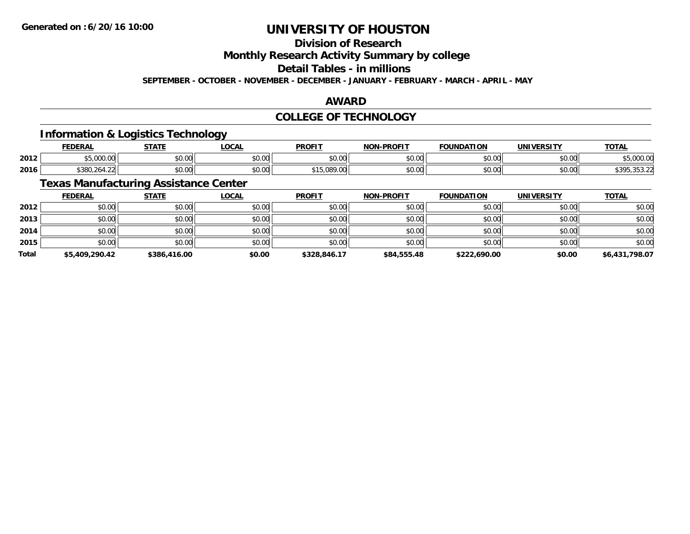## **Division of Research**

**Monthly Research Activity Summary by college**

**Detail Tables - in millions**

**SEPTEMBER - OCTOBER - NOVEMBER - DECEMBER - JANUARY - FEBRUARY - MARCH - APRIL - MAY**

#### **AWARD**

### **COLLEGE OF TECHNOLOGY**

### **Information & Logistics Technology**

|      | EENEDA<br>ERA                     | <b>СТЛТІ</b>                                          | <b>LOCAL</b>                        | <b>DDOFIT</b> | <b>DDAFIT</b><br>NON | <b>DATION</b><br><b>EOLIN'</b> | UNIVERSITY | <b>TOTA</b><br>l Ді |
|------|-----------------------------------|-------------------------------------------------------|-------------------------------------|---------------|----------------------|--------------------------------|------------|---------------------|
| 2012 | 0.00<br>$\sim$<br>uuu.u.          | ሶስ ስስ<br>DU.UU                                        | 0.00<br>JU.UU                       | \$0.00        | $\sim$ 00<br>וטטוע   | \$0.00                         | \$0.00     | 00000<br>. UUU UN   |
| 2016 | \$380.<br>$\sim$<br>ے.464.<br>, , | $\uparrow$ $\uparrow$ $\uparrow$ $\uparrow$<br>wu.uu. | $\theta$ $\theta$ $\theta$<br>JU.UU | .089.0        | 0000<br>pu.uu        | \$0.00                         | \$0.00     |                     |

## **Texas Manufacturing Assistance Center**

|              | <b>FEDERAL</b> | <b>STATE</b> | <u>LOCAL</u> | <b>PROFIT</b> | <b>NON-PROFIT</b> | <b>FOUNDATION</b> | <b>UNIVERSITY</b> | <b>TOTAL</b>   |
|--------------|----------------|--------------|--------------|---------------|-------------------|-------------------|-------------------|----------------|
| 2012         | \$0.00         | \$0.00       | \$0.00       | \$0.00        | \$0.00            | \$0.00            | \$0.00            | \$0.00         |
| 2013         | \$0.00         | \$0.00       | \$0.00       | \$0.00        | \$0.00            | \$0.00            | \$0.00            | \$0.00         |
| 2014         | \$0.00         | \$0.00       | \$0.00       | \$0.00        | \$0.00            | \$0.00            | \$0.00            | \$0.00         |
| 2015         | \$0.00         | \$0.00       | \$0.00       | \$0.00        | \$0.00            | \$0.00            | \$0.00            | \$0.00         |
| <b>Total</b> | \$5,409,290.42 | \$386,416.00 | \$0.00       | \$328,846.17  | \$84,555.48       | \$222,690.00      | \$0.00            | \$6,431,798.07 |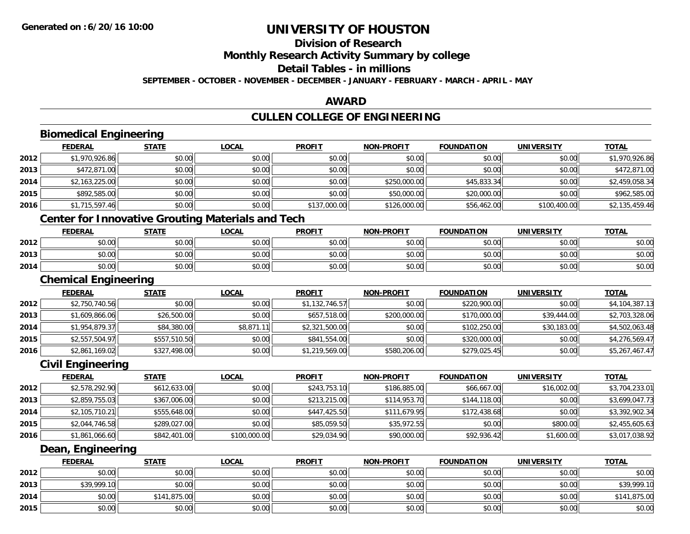**2015**

# **UNIVERSITY OF HOUSTON**

## **Division of Research**

**Monthly Research Activity Summary by college**

**Detail Tables - in millions**

**SEPTEMBER - OCTOBER - NOVEMBER - DECEMBER - JANUARY - FEBRUARY - MARCH - APRIL - MAY**

### **AWARD**

## **CULLEN COLLEGE OF ENGINEERING**

|      | <b>Biomedical Engineering</b>                            |              |              |                |                   |                   |                   |                |
|------|----------------------------------------------------------|--------------|--------------|----------------|-------------------|-------------------|-------------------|----------------|
|      | <b>FEDERAL</b>                                           | <b>STATE</b> | <b>LOCAL</b> | <b>PROFIT</b>  | <b>NON-PROFIT</b> | <b>FOUNDATION</b> | <b>UNIVERSITY</b> | <b>TOTAL</b>   |
| 2012 | \$1,970,926.86                                           | \$0.00       | \$0.00       | \$0.00         | \$0.00            | \$0.00            | \$0.00            | \$1,970,926.86 |
| 2013 | \$472,871.00                                             | \$0.00       | \$0.00       | \$0.00         | \$0.00            | \$0.00            | \$0.00            | \$472,871.00   |
| 2014 | \$2,163,225.00                                           | \$0.00       | \$0.00       | \$0.00         | \$250,000.00      | \$45,833.34       | \$0.00            | \$2,459,058.34 |
| 2015 | \$892,585.00                                             | \$0.00       | \$0.00       | \$0.00         | \$50,000.00       | \$20,000.00       | \$0.00            | \$962,585.00   |
| 2016 | \$1,715,597.46                                           | \$0.00       | \$0.00       | \$137,000.00   | \$126,000.00      | \$56,462.00       | \$100,400.00      | \$2,135,459.46 |
|      | <b>Center for Innovative Grouting Materials and Tech</b> |              |              |                |                   |                   |                   |                |
|      | <b>FEDERAL</b>                                           | <b>STATE</b> | <b>LOCAL</b> | <b>PROFIT</b>  | <b>NON-PROFIT</b> | <b>FOUNDATION</b> | <b>UNIVERSITY</b> | <b>TOTAL</b>   |
| 2012 | \$0.00                                                   | \$0.00       | \$0.00       | \$0.00         | \$0.00            | \$0.00            | \$0.00            | \$0.00         |
| 2013 | \$0.00                                                   | \$0.00       | \$0.00       | \$0.00         | \$0.00            | \$0.00            | \$0.00            | \$0.00         |
| 2014 | \$0.00                                                   | \$0.00       | \$0.00       | \$0.00         | \$0.00            | \$0.00            | \$0.00            | \$0.00         |
|      | <b>Chemical Engineering</b>                              |              |              |                |                   |                   |                   |                |
|      | <b>FEDERAL</b>                                           | <b>STATE</b> | <b>LOCAL</b> | <b>PROFIT</b>  | <b>NON-PROFIT</b> | <b>FOUNDATION</b> | <b>UNIVERSITY</b> | <b>TOTAL</b>   |
| 2012 | \$2,750,740.56                                           | \$0.00       | \$0.00       | \$1,132,746.57 | \$0.00            | \$220,900.00      | \$0.00            | \$4,104,387.13 |
| 2013 | \$1,609,866.06                                           | \$26,500.00  | \$0.00       | \$657,518.00   | \$200,000.00      | \$170,000.00      | \$39,444.00       | \$2,703,328.06 |
| 2014 | \$1,954,879.37                                           | \$84,380.00  | \$8,871.11   | \$2,321,500.00 | \$0.00            | \$102,250.00      | \$30,183.00       | \$4,502,063.48 |
| 2015 | \$2,557,504.97                                           | \$557,510.50 | \$0.00       | \$841,554.00   | \$0.00            | \$320,000.00      | \$0.00            | \$4,276,569.47 |
| 2016 | \$2,861,169.02                                           | \$327,498.00 | \$0.00       | \$1,219,569.00 | \$580,206.00      | \$279,025.45      | \$0.00            | \$5,267,467.47 |
|      | <b>Civil Engineering</b>                                 |              |              |                |                   |                   |                   |                |
|      | <b>FEDERAL</b>                                           | <b>STATE</b> | <b>LOCAL</b> | <b>PROFIT</b>  | <b>NON-PROFIT</b> | <b>FOUNDATION</b> | <b>UNIVERSITY</b> | <b>TOTAL</b>   |
| 2012 | \$2,578,292.90                                           | \$612,633.00 | \$0.00       | \$243,753.10   | \$186,885.00      | \$66,667.00       | \$16,002.00       | \$3,704,233.01 |
| 2013 | \$2,859,755.03                                           | \$367,006.00 | \$0.00       | \$213,215.00   | \$114,953.70      | \$144,118.00      | \$0.00            | \$3,699,047.73 |
| 2014 | \$2,105,710.21                                           | \$555,648.00 | \$0.00       | \$447,425.50   | \$111,679.95      | \$172,438.68      | \$0.00            | \$3,392,902.34 |
| 2015 | \$2,044,746.58                                           | \$289,027.00 | \$0.00       | \$85,059.50    | \$35,972.55       | \$0.00            | \$800.00          | \$2,455,605.63 |
| 2016 | \$1,861,066.60                                           | \$842,401.00 | \$100,000.00 | \$29,034.90    | \$90,000.00       | \$92,936.42       | \$1,600.00        | \$3,017,038.92 |
|      | Dean, Engineering                                        |              |              |                |                   |                   |                   |                |
|      | <b>FEDERAL</b>                                           | <b>STATE</b> | <b>LOCAL</b> | <b>PROFIT</b>  | <b>NON-PROFIT</b> | <b>FOUNDATION</b> | <b>UNIVERSITY</b> | <b>TOTAL</b>   |
| 2012 | \$0.00                                                   | \$0.00       | \$0.00       | \$0.00         | \$0.00            | \$0.00            | \$0.00            | \$0.00         |
| 2013 | \$39,999.10                                              | \$0.00       | \$0.00       | \$0.00         | \$0.00            | \$0.00            | \$0.00            | \$39,999.10    |
| 2014 | \$0.00                                                   | \$141,875.00 | \$0.00       | \$0.00         | \$0.00            | \$0.00            | \$0.00            | \$141,875.00   |

\$0.00 \$0.00 \$0.00 \$0.00 \$0.00 \$0.00 \$0.00 \$0.00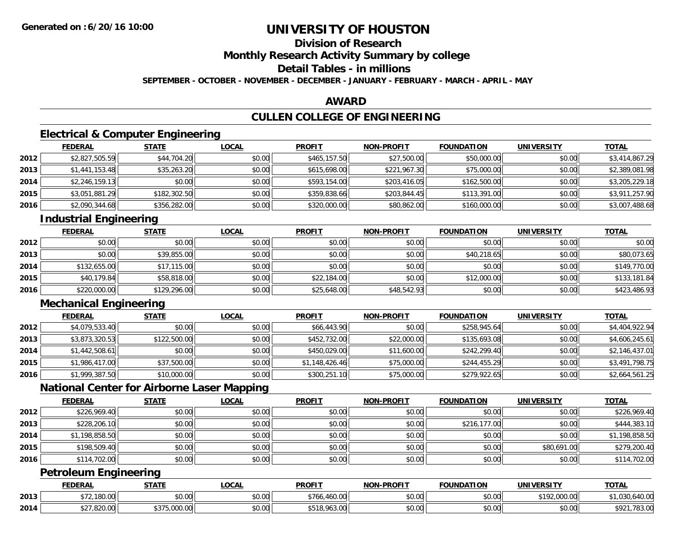## **Division of Research**

**Monthly Research Activity Summary by college**

**Detail Tables - in millions**

**SEPTEMBER - OCTOBER - NOVEMBER - DECEMBER - JANUARY - FEBRUARY - MARCH - APRIL - MAY**

### **AWARD**

## **CULLEN COLLEGE OF ENGINEERING**

## **Electrical & Computer Engineering**

|      | <b>FEDERAL</b> | <u>STATE</u> | <b>LOCAL</b> | <b>PROFIT</b> | <b>NON-PROFIT</b> | <b>FOUNDATION</b> | <b>UNIVERSITY</b> | <b>TOTAL</b>   |
|------|----------------|--------------|--------------|---------------|-------------------|-------------------|-------------------|----------------|
| 2012 | \$2,827,505.59 | \$44,704.20  | \$0.00       | \$465,157.50  | \$27,500.00       | \$50,000.00       | \$0.00            | \$3,414,867.29 |
| 2013 | \$1,441,153.48 | \$35,263.20  | \$0.00       | \$615,698.00  | \$221,967.30      | \$75,000.00       | \$0.00            | \$2,389,081.98 |
| 2014 | \$2,246,159.13 | \$0.00       | \$0.00       | \$593,154.00  | \$203,416.05      | \$162,500.00      | \$0.00            | \$3,205,229.18 |
| 2015 | \$3,051,881.29 | \$182,302.50 | \$0.00       | \$359,838.66  | \$203,844.45      | \$113,391.00      | \$0.00            | \$3,911,257.90 |
| 2016 | \$2,090,344.68 | \$356,282.00 | \$0.00       | \$320,000.00  | \$80,862.00       | \$160,000.00      | \$0.00            | \$3,007,488.68 |

## **Industrial Engineering**

|      | <u>FEDERAL</u> | <b>STATE</b> | <u>LOCAL</u> | <b>PROFIT</b> | <b>NON-PROFIT</b> | <b>FOUNDATION</b> | <b>UNIVERSITY</b> | <b>TOTAL</b> |
|------|----------------|--------------|--------------|---------------|-------------------|-------------------|-------------------|--------------|
| 2012 | \$0.00         | \$0.00       | \$0.00       | \$0.00        | \$0.00            | \$0.00            | \$0.00            | \$0.00       |
| 2013 | \$0.00         | \$39,855.00  | \$0.00       | \$0.00        | \$0.00            | \$40,218.65       | \$0.00            | \$80,073.65  |
| 2014 | \$132,655.00   | \$17,115.00  | \$0.00       | \$0.00        | \$0.00            | \$0.00            | \$0.00            | \$149,770.00 |
| 2015 | \$40,179.84    | \$58,818.00  | \$0.00       | \$22,184.00   | \$0.00            | \$12,000.00       | \$0.00            | \$133,181.84 |
| 2016 | \$220,000.00   | \$129,296.00 | \$0.00       | \$25,648.00   | \$48,542.93       | \$0.00            | \$0.00            | \$423,486.93 |

## **Mechanical Engineering**

|      | <b>FEDERAL</b> | <b>STATE</b> | <b>LOCAL</b> | <b>PROFIT</b>  | <b>NON-PROFIT</b> | <b>FOUNDATION</b> | <b>UNIVERSITY</b> | <b>TOTAL</b>   |
|------|----------------|--------------|--------------|----------------|-------------------|-------------------|-------------------|----------------|
| 2012 | \$4,079,533.40 | \$0.00       | \$0.00       | \$66,443.90    | \$0.00            | \$258,945.64      | \$0.00            | \$4,404,922.94 |
| 2013 | \$3,873,320.53 | \$122,500.00 | \$0.00       | \$452,732.00   | \$22,000.00       | \$135,693.08      | \$0.00            | \$4,606,245.61 |
| 2014 | \$1,442,508.61 | \$0.00       | \$0.00       | \$450,029.00   | \$11,600.00       | \$242,299.40      | \$0.00            | \$2,146,437.01 |
| 2015 | \$1,986,417.00 | \$37,500.00  | \$0.00       | \$1,148,426.46 | \$75,000.00       | \$244,455.29      | \$0.00            | \$3,491,798.75 |
| 2016 | \$1,999,387.50 | \$10,000.00  | \$0.00       | \$300,251.10   | \$75,000.00       | \$279,922.65      | \$0.00            | \$2,664,561.25 |

## **National Center for Airborne Laser Mapping**

|      | <b>FEDERAL</b> | <b>STATE</b> | <b>LOCAL</b> | <b>PROFIT</b> | <b>NON-PROFIT</b> | <b>FOUNDATION</b> | UNIVERSITY  | <b>TOTAL</b>   |
|------|----------------|--------------|--------------|---------------|-------------------|-------------------|-------------|----------------|
| 2012 | \$226,969.40   | \$0.00       | \$0.00       | \$0.00        | \$0.00            | \$0.00            | \$0.00      | \$226,969.40   |
| 2013 | \$228,206.10   | \$0.00       | \$0.00       | \$0.00        | \$0.00            | \$216,177.00      | \$0.00      | \$444,383.10   |
| 2014 | \$1,198,858.50 | \$0.00       | \$0.00       | \$0.00        | \$0.00            | \$0.00            | \$0.00      | \$1,198,858.50 |
| 2015 | \$198,509.40   | \$0.00       | \$0.00       | \$0.00        | \$0.00            | \$0.00            | \$80,691.00 | \$279,200.40   |
| 2016 | \$114,702.00   | \$0.00       | \$0.00       | \$0.00        | \$0.00            | \$0.00            | \$0.00      | \$114,702.00   |

## **Petroleum Engineering**

|      | <b>FEDERAL</b>          | STATE        | _OCAL                     | <b>PROFIT</b>                | <b>J-PROFIT</b><br>וחרות | <b>FOUNDATION</b> | <b>UNIVERSITY</b>      | <b>TOTAL</b>                           |
|------|-------------------------|--------------|---------------------------|------------------------------|--------------------------|-------------------|------------------------|----------------------------------------|
| 2013 | 100.00<br>100.UU        | \$0.00       | $\sim$ 00<br>וטט.         | \$76<br>460.00               | ልስ ስስ<br>PU.UU           | \$0.00            | \$10200000<br>$-0.000$ | 10.00<br>$\sim$ $\sim$<br>T,U3U,64U.UU |
| 2014 | 0.2000<br>,ozu.uu<br>◡∠ | \$375,000.00 | $\sim$<br>$\sim$<br>JU.UU | $\sim$<br>$\sim$<br>, 703.00 | ልስ ስስ<br>PO.OO           | \$0.00            | 0.00<br>\$0.00         | \$921<br>70200<br>. , oo . uu          |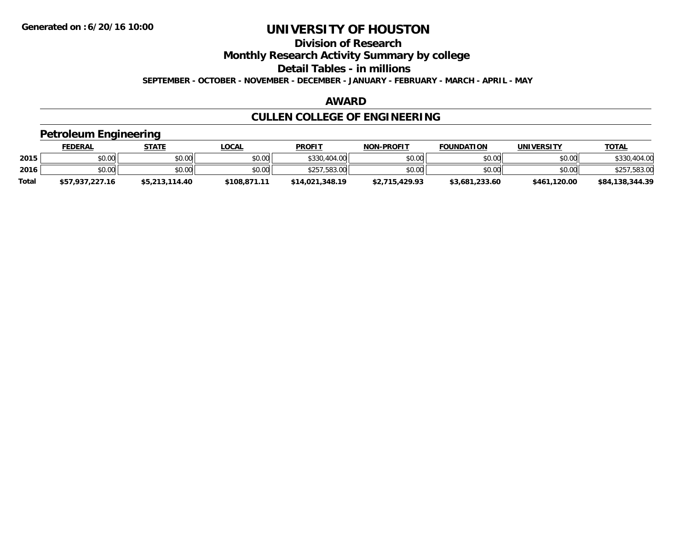## **Division of Research**

**Monthly Research Activity Summary by college**

**Detail Tables - in millions**

**SEPTEMBER - OCTOBER - NOVEMBER - DECEMBER - JANUARY - FEBRUARY - MARCH - APRIL - MAY**

#### **AWARD**

## **CULLEN COLLEGE OF ENGINEERING**

### **Petroleum Engineering**

|              | <b>FEDERAL</b>  | <b>STATE</b>   | <u>LOCAL</u> | <b>PROFIT</b>   | <b>NON-PROFIT</b> | <b>FOUNDATION</b> | UNIVERSITY   | <u>TOTAL</u>    |
|--------------|-----------------|----------------|--------------|-----------------|-------------------|-------------------|--------------|-----------------|
| 2015         | \$0.00          | \$0.00         | \$0.00       | \$330,404.00    | \$0.00            | \$0.00            | \$0.00       | \$330,404.00    |
| 2016         | \$0.00          | \$0.00         | \$0.00       | \$257,583.00    | \$0.00            | \$0.00            | \$0.00       | \$257,583.00    |
| <b>Total</b> | \$57,937,227.16 | \$5,213,114.40 | \$108,871.11 | \$14,021,348.19 | \$2,715,429.93    | \$3,681,233.60    | \$461,120.00 | \$84,138,344.39 |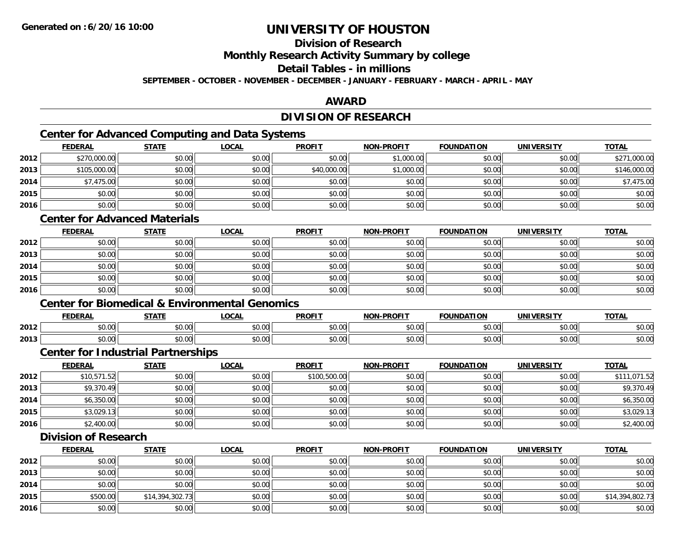## **Division of Research**

**Monthly Research Activity Summary by college**

**Detail Tables - in millions**

**SEPTEMBER - OCTOBER - NOVEMBER - DECEMBER - JANUARY - FEBRUARY - MARCH - APRIL - MAY**

## **AWARD**

## **DIVISION OF RESEARCH**

## **Center for Advanced Computing and Data Systems**

|      | Center for Advanced Computing and Data Systems |              |              |               |                   |                   |                   |              |  |  |  |  |
|------|------------------------------------------------|--------------|--------------|---------------|-------------------|-------------------|-------------------|--------------|--|--|--|--|
|      | <b>FEDERAL</b>                                 | <b>STATE</b> | <b>LOCAL</b> | <b>PROFIT</b> | <b>NON-PROFIT</b> | <b>FOUNDATION</b> | <b>UNIVERSITY</b> | <b>TOTAL</b> |  |  |  |  |
| 2012 | \$270,000.00                                   | \$0.00       | \$0.00       | \$0.00        | \$1,000.00        | \$0.00            | \$0.00            | \$271,000.00 |  |  |  |  |
| 2013 | \$105,000.00                                   | \$0.00       | \$0.00       | \$40,000.00   | \$1,000.00        | \$0.00            | \$0.00            | \$146,000.00 |  |  |  |  |
| 2014 | \$7,475.00                                     | \$0.00       | \$0.00       | \$0.00        | \$0.00            | \$0.00            | \$0.00            | \$7,475.00   |  |  |  |  |
| 2015 | \$0.00                                         | \$0.00       | \$0.00       | \$0.00        | \$0.00            | \$0.00            | \$0.00            | \$0.00       |  |  |  |  |
| 2016 | \$0.00                                         | \$0.00       | \$0.00       | \$0.00        | \$0.00            | \$0.00            | \$0.00            | \$0.00       |  |  |  |  |

### **Center for Advanced Materials**

|      | <b>FEDERAL</b> | <b>STATE</b> | <u>LOCAL</u> | <b>PROFIT</b> | <b>NON-PROFIT</b> | <b>FOUNDATION</b> | <b>UNIVERSITY</b> | <b>TOTAL</b> |
|------|----------------|--------------|--------------|---------------|-------------------|-------------------|-------------------|--------------|
| 2012 | \$0.00         | \$0.00       | \$0.00       | \$0.00        | \$0.00            | \$0.00            | \$0.00            | \$0.00       |
| 2013 | \$0.00         | \$0.00       | \$0.00       | \$0.00        | \$0.00            | \$0.00            | \$0.00            | \$0.00       |
| 2014 | \$0.00         | \$0.00       | \$0.00       | \$0.00        | \$0.00            | \$0.00            | \$0.00            | \$0.00       |
| 2015 | \$0.00         | \$0.00       | \$0.00       | \$0.00        | \$0.00            | \$0.00            | \$0.00            | \$0.00       |
| 2016 | \$0.00         | \$0.00       | \$0.00       | \$0.00        | \$0.00            | \$0.00            | \$0.00            | \$0.00       |

#### **Center for Biomedical & Environmental Genomics**

|      | <b>FEDERAL</b> | <b>CTATE</b>        | .OCAI              | <b>PROFIT</b>                   | <b>PROFIT</b><br><b>NION</b> | דמחוחוה<br>ΓΙΟΝ | UNIVERSITY                      | <b>TOTAL</b>  |
|------|----------------|---------------------|--------------------|---------------------------------|------------------------------|-----------------|---------------------------------|---------------|
| 2012 | 0000<br>טט.טע  | $\uparrow$<br>טט.טע | ሶስ ሰሰ<br>vu.vu     | $\sim$ $\sim$<br>$\cap$<br>ט.טע | 0000<br>งบ.บเ                | 0000<br>,u.uu   | 0.00<br>JU.UU                   | \$0.00        |
| 2013 | 0000<br>DU.UU  | $\sim$<br>JU.UU     | $\sim$ 00<br>JU.UU | \$0.00                          | \$0.00                       | \$0.00          | $n \cap \Omega$<br><b>DU.UU</b> | 0000<br>ນບ.ບປ |

#### **Center for Industrial Partnerships**

|      | <u>FEDERAL</u> | <b>STATE</b> | <u>LOCAL</u> | <b>PROFIT</b> | <b>NON-PROFIT</b> | <b>FOUNDATION</b> | <b>UNIVERSITY</b> | <b>TOTAL</b> |
|------|----------------|--------------|--------------|---------------|-------------------|-------------------|-------------------|--------------|
| 2012 | \$10,571.52    | \$0.00       | \$0.00       | \$100,500.00  | \$0.00            | \$0.00            | \$0.00            | \$111,071.52 |
| 2013 | \$9,370.49     | \$0.00       | \$0.00       | \$0.00        | \$0.00            | \$0.00            | \$0.00            | \$9,370.49   |
| 2014 | \$6,350.00     | \$0.00       | \$0.00       | \$0.00        | \$0.00            | \$0.00            | \$0.00            | \$6,350.00   |
| 2015 | \$3,029.13     | \$0.00       | \$0.00       | \$0.00        | \$0.00            | \$0.00            | \$0.00            | \$3,029.13   |
| 2016 | \$2,400.00     | \$0.00       | \$0.00       | \$0.00        | \$0.00            | \$0.00            | \$0.00            | \$2,400.00   |

### **Division of Research**

|      | <u>FEDERAL</u> | <b>STATE</b>    | <u>LOCAL</u> | <b>PROFIT</b> | <b>NON-PROFIT</b> | <b>FOUNDATION</b> | <b>UNIVERSITY</b> | <b>TOTAL</b>    |
|------|----------------|-----------------|--------------|---------------|-------------------|-------------------|-------------------|-----------------|
| 2012 | \$0.00         | \$0.00          | \$0.00       | \$0.00        | \$0.00            | \$0.00            | \$0.00            | \$0.00          |
| 2013 | \$0.00         | \$0.00          | \$0.00       | \$0.00        | \$0.00            | \$0.00            | \$0.00            | \$0.00          |
| 2014 | \$0.00         | \$0.00          | \$0.00       | \$0.00        | \$0.00            | \$0.00            | \$0.00            | \$0.00          |
| 2015 | \$500.00       | \$14,394,302.73 | \$0.00       | \$0.00        | \$0.00            | \$0.00            | \$0.00            | \$14,394,802.73 |
| 2016 | \$0.00         | \$0.00          | \$0.00       | \$0.00        | \$0.00            | \$0.00            | \$0.00            | \$0.00          |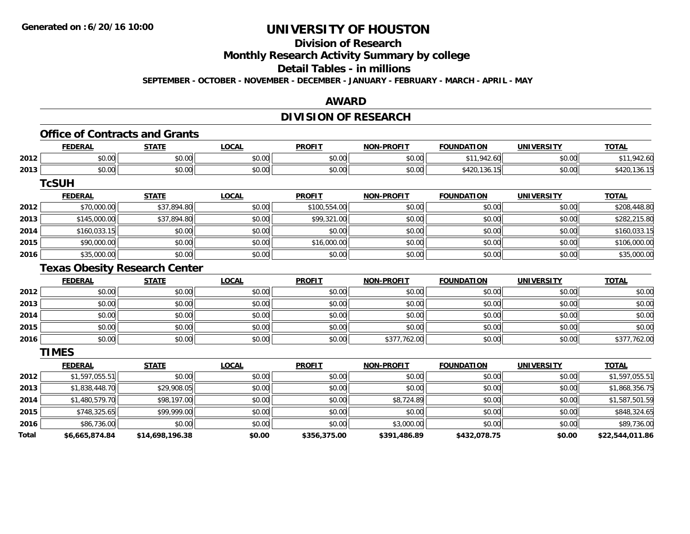## **Division of Research**

**Monthly Research Activity Summary by college**

**Detail Tables - in millions**

**SEPTEMBER - OCTOBER - NOVEMBER - DECEMBER - JANUARY - FEBRUARY - MARCH - APRIL - MAY**

### **AWARD**

## **DIVISION OF RESEARCH**

## **Office of Contracts and Grants**

|      | <b>FEDERAL</b> | <b>STATE</b><br>,,,,,,       | <b>_OCAL</b>   | <b>PROFIT</b>          | <b>NON-PROFIT</b> | <b>FOUNDATION</b>                | <b>UNIVERSITY</b> | <b>TOTAL</b> |
|------|----------------|------------------------------|----------------|------------------------|-------------------|----------------------------------|-------------------|--------------|
| 2012 | 0000<br>DU.UU  | 0000<br>vu.uu                | nn nn<br>JU.UU | $\sim$ $\sim$<br>vu.vu | 0000<br>JU.UU     | $QA^{\sim}$<br>$A - 1$<br>$\sim$ | 0000<br>DU.UU     |              |
| 2013 | 0000<br>JU.UU  | <b>ተገ</b><br>$\sim$<br>JU.UU | nn no<br>DU.UU | $\sim$ $\sim$<br>JU.UU | \$0.00            | ሶ ለ ገ ለ<br>94 Z.U<br>ט ט         | \$0.00            | 130.15       |

**TcSUH**

|      | <u>FEDERAL</u> | <u>STATE</u> | <u>LOCAL</u> | <b>PROFIT</b> | <b>NON-PROFIT</b> | <b>FOUNDATION</b> | <b>UNIVERSITY</b> | <b>TOTAL</b> |
|------|----------------|--------------|--------------|---------------|-------------------|-------------------|-------------------|--------------|
| 2012 | \$70,000.00    | \$37,894.80  | \$0.00       | \$100,554.00  | \$0.00            | \$0.00            | \$0.00            | \$208,448.80 |
| 2013 | \$145,000.00   | \$37,894.80  | \$0.00       | \$99,321.00   | \$0.00            | \$0.00            | \$0.00            | \$282,215.80 |
| 2014 | \$160,033.15   | \$0.00       | \$0.00       | \$0.00        | \$0.00            | \$0.00            | \$0.00            | \$160,033.15 |
| 2015 | \$90,000.00    | \$0.00       | \$0.00       | \$16,000.00   | \$0.00            | \$0.00            | \$0.00            | \$106,000.00 |
| 2016 | \$35,000.00    | \$0.00       | \$0.00       | \$0.00        | \$0.00            | \$0.00            | \$0.00            | \$35,000.00  |

## **Texas Obesity Research Center**

|      | <b>FEDERAL</b> | <b>STATE</b> | <b>LOCAL</b> | <b>PROFIT</b> | <b>NON-PROFIT</b> | <b>FOUNDATION</b> | <b>UNIVERSITY</b> | <b>TOTAL</b> |
|------|----------------|--------------|--------------|---------------|-------------------|-------------------|-------------------|--------------|
| 2012 | \$0.00         | \$0.00       | \$0.00       | \$0.00        | \$0.00            | \$0.00            | \$0.00            | \$0.00       |
| 2013 | \$0.00         | \$0.00       | \$0.00       | \$0.00        | \$0.00            | \$0.00            | \$0.00            | \$0.00       |
| 2014 | \$0.00         | \$0.00       | \$0.00       | \$0.00        | \$0.00            | \$0.00            | \$0.00            | \$0.00       |
| 2015 | \$0.00         | \$0.00       | \$0.00       | \$0.00        | \$0.00            | \$0.00            | \$0.00            | \$0.00       |
| 2016 | \$0.00         | \$0.00       | \$0.00       | \$0.00        | \$377,762.00      | \$0.00            | \$0.00            | \$377,762.00 |

**TIMES**

|              | <b>FEDERAL</b> | <b>STATE</b>    | <u>LOCAL</u> | <b>PROFIT</b> | <b>NON-PROFIT</b> | <b>FOUNDATION</b> | <b>UNIVERSITY</b> | <b>TOTAL</b>    |
|--------------|----------------|-----------------|--------------|---------------|-------------------|-------------------|-------------------|-----------------|
| 2012         | \$1,597,055.51 | \$0.00          | \$0.00       | \$0.00        | \$0.00            | \$0.00            | \$0.00            | \$1,597,055.51  |
| 2013         | \$1,838,448.70 | \$29,908.05     | \$0.00       | \$0.00        | \$0.00            | \$0.00            | \$0.00            | \$1,868,356.75  |
| 2014         | \$1,480,579.70 | \$98,197.00     | \$0.00       | \$0.00        | \$8,724.89        | \$0.00            | \$0.00            | \$1,587,501.59  |
| 2015         | \$748,325.65   | \$99,999.00     | \$0.00       | \$0.00        | \$0.00            | \$0.00            | \$0.00            | \$848,324.65    |
| 2016         | \$86,736.00    | \$0.00          | \$0.00       | \$0.00        | \$3,000.00        | \$0.00            | \$0.00            | \$89,736.00     |
| <b>Total</b> | \$6,665,874.84 | \$14,698,196.38 | \$0.00       | \$356,375.00  | \$391,486.89      | \$432,078.75      | \$0.00            | \$22,544,011.86 |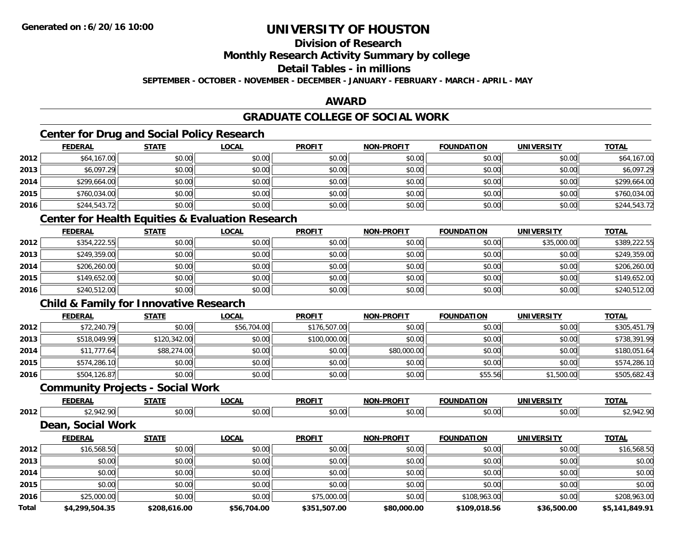## **Division of Research**

**Monthly Research Activity Summary by college**

**Detail Tables - in millions**

**SEPTEMBER - OCTOBER - NOVEMBER - DECEMBER - JANUARY - FEBRUARY - MARCH - APRIL - MAY**

### **AWARD**

## **GRADUATE COLLEGE OF SOCIAL WORK**

## **Center for Drug and Social Policy Research**

|      | <b>FEDERAL</b> | <b>STATE</b> | <b>LOCAL</b> | <b>PROFIT</b> | <b>NON-PROFIT</b> | <b>FOUNDATION</b> | <b>UNIVERSITY</b> | <b>TOTAL</b> |
|------|----------------|--------------|--------------|---------------|-------------------|-------------------|-------------------|--------------|
| 2012 | \$64,167.00    | \$0.00       | \$0.00       | \$0.00        | \$0.00            | \$0.00            | \$0.00            | \$64,167.00  |
| 2013 | \$6,097.29     | \$0.00       | \$0.00       | \$0.00        | \$0.00            | \$0.00            | \$0.00            | \$6,097.29   |
| 2014 | \$299,664.00   | \$0.00       | \$0.00       | \$0.00        | \$0.00            | \$0.00            | \$0.00            | \$299,664.00 |
| 2015 | \$760,034.00   | \$0.00       | \$0.00       | \$0.00        | \$0.00            | \$0.00            | \$0.00            | \$760,034.00 |
| 2016 | \$244,543.72   | \$0.00       | \$0.00       | \$0.00        | \$0.00            | \$0.00            | \$0.00            | \$244,543.72 |

### **Center for Health Equities & Evaluation Research**

|      | <b>FEDERAL</b> | <b>STATE</b> | <b>LOCAL</b> | <b>PROFIT</b> | <b>NON-PROFIT</b> | <b>FOUNDATION</b> | <b>UNIVERSITY</b> | <b>TOTAL</b> |
|------|----------------|--------------|--------------|---------------|-------------------|-------------------|-------------------|--------------|
| 2012 | \$354,222.55   | \$0.00       | \$0.00       | \$0.00        | \$0.00            | \$0.00            | \$35,000.00       | \$389,222.55 |
| 2013 | \$249,359.00   | \$0.00       | \$0.00       | \$0.00        | \$0.00            | \$0.00            | \$0.00            | \$249,359.00 |
| 2014 | \$206,260.00   | \$0.00       | \$0.00       | \$0.00        | \$0.00            | \$0.00            | \$0.00            | \$206,260.00 |
| 2015 | \$149,652.00   | \$0.00       | \$0.00       | \$0.00        | \$0.00            | \$0.00            | \$0.00            | \$149,652.00 |
| 2016 | \$240,512.00   | \$0.00       | \$0.00       | \$0.00        | \$0.00            | \$0.00            | \$0.00            | \$240,512.00 |

## **Child & Family for Innovative Research**

|      | <b>FEDERAL</b> | <b>STATE</b> | <b>LOCAL</b> | <b>PROFIT</b> | <b>NON-PROFIT</b> | <b>FOUNDATION</b> | UNIVERSITY | <b>TOTAL</b> |
|------|----------------|--------------|--------------|---------------|-------------------|-------------------|------------|--------------|
| 2012 | \$72,240.79    | \$0.00       | \$56,704.00  | \$176,507.00  | \$0.00            | \$0.00            | \$0.00     | \$305,451.79 |
| 2013 | \$518,049.99   | \$120,342.00 | \$0.00       | \$100,000.00  | \$0.00            | \$0.00            | \$0.00     | \$738,391.99 |
| 2014 | \$11,777.64    | \$88,274.00  | \$0.00       | \$0.00        | \$80,000.00       | \$0.00            | \$0.00     | \$180,051.64 |
| 2015 | \$574,286.10   | \$0.00       | \$0.00       | \$0.00        | \$0.00            | \$0.00            | \$0.00     | \$574,286.10 |
| 2016 | \$504,126.87   | \$0.00       | \$0.00       | \$0.00        | \$0.00            | \$55.56           | \$1,500.00 | \$505,682.43 |

### **Community Projects - Social Work**

|      | <b>EEDEDA</b><br>LIM | <b>CTATE</b>       | $\sim$<br>UUMI      | <b>PROFIT</b>   | PROFIT<br>. | <b>FOLINDAT</b> | <b>INIVEDSIT</b><br>JI | <b>TOTA</b> |
|------|----------------------|--------------------|---------------------|-----------------|-------------|-----------------|------------------------|-------------|
| 2012 | 010<br>-≖ ∠          | $\sim$ 00<br>וטטוע | $\sim$ 00<br>וטט.טע | $\sim$<br>JU.UU | vv.vv       | \$0.00          | JU.UU                  |             |

#### **Dean, Social Work**

|              | <b>FEDERAL</b> | <b>STATE</b> | <u>LOCAL</u> | <b>PROFIT</b> | <b>NON-PROFIT</b> | <b>FOUNDATION</b> | <b>UNIVERSITY</b> | <b>TOTAL</b>   |
|--------------|----------------|--------------|--------------|---------------|-------------------|-------------------|-------------------|----------------|
| 2012         | \$16,568.50    | \$0.00       | \$0.00       | \$0.00        | \$0.00            | \$0.00            | \$0.00            | \$16,568.50    |
| 2013         | \$0.00         | \$0.00       | \$0.00       | \$0.00        | \$0.00            | \$0.00            | \$0.00            | \$0.00         |
| 2014         | \$0.00         | \$0.00       | \$0.00       | \$0.00        | \$0.00            | \$0.00            | \$0.00            | \$0.00         |
| 2015         | \$0.00         | \$0.00       | \$0.00       | \$0.00        | \$0.00            | \$0.00            | \$0.00            | \$0.00         |
| 2016         | \$25,000.00    | \$0.00       | \$0.00       | \$75,000.00   | \$0.00            | \$108,963.00      | \$0.00            | \$208,963.00   |
| <b>Total</b> | \$4,299,504.35 | \$208,616.00 | \$56,704.00  | \$351,507.00  | \$80,000.00       | \$109,018.56      | \$36,500.00       | \$5.141.849.91 |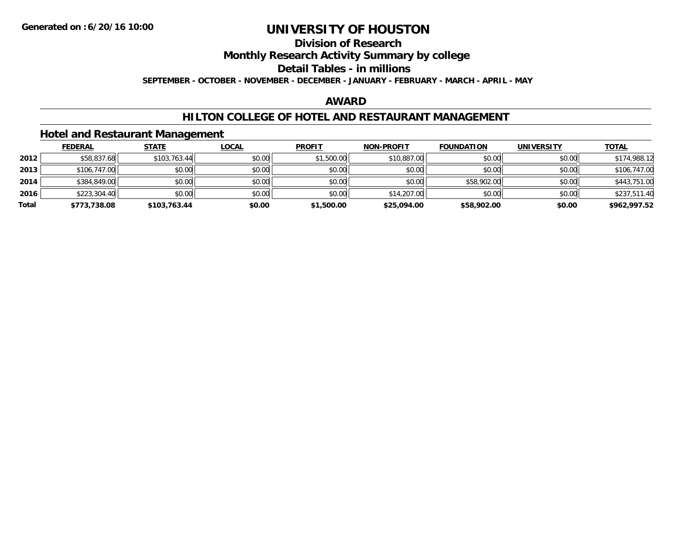# **Division of Research**

**Monthly Research Activity Summary by college**

**Detail Tables - in millions**

**SEPTEMBER - OCTOBER - NOVEMBER - DECEMBER - JANUARY - FEBRUARY - MARCH - APRIL - MAY**

#### **AWARD**

### **HILTON COLLEGE OF HOTEL AND RESTAURANT MANAGEMENT**

### **Hotel and Restaurant Management**

|       | <b>FEDERAL</b> | <b>STATE</b> | <u>LOCAL</u> | <b>PROFIT</b> | <b>NON-PROFIT</b> | <b>FOUNDATION</b> | UNIVERSITY | <u>TOTAL</u> |
|-------|----------------|--------------|--------------|---------------|-------------------|-------------------|------------|--------------|
| 2012  | \$58,837.68    | \$103,763.44 | \$0.00       | \$1,500.00    | \$10,887.00       | \$0.00            | \$0.00     | \$174,988.12 |
| 2013  | \$106,747.00   | \$0.00       | \$0.00       | \$0.00        | \$0.00            | \$0.00            | \$0.00     | \$106,747.00 |
| 2014  | \$384,849.00   | \$0.00       | \$0.00       | \$0.00        | \$0.00            | \$58,902.00       | \$0.00     | \$443,751.00 |
| 2016  | \$223,304.40   | \$0.00       | \$0.00       | \$0.00        | \$14,207.00       | \$0.00            | \$0.00     | \$237,511.40 |
| Total | \$773,738.08   | \$103,763.44 | \$0.00       | \$1,500.00    | \$25,094.00       | \$58,902.00       | \$0.00     | \$962,997.52 |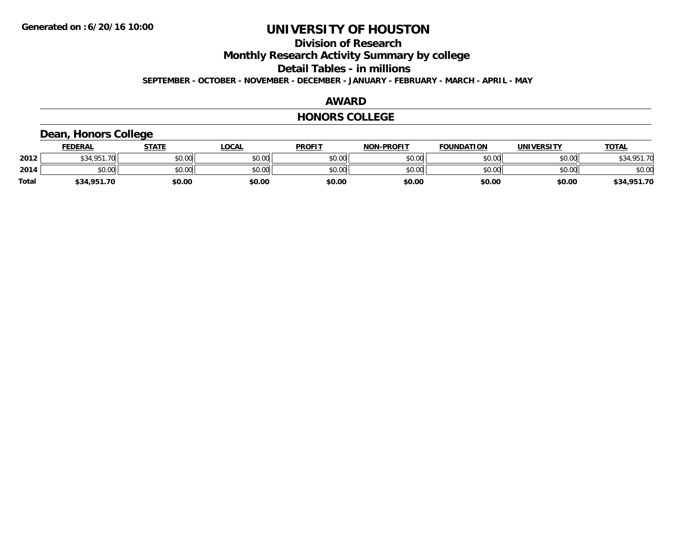## **Division of Research**

**Monthly Research Activity Summary by college**

**Detail Tables - in millions**

**SEPTEMBER - OCTOBER - NOVEMBER - DECEMBER - JANUARY - FEBRUARY - MARCH - APRIL - MAY**

#### **AWARD**

#### **HONORS COLLEGE**

### **Dean, Honors College**

|       | <b>FEDERAL</b>     | STATE  | <u>LOCAL</u> | <b>PROFIT</b> | <b>NON-PROFIT</b> | <b>FOUNDATION</b> | <b>UNIVERSITY</b> | <b>TOTAL</b> |
|-------|--------------------|--------|--------------|---------------|-------------------|-------------------|-------------------|--------------|
| 2012  | \$34.951.70<br>აა4 | \$0.00 | \$0.00       | \$0.00        | \$0.00            | \$0.00            | \$0.00            | \$34,951.70  |
| 2014  | \$0.00             | \$0.00 | \$0.00       | \$0.00        | \$0.00            | \$0.00            | \$0.00            | \$0.00       |
| Total | \$34,951.70        | \$0.00 | \$0.00       | \$0.00        | \$0.00            | \$0.00            | \$0.00            | \$34,951.70  |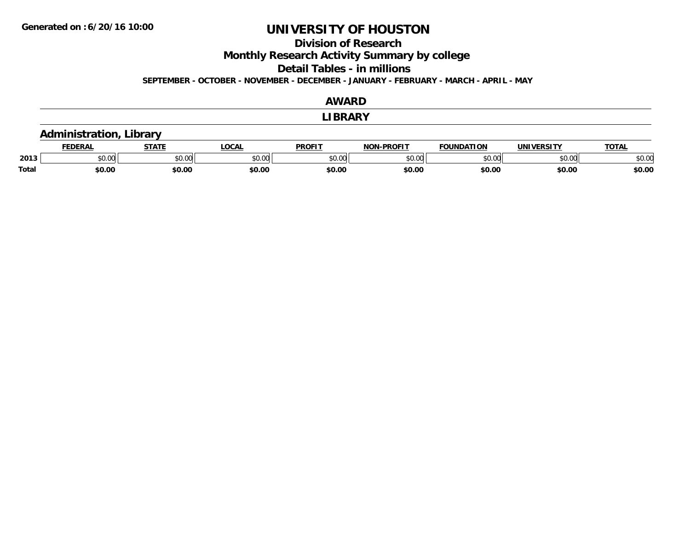### **Division of Research**

**Monthly Research Activity Summary by college**

**Detail Tables - in millions**

**SEPTEMBER - OCTOBER - NOVEMBER - DECEMBER - JANUARY - FEBRUARY - MARCH - APRIL - MAY**

#### **AWARDLIBRARY Administration, Library FEDERAL STATE LOCAL PROFIT NON-PROFIT FOUNDATION UNIVERSITY TOTALTOTAL 2013** $\textbf{3} \mid \textbf{3} \mid \textbf{5} \mid \textbf{5} \mid \textbf{6} \mid \textbf{7} \mid \textbf{8} \mid \textbf{1} \mid \textbf{1} \mid \textbf{1} \mid \textbf{1} \mid \textbf{1} \mid \textbf{1} \mid \textbf{1} \mid \textbf{1} \mid \textbf{1} \mid \textbf{1} \mid \textbf{1} \mid \textbf{1} \mid \textbf{1} \mid \textbf{1} \mid \textbf{1} \mid \textbf{1} \mid \textbf{1} \mid \textbf{1} \mid \textbf{1} \mid \textbf{1} \mid \textbf{$ **Total \$0.00\$0.00 \$0.00 \$0.00 \$0.00 \$0.00 \$0.00 \$0.00**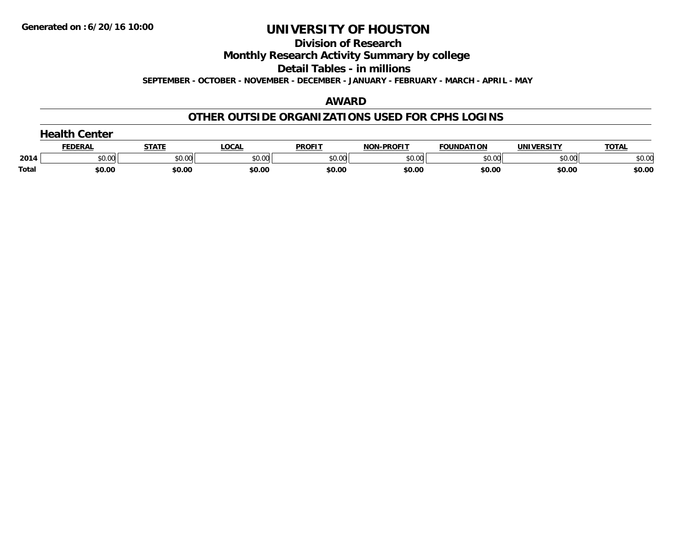#### **Division of Research**

**Monthly Research Activity Summary by college**

**Detail Tables - in millions**

**SEPTEMBER - OCTOBER - NOVEMBER - DECEMBER - JANUARY - FEBRUARY - MARCH - APRIL - MAY**

#### **AWARD**

### **OTHER OUTSIDE ORGANIZATIONS USED FOR CPHS LOGINS**

|              | Center         |              |        |               |                   |            |            |              |  |  |
|--------------|----------------|--------------|--------|---------------|-------------------|------------|------------|--------------|--|--|
|              | <b>FEDERAL</b> | <b>STATE</b> | LOCAL  | <b>PROFIT</b> | <b>NON-PROFIT</b> | FOUNDATION | UNIVERSITY | <b>TOTAL</b> |  |  |
| 2014         | \$0.00         | \$0.00       | \$0.00 | \$0.00        | \$0.00            | \$0.00     | \$0.00     | \$0.00       |  |  |
| <b>Total</b> | \$0.00         | \$0.00       | \$0.00 | \$0.00        | \$0.00            | \$0.00     | \$0.00     | \$0.00       |  |  |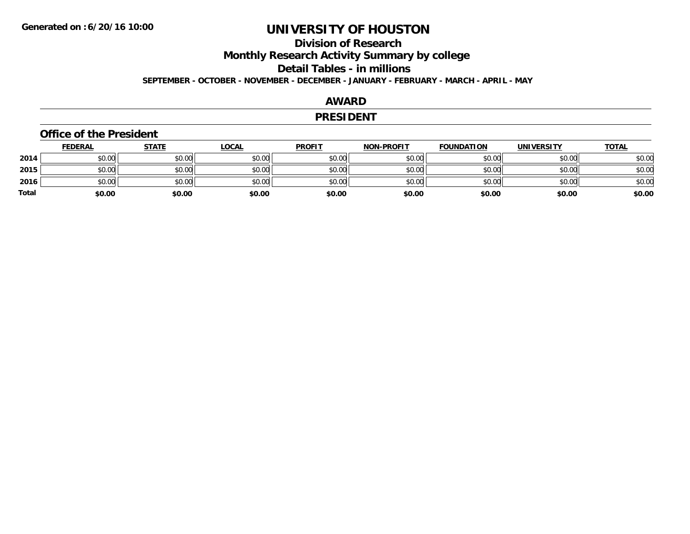## **Division of ResearchMonthly Research Activity Summary by college Detail Tables - in millions SEPTEMBER - OCTOBER - NOVEMBER - DECEMBER - JANUARY - FEBRUARY - MARCH - APRIL - MAY**

#### **AWARD**

#### **PRESIDENT**

#### **Office of the President**

|       | <b>FEDERAL</b> | <b>STATE</b> | <b>LOCAL</b> | <b>PROFIT</b> | <b>NON-PROFIT</b> | <b>FOUNDATION</b> | <b>UNIVERSITY</b> | <b>TOTAL</b> |
|-------|----------------|--------------|--------------|---------------|-------------------|-------------------|-------------------|--------------|
| 2014  | \$0.00         | \$0.00       | \$0.00       | \$0.00        | \$0.00            | \$0.00            | \$0.00            | \$0.00       |
| 2015  | \$0.00         | \$0.00       | \$0.00       | \$0.00        | \$0.00            | \$0.00            | \$0.00            | \$0.00       |
| 2016  | \$0.00         | \$0.00       | \$0.00       | \$0.00        | \$0.00            | \$0.00            | \$0.00            | \$0.00       |
| Total | \$0.00         | \$0.00       | \$0.00       | \$0.00        | \$0.00            | \$0.00            | \$0.00            | \$0.00       |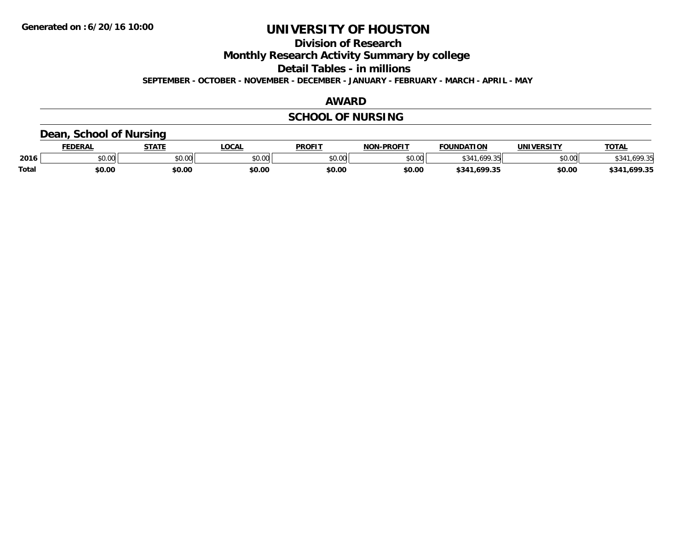**Division of Research**

**Monthly Research Activity Summary by college**

**Detail Tables - in millions**

**SEPTEMBER - OCTOBER - NOVEMBER - DECEMBER - JANUARY - FEBRUARY - MARCH - APRIL - MAY**

#### **AWARD**

## **SCHOOL OF NURSING**

### **Dean, School of Nursing**

|              | <b>DERAL</b> | <b>STATE</b>                               | <b>OCAL</b> | <b>PROFIT</b> | -PROFIT<br>חחו | <b>FOUNDATION</b>          | <b>UNIVERSITY</b> | TOTA.             |
|--------------|--------------|--------------------------------------------|-------------|---------------|----------------|----------------------------|-------------------|-------------------|
| 2016         | \$0.00       | $\mathsf{A} \cap \mathsf{A} \cap$<br>JU.UU | \$0.00      | \$0.00        | nn no<br>pu.uu | $\sqrt{20}$<br>.69<br>1.11 | \$0.00            | וכ ממג            |
| <b>Total</b> | \$0.00       | \$0.00                                     | \$0.00      | \$0.00        | \$0.00         | .699.35<br>\$341           | \$0.00            | .699.35<br>\$341, |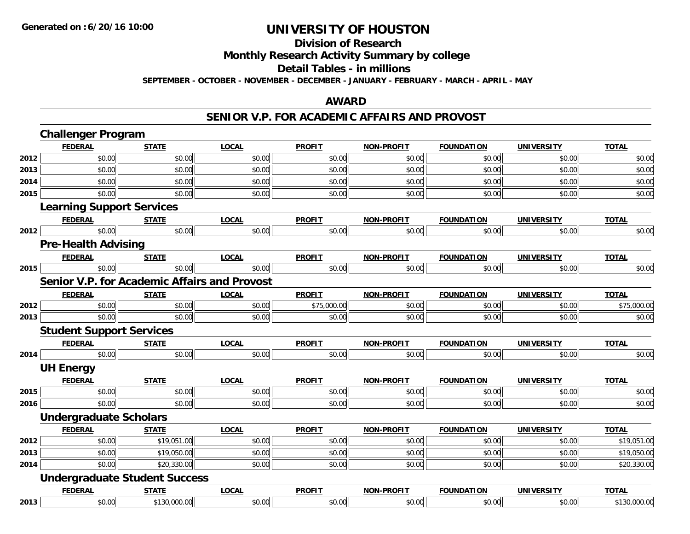#### **Division of Research Monthly Research Activity Summary by college**

### **Detail Tables - in millions**

**SEPTEMBER - OCTOBER - NOVEMBER - DECEMBER - JANUARY - FEBRUARY - MARCH - APRIL - MAY**

#### **AWARD**

### **SENIOR V.P. FOR ACADEMIC AFFAIRS AND PROVOST**

|      | <b>Challenger Program</b>                           |              |              |               |                   |                   |                   |              |
|------|-----------------------------------------------------|--------------|--------------|---------------|-------------------|-------------------|-------------------|--------------|
|      | <b>FEDERAL</b>                                      | <b>STATE</b> | <b>LOCAL</b> | <b>PROFIT</b> | <b>NON-PROFIT</b> | <b>FOUNDATION</b> | <b>UNIVERSITY</b> | <b>TOTAL</b> |
| 2012 | \$0.00                                              | \$0.00       | \$0.00       | \$0.00        | \$0.00            | \$0.00            | \$0.00            | \$0.00       |
| 2013 | \$0.00                                              | \$0.00       | \$0.00       | \$0.00        | \$0.00            | \$0.00            | \$0.00            | \$0.00       |
| 2014 | \$0.00                                              | \$0.00       | \$0.00       | \$0.00        | \$0.00            | \$0.00            | \$0.00            | \$0.00       |
| 2015 | \$0.00                                              | \$0.00       | \$0.00       | \$0.00        | \$0.00            | \$0.00            | \$0.00            | \$0.00       |
|      | <b>Learning Support Services</b>                    |              |              |               |                   |                   |                   |              |
|      | <b>FEDERAL</b>                                      | <b>STATE</b> | <b>LOCAL</b> | <b>PROFIT</b> | <b>NON-PROFIT</b> | <b>FOUNDATION</b> | <b>UNIVERSITY</b> | <b>TOTAL</b> |
| 2012 | \$0.00                                              | \$0.00       | \$0.00       | \$0.00        | \$0.00            | \$0.00            | \$0.00            | \$0.00       |
|      | <b>Pre-Health Advising</b>                          |              |              |               |                   |                   |                   |              |
|      | <b>FEDERAL</b>                                      | <b>STATE</b> | <b>LOCAL</b> | <b>PROFIT</b> | <b>NON-PROFIT</b> | <b>FOUNDATION</b> | <b>UNIVERSITY</b> | <b>TOTAL</b> |
| 2015 | \$0.00                                              | \$0.00       | \$0.00       | \$0.00        | \$0.00            | \$0.00            | \$0.00            | \$0.00       |
|      | <b>Senior V.P. for Academic Affairs and Provost</b> |              |              |               |                   |                   |                   |              |
|      | <b>FEDERAL</b>                                      | <b>STATE</b> | <b>LOCAL</b> | <b>PROFIT</b> | NON-PROFIT        | <b>FOUNDATION</b> | <b>UNIVERSITY</b> | <b>TOTAL</b> |
| 2012 | \$0.00                                              | \$0.00       | \$0.00       | \$75,000.00   | \$0.00            | \$0.00            | \$0.00            | \$75,000.00  |
| 2013 | \$0.00                                              | \$0.00       | \$0.00       | \$0.00        | \$0.00            | \$0.00            | \$0.00            | \$0.00       |
|      | <b>Student Support Services</b>                     |              |              |               |                   |                   |                   |              |
|      | <b>FEDERAL</b>                                      | <b>STATE</b> | <b>LOCAL</b> | <b>PROFIT</b> | <b>NON-PROFIT</b> | <b>FOUNDATION</b> | <b>UNIVERSITY</b> | <b>TOTAL</b> |
| 2014 | \$0.00                                              | \$0.00       | \$0.00       | \$0.00        | \$0.00            | \$0.00            | \$0.00            | \$0.00       |
|      | <b>UH Energy</b>                                    |              |              |               |                   |                   |                   |              |
|      | <b>FEDERAL</b>                                      | <b>STATE</b> | <b>LOCAL</b> | <b>PROFIT</b> | <b>NON-PROFIT</b> | <b>FOUNDATION</b> | <b>UNIVERSITY</b> | <b>TOTAL</b> |
| 2015 | \$0.00                                              | \$0.00       | \$0.00       | \$0.00        | \$0.00            | \$0.00            | \$0.00            | \$0.00       |
| 2016 | \$0.00                                              | \$0.00       | \$0.00       | \$0.00        | \$0.00            | \$0.00            | \$0.00            | \$0.00       |
|      | <b>Undergraduate Scholars</b>                       |              |              |               |                   |                   |                   |              |
|      | <b>FEDERAL</b>                                      | <b>STATE</b> | <b>LOCAL</b> | <b>PROFIT</b> | <b>NON-PROFIT</b> | <b>FOUNDATION</b> | <b>UNIVERSITY</b> | <b>TOTAL</b> |
| 2012 | \$0.00                                              | \$19,051.00  | \$0.00       | \$0.00        | \$0.00            | \$0.00            | \$0.00            | \$19,051.00  |
| 2013 | \$0.00                                              | \$19,050.00  | \$0.00       | \$0.00        | \$0.00            | \$0.00            | \$0.00            | \$19,050.00  |
| 2014 | \$0.00                                              | \$20,330.00  | \$0.00       | \$0.00        | \$0.00            | \$0.00            | \$0.00            | \$20,330.00  |
|      | <b>Undergraduate Student Success</b>                |              |              |               |                   |                   |                   |              |
|      | <b>FEDERAL</b>                                      | <b>STATE</b> | <b>LOCAL</b> | <b>PROFIT</b> | <b>NON-PROFIT</b> | <b>FOUNDATION</b> | <b>UNIVERSITY</b> | <b>TOTAL</b> |
| 2013 | \$0.00                                              | \$130,000.00 | \$0.00       | \$0.00        | \$0.00            | \$0.00            | \$0.00            | \$130,000.00 |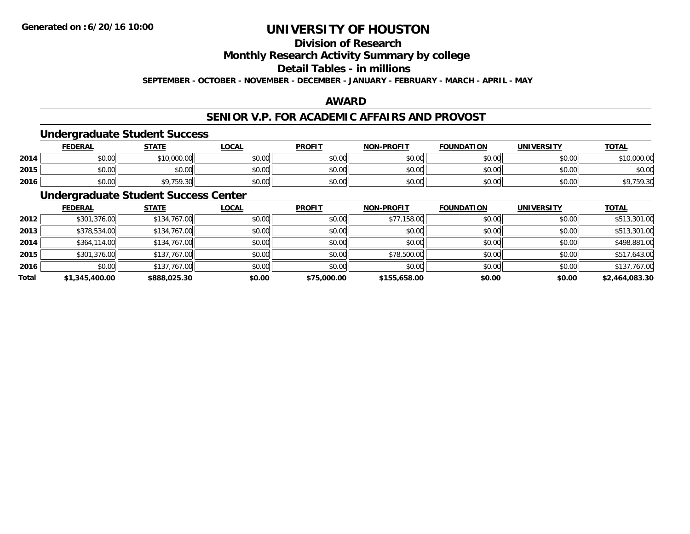## **Division of Research**

**Monthly Research Activity Summary by college**

**Detail Tables - in millions**

**SEPTEMBER - OCTOBER - NOVEMBER - DECEMBER - JANUARY - FEBRUARY - MARCH - APRIL - MAY**

### **AWARD**

### **SENIOR V.P. FOR ACADEMIC AFFAIRS AND PROVOST**

### **Undergraduate Student Success**

|      | <u>FEDERAL</u> | <b>STATE</b>        | <b>_OCAL</b>  | <b>PROFIT</b>  | <b>NON-PROFIT</b> | <b>FOUNDATION</b> | <b>UNIVERSITY</b> | <b>TOTAL</b>     |
|------|----------------|---------------------|---------------|----------------|-------------------|-------------------|-------------------|------------------|
| 2014 | \$0.00         | ,000.00<br>\$10     | 0000<br>DU.UU | ≮N UU<br>PO.OO | \$0.00            | \$0.00            | \$0.00            | \$10,000.00      |
| 2015 | \$0.00         | \$0.00              | \$0.00        | \$0.00         | \$0.00            | \$0.00            | \$0.00            | \$0.00           |
| 2016 | \$0.00         | \$9,759.30<br>- 311 | \$0.00        | \$0.00         | \$0.00            | \$0.00            | \$0.00            | 750.20<br>J 7.JU |

## **Undergraduate Student Success Center**

|       | <b>FEDERAL</b> | <b>STATE</b> | <b>LOCAL</b> | <b>PROFIT</b> | <b>NON-PROFIT</b> | <b>FOUNDATION</b> | <b>UNIVERSITY</b> | <b>TOTAL</b>   |
|-------|----------------|--------------|--------------|---------------|-------------------|-------------------|-------------------|----------------|
| 2012  | \$301,376.00   | \$134,767.00 | \$0.00       | \$0.00        | \$77,158.00       | \$0.00            | \$0.00            | \$513,301.00   |
| 2013  | \$378,534.00   | \$134,767.00 | \$0.00       | \$0.00        | \$0.00            | \$0.00            | \$0.00            | \$513,301.00   |
| 2014  | \$364,114.00   | \$134,767.00 | \$0.00       | \$0.00        | \$0.00            | \$0.00            | \$0.00            | \$498,881.00   |
| 2015  | \$301,376.00   | \$137,767.00 | \$0.00       | \$0.00        | \$78,500.00       | \$0.00            | \$0.00            | \$517,643.00   |
| 2016  | \$0.00         | \$137,767.00 | \$0.00       | \$0.00        | \$0.00            | \$0.00            | \$0.00            | \$137,767.00   |
| Total | \$1,345,400.00 | \$888,025.30 | \$0.00       | \$75,000.00   | \$155,658.00      | \$0.00            | \$0.00            | \$2,464,083.30 |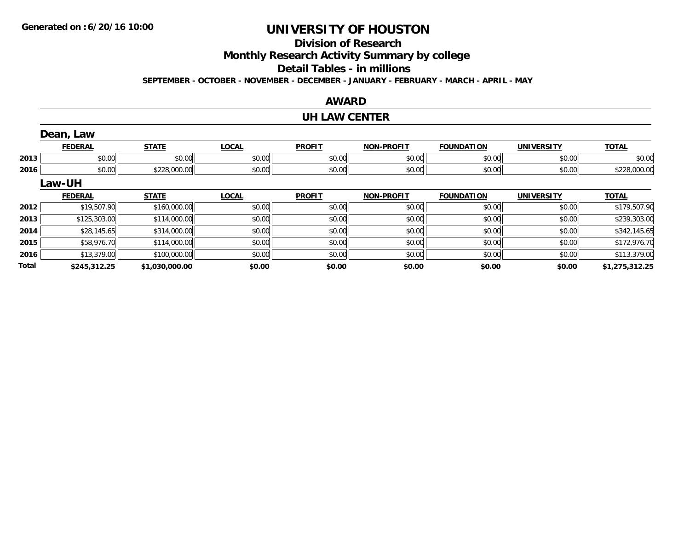## **Division of Research**

**Monthly Research Activity Summary by college**

**Detail Tables - in millions**

**SEPTEMBER - OCTOBER - NOVEMBER - DECEMBER - JANUARY - FEBRUARY - MARCH - APRIL - MAY**

### **AWARD**

#### **UH LAW CENTER**

|              | Dean, Law      |                |              |               |                   |                   |                   |                |
|--------------|----------------|----------------|--------------|---------------|-------------------|-------------------|-------------------|----------------|
|              | <b>FEDERAL</b> | <b>STATE</b>   | <b>LOCAL</b> | <b>PROFIT</b> | <b>NON-PROFIT</b> | <b>FOUNDATION</b> | <b>UNIVERSITY</b> | <b>TOTAL</b>   |
| 2013         | \$0.00         | \$0.00         | \$0.00       | \$0.00        | \$0.00            | \$0.00            | \$0.00            | \$0.00         |
| 2016         | \$0.00         | \$228,000.00   | \$0.00       | \$0.00        | \$0.00            | \$0.00            | \$0.00            | \$228,000.00   |
|              | Law-UH         |                |              |               |                   |                   |                   |                |
|              | <b>FEDERAL</b> | <b>STATE</b>   | <b>LOCAL</b> | <b>PROFIT</b> | <b>NON-PROFIT</b> | <b>FOUNDATION</b> | <b>UNIVERSITY</b> | <b>TOTAL</b>   |
| 2012         | \$19,507.90    | \$160,000.00   | \$0.00       | \$0.00        | \$0.00            | \$0.00            | \$0.00            | \$179,507.90   |
| 2013         | \$125,303.00   | \$114,000.00   | \$0.00       | \$0.00        | \$0.00            | \$0.00            | \$0.00            | \$239,303.00   |
| 2014         | \$28,145.65    | \$314,000.00   | \$0.00       | \$0.00        | \$0.00            | \$0.00            | \$0.00            | \$342,145.65   |
| 2015         | \$58,976.70    | \$114,000.00   | \$0.00       | \$0.00        | \$0.00            | \$0.00            | \$0.00            | \$172,976.70   |
| 2016         | \$13,379.00    | \$100,000.00   | \$0.00       | \$0.00        | \$0.00            | \$0.00            | \$0.00            | \$113,379.00   |
| <b>Total</b> | \$245,312.25   | \$1,030,000.00 | \$0.00       | \$0.00        | \$0.00            | \$0.00            | \$0.00            | \$1,275,312.25 |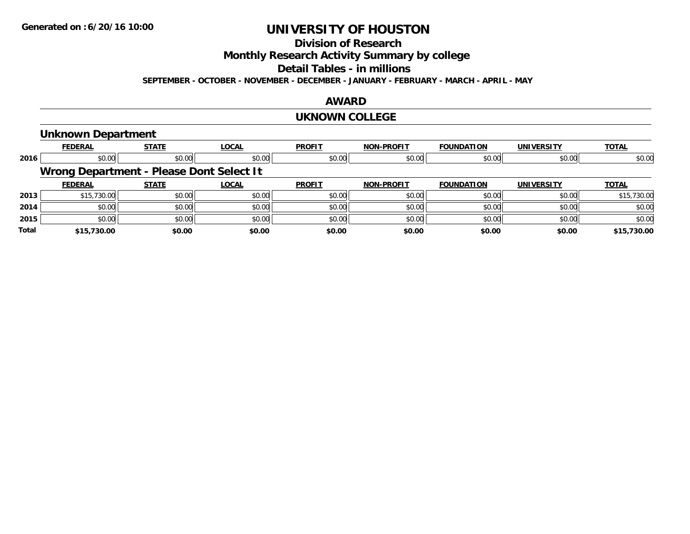## **Division of Research**

**Monthly Research Activity Summary by college**

**Detail Tables - in millions**

**SEPTEMBER - OCTOBER - NOVEMBER - DECEMBER - JANUARY - FEBRUARY - MARCH - APRIL - MAY**

### **AWARD**

#### **UKNOWN COLLEGE**

#### **Unknown Department**

|       | <b>FEDERAL</b> | <b>STATE</b>                             | LOCAL  | <b>PROFIT</b> | <b>NON-PROFIT</b> | <b>FOUNDATION</b> | <b>UNIVERSITY</b> | <b>TOTAL</b> |
|-------|----------------|------------------------------------------|--------|---------------|-------------------|-------------------|-------------------|--------------|
| 2016  | \$0.00         | \$0.00                                   | \$0.00 | \$0.00        | \$0.00            | \$0.00            | \$0.00            | \$0.00       |
|       |                | Wrong Department - Please Dont Select It |        |               |                   |                   |                   |              |
|       | <b>FEDERAL</b> | <b>STATE</b>                             | LOCAL  | <b>PROFIT</b> | <b>NON-PROFIT</b> | <b>FOUNDATION</b> | <b>UNIVERSITY</b> | <b>TOTAL</b> |
| 2013  | \$15,730.00    | \$0.00                                   | \$0.00 | \$0.00        | \$0.00            | \$0.00            | \$0.00            | \$15,730.00  |
| 2014  | \$0.00         | \$0.00                                   | \$0.00 | \$0.00        | \$0.00            | \$0.00            | \$0.00            | \$0.00       |
| 2015  | \$0.00         | \$0.00                                   | \$0.00 | \$0.00        | \$0.00            | \$0.00            | \$0.00            | \$0.00       |
| Total | \$15,730.00    | \$0.00                                   | \$0.00 | \$0.00        | \$0.00            | \$0.00            | \$0.00            | \$15,730.00  |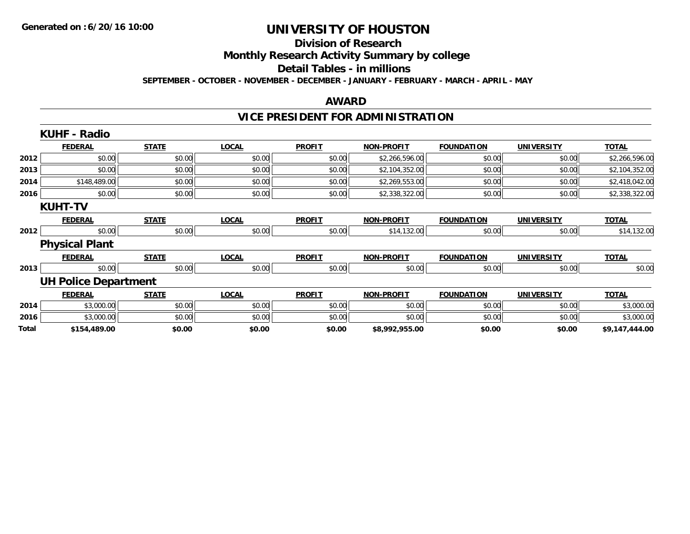#### **Division of Research Monthly Research Activity Summary by college**

**Detail Tables - in millions**

**SEPTEMBER - OCTOBER - NOVEMBER - DECEMBER - JANUARY - FEBRUARY - MARCH - APRIL - MAY**

#### **AWARD**

## **VICE PRESIDENT FOR ADMINISTRATION**

|       | <b>KUHF - Radio</b>         |              |              |               |                   |                   |                   |                |
|-------|-----------------------------|--------------|--------------|---------------|-------------------|-------------------|-------------------|----------------|
|       | <b>FEDERAL</b>              | <b>STATE</b> | <b>LOCAL</b> | <b>PROFIT</b> | <b>NON-PROFIT</b> | <b>FOUNDATION</b> | <b>UNIVERSITY</b> | <b>TOTAL</b>   |
| 2012  | \$0.00                      | \$0.00       | \$0.00       | \$0.00        | \$2,266,596.00    | \$0.00            | \$0.00            | \$2,266,596.00 |
| 2013  | \$0.00                      | \$0.00       | \$0.00       | \$0.00        | \$2,104,352.00    | \$0.00            | \$0.00            | \$2,104,352.00 |
| 2014  | \$148,489.00                | \$0.00       | \$0.00       | \$0.00        | \$2,269,553.00    | \$0.00            | \$0.00            | \$2,418,042.00 |
| 2016  | \$0.00                      | \$0.00       | \$0.00       | \$0.00        | \$2,338,322.00    | \$0.00            | \$0.00            | \$2,338,322.00 |
|       | <b>KUHT-TV</b>              |              |              |               |                   |                   |                   |                |
|       | <b>FEDERAL</b>              | <b>STATE</b> | <b>LOCAL</b> | <b>PROFIT</b> | <b>NON-PROFIT</b> | <b>FOUNDATION</b> | <b>UNIVERSITY</b> | <b>TOTAL</b>   |
| 2012  | \$0.00                      | \$0.00       | \$0.00       | \$0.00        | \$14,132.00       | \$0.00            | \$0.00            | \$14,132.00    |
|       | <b>Physical Plant</b>       |              |              |               |                   |                   |                   |                |
|       | <b>FEDERAL</b>              | <b>STATE</b> | <b>LOCAL</b> | <b>PROFIT</b> | <b>NON-PROFIT</b> | <b>FOUNDATION</b> | <b>UNIVERSITY</b> | <b>TOTAL</b>   |
| 2013  | \$0.00                      | \$0.00       | \$0.00       | \$0.00        | \$0.00            | \$0.00            | \$0.00            | \$0.00         |
|       | <b>UH Police Department</b> |              |              |               |                   |                   |                   |                |
|       | <b>FEDERAL</b>              | <b>STATE</b> | <b>LOCAL</b> | <b>PROFIT</b> | <b>NON-PROFIT</b> | <b>FOUNDATION</b> | <b>UNIVERSITY</b> | <b>TOTAL</b>   |
| 2014  | \$3,000.00                  | \$0.00       | \$0.00       | \$0.00        | \$0.00            | \$0.00            | \$0.00            | \$3,000.00     |
| 2016  | \$3,000.00                  | \$0.00       | \$0.00       | \$0.00        | \$0.00            | \$0.00            | \$0.00            | \$3,000.00     |
| Total | \$154,489.00                | \$0.00       | \$0.00       | \$0.00        | \$8,992,955.00    | \$0.00            | \$0.00            | \$9,147,444.00 |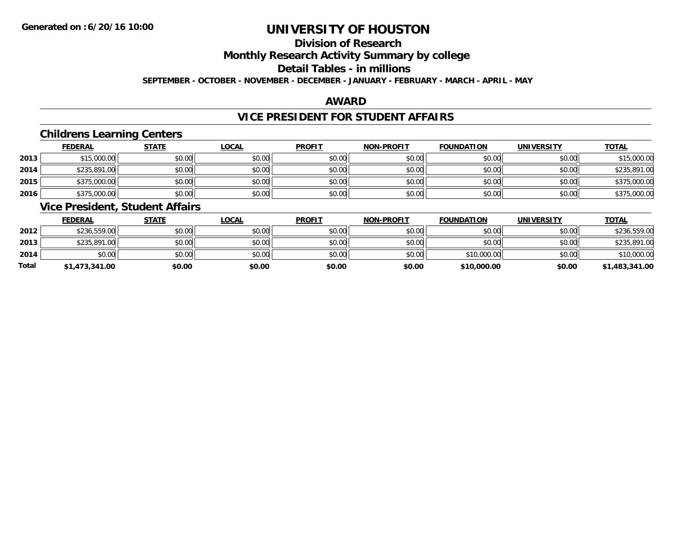## **Division of Research**

**Monthly Research Activity Summary by college**

**Detail Tables - in millions**

**SEPTEMBER - OCTOBER - NOVEMBER - DECEMBER - JANUARY - FEBRUARY - MARCH - APRIL - MAY**

### **AWARD**

## **VICE PRESIDENT FOR STUDENT AFFAIRS**

### **Childrens Learning Centers**

|      | <b>FEDERAL</b> | <b>STATE</b> | <b>LOCAL</b> | <b>PROFIT</b> | <b>NON-PROFIT</b> | <b>FOUNDATION</b> | <b>UNIVERSITY</b> | <b>TOTAL</b> |
|------|----------------|--------------|--------------|---------------|-------------------|-------------------|-------------------|--------------|
| 2013 | \$15,000.00    | \$0.00       | \$0.00       | \$0.00        | \$0.00            | \$0.00            | \$0.00            | \$15,000.00  |
| 2014 | \$235,891.00   | \$0.00       | \$0.00       | \$0.00        | \$0.00            | \$0.00            | \$0.00            | \$235,891.00 |
| 2015 | \$375,000.00   | \$0.00       | \$0.00       | \$0.00        | \$0.00            | \$0.00            | \$0.00            | \$375,000.00 |
| 2016 | \$375,000.00   | \$0.00       | \$0.00       | \$0.00        | \$0.00            | \$0.00            | \$0.00            | \$375,000.00 |

### **Vice President, Student Affairs**

|       | <b>FEDERAL</b> | <u>STATE</u> | <b>LOCAL</b> | <b>PROFIT</b> | <b>NON-PROFIT</b> | <b>FOUNDATION</b> | <b>UNIVERSITY</b> | <b>TOTAL</b>   |
|-------|----------------|--------------|--------------|---------------|-------------------|-------------------|-------------------|----------------|
| 2012  | \$236,559.00   | \$0.00       | \$0.00       | \$0.00        | \$0.00            | \$0.00            | \$0.00            | \$236,559.00   |
| 2013  | \$235,891,00   | \$0.00       | \$0.00       | \$0.00        | \$0.00            | \$0.00            | \$0.00            | \$235,891.00   |
| 2014  | \$0.00         | \$0.00       | \$0.00       | \$0.00        | \$0.00            | \$10,000.00       | \$0.00            | \$10,000.00    |
| Total | \$1,473,341.00 | \$0.00       | \$0.00       | \$0.00        | \$0.00            | \$10,000.00       | \$0.00            | \$1,483,341.00 |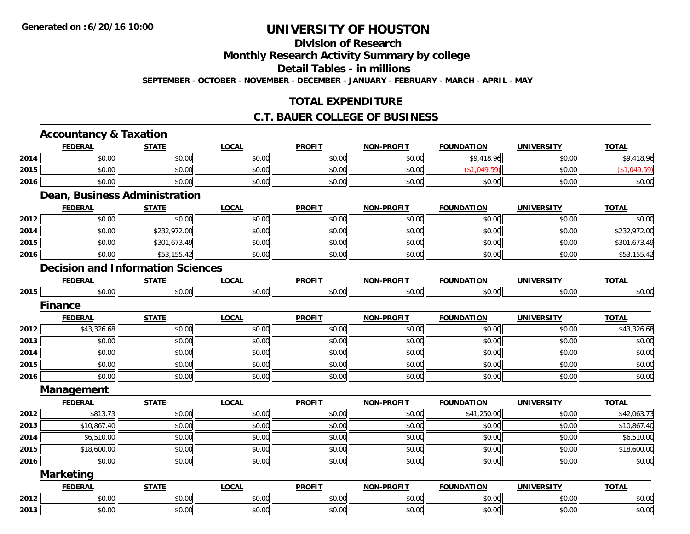## **Division of Research**

**Monthly Research Activity Summary by college**

**Detail Tables - in millions**

**SEPTEMBER - OCTOBER - NOVEMBER - DECEMBER - JANUARY - FEBRUARY - MARCH - APRIL - MAY**

### **TOTAL EXPENDITURE**

#### **C.T. BAUER COLLEGE OF BUSINESS**

| <b>FEDERAL</b> | <b>STATE</b>                                     | <b>LOCAL</b>                                          | <b>PROFIT</b>                                                                    | <b>NON-PROFIT</b> | <b>FOUNDATION</b> | <b>UNIVERSITY</b> | <b>TOTAL</b> |
|----------------|--------------------------------------------------|-------------------------------------------------------|----------------------------------------------------------------------------------|-------------------|-------------------|-------------------|--------------|
| \$0.00         | \$0.00                                           | \$0.00                                                | \$0.00                                                                           | \$0.00            | \$9,418.96        | \$0.00            | \$9,418.96   |
| \$0.00         | \$0.00                                           | \$0.00                                                | \$0.00                                                                           | \$0.00            | (\$1,049.59)      | \$0.00            | (\$1,049.59) |
| \$0.00         | \$0.00                                           | \$0.00                                                | \$0.00                                                                           | \$0.00            | \$0.00            | \$0.00            | \$0.00       |
|                |                                                  |                                                       |                                                                                  |                   |                   |                   |              |
| <b>FEDERAL</b> | <b>STATE</b>                                     | <b>LOCAL</b>                                          | <b>PROFIT</b>                                                                    | <b>NON-PROFIT</b> | <b>FOUNDATION</b> | <b>UNIVERSITY</b> | <b>TOTAL</b> |
|                | \$0.00                                           | \$0.00                                                | \$0.00                                                                           | \$0.00            | \$0.00            | \$0.00            | \$0.00       |
| \$0.00         | \$232,972.00                                     | \$0.00                                                | \$0.00                                                                           | \$0.00            | \$0.00            | \$0.00            | \$232,972.00 |
| \$0.00         | \$301,673.49                                     | \$0.00                                                | \$0.00                                                                           | \$0.00            | \$0.00            | \$0.00            | \$301,673.49 |
| \$0.00         | \$53,155.42                                      | \$0.00                                                | \$0.00                                                                           | \$0.00            | \$0.00            | \$0.00            | \$53,155.42  |
|                |                                                  |                                                       |                                                                                  |                   |                   |                   |              |
| <b>FEDERAL</b> | <b>STATE</b>                                     | <b>LOCAL</b>                                          | <b>PROFIT</b>                                                                    | <b>NON-PROFIT</b> | <b>FOUNDATION</b> | <b>UNIVERSITY</b> | <b>TOTAL</b> |
|                | \$0.00                                           | \$0.00                                                | \$0.00                                                                           | \$0.00            | \$0.00            | \$0.00            | \$0.00       |
|                |                                                  |                                                       |                                                                                  |                   |                   |                   |              |
| <b>FEDERAL</b> | <b>STATE</b>                                     | <b>LOCAL</b>                                          | <b>PROFIT</b>                                                                    | <b>NON-PROFIT</b> | <b>FOUNDATION</b> | <b>UNIVERSITY</b> | <b>TOTAL</b> |
| \$43,326.68    | \$0.00                                           | \$0.00                                                | \$0.00                                                                           | \$0.00            | \$0.00            | \$0.00            | \$43,326.68  |
| \$0.00         | \$0.00                                           | \$0.00                                                | \$0.00                                                                           | \$0.00            | \$0.00            | \$0.00            | \$0.00       |
| \$0.00         | \$0.00                                           | \$0.00                                                | \$0.00                                                                           | \$0.00            | \$0.00            | \$0.00            | \$0.00       |
| \$0.00         | \$0.00                                           | \$0.00                                                | \$0.00                                                                           | \$0.00            | \$0.00            | \$0.00            | \$0.00       |
| \$0.00         | \$0.00                                           | \$0.00                                                | \$0.00                                                                           | \$0.00            | \$0.00            | \$0.00            | \$0.00       |
|                |                                                  |                                                       |                                                                                  |                   |                   |                   |              |
| <b>FEDERAL</b> | <b>STATE</b>                                     | <b>LOCAL</b>                                          | <b>PROFIT</b>                                                                    | <b>NON-PROFIT</b> | <b>FOUNDATION</b> | <b>UNIVERSITY</b> | <b>TOTAL</b> |
| \$813.73       | \$0.00                                           | \$0.00                                                | \$0.00                                                                           | \$0.00            | \$41,250.00       | \$0.00            | \$42,063.73  |
| \$10,867.40    | \$0.00                                           | \$0.00                                                | \$0.00                                                                           | \$0.00            | \$0.00            | \$0.00            | \$10,867.40  |
| \$6,510.00     | \$0.00                                           | \$0.00                                                | \$0.00                                                                           | \$0.00            | \$0.00            | \$0.00            | \$6,510.00   |
| \$18,600.00    | \$0.00                                           | \$0.00                                                | \$0.00                                                                           | \$0.00            | \$0.00            | \$0.00            | \$18,600.00  |
| \$0.00         | \$0.00                                           | \$0.00                                                | \$0.00                                                                           | \$0.00            | \$0.00            | \$0.00            | \$0.00       |
|                |                                                  |                                                       |                                                                                  |                   |                   |                   |              |
| <b>FEDERAL</b> | <b>STATE</b>                                     | <b>LOCAL</b>                                          | <b>PROFIT</b>                                                                    | <b>NON-PROFIT</b> | <b>FOUNDATION</b> | <b>UNIVERSITY</b> | <b>TOTAL</b> |
| \$0.00         | \$0.00                                           | \$0.00                                                | \$0.00                                                                           | \$0.00            | \$0.00            | \$0.00            | \$0.00       |
| \$0.00         | \$0.00                                           | \$0.00                                                | \$0.00                                                                           | \$0.00            | \$0.00            | \$0.00            | \$0.00       |
|                | <b>Finance</b><br>Management<br><b>Marketing</b> | <b>Accountancy &amp; Taxation</b><br>\$0.00<br>\$0.00 | <b>Dean, Business Administration</b><br><b>Decision and Information Sciences</b> |                   |                   |                   |              |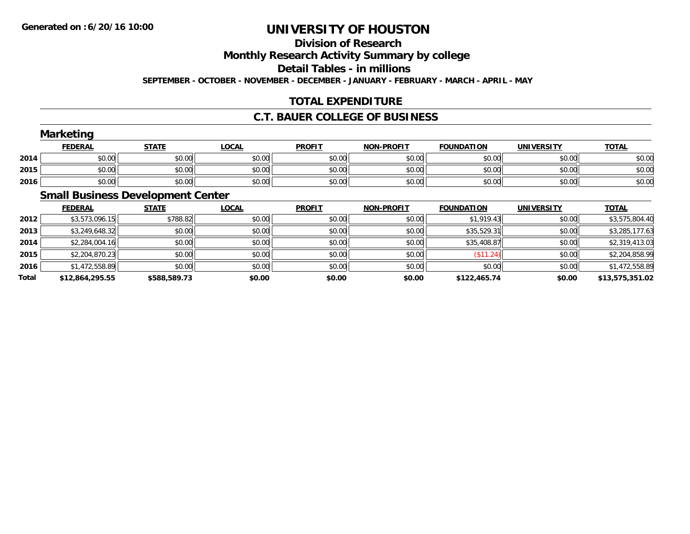## **Division of Research**

**Monthly Research Activity Summary by college**

**Detail Tables - in millions**

**SEPTEMBER - OCTOBER - NOVEMBER - DECEMBER - JANUARY - FEBRUARY - MARCH - APRIL - MAY**

## **TOTAL EXPENDITURE**

### **C.T. BAUER COLLEGE OF BUSINESS**

|      | <b>Marketing</b> |              |              |               |                   |                   |            |              |  |  |  |
|------|------------------|--------------|--------------|---------------|-------------------|-------------------|------------|--------------|--|--|--|
|      | <b>FEDERAL</b>   | <b>STATE</b> | <b>LOCAL</b> | <b>PROFIT</b> | <b>NON-PROFIT</b> | <b>FOUNDATION</b> | UNIVERSITY | <b>TOTAL</b> |  |  |  |
| 2014 | \$0.00           | \$0.00       | \$0.00       | \$0.00        | \$0.00            | \$0.00            | \$0.00     | \$0.00       |  |  |  |
| 2015 | \$0.00           | \$0.00       | \$0.00       | \$0.00        | \$0.00            | \$0.00            | \$0.00     | \$0.00       |  |  |  |
| 2016 | \$0.00           | \$0.00       | \$0.00       | \$0.00        | \$0.00            | \$0.00            | \$0.00     | \$0.00       |  |  |  |

## **Small Business Development Center**

|              | <b>FEDERAL</b>  | <b>STATE</b> | <b>LOCAL</b> | <b>PROFIT</b> | <b>NON-PROFIT</b> | <b>FOUNDATION</b> | <b>UNIVERSITY</b> | <b>TOTAL</b>    |
|--------------|-----------------|--------------|--------------|---------------|-------------------|-------------------|-------------------|-----------------|
| 2012         | \$3,573,096.15  | \$788.82     | \$0.00       | \$0.00        | \$0.00            | \$1,919.43        | \$0.00            | \$3,575,804.40  |
| 2013         | \$3,249,648.32  | \$0.00       | \$0.00       | \$0.00        | \$0.00            | \$35,529.31       | \$0.00            | \$3,285,177.63  |
| 2014         | \$2,284,004.16  | \$0.00       | \$0.00       | \$0.00        | \$0.00            | \$35,408.87       | \$0.00            | \$2,319,413.03  |
| 2015         | \$2,204,870.23  | \$0.00       | \$0.00       | \$0.00        | \$0.00            | (\$11.24)         | \$0.00            | \$2,204,858.99  |
| 2016         | \$1,472,558.89  | \$0.00       | \$0.00       | \$0.00        | \$0.00            | \$0.00            | \$0.00            | \$1,472,558.89  |
| <b>Total</b> | \$12,864,295.55 | \$588,589.73 | \$0.00       | \$0.00        | \$0.00            | \$122,465.74      | \$0.00            | \$13,575,351.02 |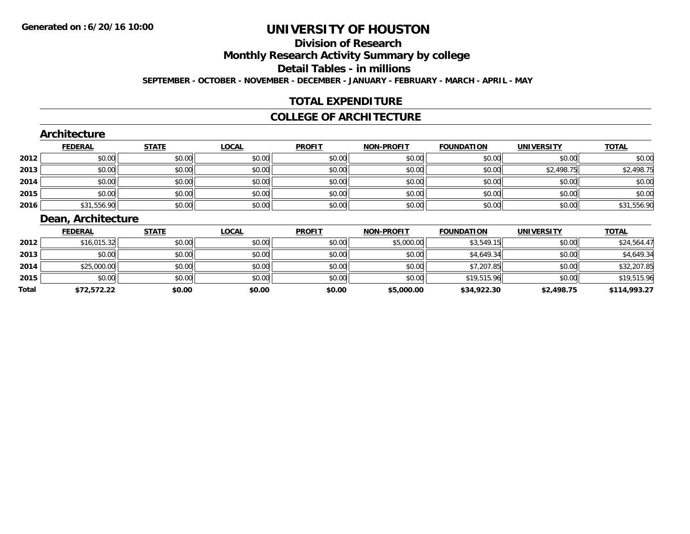# **Division of ResearchMonthly Research Activity Summary by college Detail Tables - in millions**

**SEPTEMBER - OCTOBER - NOVEMBER - DECEMBER - JANUARY - FEBRUARY - MARCH - APRIL - MAY**

## **TOTAL EXPENDITURE**

#### **COLLEGE OF ARCHITECTURE**

#### **Architecture**

|      | <b>FEDERAL</b> | <b>STATE</b> | <u>LOCAL</u> | <b>PROFIT</b> | <b>NON-PROFIT</b> | <b>FOUNDATION</b> | <b>UNIVERSITY</b> | <b>TOTAL</b> |
|------|----------------|--------------|--------------|---------------|-------------------|-------------------|-------------------|--------------|
| 2012 | \$0.00         | \$0.00       | \$0.00       | \$0.00        | \$0.00            | \$0.00            | \$0.00            | \$0.00       |
| 2013 | \$0.00         | \$0.00       | \$0.00       | \$0.00        | \$0.00            | \$0.00            | \$2,498.75        | \$2,498.75   |
| 2014 | \$0.00         | \$0.00       | \$0.00       | \$0.00        | \$0.00            | \$0.00            | \$0.00            | \$0.00       |
| 2015 | \$0.00         | \$0.00       | \$0.00       | \$0.00        | \$0.00            | \$0.00            | \$0.00            | \$0.00       |
| 2016 | \$31,556.90    | \$0.00       | \$0.00       | \$0.00        | \$0.00            | \$0.00            | \$0.00            | \$31,556.90  |

## **Dean, Architecture**

|       | <b>FEDERAL</b> | <b>STATE</b> | <u>LOCAL</u> | <b>PROFIT</b> | <b>NON-PROFIT</b> | <b>FOUNDATION</b> | <b>UNIVERSITY</b> | <b>TOTAL</b> |
|-------|----------------|--------------|--------------|---------------|-------------------|-------------------|-------------------|--------------|
| 2012  | \$16,015.32    | \$0.00       | \$0.00       | \$0.00        | \$5,000.00        | \$3,549.15        | \$0.00            | \$24,564.47  |
| 2013  | \$0.00         | \$0.00       | \$0.00       | \$0.00        | \$0.00            | \$4,649.34        | \$0.00            | \$4,649.34   |
| 2014  | \$25,000.00    | \$0.00       | \$0.00       | \$0.00        | \$0.00            | \$7,207.85        | \$0.00            | \$32,207.85  |
| 2015  | \$0.00         | \$0.00       | \$0.00       | \$0.00        | \$0.00            | \$19,515.96       | \$0.00            | \$19,515.96  |
| Total | \$72,572.22    | \$0.00       | \$0.00       | \$0.00        | \$5,000.00        | \$34,922.30       | \$2,498.75        | \$114,993.27 |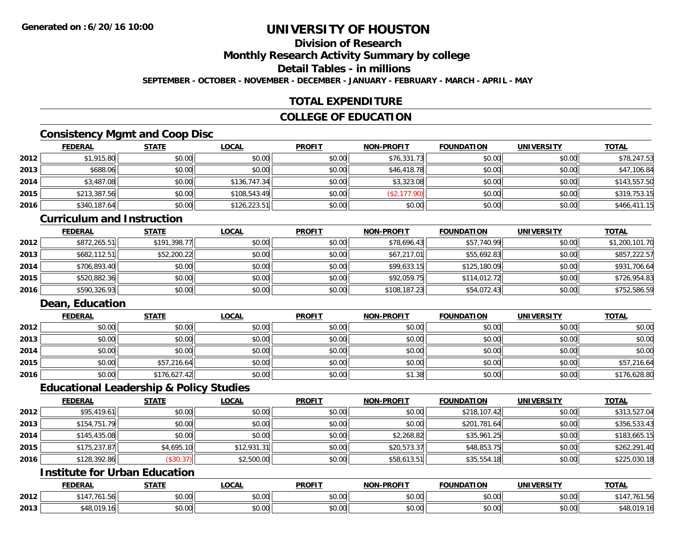## **Division of Research**

**Monthly Research Activity Summary by college**

**Detail Tables - in millions**

**SEPTEMBER - OCTOBER - NOVEMBER - DECEMBER - JANUARY - FEBRUARY - MARCH - APRIL - MAY**

## **TOTAL EXPENDITURE**

## **COLLEGE OF EDUCATION**

### **Consistency Mgmt and Coop Disc**

|      | <b>FEDERAL</b> | <b>STATE</b> | <u>LOCAL</u> | <b>PROFIT</b> | <b>NON-PROFIT</b> | <b>FOUNDATION</b> | <b>UNIVERSITY</b> | <b>TOTAL</b> |
|------|----------------|--------------|--------------|---------------|-------------------|-------------------|-------------------|--------------|
| 2012 | \$1,915.80     | \$0.00       | \$0.00       | \$0.00        | \$76,331.73       | \$0.00            | \$0.00            | \$78,247.53  |
| 2013 | \$688.06       | \$0.00       | \$0.00       | \$0.00        | \$46,418.78       | \$0.00            | \$0.00            | \$47,106.84  |
| 2014 | \$3,487.08     | \$0.00       | \$136,747.34 | \$0.00        | \$3,323.08        | \$0.00            | \$0.00            | \$143,557.50 |
| 2015 | \$213,387.56   | \$0.00       | \$108,543.49 | \$0.00        | 177.90)           | \$0.00            | \$0.00            | \$319,753.15 |
| 2016 | \$340,187.64   | \$0.00       | \$126,223.51 | \$0.00        | \$0.00            | \$0.00            | \$0.00            | \$466,411.15 |

#### **Curriculum and Instruction**

|      | <b>FEDERAL</b> | <b>STATE</b> | <b>LOCAL</b> | <b>PROFIT</b> | <b>NON-PROFIT</b> | <b>FOUNDATION</b> | <b>UNIVERSITY</b> | <b>TOTAL</b>   |
|------|----------------|--------------|--------------|---------------|-------------------|-------------------|-------------------|----------------|
| 2012 | \$872,265.51   | \$191,398.77 | \$0.00       | \$0.00        | \$78,696.43       | \$57,740.99       | \$0.00            | \$1,200,101.70 |
| 2013 | \$682,112.51   | \$52,200.22  | \$0.00       | \$0.00        | \$67,217.01       | \$55,692.83       | \$0.00            | \$857,222.57   |
| 2014 | \$706.893.40   | \$0.00       | \$0.00       | \$0.00        | \$99.633.15       | \$125,180.09      | \$0.00            | \$931,706.64   |
| 2015 | \$520,882.36   | \$0.00       | \$0.00       | \$0.00        | \$92,059.75       | \$114,012.72      | \$0.00            | \$726,954.83   |
| 2016 | \$590,326.93   | \$0.00       | \$0.00       | \$0.00        | \$108,187.23      | \$54,072.43       | \$0.00            | \$752,586.59   |

## **Dean, Education**

|      | <b>FEDERAL</b> | <b>STATE</b> | <u>LOCAL</u> | <b>PROFIT</b> | <b>NON-PROFIT</b> | <b>FOUNDATION</b> | <b>UNIVERSITY</b> | <b>TOTAL</b> |
|------|----------------|--------------|--------------|---------------|-------------------|-------------------|-------------------|--------------|
| 2012 | \$0.00         | \$0.00       | \$0.00       | \$0.00        | \$0.00            | \$0.00            | \$0.00            | \$0.00       |
| 2013 | \$0.00         | \$0.00       | \$0.00       | \$0.00        | \$0.00            | \$0.00            | \$0.00            | \$0.00       |
| 2014 | \$0.00         | \$0.00       | \$0.00       | \$0.00        | \$0.00            | \$0.00            | \$0.00            | \$0.00       |
| 2015 | \$0.00         | \$57,216.64  | \$0.00       | \$0.00        | \$0.00            | \$0.00            | \$0.00            | \$57,216.64  |
| 2016 | \$0.00         | \$176,627.42 | \$0.00       | \$0.00        | \$1.38            | \$0.00            | \$0.00            | \$176,628.80 |

#### **Educational Leadership & Policy Studies**

|      | <b>FEDERAL</b> | <b>STATE</b> | <u>LOCAL</u> | <b>PROFIT</b> | <b>NON-PROFIT</b> | <b>FOUNDATION</b> | <b>UNIVERSITY</b> | <b>TOTAL</b> |
|------|----------------|--------------|--------------|---------------|-------------------|-------------------|-------------------|--------------|
| 2012 | \$95,419.61    | \$0.00       | \$0.00       | \$0.00        | \$0.00            | \$218,107.42      | \$0.00            | \$313,527.04 |
| 2013 | \$154,751.79   | \$0.00       | \$0.00       | \$0.00        | \$0.00            | \$201,781.64      | \$0.00            | \$356,533.43 |
| 2014 | \$145,435.08   | \$0.00       | \$0.00       | \$0.00        | \$2,268.82        | \$35,961.25       | \$0.00            | \$183,665.15 |
| 2015 | \$175,237.87   | \$4,695.10   | \$12,931.31  | \$0.00        | \$20,573.37       | \$48,853.75       | \$0.00            | \$262,291.40 |
| 2016 | \$128,392.86   | (\$30.37)    | \$2,500.00   | \$0.00        | \$58,613.51       | \$35,554.18       | \$0.00            | \$225,030.18 |

## **Institute for Urban Education**

|      | <b>FEDERAL</b>                 | <b>CTATE</b>             | <b>LOCAL</b>          | <b>PROFIT</b>      | <b>J-PROFIT</b><br><b>BIABI</b> | <b>FOUNDATION</b> | <b>UNIVERSITY</b>    | <b>TOTAL</b> |
|------|--------------------------------|--------------------------|-----------------------|--------------------|---------------------------------|-------------------|----------------------|--------------|
| 2012 | A 17<br>ט טי                   | $n \cap \Omega$<br>DU.UU | $\sim$<br>0 t<br>שט.⊽ | $\sim$ 00<br>DU.UU | 0.00<br>JU.UU                   | \$0.00            | 0000<br>\$U.UU       | ט ויט        |
| 2013 | <b>C 10 010</b><br>-10<br>40.U | 0000<br>,u.uu            | $\sim$ 00<br>vv.vv    | $\sim$ 00<br>DU.UU | 0.00<br>JU.UU                   | \$0.00            | 0000<br><b>JU.UU</b> | +0.U         |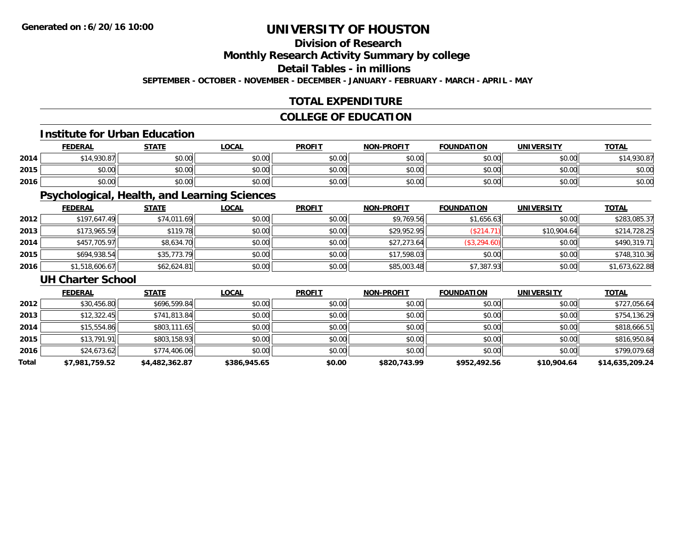## **Division of Research**

**Monthly Research Activity Summary by college**

**Detail Tables - in millions**

**SEPTEMBER - OCTOBER - NOVEMBER - DECEMBER - JANUARY - FEBRUARY - MARCH - APRIL - MAY**

## **TOTAL EXPENDITURE**

## **COLLEGE OF EDUCATION**

#### **Institute for Urban Education**

|      | <b>FEDERAL</b>   | <b>STATE</b> | <b>LOCAL</b> | <b>PROFIT</b> | <b>NON-PROFIT</b> | <b>FOUNDATION</b> | <b>UNIVERSITY</b> | <b>TOTAL</b> |
|------|------------------|--------------|--------------|---------------|-------------------|-------------------|-------------------|--------------|
| 2014 | $\star$ 14 930 ° | \$0.00       | \$0.00       | \$0.00        | \$0.00            | \$0.00            | \$0.00            | \$14,930.87  |
| 2015 | \$0.00           | \$0.00       | \$0.00       | \$0.00        | \$0.00            | \$0.00            | \$0.00            | \$0.00       |
| 2016 | \$0.00           | \$0.00       | \$0.00       | \$0.00        | \$0.00            | \$0.00            | \$0.00            | \$0.00       |

## **Psychological, Health, and Learning Sciences**

|      | <b>FEDERAL</b> | <b>STATE</b> | <b>LOCAL</b> | <b>PROFIT</b> | <b>NON-PROFIT</b> | <b>FOUNDATION</b> | <b>UNIVERSITY</b> | <b>TOTAL</b>   |
|------|----------------|--------------|--------------|---------------|-------------------|-------------------|-------------------|----------------|
| 2012 | \$197,647.49   | \$74,011.69  | \$0.00       | \$0.00        | \$9,769.56        | \$1,656.63        | \$0.00            | \$283,085.37   |
| 2013 | \$173,965.59   | \$119.78     | \$0.00       | \$0.00        | \$29,952.95       | (\$214.71)        | \$10,904.64       | \$214,728.25   |
| 2014 | \$457,705.97   | \$8,634.70   | \$0.00       | \$0.00        | \$27,273.64       | \$3,294.60        | \$0.00            | \$490,319.71   |
| 2015 | \$694,938.54   | \$35,773.79  | \$0.00       | \$0.00        | \$17,598.03       | \$0.00            | \$0.00            | \$748,310.36   |
| 2016 | \$1,518,606.67 | \$62,624.81  | \$0.00       | \$0.00        | \$85,003.48       | \$7,387.93        | \$0.00            | \$1,673,622.88 |

#### **UH Charter School**

|       | <b>FEDERAL</b> | <b>STATE</b>   | <b>LOCAL</b> | <b>PROFIT</b> | <b>NON-PROFIT</b> | <b>FOUNDATION</b> | <b>UNIVERSITY</b> | <b>TOTAL</b>    |
|-------|----------------|----------------|--------------|---------------|-------------------|-------------------|-------------------|-----------------|
| 2012  | \$30,456.80    | \$696,599.84   | \$0.00       | \$0.00        | \$0.00            | \$0.00            | \$0.00            | \$727,056.64    |
| 2013  | \$12,322.45    | \$741,813.84   | \$0.00       | \$0.00        | \$0.00            | \$0.00            | \$0.00            | \$754,136.29    |
| 2014  | \$15,554.86    | \$803,111.65   | \$0.00       | \$0.00        | \$0.00            | \$0.00            | \$0.00            | \$818,666.51    |
| 2015  | \$13,791.91    | \$803,158.93   | \$0.00       | \$0.00        | \$0.00            | \$0.00            | \$0.00            | \$816,950.84    |
| 2016  | \$24,673.62    | \$774,406.06   | \$0.00       | \$0.00        | \$0.00            | \$0.00            | \$0.00            | \$799,079.68    |
| Total | \$7,981,759.52 | \$4,482,362.87 | \$386,945.65 | \$0.00        | \$820,743.99      | \$952,492.56      | \$10,904.64       | \$14,635,209.24 |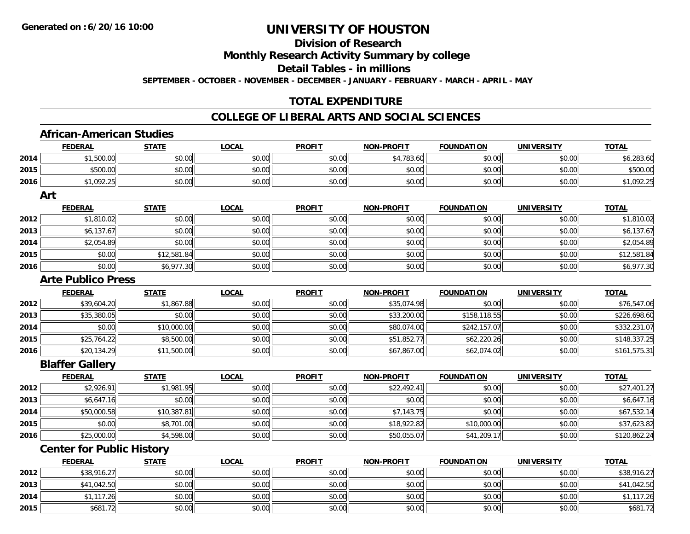# **Division of Research**

**Monthly Research Activity Summary by college**

**Detail Tables - in millions**

**SEPTEMBER - OCTOBER - NOVEMBER - DECEMBER - JANUARY - FEBRUARY - MARCH - APRIL - MAY**

### **TOTAL EXPENDITURE**

#### **COLLEGE OF LIBERAL ARTS AND SOCIAL SCIENCES**

### **African-American Studies**

|      | <b>FEDERAL</b>                   | <b>STATE</b> | <b>LOCAL</b> | <b>PROFIT</b> | <b>NON-PROFIT</b> | <b>FOUNDATION</b> | <b>UNIVERSITY</b> | <b>TOTAL</b> |
|------|----------------------------------|--------------|--------------|---------------|-------------------|-------------------|-------------------|--------------|
| 2014 | \$1,500.00                       | \$0.00       | \$0.00       | \$0.00        | \$4,783.60        | \$0.00            | \$0.00            | \$6,283.60   |
| 2015 | \$500.00                         | \$0.00       | \$0.00       | \$0.00        | \$0.00            | \$0.00            | \$0.00            | \$500.00     |
| 2016 | \$1,092.25                       | \$0.00       | \$0.00       | \$0.00        | \$0.00            | \$0.00            | \$0.00            | \$1,092.25   |
|      | Art                              |              |              |               |                   |                   |                   |              |
|      | <b>FEDERAL</b>                   | <b>STATE</b> | <b>LOCAL</b> | <b>PROFIT</b> | <b>NON-PROFIT</b> | <b>FOUNDATION</b> | <b>UNIVERSITY</b> | <b>TOTAL</b> |
| 2012 | \$1,810.02                       | \$0.00       | \$0.00       | \$0.00        | \$0.00            | \$0.00            | \$0.00            | \$1,810.02   |
| 2013 | \$6,137.67                       | \$0.00       | \$0.00       | \$0.00        | \$0.00            | \$0.00            | \$0.00            | \$6,137.67   |
| 2014 | \$2,054.89                       | \$0.00       | \$0.00       | \$0.00        | \$0.00            | \$0.00            | \$0.00            | \$2,054.89   |
| 2015 | \$0.00                           | \$12,581.84  | \$0.00       | \$0.00        | \$0.00            | \$0.00            | \$0.00            | \$12,581.84  |
| 2016 | \$0.00                           | \$6,977.30   | \$0.00       | \$0.00        | \$0.00            | \$0.00            | \$0.00            | \$6,977.30   |
|      | <b>Arte Publico Press</b>        |              |              |               |                   |                   |                   |              |
|      | <b>FEDERAL</b>                   | <b>STATE</b> | <b>LOCAL</b> | <b>PROFIT</b> | <b>NON-PROFIT</b> | <b>FOUNDATION</b> | <b>UNIVERSITY</b> | <b>TOTAL</b> |
| 2012 | \$39,604.20                      | \$1,867.88   | \$0.00       | \$0.00        | \$35,074.98       | \$0.00            | \$0.00            | \$76,547.06  |
| 2013 | \$35,380.05                      | \$0.00       | \$0.00       | \$0.00        | \$33,200.00       | \$158,118.55      | \$0.00            | \$226,698.60 |
| 2014 | \$0.00                           | \$10,000.00  | \$0.00       | \$0.00        | \$80,074.00       | \$242,157.07      | \$0.00            | \$332,231.07 |
| 2015 | \$25,764.22                      | \$8,500.00   | \$0.00       | \$0.00        | \$51,852.77       | \$62,220.26       | \$0.00            | \$148,337.25 |
| 2016 | \$20,134.29                      | \$11,500.00  | \$0.00       | \$0.00        | \$67,867.00       | \$62,074.02       | \$0.00            | \$161,575.31 |
|      | <b>Blaffer Gallery</b>           |              |              |               |                   |                   |                   |              |
|      | <b>FEDERAL</b>                   | <b>STATE</b> | <b>LOCAL</b> | <b>PROFIT</b> | <b>NON-PROFIT</b> | <b>FOUNDATION</b> | <b>UNIVERSITY</b> | <b>TOTAL</b> |
| 2012 | \$2,926.91                       | \$1,981.95   | \$0.00       | \$0.00        | \$22,492.41       | \$0.00            | \$0.00            | \$27,401.27  |
| 2013 | \$6,647.16                       | \$0.00       | \$0.00       | \$0.00        | \$0.00            | \$0.00            | \$0.00            | \$6,647.16   |
| 2014 | \$50,000.58                      | \$10,387.81  | \$0.00       | \$0.00        | \$7,143.75        | \$0.00            | \$0.00            | \$67,532.14  |
| 2015 | \$0.00                           | \$8,701.00   | \$0.00       | \$0.00        | \$18,922.82       | \$10,000.00       | \$0.00            | \$37,623.82  |
| 2016 | \$25,000.00                      | \$4,598.00   | \$0.00       | \$0.00        | \$50,055.07       | \$41,209.17       | \$0.00            | \$120,862.24 |
|      | <b>Center for Public History</b> |              |              |               |                   |                   |                   |              |
|      | <b>FEDERAL</b>                   | <b>STATE</b> | <b>LOCAL</b> | <b>PROFIT</b> | <b>NON-PROFIT</b> | <b>FOUNDATION</b> | <b>UNIVERSITY</b> | <b>TOTAL</b> |

|      | <u>FEDERAL</u> | <u>SIAIL</u> | <u>LOCAL</u> | <u>PROFIT</u> | <b>NON-PROFIT</b> | FOUNDATION | UNIVERSITY | <u>IOIAL</u> |
|------|----------------|--------------|--------------|---------------|-------------------|------------|------------|--------------|
| 2012 | \$38,916.27    | \$0.00       | \$0.00       | \$0.00        | \$0.00            | \$0.00     | \$0.00     | \$38,916.27  |
| 2013 | \$41,042.50    | \$0.00       | \$0.00       | \$0.00        | \$0.00            | \$0.00     | \$0.00     | \$41,042.50  |
| 2014 | \$1.117.26     | \$0.00       | \$0.00       | \$0.00        | \$0.00            | \$0.00     | \$0.00     | .117.26      |
| 2015 | \$681.72       | \$0.00       | \$0.00       | \$0.00        | \$0.00            | \$0.00     | \$0.00     | \$681.72     |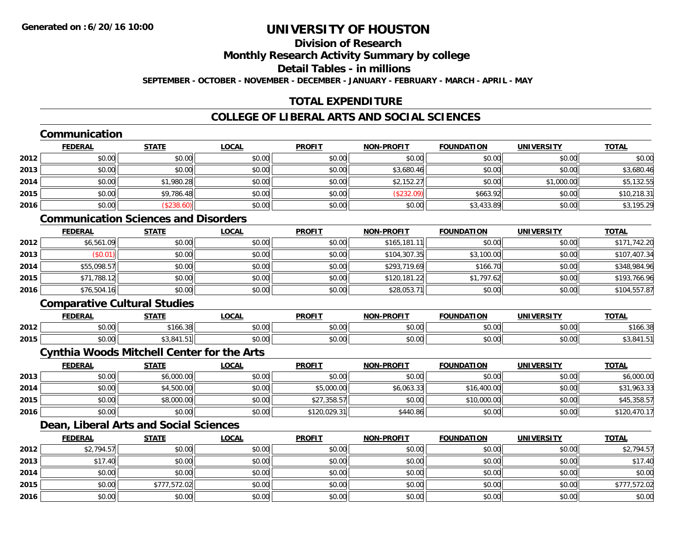# **Division of Research**

**Monthly Research Activity Summary by college**

**Detail Tables - in millions**

**SEPTEMBER - OCTOBER - NOVEMBER - DECEMBER - JANUARY - FEBRUARY - MARCH - APRIL - MAY**

# **TOTAL EXPENDITURE**

### **COLLEGE OF LIBERAL ARTS AND SOCIAL SCIENCES**

# **Communication**

|      | <b>FEDERAL</b> | <b>STATE</b> | <b>LOCAL</b> | <b>PROFIT</b> | <b>NON-PROFIT</b> | <b>FOUNDATION</b> | <b>UNIVERSITY</b> | <b>TOTAL</b> |
|------|----------------|--------------|--------------|---------------|-------------------|-------------------|-------------------|--------------|
| 2012 | \$0.00         | \$0.00       | \$0.00       | \$0.00        | \$0.00            | \$0.00            | \$0.00            | \$0.00       |
| 2013 | \$0.00         | \$0.00       | \$0.00       | \$0.00        | \$3,680.46        | \$0.00            | \$0.00            | \$3,680.46   |
| 2014 | \$0.00         | \$1,980.28   | \$0.00       | \$0.00        | \$2,152.27        | \$0.00            | \$1,000.00        | \$5,132.55   |
| 2015 | \$0.00         | \$9,786.48   | \$0.00       | \$0.00        | (\$232.09)        | \$663.92          | \$0.00            | \$10,218.31  |
| 2016 | \$0.00         | \$238.60     | \$0.00       | \$0.00        | \$0.00            | \$3,433.89        | \$0.00            | \$3,195.29   |

### **Communication Sciences and Disorders**

|      | <b>FEDERAL</b> | <b>STATE</b> | <b>LOCAL</b> | <b>PROFIT</b> | <b>NON-PROFIT</b> | <b>FOUNDATION</b> | <b>UNIVERSITY</b> | <b>TOTAL</b> |
|------|----------------|--------------|--------------|---------------|-------------------|-------------------|-------------------|--------------|
| 2012 | \$6,561.09     | \$0.00       | \$0.00       | \$0.00        | \$165,181.        | \$0.00            | \$0.00            | \$171,742.20 |
| 2013 | \$0.01         | \$0.00       | \$0.00       | \$0.00        | \$104,307.35      | \$3,100.00        | \$0.00            | \$107,407.34 |
| 2014 | \$55,098.57    | \$0.00       | \$0.00       | \$0.00        | \$293,719.69      | \$166.70          | \$0.00            | \$348,984.96 |
| 2015 | \$71,788.12    | \$0.00       | \$0.00       | \$0.00        | \$120,181.22      | \$1,797.62        | \$0.00            | \$193,766.96 |
| 2016 | \$76,504.16    | \$0.00       | \$0.00       | \$0.00        | \$28,053.71       | \$0.00            | \$0.00            | \$104,557.87 |

### **Comparative Cultural Studies**

|      | <b>FEDERAL</b>                            | стлті             | $\bigcap_{n}$<br>.UGA | <b>PROFIT</b> | <b>-PROFIT</b><br>NON | <b>FOUNDATION</b> | UNIVERSITY            | <b>TOTAL</b>     |
|------|-------------------------------------------|-------------------|-----------------------|---------------|-----------------------|-------------------|-----------------------|------------------|
| 2012 | $\mathbf{A} \cap \mathbf{A}$<br>ט.טי      | نګ ۱۵۵.           | $\sim$ 00<br>vv.vv    | 0.00<br>JU.UU | 0000<br>vv.vv         | 0000<br>,u.uu     | 0.00<br>⊸∪.∪u         | $A - I$<br>166.3 |
| 2015 | $\uparrow$ $\uparrow$ $\uparrow$<br>וטטוע | 0.11<br>י טי<br>. | 0000<br>vv.vv         | 0000<br>JU.UU | 0000<br>ง∪.∪บ         | 0000<br>JU.UU⊡    | ልስ ለሰ<br><b>DU.UG</b> | ∵ ⊶0, ت پ        |

#### **Cynthia Woods Mitchell Center for the Arts**

|      | <b>FEDERAL</b> | <b>STATE</b> | <u>LOCAL</u> | <b>PROFIT</b> | <b>NON-PROFIT</b> | <b>FOUNDATION</b> | <b>UNIVERSITY</b> | <b>TOTAL</b> |
|------|----------------|--------------|--------------|---------------|-------------------|-------------------|-------------------|--------------|
| 2013 | \$0.00         | \$6,000.00   | \$0.00       | \$0.00        | \$0.00            | \$0.00            | \$0.00            | \$6,000.00   |
| 2014 | \$0.00         | \$4,500.00   | \$0.00       | \$5,000.00    | \$6,063.33        | \$16,400.00       | \$0.00            | \$31,963.33  |
| 2015 | \$0.00         | \$8,000.00   | \$0.00       | \$27,358.57   | \$0.00            | \$10,000.00       | \$0.00            | \$45,358.57  |
| 2016 | \$0.00         | \$0.00       | \$0.00       | \$120,029.31  | \$440.86          | \$0.00            | \$0.00            | \$120,470.17 |

# **Dean, Liberal Arts and Social Sciences**

|      | <b>FEDERAL</b> | <b>STATE</b> | <b>LOCAL</b> | <b>PROFIT</b> | <b>NON-PROFIT</b> | <b>FOUNDATION</b> | <b>UNIVERSITY</b> | <b>TOTAL</b> |
|------|----------------|--------------|--------------|---------------|-------------------|-------------------|-------------------|--------------|
| 2012 | \$2,794.57     | \$0.00       | \$0.00       | \$0.00        | \$0.00            | \$0.00            | \$0.00            | \$2,794.57   |
| 2013 | \$17.40        | \$0.00       | \$0.00       | \$0.00        | \$0.00            | \$0.00            | \$0.00            | \$17.40      |
| 2014 | \$0.00         | \$0.00       | \$0.00       | \$0.00        | \$0.00            | \$0.00            | \$0.00            | \$0.00       |
| 2015 | \$0.00         | \$777,572.02 | \$0.00       | \$0.00        | \$0.00            | \$0.00            | \$0.00            | \$777,572.02 |
| 2016 | \$0.00         | \$0.00       | \$0.00       | \$0.00        | \$0.00            | \$0.00            | \$0.00            | \$0.00       |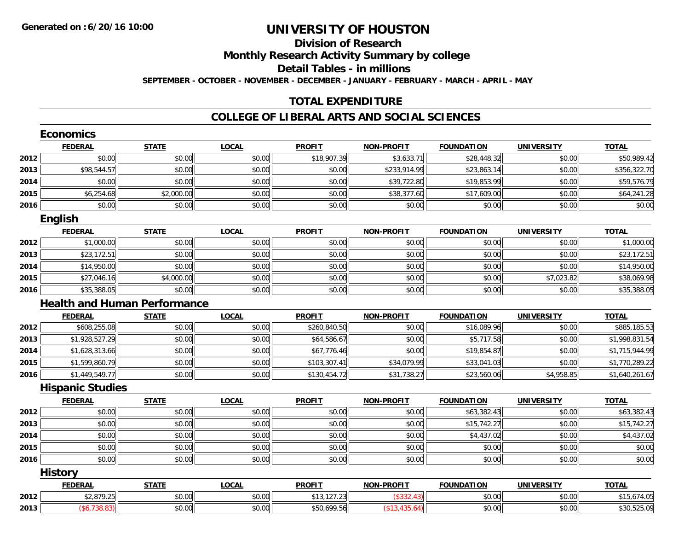# **Division of Research**

**Monthly Research Activity Summary by college**

**Detail Tables - in millions**

**SEPTEMBER - OCTOBER - NOVEMBER - DECEMBER - JANUARY - FEBRUARY - MARCH - APRIL - MAY**

### **TOTAL EXPENDITURE**

#### **COLLEGE OF LIBERAL ARTS AND SOCIAL SCIENCES**

|      | <b>Economics</b>        |                                     |              |               |                   |                   |                   |                |
|------|-------------------------|-------------------------------------|--------------|---------------|-------------------|-------------------|-------------------|----------------|
|      | <b>FEDERAL</b>          | <b>STATE</b>                        | <b>LOCAL</b> | <b>PROFIT</b> | <b>NON-PROFIT</b> | <b>FOUNDATION</b> | <b>UNIVERSITY</b> | <b>TOTAL</b>   |
| 2012 | \$0.00                  | \$0.00                              | \$0.00       | \$18,907.39   | \$3,633.71        | \$28,448.32       | \$0.00            | \$50,989.42    |
| 2013 | \$98,544.57             | \$0.00                              | \$0.00       | \$0.00        | \$233,914.99      | \$23,863.14       | \$0.00            | \$356,322.70   |
| 2014 | \$0.00                  | \$0.00                              | \$0.00       | \$0.00        | \$39,722.80       | \$19,853.99       | \$0.00            | \$59,576.79    |
| 2015 | \$6,254.68              | \$2,000.00                          | \$0.00       | \$0.00        | \$38,377.60       | \$17,609.00       | \$0.00            | \$64,241.28    |
| 2016 | \$0.00                  | \$0.00                              | \$0.00       | \$0.00        | \$0.00            | \$0.00            | \$0.00            | \$0.00         |
|      | <b>English</b>          |                                     |              |               |                   |                   |                   |                |
|      | <b>FEDERAL</b>          | <b>STATE</b>                        | <b>LOCAL</b> | <b>PROFIT</b> | <b>NON-PROFIT</b> | <b>FOUNDATION</b> | <b>UNIVERSITY</b> | <b>TOTAL</b>   |
| 2012 | \$1,000.00              | \$0.00                              | \$0.00       | \$0.00        | \$0.00            | \$0.00            | \$0.00            | \$1,000.00     |
| 2013 | \$23,172.51             | \$0.00                              | \$0.00       | \$0.00        | \$0.00            | \$0.00            | \$0.00            | \$23,172.51    |
| 2014 | \$14,950.00             | \$0.00                              | \$0.00       | \$0.00        | \$0.00            | \$0.00            | \$0.00            | \$14,950.00    |
| 2015 | \$27,046.16             | \$4,000.00                          | \$0.00       | \$0.00        | \$0.00            | \$0.00            | \$7,023.82        | \$38,069.98    |
| 2016 | \$35,388.05             | \$0.00                              | \$0.00       | \$0.00        | \$0.00            | \$0.00            | \$0.00            | \$35,388.05    |
|      |                         | <b>Health and Human Performance</b> |              |               |                   |                   |                   |                |
|      | <b>FEDERAL</b>          | <b>STATE</b>                        | <b>LOCAL</b> | <b>PROFIT</b> | <b>NON-PROFIT</b> | <b>FOUNDATION</b> | <b>UNIVERSITY</b> | <b>TOTAL</b>   |
| 2012 | \$608,255.08            | \$0.00                              | \$0.00       | \$260,840.50  | \$0.00            | \$16,089.96       | \$0.00            | \$885,185.53   |
| 2013 | \$1,928,527.29          | \$0.00                              | \$0.00       | \$64,586.67   | \$0.00            | \$5,717.58        | \$0.00            | \$1,998,831.54 |
| 2014 | \$1,628,313.66          | \$0.00                              | \$0.00       | \$67,776.46   | \$0.00            | \$19,854.87       | \$0.00            | \$1,715,944.99 |
| 2015 | \$1,599,860.79          | \$0.00                              | \$0.00       | \$103,307.41  | \$34,079.99       | \$33,041.03       | \$0.00            | \$1,770,289.22 |
| 2016 | \$1,449,549.77          | \$0.00                              | \$0.00       | \$130,454.72  | \$31,738.27       | \$23,560.06       | \$4,958.85        | \$1,640,261.67 |
|      | <b>Hispanic Studies</b> |                                     |              |               |                   |                   |                   |                |
|      | <b>FEDERAL</b>          | <b>STATE</b>                        | <b>LOCAL</b> | <b>PROFIT</b> | <b>NON-PROFIT</b> | <b>FOUNDATION</b> | <b>UNIVERSITY</b> | <b>TOTAL</b>   |
| 2012 | \$0.00                  | \$0.00                              | \$0.00       | \$0.00        | \$0.00            | \$63,382.43       | \$0.00            | \$63,382.43    |
| 2013 | \$0.00                  | \$0.00                              | \$0.00       | \$0.00        | \$0.00            | \$15,742.27       | \$0.00            | \$15,742.27    |
| 2014 | \$0.00                  | \$0.00                              | \$0.00       | \$0.00        | \$0.00            | \$4,437.02        | \$0.00            | \$4,437.02     |
| 2015 | \$0.00                  | \$0.00                              | \$0.00       | \$0.00        | \$0.00            | \$0.00            | \$0.00            | \$0.00         |
| 2016 | \$0.00                  | \$0.00                              | \$0.00       | \$0.00        | \$0.00            | \$0.00            | \$0.00            | \$0.00         |
|      | <b>History</b>          |                                     |              |               |                   |                   |                   |                |
|      | <b>FEDERAL</b>          | <b>STATE</b>                        | <b>LOCAL</b> | <b>PROFIT</b> | <b>NON-PROFIT</b> | <b>FOUNDATION</b> | <b>UNIVERSITY</b> | <b>TOTAL</b>   |
| 2012 | \$2,879.25              | \$0.00                              | \$0.00       | \$13,127.23   | (\$332.43)        | \$0.00            | \$0.00            | \$15,674.05    |
| 2013 | (\$6,738.83)            | \$0.00                              | \$0.00       | \$50,699.56   | (\$13,435.64)     | \$0.00            | \$0.00            | \$30,525.09    |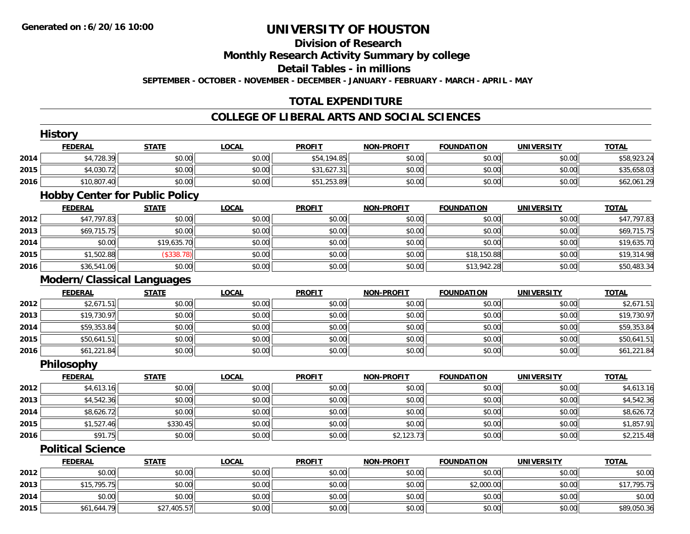# **Division of Research**

**Monthly Research Activity Summary by college**

**Detail Tables - in millions**

**SEPTEMBER - OCTOBER - NOVEMBER - DECEMBER - JANUARY - FEBRUARY - MARCH - APRIL - MAY**

### **TOTAL EXPENDITURE**

#### **COLLEGE OF LIBERAL ARTS AND SOCIAL SCIENCES**

|      | <b>History</b>                        |              |              |               |                   |                   |                   |              |
|------|---------------------------------------|--------------|--------------|---------------|-------------------|-------------------|-------------------|--------------|
|      | <b>FEDERAL</b>                        | <b>STATE</b> | <b>LOCAL</b> | <b>PROFIT</b> | <b>NON-PROFIT</b> | <b>FOUNDATION</b> | <b>UNIVERSITY</b> | <b>TOTAL</b> |
| 2014 | \$4,728.39                            | \$0.00       | \$0.00       | \$54,194.85   | \$0.00            | \$0.00            | \$0.00            | \$58,923.24  |
| 2015 | \$4,030.72                            | \$0.00       | \$0.00       | \$31,627.31   | \$0.00            | \$0.00            | \$0.00            | \$35,658.03  |
| 2016 | \$10,807.40                           | \$0.00       | \$0.00       | \$51,253.89   | \$0.00            | \$0.00            | \$0.00            | \$62,061.29  |
|      | <b>Hobby Center for Public Policy</b> |              |              |               |                   |                   |                   |              |
|      | <b>FEDERAL</b>                        | <b>STATE</b> | <b>LOCAL</b> | <b>PROFIT</b> | <b>NON-PROFIT</b> | <b>FOUNDATION</b> | <b>UNIVERSITY</b> | <b>TOTAL</b> |
| 2012 | \$47,797.83                           | \$0.00       | \$0.00       | \$0.00        | \$0.00            | \$0.00            | \$0.00            | \$47,797.83  |
| 2013 | \$69,715.75                           | \$0.00       | \$0.00       | \$0.00        | \$0.00            | \$0.00            | \$0.00            | \$69,715.75  |
| 2014 | \$0.00                                | \$19,635.70  | \$0.00       | \$0.00        | \$0.00            | \$0.00            | \$0.00            | \$19,635.70  |
| 2015 | \$1,502.88                            | (\$338.78)   | \$0.00       | \$0.00        | \$0.00            | \$18,150.88       | \$0.00            | \$19,314.98  |
| 2016 | \$36,541.06                           | \$0.00       | \$0.00       | \$0.00        | \$0.00            | \$13,942.28       | \$0.00            | \$50,483.34  |
|      | <b>Modern/Classical Languages</b>     |              |              |               |                   |                   |                   |              |
|      | <b>FEDERAL</b>                        | <b>STATE</b> | <b>LOCAL</b> | <b>PROFIT</b> | <b>NON-PROFIT</b> | <b>FOUNDATION</b> | <b>UNIVERSITY</b> | <b>TOTAL</b> |
| 2012 | \$2,671.51                            | \$0.00       | \$0.00       | \$0.00        | \$0.00            | \$0.00            | \$0.00            | \$2,671.51   |
| 2013 | \$19,730.97                           | \$0.00       | \$0.00       | \$0.00        | \$0.00            | \$0.00            | \$0.00            | \$19,730.97  |
| 2014 | \$59,353.84                           | \$0.00       | \$0.00       | \$0.00        | \$0.00            | \$0.00            | \$0.00            | \$59,353.84  |
| 2015 | \$50,641.51                           | \$0.00       | \$0.00       | \$0.00        | \$0.00            | \$0.00            | \$0.00            | \$50,641.51  |
| 2016 | \$61,221.84                           | \$0.00       | \$0.00       | \$0.00        | \$0.00            | \$0.00            | \$0.00            | \$61,221.84  |
|      | Philosophy                            |              |              |               |                   |                   |                   |              |
|      | <b>FEDERAL</b>                        | <b>STATE</b> | <b>LOCAL</b> | <b>PROFIT</b> | <b>NON-PROFIT</b> | <b>FOUNDATION</b> | <b>UNIVERSITY</b> | <b>TOTAL</b> |
| 2012 | \$4,613.16                            | \$0.00       | \$0.00       | \$0.00        | \$0.00            | \$0.00            | \$0.00            | \$4,613.16   |
| 2013 | \$4,542.36                            | \$0.00       | \$0.00       | \$0.00        | \$0.00            | \$0.00            | \$0.00            | \$4,542.36   |
| 2014 | \$8,626.72                            | \$0.00       | \$0.00       | \$0.00        | \$0.00            | \$0.00            | \$0.00            | \$8,626.72   |
| 2015 | \$1,527.46                            | \$330.45     | \$0.00       | \$0.00        | \$0.00            | \$0.00            | \$0.00            | \$1,857.91   |
| 2016 | \$91.75                               | \$0.00       | \$0.00       | \$0.00        | \$2,123.73        | \$0.00            | \$0.00            | \$2,215.48   |
|      | <b>Political Science</b>              |              |              |               |                   |                   |                   |              |
|      | <b>FEDERAL</b>                        | <b>STATE</b> | <b>LOCAL</b> | <b>PROFIT</b> | <b>NON-PROFIT</b> | <b>FOUNDATION</b> | <b>UNIVERSITY</b> | <b>TOTAL</b> |
| 2012 | \$0.00                                | \$0.00       | \$0.00       | \$0.00        | \$0.00            | \$0.00            | \$0.00            | \$0.00       |
| 2013 | \$15,795.75                           | \$0.00       | \$0.00       | \$0.00        | \$0.00            | \$2,000.00        | \$0.00            | \$17,795.75  |
| 2014 | \$0.00                                | \$0.00       | \$0.00       | \$0.00        | \$0.00            | \$0.00            | \$0.00            | \$0.00       |
| 2015 | \$61,644.79                           | \$27,405.57  | \$0.00       | \$0.00        | \$0.00            | \$0.00            | \$0.00            | \$89,050.36  |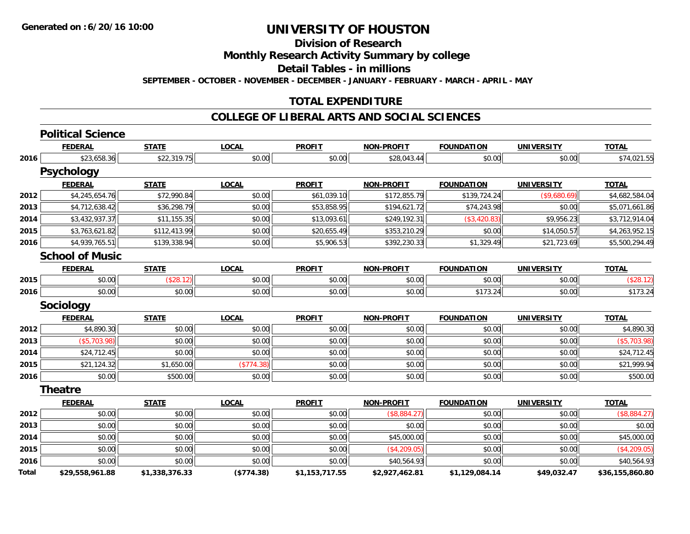**Division of Research**

**Monthly Research Activity Summary by college**

**Detail Tables - in millions**

**SEPTEMBER - OCTOBER - NOVEMBER - DECEMBER - JANUARY - FEBRUARY - MARCH - APRIL - MAY**

#### **TOTAL EXPENDITURE**

#### **COLLEGE OF LIBERAL ARTS AND SOCIAL SCIENCES**

|       | <b>Political Science</b> |                |              |                |                   |                   |                   |                 |
|-------|--------------------------|----------------|--------------|----------------|-------------------|-------------------|-------------------|-----------------|
|       | <b>FEDERAL</b>           | <b>STATE</b>   | <b>LOCAL</b> | <b>PROFIT</b>  | <b>NON-PROFIT</b> | <b>FOUNDATION</b> | <b>UNIVERSITY</b> | <b>TOTAL</b>    |
| 2016  | \$23,658.36              | \$22,319.75    | \$0.00       | \$0.00         | \$28,043.44       | \$0.00            | \$0.00            | \$74,021.55     |
|       | <b>Psychology</b>        |                |              |                |                   |                   |                   |                 |
|       | <b>FEDERAL</b>           | <b>STATE</b>   | <b>LOCAL</b> | <b>PROFIT</b>  | <b>NON-PROFIT</b> | <b>FOUNDATION</b> | <b>UNIVERSITY</b> | <b>TOTAL</b>    |
| 2012  | \$4,245,654.76           | \$72,990.84    | \$0.00       | \$61,039.10    | \$172,855.79      | \$139,724.24      | (\$9,680.69)      | \$4,682,584.04  |
| 2013  | \$4,712,638.42           | \$36,298.79    | \$0.00       | \$53,858.95    | \$194,621.72      | \$74,243.98       | \$0.00            | \$5,071,661.86  |
| 2014  | \$3,432,937.37           | \$11,155.35    | \$0.00       | \$13,093.61    | \$249,192.31      | (\$3,420.83)      | \$9,956.23        | \$3,712,914.04  |
| 2015  | \$3,763,621.82           | \$112,413.99   | \$0.00       | \$20,655.49    | \$353,210.29      | \$0.00            | \$14,050.57       | \$4,263,952.15  |
| 2016  | \$4,939,765.51           | \$139,338.94   | \$0.00       | \$5,906.53     | \$392,230.33      | \$1,329.49        | \$21,723.69       | \$5,500,294.49  |
|       | <b>School of Music</b>   |                |              |                |                   |                   |                   |                 |
|       | <b>FEDERAL</b>           | <b>STATE</b>   | <b>LOCAL</b> | <b>PROFIT</b>  | <b>NON-PROFIT</b> | <b>FOUNDATION</b> | <b>UNIVERSITY</b> | <b>TOTAL</b>    |
| 2015  | \$0.00                   | (\$28.12)      | \$0.00       | \$0.00         | \$0.00            | \$0.00            | \$0.00            | (\$28.12)       |
| 2016  | \$0.00                   | \$0.00         | \$0.00       | \$0.00         | \$0.00            | \$173.24          | \$0.00            | \$173.24        |
|       | <b>Sociology</b>         |                |              |                |                   |                   |                   |                 |
|       | <b>FEDERAL</b>           | <b>STATE</b>   | <b>LOCAL</b> | <b>PROFIT</b>  | <b>NON-PROFIT</b> | <b>FOUNDATION</b> | <b>UNIVERSITY</b> | <b>TOTAL</b>    |
| 2012  | \$4,890.30               | \$0.00         | \$0.00       | \$0.00         | \$0.00            | \$0.00            | \$0.00            | \$4,890.30      |
| 2013  | (\$5,703.98)             | \$0.00         | \$0.00       | \$0.00         | \$0.00            | \$0.00            | \$0.00            | (\$5,703.98)    |
| 2014  | \$24,712.45              | \$0.00         | \$0.00       | \$0.00         | \$0.00            | \$0.00            | \$0.00            | \$24,712.45     |
| 2015  | \$21,124.32              | \$1,650.00     | (\$774.38)   | \$0.00         | \$0.00            | \$0.00            | \$0.00            | \$21,999.94     |
| 2016  | \$0.00                   | \$500.00       | \$0.00       | \$0.00         | \$0.00            | \$0.00            | \$0.00            | \$500.00        |
|       | <b>Theatre</b>           |                |              |                |                   |                   |                   |                 |
|       | <b>FEDERAL</b>           | <b>STATE</b>   | <b>LOCAL</b> | <b>PROFIT</b>  | <b>NON-PROFIT</b> | <b>FOUNDATION</b> | <b>UNIVERSITY</b> | <b>TOTAL</b>    |
| 2012  | \$0.00                   | \$0.00         | \$0.00       | \$0.00         | (\$8,884.27)      | \$0.00            | \$0.00            | (\$8,884.27)    |
| 2013  | \$0.00                   | \$0.00         | \$0.00       | \$0.00         | \$0.00            | \$0.00            | \$0.00            | \$0.00          |
| 2014  | \$0.00                   | \$0.00         | \$0.00       | \$0.00         | \$45,000.00       | \$0.00            | \$0.00            | \$45,000.00     |
| 2015  | \$0.00                   | \$0.00         | \$0.00       | \$0.00         | (\$4,209.05)      | \$0.00            | \$0.00            | (\$4,209.05)    |
| 2016  | \$0.00                   | \$0.00         | \$0.00       | \$0.00         | \$40,564.93       | \$0.00            | \$0.00            | \$40,564.93     |
| Total | \$29,558,961.88          | \$1,338,376.33 | (\$774.38)   | \$1,153,717.55 | \$2,927,462.81    | \$1,129,084.14    | \$49,032.47       | \$36,155,860.80 |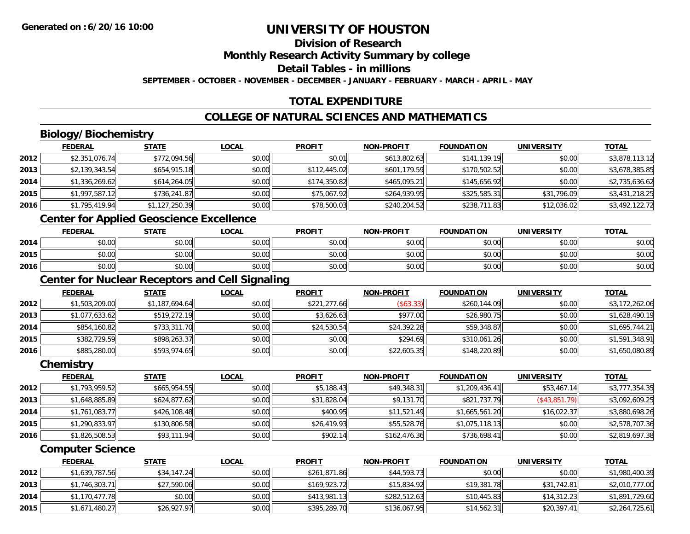# **Division of ResearchMonthly Research Activity Summary by college**

**Detail Tables - in millions**

**SEPTEMBER - OCTOBER - NOVEMBER - DECEMBER - JANUARY - FEBRUARY - MARCH - APRIL - MAY**

# **TOTAL EXPENDITURE**

### **COLLEGE OF NATURAL SCIENCES AND MATHEMATICS**

# **Biology/Biochemistry**

|      | <b>FEDERAL</b> | <u>STATE</u>   | <u>LOCAL</u> | <b>PROFIT</b> | <b>NON-PROFIT</b> | <b>FOUNDATION</b> | <b>UNIVERSITY</b> | <b>TOTAL</b>   |
|------|----------------|----------------|--------------|---------------|-------------------|-------------------|-------------------|----------------|
| 2012 | \$2,351,076.74 | \$772,094.56   | \$0.00       | \$0.01        | \$613,802.63      | \$141,139.19      | \$0.00            | \$3,878,113.12 |
| 2013 | \$2,139,343.54 | \$654,915.18   | \$0.00       | \$112,445.02  | \$601,179.59      | \$170,502.52      | \$0.00            | \$3,678,385.85 |
| 2014 | \$1,336,269.62 | \$614,264.05   | \$0.00       | \$174,350.82  | \$465,095.21      | \$145,656.92      | \$0.00            | \$2,735,636.62 |
| 2015 | \$1,997,587.12 | \$736,241.87   | \$0.00       | \$75,067.92   | \$264,939.95      | \$325,585.31      | \$31,796.09       | \$3,431,218.25 |
| 2016 | \$1,795,419.94 | \$1,127,250.39 | \$0.00       | \$78,500.03   | \$240,204.52      | \$238,711.83      | \$12,036.02       | \$3,492,122.72 |

# **Center for Applied Geoscience Excellence**

|      | <b>FEDERAL</b> | <b>STATE</b> | <u>LOCAL</u> | <b>PROFIT</b> | <b>NON-PROFIT</b> | <b>FOUNDATION</b> | UNIVERSITY | <b>TOTAL</b> |
|------|----------------|--------------|--------------|---------------|-------------------|-------------------|------------|--------------|
| 2014 | ተ በ<br>DU.UU   | \$0.00       | \$0.00       | \$0.00        | \$0.00            | \$0.00            | \$0.00     | \$0.00       |
| 2015 | \$0.00         | \$0.00       | \$0.00       | \$0.00        | \$0.00            | \$0.00            | \$0.00     | \$0.00       |
| 2016 | \$0.00         | \$0.00       | \$0.00       | \$0.00        | \$0.00            | \$0.00            | \$0.00     | \$0.00       |

<u> 1980 - Johann Barn, fransk politik (d. 1980)</u>

# **Center for Nuclear Receptors and Cell Signaling**

|      | <b>FEDERAL</b> | <u>STATE</u>   | <b>LOCAL</b> | <b>PROFIT</b> | <b>NON-PROFIT</b> | <b>FOUNDATION</b> | <b>UNIVERSITY</b> | <b>TOTAL</b>   |
|------|----------------|----------------|--------------|---------------|-------------------|-------------------|-------------------|----------------|
| 2012 | \$1,503,209.00 | \$1,187,694.64 | \$0.00       | \$221,277.66  | \$63.33           | \$260,144.09      | \$0.00            | \$3,172,262.06 |
| 2013 | \$1,077,633.62 | \$519,272.19   | \$0.00       | \$3,626.63    | \$977.00          | \$26,980.75       | \$0.00            | \$1,628,490.19 |
| 2014 | \$854,160.82   | \$733,311.70   | \$0.00       | \$24,530.54   | \$24,392.28       | \$59,348.87       | \$0.00            | \$1,695,744.21 |
| 2015 | \$382,729.59   | \$898,263.37   | \$0.00       | \$0.00        | \$294.69          | \$310,061.26      | \$0.00            | \$1,591,348.91 |
| 2016 | \$885,280.00   | \$593,974.65   | \$0.00       | \$0.00        | \$22,605.35       | \$148,220.89      | \$0.00            | \$1,650,080.89 |

#### **Chemistry**

|      | <b>FEDERAL</b> | <u>STATE</u> | <b>LOCAL</b> | <b>PROFIT</b> | <b>NON-PROFIT</b> | <b>FOUNDATION</b> | <b>UNIVERSITY</b> | <u>TOTAL</u>   |
|------|----------------|--------------|--------------|---------------|-------------------|-------------------|-------------------|----------------|
| 2012 | \$1,793,959.52 | \$665,954.55 | \$0.00       | \$5,188.43    | \$49,348.31       | \$1,209,436.41    | \$53,467.14       | \$3,777,354.35 |
| 2013 | \$1,648,885.89 | \$624,877.62 | \$0.00       | \$31,828.04   | \$9,131.70        | \$821,737.79      | (\$43,851.79)     | \$3,092,609.25 |
| 2014 | \$1,761,083.77 | \$426,108.48 | \$0.00       | \$400.95      | \$11,521.49       | \$1,665,561.20    | \$16,022.37       | \$3,880,698.26 |
| 2015 | \$1,290,833.97 | \$130,806.58 | \$0.00       | \$26,419.93   | \$55,528.76       | \$1,075,118.13    | \$0.00            | \$2,578,707.36 |
| 2016 | \$1,826,508.53 | \$93,111.94  | \$0.00       | \$902.14      | \$162,476.36      | \$736,698.41      | \$0.00            | \$2,819,697.38 |

#### **Computer Science**

|      | <b>FEDERAL</b> | <u>STATE</u> | <b>LOCAL</b> | <b>PROFIT</b> | <b>NON-PROFIT</b> | <b>FOUNDATION</b> | UNIVERSITY  | <b>TOTAL</b>   |
|------|----------------|--------------|--------------|---------------|-------------------|-------------------|-------------|----------------|
| 2012 | \$1,639,787.56 | \$34,147.24  | \$0.00       | \$261.871.86  | \$44,593.73       | \$0.00            | \$0.00      | \$1,980,400.39 |
| 2013 | \$1,746,303.71 | \$27,590.06  | \$0.00       | \$169,923.72  | \$15,834.92       | \$19,381.78       | \$31,742.81 | \$2,010,777.00 |
| 2014 | \$1,170,477.78 | \$0.00       | \$0.00       | \$413,981.13  | \$282,512.63      | \$10,445.83       | \$14,312.23 | \$1,891,729.60 |
| 2015 | \$1,671,480.27 | \$26,927.97  | \$0.00       | \$395,289.70  | \$136,067.95      | \$14,562.31       | \$20,397.41 | \$2,264,725.61 |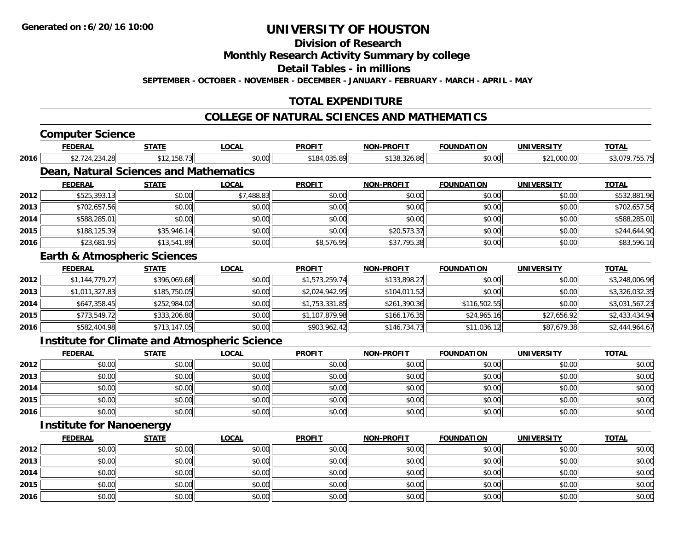**Division of Research**

**Monthly Research Activity Summary by college**

**Detail Tables - in millions**

**SEPTEMBER - OCTOBER - NOVEMBER - DECEMBER - JANUARY - FEBRUARY - MARCH - APRIL - MAY**

### **TOTAL EXPENDITURE**

#### **COLLEGE OF NATURAL SCIENCES AND MATHEMATICS**

| <b>STATE</b><br>\$2,724,234.28<br>Dean, Natural Sciences and Mathematics<br><b>STATE</b><br>\$525,393.13<br>\$702,657.56<br>\$588,285.01<br>\$188,125.39<br>\$23,681.95<br><b>Earth &amp; Atmospheric Sciences</b><br><b>STATE</b><br>\$1,144,779.27 | \$12,158.73<br>\$0.00<br>\$0.00<br>\$0.00<br>\$35,946.14<br>\$13,541.89<br>\$396,069.68<br>\$185,750.05 | <b>LOCAL</b><br>\$0.00<br><b>LOCAL</b><br>\$7,488.83<br>\$0.00<br>\$0.00<br>\$0.00<br>\$0.00<br><b>LOCAL</b><br>\$0.00 | <b>PROFIT</b><br>\$184,035.89<br><b>PROFIT</b><br>\$0.00<br>\$0.00<br>\$0.00<br>\$0.00<br>\$8,576.95<br><b>PROFIT</b><br>\$1,573,259.74 | <b>NON-PROFIT</b><br>\$138,326.86<br><b>NON-PROFIT</b><br>\$0.00<br>\$0.00<br>\$0.00<br>\$20,573.37<br>\$37,795.38<br><b>NON-PROFIT</b><br>\$133,898.27 | <b>FOUNDATION</b><br>\$0.00<br><b>FOUNDATION</b><br>\$0.00<br>\$0.00<br>\$0.00<br>\$0.00<br>\$0.00<br><b>FOUNDATION</b><br>\$0.00 | <b>UNIVERSITY</b><br>\$21,000.00<br><b>UNIVERSITY</b><br>\$0.00<br>\$0.00<br>\$0.00<br>\$0.00<br>\$0.00<br><b>UNIVERSITY</b><br>\$0.00 | <b>TOTAL</b><br>\$3,079,755.75<br><b>TOTAL</b><br>\$532,881.96<br>\$702,657.56<br>\$588,285.01<br>\$244,644.90<br>\$83,596.16<br><b>TOTAL</b> |
|------------------------------------------------------------------------------------------------------------------------------------------------------------------------------------------------------------------------------------------------------|---------------------------------------------------------------------------------------------------------|------------------------------------------------------------------------------------------------------------------------|-----------------------------------------------------------------------------------------------------------------------------------------|---------------------------------------------------------------------------------------------------------------------------------------------------------|-----------------------------------------------------------------------------------------------------------------------------------|----------------------------------------------------------------------------------------------------------------------------------------|-----------------------------------------------------------------------------------------------------------------------------------------------|
|                                                                                                                                                                                                                                                      |                                                                                                         |                                                                                                                        |                                                                                                                                         |                                                                                                                                                         |                                                                                                                                   |                                                                                                                                        |                                                                                                                                               |
|                                                                                                                                                                                                                                                      |                                                                                                         |                                                                                                                        |                                                                                                                                         |                                                                                                                                                         |                                                                                                                                   |                                                                                                                                        |                                                                                                                                               |
|                                                                                                                                                                                                                                                      |                                                                                                         |                                                                                                                        |                                                                                                                                         |                                                                                                                                                         |                                                                                                                                   |                                                                                                                                        |                                                                                                                                               |
|                                                                                                                                                                                                                                                      |                                                                                                         |                                                                                                                        |                                                                                                                                         |                                                                                                                                                         |                                                                                                                                   |                                                                                                                                        |                                                                                                                                               |
|                                                                                                                                                                                                                                                      |                                                                                                         |                                                                                                                        |                                                                                                                                         |                                                                                                                                                         |                                                                                                                                   |                                                                                                                                        |                                                                                                                                               |
|                                                                                                                                                                                                                                                      |                                                                                                         |                                                                                                                        |                                                                                                                                         |                                                                                                                                                         |                                                                                                                                   |                                                                                                                                        |                                                                                                                                               |
|                                                                                                                                                                                                                                                      |                                                                                                         |                                                                                                                        |                                                                                                                                         |                                                                                                                                                         |                                                                                                                                   |                                                                                                                                        |                                                                                                                                               |
|                                                                                                                                                                                                                                                      |                                                                                                         |                                                                                                                        |                                                                                                                                         |                                                                                                                                                         |                                                                                                                                   |                                                                                                                                        |                                                                                                                                               |
|                                                                                                                                                                                                                                                      |                                                                                                         |                                                                                                                        |                                                                                                                                         |                                                                                                                                                         |                                                                                                                                   |                                                                                                                                        |                                                                                                                                               |
|                                                                                                                                                                                                                                                      |                                                                                                         |                                                                                                                        |                                                                                                                                         |                                                                                                                                                         |                                                                                                                                   |                                                                                                                                        |                                                                                                                                               |
|                                                                                                                                                                                                                                                      |                                                                                                         |                                                                                                                        |                                                                                                                                         |                                                                                                                                                         |                                                                                                                                   |                                                                                                                                        | \$3,248,006.96                                                                                                                                |
| \$1,011,327.83                                                                                                                                                                                                                                       |                                                                                                         | \$0.00                                                                                                                 | \$2,024,942.95                                                                                                                          | \$104,011.52                                                                                                                                            | \$0.00                                                                                                                            | \$0.00                                                                                                                                 | \$3,326,032.35                                                                                                                                |
| \$647,358.45                                                                                                                                                                                                                                         | \$252,984.02                                                                                            | \$0.00                                                                                                                 | \$1,753,331.85                                                                                                                          | \$261,390.36                                                                                                                                            | \$116,502.55                                                                                                                      | \$0.00                                                                                                                                 | \$3,031,567.23                                                                                                                                |
| \$773,549.72                                                                                                                                                                                                                                         | \$333,206.80                                                                                            | \$0.00                                                                                                                 | \$1,107,879.98                                                                                                                          | \$166,176.35                                                                                                                                            | \$24,965.16                                                                                                                       | \$27,656.92                                                                                                                            | \$2,433,434.94                                                                                                                                |
| \$582,404.98                                                                                                                                                                                                                                         | \$713,147.05                                                                                            | \$0.00                                                                                                                 | \$903,962.42                                                                                                                            | \$146,734.73                                                                                                                                            | \$11,036.12                                                                                                                       | \$87,679.38                                                                                                                            | \$2,444,964.67                                                                                                                                |
| <b>Institute for Climate and Atmospheric Science</b>                                                                                                                                                                                                 |                                                                                                         |                                                                                                                        |                                                                                                                                         |                                                                                                                                                         |                                                                                                                                   |                                                                                                                                        |                                                                                                                                               |
| <b>STATE</b>                                                                                                                                                                                                                                         |                                                                                                         | <b>LOCAL</b>                                                                                                           | <b>PROFIT</b>                                                                                                                           | <b>NON-PROFIT</b>                                                                                                                                       | <b>FOUNDATION</b>                                                                                                                 | <b>UNIVERSITY</b>                                                                                                                      | <b>TOTAL</b>                                                                                                                                  |
| \$0.00                                                                                                                                                                                                                                               | \$0.00                                                                                                  | \$0.00                                                                                                                 | \$0.00                                                                                                                                  | \$0.00                                                                                                                                                  | \$0.00                                                                                                                            | \$0.00                                                                                                                                 | \$0.00                                                                                                                                        |
| \$0.00                                                                                                                                                                                                                                               | \$0.00                                                                                                  | \$0.00                                                                                                                 | \$0.00                                                                                                                                  | \$0.00                                                                                                                                                  | \$0.00                                                                                                                            | \$0.00                                                                                                                                 | \$0.00                                                                                                                                        |
| \$0.00                                                                                                                                                                                                                                               | \$0.00                                                                                                  | \$0.00                                                                                                                 | \$0.00                                                                                                                                  | \$0.00                                                                                                                                                  | \$0.00                                                                                                                            | \$0.00                                                                                                                                 | \$0.00                                                                                                                                        |
| \$0.00                                                                                                                                                                                                                                               | \$0.00                                                                                                  | \$0.00                                                                                                                 | \$0.00                                                                                                                                  | \$0.00                                                                                                                                                  | \$0.00                                                                                                                            | \$0.00                                                                                                                                 | \$0.00                                                                                                                                        |
|                                                                                                                                                                                                                                                      | \$0.00                                                                                                  | \$0.00                                                                                                                 | \$0.00                                                                                                                                  | \$0.00                                                                                                                                                  | \$0.00                                                                                                                            | \$0.00                                                                                                                                 | \$0.00                                                                                                                                        |
|                                                                                                                                                                                                                                                      | \$0.00                                                                                                  |                                                                                                                        |                                                                                                                                         |                                                                                                                                                         |                                                                                                                                   |                                                                                                                                        |                                                                                                                                               |

|      | <b>FEDERAL</b> | <b>STATE</b> | <u>LOCAL</u> | <b>PROFIT</b> | <b>NON-PROFIT</b> | <b>FOUNDATION</b> | <b>UNIVERSITY</b> | <b>TOTAL</b> |
|------|----------------|--------------|--------------|---------------|-------------------|-------------------|-------------------|--------------|
| 2012 | \$0.00         | \$0.00       | \$0.00       | \$0.00        | \$0.00            | \$0.00            | \$0.00            | \$0.00       |
| 2013 | \$0.00         | \$0.00       | \$0.00       | \$0.00        | \$0.00            | \$0.00            | \$0.00            | \$0.00       |
| 2014 | \$0.00         | \$0.00       | \$0.00       | \$0.00        | \$0.00            | \$0.00            | \$0.00            | \$0.00       |
| 2015 | \$0.00         | \$0.00       | \$0.00       | \$0.00        | \$0.00            | \$0.00            | \$0.00            | \$0.00       |
| 2016 | \$0.00         | \$0.00       | \$0.00       | \$0.00        | \$0.00            | \$0.00            | \$0.00            | \$0.00       |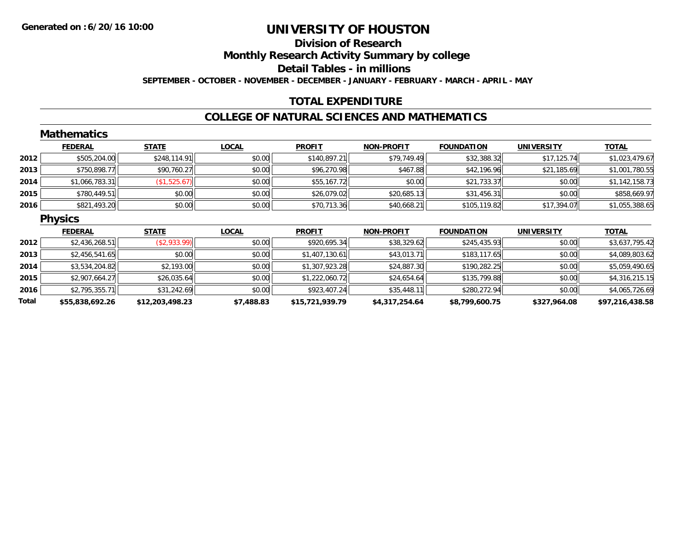### **Division of ResearchMonthly Research Activity Summary by college Detail Tables - in millions SEPTEMBER - OCTOBER - NOVEMBER - DECEMBER - JANUARY - FEBRUARY - MARCH - APRIL - MAY**

#### **TOTAL EXPENDITURE**

#### **COLLEGE OF NATURAL SCIENCES AND MATHEMATICS**

|       | <b>Mathematics</b> |                 |              |                 |                   |                   |                   |                 |
|-------|--------------------|-----------------|--------------|-----------------|-------------------|-------------------|-------------------|-----------------|
|       | <b>FEDERAL</b>     | <b>STATE</b>    | <b>LOCAL</b> | <b>PROFIT</b>   | <b>NON-PROFIT</b> | <b>FOUNDATION</b> | <b>UNIVERSITY</b> | <b>TOTAL</b>    |
| 2012  | \$505,204.00       | \$248,114.91    | \$0.00       | \$140,897.21    | \$79,749.49       | \$32,388.32       | \$17,125.74       | \$1,023,479.67  |
| 2013  | \$750,898.77       | \$90,760.27     | \$0.00       | \$96,270.98     | \$467.88          | \$42,196.96       | \$21,185.69       | \$1,001,780.55  |
| 2014  | \$1,066,783.31     | (\$1,525.67)    | \$0.00       | \$55,167.72     | \$0.00            | \$21,733.37       | \$0.00            | \$1,142,158.73  |
| 2015  | \$780,449.51       | \$0.00          | \$0.00       | \$26,079.02     | \$20,685.13       | \$31,456.31       | \$0.00            | \$858,669.97    |
| 2016  | \$821,493.20       | \$0.00          | \$0.00       | \$70,713.36     | \$40,668.21       | \$105,119.82      | \$17,394.07       | \$1,055,388.65  |
|       | <b>Physics</b>     |                 |              |                 |                   |                   |                   |                 |
|       | <b>FEDERAL</b>     | <b>STATE</b>    | <b>LOCAL</b> | <b>PROFIT</b>   | <b>NON-PROFIT</b> | <b>FOUNDATION</b> | <b>UNIVERSITY</b> | <b>TOTAL</b>    |
| 2012  | \$2,436,268.51     | ( \$2,933.99)   | \$0.00       | \$920,695.34    | \$38,329.62       | \$245,435.93      | \$0.00            | \$3,637,795.42  |
| 2013  | \$2,456,541.65     | \$0.00          | \$0.00       | \$1,407,130.61  | \$43,013.71       | \$183,117.65      | \$0.00            | \$4,089,803.62  |
| 2014  | \$3,534,204.82     | \$2,193.00      | \$0.00       | \$1,307,923.28  | \$24,887.30       | \$190,282.25      | \$0.00            | \$5,059,490.65  |
| 2015  | \$2,907,664.27     | \$26,035.64     | \$0.00       | \$1,222,060.72  | \$24,654.64       | \$135,799.88      | \$0.00            | \$4,316,215.15  |
| 2016  | \$2,795,355.71     | \$31,242.69     | \$0.00       | \$923,407.24    | \$35,448.11       | \$280,272.94      | \$0.00            | \$4,065,726.69  |
| Total | \$55,838,692.26    | \$12,203,498.23 | \$7,488.83   | \$15,721,939.79 | \$4,317,254.64    | \$8,799,600.75    | \$327,964.08      | \$97,216,438.58 |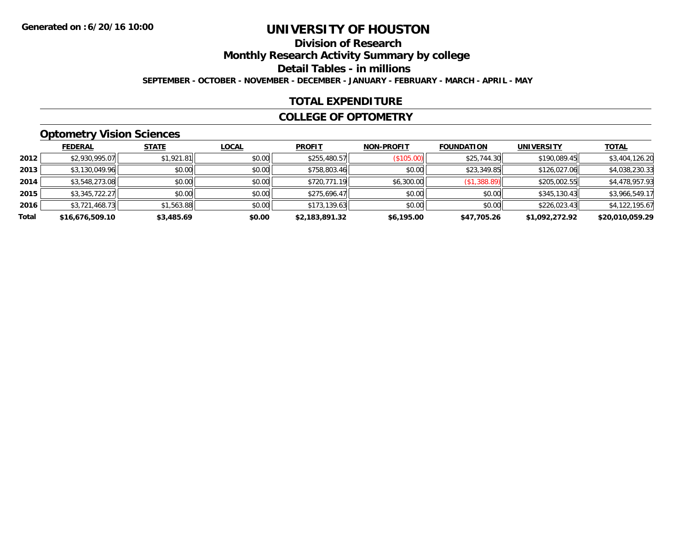### **Division of ResearchMonthly Research Activity Summary by college Detail Tables - in millions SEPTEMBER - OCTOBER - NOVEMBER - DECEMBER - JANUARY - FEBRUARY - MARCH - APRIL - MAY**

#### **TOTAL EXPENDITURE**

#### **COLLEGE OF OPTOMETRY**

# **Optometry Vision Sciences**

|       | <b>FEDERAL</b>  | <b>STATE</b> | <b>LOCAL</b> | <b>PROFIT</b>  | <b>NON-PROFIT</b> | <b>FOUNDATION</b> | <b>UNIVERSITY</b> | <u>TOTAL</u>    |
|-------|-----------------|--------------|--------------|----------------|-------------------|-------------------|-------------------|-----------------|
| 2012  | \$2,930,995.07  | \$1,921.81   | \$0.00       | \$255,480.57   | (S105.00)         | \$25,744.30       | \$190,089.45      | \$3,404,126.20  |
| 2013  | \$3,130,049.96  | \$0.00       | \$0.00       | \$758,803.46   | \$0.00            | \$23,349.85       | \$126,027.06      | \$4,038,230.33  |
| 2014  | \$3,548,273.08  | \$0.00       | \$0.00       | \$720,771.19   | \$6,300.00        | (\$1,388.89)      | \$205,002.55      | \$4,478,957.93  |
| 2015  | \$3,345,722.27  | \$0.00       | \$0.00       | \$275,696.47   | \$0.00            | \$0.00            | \$345,130.43      | \$3,966,549.17  |
| 2016  | \$3,721,468.73  | \$1,563.88   | \$0.00       | \$173,139.63   | \$0.00            | \$0.00            | \$226,023.43      | \$4,122,195.67  |
| Total | \$16,676,509.10 | \$3,485.69   | \$0.00       | \$2,183,891.32 | \$6,195.00        | \$47,705.26       | \$1,092,272.92    | \$20,010,059.29 |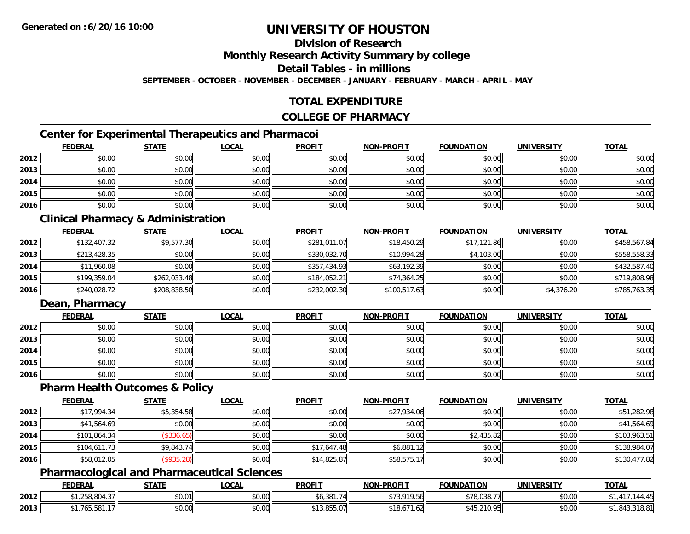# **Division of Research**

**Monthly Research Activity Summary by college**

**Detail Tables - in millions**

**SEPTEMBER - OCTOBER - NOVEMBER - DECEMBER - JANUARY - FEBRUARY - MARCH - APRIL - MAY**

# **TOTAL EXPENDITURE**

#### **COLLEGE OF PHARMACY**

# **Center for Experimental Therapeutics and Pharmacoi**

|      | <b>FEDERAL</b> | <b>STATE</b> | <b>LOCAL</b> | <b>PROFIT</b> | <b>NON-PROFIT</b> | <b>FOUNDATION</b> | <b>UNIVERSITY</b> | <b>TOTAL</b> |
|------|----------------|--------------|--------------|---------------|-------------------|-------------------|-------------------|--------------|
| 2012 | \$0.00         | \$0.00       | \$0.00       | \$0.00        | \$0.00            | \$0.00            | \$0.00            | \$0.00       |
| 2013 | \$0.00         | \$0.00       | \$0.00       | \$0.00        | \$0.00            | \$0.00            | \$0.00            | \$0.00       |
| 2014 | \$0.00         | \$0.00       | \$0.00       | \$0.00        | \$0.00            | \$0.00            | \$0.00            | \$0.00       |
| 2015 | \$0.00         | \$0.00       | \$0.00       | \$0.00        | \$0.00            | \$0.00            | \$0.00            | \$0.00       |
| 2016 | \$0.00         | \$0.00       | \$0.00       | \$0.00        | \$0.00            | \$0.00            | \$0.00            | \$0.00       |

### **Clinical Pharmacy & Administration**

|      | <b>FEDERAL</b> | <b>STATE</b> | <u>LOCAL</u> | <b>PROFIT</b> | <b>NON-PROFIT</b> | <b>FOUNDATION</b> | <b>UNIVERSITY</b> | <b>TOTAL</b> |
|------|----------------|--------------|--------------|---------------|-------------------|-------------------|-------------------|--------------|
| 2012 | \$132,407.32   | \$9,577.30   | \$0.00       | \$281,011.07  | \$18,450.29       | \$17,121.86       | \$0.00            | \$458,567.84 |
| 2013 | \$213,428.35   | \$0.00       | \$0.00       | \$330,032.70  | \$10,994.28       | \$4,103.00        | \$0.00            | \$558,558.33 |
| 2014 | \$11,960.08    | \$0.00       | \$0.00       | \$357,434.93  | \$63,192.39       | \$0.00            | \$0.00            | \$432,587.40 |
| 2015 | \$199,359.04   | \$262,033.48 | \$0.00       | \$184,052.21  | \$74,364.25       | \$0.00            | \$0.00            | \$719,808.98 |
| 2016 | \$240,028.72   | \$208,838.50 | \$0.00       | \$232,002.30  | \$100,517.63      | \$0.00            | \$4,376.20        | \$785,763.35 |

### **Dean, Pharmacy**

|      | <u>FEDERAL</u> | <b>STATE</b> | <u>LOCAL</u> | <b>PROFIT</b> | <b>NON-PROFIT</b> | <b>FOUNDATION</b> | <b>UNIVERSITY</b> | <b>TOTAL</b> |
|------|----------------|--------------|--------------|---------------|-------------------|-------------------|-------------------|--------------|
| 2012 | \$0.00         | \$0.00       | \$0.00       | \$0.00        | \$0.00            | \$0.00            | \$0.00            | \$0.00       |
| 2013 | \$0.00         | \$0.00       | \$0.00       | \$0.00        | \$0.00            | \$0.00            | \$0.00            | \$0.00       |
| 2014 | \$0.00         | \$0.00       | \$0.00       | \$0.00        | \$0.00            | \$0.00            | \$0.00            | \$0.00       |
| 2015 | \$0.00         | \$0.00       | \$0.00       | \$0.00        | \$0.00            | \$0.00            | \$0.00            | \$0.00       |
| 2016 | \$0.00         | \$0.00       | \$0.00       | \$0.00        | \$0.00            | \$0.00            | \$0.00            | \$0.00       |

#### **Pharm Health Outcomes & Policy**

|      | <b>FEDERAL</b> | <b>STATE</b> | <b>LOCAL</b> | <b>PROFIT</b> | <b>NON-PROFIT</b> | <b>FOUNDATION</b> | <b>UNIVERSITY</b> | <b>TOTAL</b> |
|------|----------------|--------------|--------------|---------------|-------------------|-------------------|-------------------|--------------|
| 2012 | \$17,994.34    | \$5,354.58   | \$0.00       | \$0.00        | \$27,934.06       | \$0.00            | \$0.00            | \$51,282.98  |
| 2013 | \$41,564.69    | \$0.00       | \$0.00       | \$0.00        | \$0.00            | \$0.00            | \$0.00            | \$41,564.69  |
| 2014 | \$101,864.34   | (\$336.65)   | \$0.00       | \$0.00        | \$0.00            | \$2,435.82        | \$0.00            | \$103,963.51 |
| 2015 | \$104,611.73   | \$9,843.74   | \$0.00       | \$17,647.48   | \$6,881.12        | \$0.00            | \$0.00            | \$138,984.07 |
| 2016 | \$58,012.05    | (\$935.28)   | \$0.00       | \$14,825.87   | \$58,575.17       | \$0.00            | \$0.00            | \$130,477.82 |

#### **Pharmacological and Pharmaceutical Sciences**

|      | <b>FEDERAL</b>                                                  | <b>STATE</b> | <b>LOCAL</b>   | <b>PROFIT</b>  | <b>NON-PROFIT</b>                                     | <b>FOUNDATION</b> | <b>UNIVERSITY</b> | <b>TOTAL</b>            |
|------|-----------------------------------------------------------------|--------------|----------------|----------------|-------------------------------------------------------|-------------------|-------------------|-------------------------|
| 2012 | $\cap$ CO ON<br>$\sim$ $\sim$ $\sim$ $\sim$ $\sim$<br>0،00،2، ا | \$0.01       | nn on<br>DU.UU | \$6,381.<br>71 | \$73,919.56                                           | \$78,038.77       | \$0.00            | $\overline{A}$<br>14.4C |
| 2013 | $\overline{a}$<br>,,,,,,,,,                                     | \$0.00       | 40.00<br>DU.UU | ا3,855.07 ہے   | $\lambda = \lambda$<br><b>000</b><br>\$18.07<br>1.OZI | \$45,210.95       | \$0.00            | ,843,318.81             |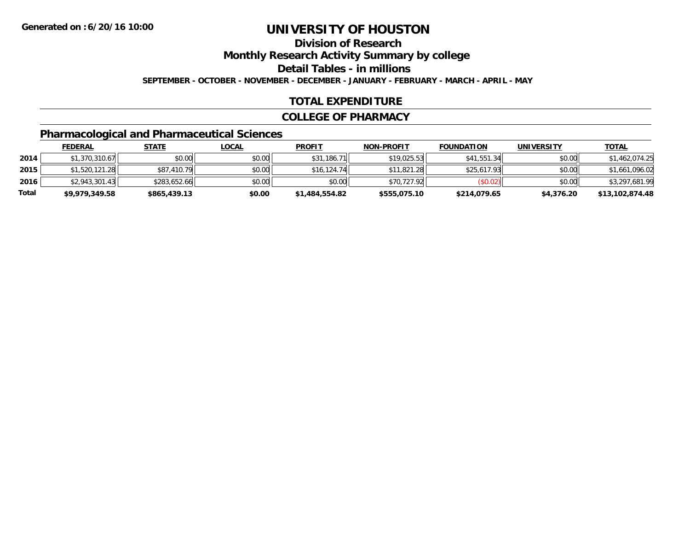# **Division of ResearchMonthly Research Activity Summary by college**

**Detail Tables - in millions**

**SEPTEMBER - OCTOBER - NOVEMBER - DECEMBER - JANUARY - FEBRUARY - MARCH - APRIL - MAY**

# **TOTAL EXPENDITURE**

#### **COLLEGE OF PHARMACY**

# **Pharmacological and Pharmaceutical Sciences**

|       | <b>FEDERAL</b> | <u>STATE</u> | <u>LOCAL</u> | <b>PROFIT</b>  | <b>NON-PROFIT</b> | <b>FOUNDATION</b> | <b>UNIVERSITY</b> | <b>TOTAL</b>    |
|-------|----------------|--------------|--------------|----------------|-------------------|-------------------|-------------------|-----------------|
| 2014  | \$1,370,310.67 | \$0.00       | \$0.00       | \$31,186.71    | \$19.025.53       | \$41,551.34       | \$0.00            | \$1,462,074.25  |
| 2015  | \$1,520,121.28 | \$87,410.79  | \$0.00       | \$16,124.74    | \$11,821.28       | \$25,617.93       | \$0.00            | \$1,661,096.02  |
| 2016  | \$2.943.301.43 | \$283.652.66 | \$0.00       | \$0.00         | \$70.727.92       | (S0.02)           | \$0.00            | \$3,297,681.99  |
| Total | \$9,979,349.58 | \$865,439.13 | \$0.00       | \$1,484,554.82 | \$555,075.10      | \$214,079.65      | \$4,376.20        | \$13,102,874.48 |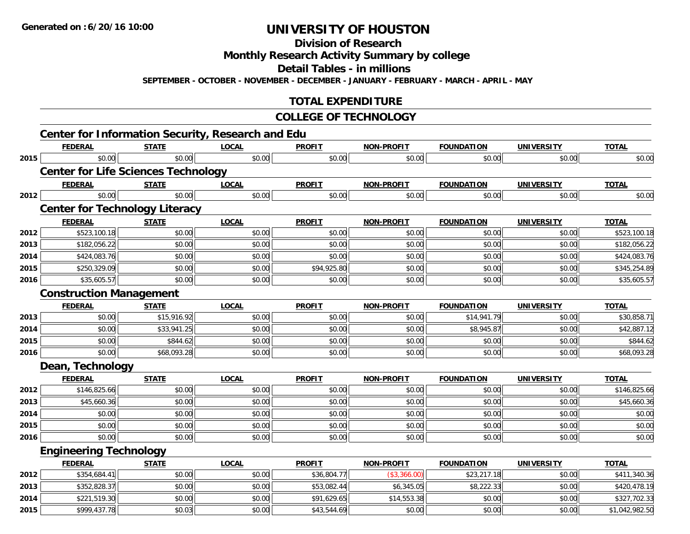**Division of Research**

**Monthly Research Activity Summary by college**

**Detail Tables - in millions**

**SEPTEMBER - OCTOBER - NOVEMBER - DECEMBER - JANUARY - FEBRUARY - MARCH - APRIL - MAY**

### **TOTAL EXPENDITURE**

#### **COLLEGE OF TECHNOLOGY**

|      | <b>Center for Information Security, Research and Edu</b> |              |              |               |                   |                   |                   |                |
|------|----------------------------------------------------------|--------------|--------------|---------------|-------------------|-------------------|-------------------|----------------|
|      | <b>FEDERAL</b>                                           | <b>STATE</b> | <b>LOCAL</b> | <b>PROFIT</b> | <b>NON-PROFIT</b> | <b>FOUNDATION</b> | <b>UNIVERSITY</b> | <b>TOTAL</b>   |
| 2015 | \$0.00                                                   | \$0.00       | \$0.00       | \$0.00        | \$0.00            | \$0.00            | \$0.00            | \$0.00         |
|      | <b>Center for Life Sciences Technology</b>               |              |              |               |                   |                   |                   |                |
|      | <b>FEDERAL</b>                                           | <b>STATE</b> | <b>LOCAL</b> | <b>PROFIT</b> | <b>NON-PROFIT</b> | <b>FOUNDATION</b> | <b>UNIVERSITY</b> | <b>TOTAL</b>   |
| 2012 | \$0.00                                                   | \$0.00       | \$0.00       | \$0.00        | \$0.00            | \$0.00            | \$0.00            | \$0.00         |
|      | <b>Center for Technology Literacy</b>                    |              |              |               |                   |                   |                   |                |
|      | <b>FEDERAL</b>                                           | <b>STATE</b> | <b>LOCAL</b> | <b>PROFIT</b> | <b>NON-PROFIT</b> | <b>FOUNDATION</b> | <b>UNIVERSITY</b> | <b>TOTAL</b>   |
| 2012 | \$523,100.18                                             | \$0.00       | \$0.00       | \$0.00        | \$0.00            | \$0.00            | \$0.00            | \$523,100.18   |
| 2013 | \$182,056.22                                             | \$0.00       | \$0.00       | \$0.00        | \$0.00            | \$0.00            | \$0.00            | \$182,056.22   |
| 2014 | \$424,083.76                                             | \$0.00       | \$0.00       | \$0.00        | \$0.00            | \$0.00            | \$0.00            | \$424,083.76   |
| 2015 | \$250,329.09                                             | \$0.00       | \$0.00       | \$94,925.80   | \$0.00            | \$0.00            | \$0.00            | \$345,254.89   |
| 2016 | \$35,605.57                                              | \$0.00       | \$0.00       | \$0.00        | \$0.00            | \$0.00            | \$0.00            | \$35,605.57    |
|      | <b>Construction Management</b>                           |              |              |               |                   |                   |                   |                |
|      | <b>FEDERAL</b>                                           | <b>STATE</b> | <b>LOCAL</b> | <b>PROFIT</b> | <b>NON-PROFIT</b> | <b>FOUNDATION</b> | <b>UNIVERSITY</b> | <b>TOTAL</b>   |
| 2013 | \$0.00                                                   | \$15,916.92  | \$0.00       | \$0.00        | \$0.00            | \$14,941.79       | \$0.00            | \$30,858.71    |
| 2014 | \$0.00                                                   | \$33,941.25  | \$0.00       | \$0.00        | \$0.00            | \$8,945.87        | \$0.00            | \$42,887.12    |
| 2015 | \$0.00                                                   | \$844.62     | \$0.00       | \$0.00        | \$0.00            | \$0.00            | \$0.00            | \$844.62       |
| 2016 | \$0.00                                                   | \$68,093.28  | \$0.00       | \$0.00        | \$0.00            | \$0.00            | \$0.00            | \$68,093.28    |
|      | Dean, Technology                                         |              |              |               |                   |                   |                   |                |
|      | <b>FEDERAL</b>                                           | <b>STATE</b> | <b>LOCAL</b> | <b>PROFIT</b> | <b>NON-PROFIT</b> | <b>FOUNDATION</b> | <b>UNIVERSITY</b> | <b>TOTAL</b>   |
| 2012 | \$146,825.66                                             | \$0.00       | \$0.00       | \$0.00        | \$0.00            | \$0.00            | \$0.00            | \$146,825.66   |
| 2013 | \$45,660.36                                              | \$0.00       | \$0.00       | \$0.00        | \$0.00            | \$0.00            | \$0.00            | \$45,660.36    |
| 2014 | \$0.00                                                   | \$0.00       | \$0.00       | \$0.00        | \$0.00            | \$0.00            | \$0.00            | \$0.00         |
| 2015 | \$0.00                                                   | \$0.00       | \$0.00       | \$0.00        | \$0.00            | \$0.00            | \$0.00            | \$0.00         |
| 2016 | \$0.00                                                   | \$0.00       | \$0.00       | \$0.00        | \$0.00            | \$0.00            | \$0.00            | \$0.00         |
|      | <b>Engineering Technology</b>                            |              |              |               |                   |                   |                   |                |
|      | <b>FEDERAL</b>                                           | <b>STATE</b> | <b>LOCAL</b> | <b>PROFIT</b> | <b>NON-PROFIT</b> | <b>FOUNDATION</b> | <b>UNIVERSITY</b> | <b>TOTAL</b>   |
| 2012 | \$354,684.41                                             | \$0.00       | \$0.00       | \$36,804.77   | (\$3,366.00)      | \$23,217.18       | \$0.00            | \$411,340.36   |
| 2013 | \$352,828.37                                             | \$0.00       | \$0.00       | \$53,082.44   | \$6,345.05        | \$8,222.33        | \$0.00            | \$420,478.19   |
| 2014 | \$221,519.30                                             | \$0.00       | \$0.00       | \$91,629.65   | \$14,553.38       | \$0.00            | \$0.00            | \$327,702.33   |
| 2015 | \$999,437.78                                             | \$0.03       | \$0.00       | \$43,544.69   | \$0.00            | \$0.00            | \$0.00            | \$1,042,982.50 |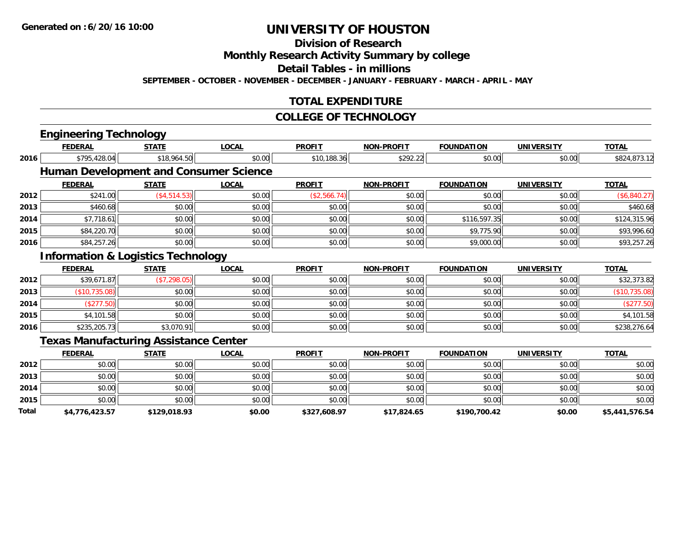# **Division of Research**

**Monthly Research Activity Summary by college**

**Detail Tables - in millions**

**SEPTEMBER - OCTOBER - NOVEMBER - DECEMBER - JANUARY - FEBRUARY - MARCH - APRIL - MAY**

### **TOTAL EXPENDITURE**

#### **COLLEGE OF TECHNOLOGY**

|       | <b>Engineering Technology</b>                 |              |                                               |               |                   |                   |                   |                |
|-------|-----------------------------------------------|--------------|-----------------------------------------------|---------------|-------------------|-------------------|-------------------|----------------|
|       | <b>FEDERAL</b>                                | <b>STATE</b> | <b>LOCAL</b>                                  | <b>PROFIT</b> | <b>NON-PROFIT</b> | <b>FOUNDATION</b> | <b>UNIVERSITY</b> | <b>TOTAL</b>   |
| 2016  | \$795,428.04                                  | \$18,964.50  | \$0.00                                        | \$10,188.36   | \$292.22          | \$0.00            | \$0.00            | \$824,873.12   |
|       |                                               |              | <b>Human Development and Consumer Science</b> |               |                   |                   |                   |                |
|       | <b>FEDERAL</b>                                | <b>STATE</b> | <b>LOCAL</b>                                  | <b>PROFIT</b> | <b>NON-PROFIT</b> | <b>FOUNDATION</b> | <b>UNIVERSITY</b> | <b>TOTAL</b>   |
| 2012  | \$241.00                                      | (\$4,514.53) | \$0.00                                        | (\$2,566.74)  | \$0.00            | \$0.00            | \$0.00            | (\$6,840.27)   |
| 2013  | \$460.68                                      | \$0.00       | \$0.00                                        | \$0.00        | \$0.00            | \$0.00            | \$0.00            | \$460.68       |
| 2014  | \$7,718.61                                    | \$0.00       | \$0.00                                        | \$0.00        | \$0.00            | \$116,597.35      | \$0.00            | \$124,315.96   |
| 2015  | \$84,220.70                                   | \$0.00       | \$0.00                                        | \$0.00        | \$0.00            | \$9,775.90        | \$0.00            | \$93,996.60    |
| 2016  | \$84,257.26                                   | \$0.00       | \$0.00                                        | \$0.00        | \$0.00            | \$9,000.00        | \$0.00            | \$93,257.26    |
|       | <b>Information &amp; Logistics Technology</b> |              |                                               |               |                   |                   |                   |                |
|       | <b>FEDERAL</b>                                | <b>STATE</b> | <b>LOCAL</b>                                  | <b>PROFIT</b> | <b>NON-PROFIT</b> | <b>FOUNDATION</b> | <b>UNIVERSITY</b> | <b>TOTAL</b>   |
| 2012  | \$39,671.87                                   | (\$7,298.05) | \$0.00                                        | \$0.00        | \$0.00            | \$0.00            | \$0.00            | \$32,373.82    |
| 2013  | (\$10,735.08)                                 | \$0.00       | \$0.00                                        | \$0.00        | \$0.00            | \$0.00            | \$0.00            | (\$10,735.08)  |
| 2014  | (\$277.50)                                    | \$0.00       | \$0.00                                        | \$0.00        | \$0.00            | \$0.00            | \$0.00            | (\$277.50)     |
| 2015  | \$4,101.58                                    | \$0.00       | \$0.00                                        | \$0.00        | \$0.00            | \$0.00            | \$0.00            | \$4,101.58     |
| 2016  | \$235,205.73                                  | \$3,070.91   | \$0.00                                        | \$0.00        | \$0.00            | \$0.00            | \$0.00            | \$238,276.64   |
|       | <b>Texas Manufacturing Assistance Center</b>  |              |                                               |               |                   |                   |                   |                |
|       | <b>FEDERAL</b>                                | <b>STATE</b> | <b>LOCAL</b>                                  | <b>PROFIT</b> | <b>NON-PROFIT</b> | <b>FOUNDATION</b> | <b>UNIVERSITY</b> | <b>TOTAL</b>   |
| 2012  | \$0.00                                        | \$0.00       | \$0.00                                        | \$0.00        | \$0.00            | \$0.00            | \$0.00            | \$0.00         |
| 2013  | \$0.00                                        | \$0.00       | \$0.00                                        | \$0.00        | \$0.00            | \$0.00            | \$0.00            | \$0.00         |
| 2014  | \$0.00                                        | \$0.00       | \$0.00                                        | \$0.00        | \$0.00            | \$0.00            | \$0.00            | \$0.00         |
| 2015  | \$0.00                                        | \$0.00       | \$0.00                                        | \$0.00        | \$0.00            | \$0.00            | \$0.00            | \$0.00         |
| Total | \$4,776,423.57                                | \$129,018.93 | \$0.00                                        | \$327,608.97  | \$17,824.65       | \$190,700.42      | \$0.00            | \$5,441,576.54 |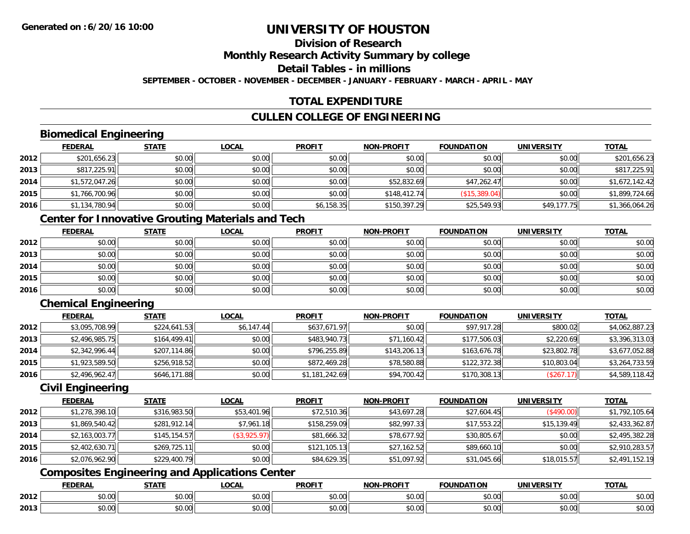#### **Division of ResearchMonthly Research Activity Summary by college Detail Tables - in millions**

**SEPTEMBER - OCTOBER - NOVEMBER - DECEMBER - JANUARY - FEBRUARY - MARCH - APRIL - MAY**

# **TOTAL EXPENDITURE**

### **CULLEN COLLEGE OF ENGINEERING**

### **Biomedical Engineering**

|      | <b>FEDERAL</b> | <b>STATE</b> | <b>LOCAL</b> | <b>PROFIT</b> | <b>NON-PROFIT</b> | <b>FOUNDATION</b> | <b>UNIVERSITY</b> | <b>TOTAL</b>   |
|------|----------------|--------------|--------------|---------------|-------------------|-------------------|-------------------|----------------|
| 2012 | \$201,656.23   | \$0.00       | \$0.00       | \$0.00        | \$0.00            | \$0.00            | \$0.00            | \$201,656.23   |
| 2013 | \$817,225.91   | \$0.00       | \$0.00       | \$0.00        | \$0.00            | \$0.00            | \$0.00            | \$817,225.91   |
| 2014 | \$1,572,047.26 | \$0.00       | \$0.00       | \$0.00        | \$52,832.69       | \$47,262.47       | \$0.00            | \$1,672,142.42 |
| 2015 | \$1,766,700.96 | \$0.00       | \$0.00       | \$0.00        | \$148,412.74      | (\$15,389.04)     | \$0.00            | \$1,899,724.66 |
| 2016 | \$1,134,780.94 | \$0.00       | \$0.00       | \$6,158.35    | \$150,397.29      | \$25,549.93       | \$49,177.75       | \$1,366,064.26 |

# **Center for Innovative Grouting Materials and Tech**

|      | <b>FEDERAL</b> | <b>STATE</b> | <u>LOCAL</u> | <b>PROFIT</b> | <b>NON-PROFIT</b> | <b>FOUNDATION</b> | <b>UNIVERSITY</b> | <b>TOTAL</b> |
|------|----------------|--------------|--------------|---------------|-------------------|-------------------|-------------------|--------------|
| 2012 | \$0.00         | \$0.00       | \$0.00       | \$0.00        | \$0.00            | \$0.00            | \$0.00            | \$0.00       |
| 2013 | \$0.00         | \$0.00       | \$0.00       | \$0.00        | \$0.00            | \$0.00            | \$0.00            | \$0.00       |
| 2014 | \$0.00         | \$0.00       | \$0.00       | \$0.00        | \$0.00            | \$0.00            | \$0.00            | \$0.00       |
| 2015 | \$0.00         | \$0.00       | \$0.00       | \$0.00        | \$0.00            | \$0.00            | \$0.00            | \$0.00       |
| 2016 | \$0.00         | \$0.00       | \$0.00       | \$0.00        | \$0.00            | \$0.00            | \$0.00            | \$0.00       |

# **Chemical Engineering**

|      | <b>FEDERAL</b> | <b>STATE</b> | <b>LOCAL</b> | <b>PROFIT</b>  | <b>NON-PROFIT</b> | <b>FOUNDATION</b> | <b>UNIVERSITY</b> | <b>TOTAL</b>   |
|------|----------------|--------------|--------------|----------------|-------------------|-------------------|-------------------|----------------|
| 2012 | \$3,095,708.99 | \$224,641.53 | \$6,147.44   | \$637,671.97   | \$0.00            | \$97,917.28       | \$800.02          | \$4,062,887.23 |
| 2013 | \$2,496,985.75 | \$164,499.41 | \$0.00       | \$483,940.73   | \$71,160.42       | \$177,506.03      | \$2,220.69        | \$3,396,313.03 |
| 2014 | \$2,342,996.44 | \$207,114.86 | \$0.00       | \$796,255.89   | \$143,206.13      | \$163,676.78      | \$23,802.78       | \$3,677,052.88 |
| 2015 | \$1,923,589.50 | \$256,918.52 | \$0.00       | \$872,469.28   | \$78,580.88       | \$122,372.38      | \$10,803.04       | \$3,264,733.59 |
| 2016 | \$2,496,962.47 | \$646,171.88 | \$0.00       | \$1,181,242.69 | \$94,700.42       | \$170,308.13      | (\$267.17)        | \$4,589,118.42 |

#### **Civil Engineering**

|      | <b>FEDERAL</b> | <b>STATE</b> | <u>LOCAL</u> | <b>PROFIT</b> | <b>NON-PROFIT</b> | <b>FOUNDATION</b> | UNIVERSITY  | <b>TOTAL</b>   |
|------|----------------|--------------|--------------|---------------|-------------------|-------------------|-------------|----------------|
| 2012 | \$1,278,398.10 | \$316,983.50 | \$53,401.96  | \$72,510.36   | \$43,697.28       | \$27,604.45       | (\$490.00)  | \$1,792,105.64 |
| 2013 | \$1,869,540.42 | \$281,912.14 | \$7,961.18   | \$158,259.09  | \$82,997.33       | \$17,553.22       | \$15,139.49 | \$2,433,362.87 |
| 2014 | \$2,163,003.77 | \$145,154.57 | (\$3,925.97) | \$81,666.32   | \$78,677.92       | \$30,805.67       | \$0.00      | \$2,495,382.28 |
| 2015 | \$2,402,630.71 | \$269,725.11 | \$0.00       | \$121,105.13  | \$27,162.52       | \$89,660.10       | \$0.00      | \$2,910,283.57 |
| 2016 | \$2,076,962.90 | \$229,400.79 | \$0.00       | \$84,629.35   | \$51,097.92       | \$31,045.66       | \$18,015.57 | \$2,491,152.19 |

# **Composites Engineering and Applications Center**

|      | <b>DERAL</b>                     | <b>CTATI</b>          | $\bigcap$<br>.OCAI     | <b>PROFIT</b>                               | <b>DDAEIT</b><br><b>NION</b> | .<br>ב נוחו<br>LION | - R.J.         | <b>TOTAL</b>   |
|------|----------------------------------|-----------------------|------------------------|---------------------------------------------|------------------------------|---------------------|----------------|----------------|
| 2012 | $\sim$<br>$. \cup . \cup \cup$   | $\overline{ }$<br>ט.ט | $\sim$ 00<br>pu.uu     | $\sim$ 00<br>ູ∞ບ.ບບ                         | 0.00<br>PO.OO                | vv.vv               | 0.001<br>vv.vv | 0000<br>\$U.UU |
| 2013 | $\sim$ $\sim$<br>$\sim$<br>,u.uu | しいい                   | $\sim$ $\sim$<br>vu.uu | $\sim$ 00<br>$\vee$ . Use the set of $\vee$ | 0.00<br>PO.OO                | JU.UU               | 0.00<br>PO.OO  | ስ ለሰ<br>JU.UU  |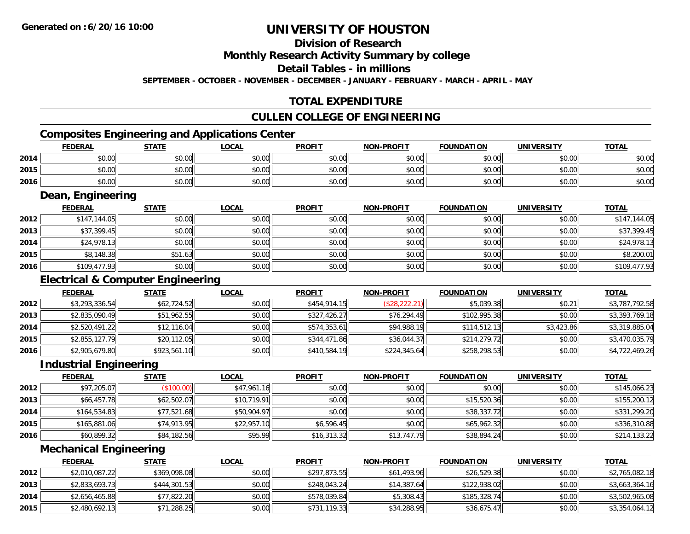## **Division of Research**

**Monthly Research Activity Summary by college**

**Detail Tables - in millions**

**SEPTEMBER - OCTOBER - NOVEMBER - DECEMBER - JANUARY - FEBRUARY - MARCH - APRIL - MAY**

### **TOTAL EXPENDITURE**

#### **CULLEN COLLEGE OF ENGINEERING**

# **Composites Engineering and Applications Center**

|      | <b>FEDERAL</b> | <b>STATE</b> | LOCAL  | <b>PROFIT</b> | <b>NON-PROFIT</b> | <b>FOUNDATION</b> | <b>UNIVERSITY</b> | <b>TOTAL</b> |
|------|----------------|--------------|--------|---------------|-------------------|-------------------|-------------------|--------------|
| 2014 | \$0.00         | \$0.00       | \$0.00 | \$0.00        | \$0.00            | \$0.00            | \$0.00            | \$0.00       |
| 2015 | \$0.00         | \$0.00       | \$0.00 | \$0.00        | \$0.00            | \$0.00            | \$0.00            | \$0.00       |
| 2016 | \$0.00         | \$0.00       | \$0.00 | \$0.00        | \$0.00            | \$0.00            | \$0.00            | \$0.00       |

<u> 1989 - Johann Stoff, deutscher Stoffen und der Stoffen und der Stoffen und der Stoffen und der Stoffen und der</u>

#### **Dean, Engineering**

|      | <b>FEDERAL</b> | <b>STATE</b> | <u>LOCAL</u> | <b>PROFIT</b> | <b>NON-PROFIT</b> | <b>FOUNDATION</b> | <b>UNIVERSITY</b> | <b>TOTAL</b> |
|------|----------------|--------------|--------------|---------------|-------------------|-------------------|-------------------|--------------|
| 2012 | \$147,144.05   | \$0.00       | \$0.00       | \$0.00        | \$0.00            | \$0.00            | \$0.00            | \$147,144.05 |
| 2013 | \$37,399.45    | \$0.00       | \$0.00       | \$0.00        | \$0.00            | \$0.00            | \$0.00            | \$37,399.45  |
| 2014 | \$24,978.13    | \$0.00       | \$0.00       | \$0.00        | \$0.00            | \$0.00            | \$0.00            | \$24,978.13  |
| 2015 | \$8,148.38     | \$51.63      | \$0.00       | \$0.00        | \$0.00            | \$0.00            | \$0.00            | \$8,200.01   |
| 2016 | \$109,477.93   | \$0.00       | \$0.00       | \$0.00        | \$0.00            | \$0.00            | \$0.00            | \$109,477.93 |

### **Electrical & Computer Engineering**

|      | <b>FEDERAL</b> | <b>STATE</b> | <b>LOCAL</b> | <b>PROFIT</b> | <b>NON-PROFIT</b> | <b>FOUNDATION</b> | <b>UNIVERSITY</b> | <b>TOTAL</b>   |
|------|----------------|--------------|--------------|---------------|-------------------|-------------------|-------------------|----------------|
| 2012 | \$3,293,336.54 | \$62,724.52  | \$0.00       | \$454,914.15  | (\$28,222.21)     | \$5,039.38        | \$0.21            | \$3,787,792.58 |
| 2013 | \$2,835,090.49 | \$51,962.55  | \$0.00       | \$327,426.27  | \$76,294.49       | \$102,995.38      | \$0.00            | \$3,393,769.18 |
| 2014 | \$2,520,491.22 | \$12,116.04  | \$0.00       | \$574,353.61  | \$94,988.19       | \$114,512.13      | \$3,423.86        | \$3,319,885.04 |
| 2015 | \$2,855,127.79 | \$20,112.05  | \$0.00       | \$344,471.86  | \$36,044.37       | \$214,279.72      | \$0.00            | \$3,470,035.79 |
| 2016 | \$2,905,679.80 | \$923,561.10 | \$0.00       | \$410,584.19  | \$224,345.64      | \$258,298.53      | \$0.00            | \$4,722,469.26 |

#### **Industrial Engineering**

|      | <b>FEDERAL</b> | <b>STATE</b> | <u>LOCAL</u> | <b>PROFIT</b> | <b>NON-PROFIT</b> | <b>FOUNDATION</b> | <b>UNIVERSITY</b> | <b>TOTAL</b> |
|------|----------------|--------------|--------------|---------------|-------------------|-------------------|-------------------|--------------|
| 2012 | \$97,205.07    | (\$100.00)   | \$47,961.16  | \$0.00        | \$0.00            | \$0.00            | \$0.00            | \$145,066.23 |
| 2013 | \$66,457.78    | \$62,502.07  | \$10,719.91  | \$0.00        | \$0.00            | \$15,520.36       | \$0.00            | \$155,200.12 |
| 2014 | \$164,534.83   | \$77,521.68  | \$50,904.97  | \$0.00        | \$0.00            | \$38,337.72       | \$0.00            | \$331,299.20 |
| 2015 | \$165,881.06   | \$74,913.95  | \$22,957.10  | \$6,596.45    | \$0.00            | \$65,962.32       | \$0.00            | \$336,310.88 |
| 2016 | \$60,899.32    | \$84,182.56  | \$95.99      | \$16,313.32   | \$13,747.79       | \$38,894.24       | \$0.00            | \$214,133.22 |

#### **Mechanical Engineering**

|      | <b>FEDERAL</b> | <u>STATE</u> | <u>LOCAL</u> | <b>PROFIT</b> | <b>NON-PROFIT</b> | <b>FOUNDATION</b> | UNIVERSITY | <b>TOTAL</b>   |
|------|----------------|--------------|--------------|---------------|-------------------|-------------------|------------|----------------|
| 2012 | \$2,010,087.22 | \$369,098.08 | \$0.00       | \$297,873.55  | \$61,493.96       | \$26,529.38       | \$0.00     | \$2,765,082.18 |
| 2013 | \$2,833,693.73 | \$444,301.53 | \$0.00       | \$248,043.24  | \$14,387.64       | \$122,938.02      | \$0.00     | \$3,663,364.16 |
| 2014 | \$2,656,465.88 | \$77,822.20  | \$0.00       | \$578,039.84  | \$5,308.43        | \$185,328.74      | \$0.00     | \$3,502,965.08 |
| 2015 | \$2,480,692.13 | \$71,288.25  | \$0.00       | \$731,119.33  | \$34,288.95       | \$36,675.47       | \$0.00     | \$3,354,064.12 |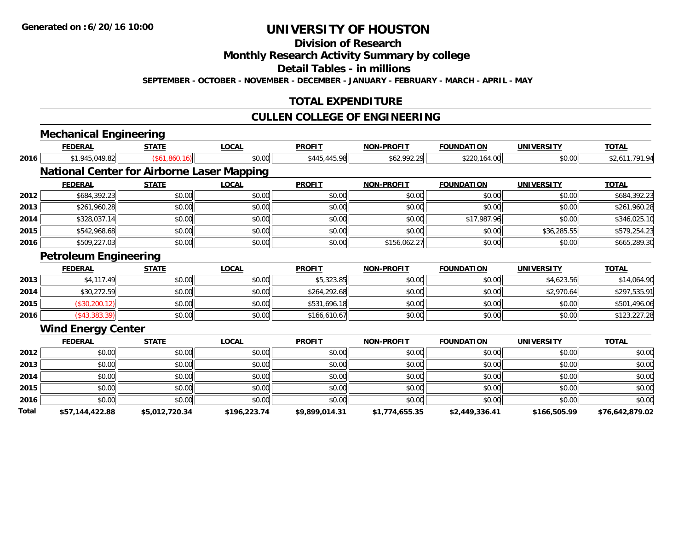**Division of Research**

**Monthly Research Activity Summary by college**

**Detail Tables - in millions**

**SEPTEMBER - OCTOBER - NOVEMBER - DECEMBER - JANUARY - FEBRUARY - MARCH - APRIL - MAY**

### **TOTAL EXPENDITURE**

#### **CULLEN COLLEGE OF ENGINEERING**

|       | <b>Mechanical Engineering</b>                     |                |              |                |                   |                   |                   |                 |
|-------|---------------------------------------------------|----------------|--------------|----------------|-------------------|-------------------|-------------------|-----------------|
|       | <b>FEDERAL</b>                                    | <b>STATE</b>   | LOCAL        | <b>PROFIT</b>  | <b>NON-PROFIT</b> | <b>FOUNDATION</b> | <b>UNIVERSITY</b> | <b>TOTAL</b>    |
| 2016  | \$1,945,049.82                                    | (\$61,860.16)  | \$0.00       | \$445,445.98   | \$62,992.29       | \$220,164.00      | \$0.00            | \$2,611,791.94  |
|       | <b>National Center for Airborne Laser Mapping</b> |                |              |                |                   |                   |                   |                 |
|       | <b>FEDERAL</b>                                    | <b>STATE</b>   | <b>LOCAL</b> | <b>PROFIT</b>  | <b>NON-PROFIT</b> | <b>FOUNDATION</b> | <b>UNIVERSITY</b> | <b>TOTAL</b>    |
| 2012  | \$684,392.23                                      | \$0.00         | \$0.00       | \$0.00         | \$0.00            | \$0.00            | \$0.00            | \$684,392.23    |
| 2013  | \$261,960.28                                      | \$0.00         | \$0.00       | \$0.00         | \$0.00            | \$0.00            | \$0.00            | \$261,960.28    |
| 2014  | \$328,037.14                                      | \$0.00         | \$0.00       | \$0.00         | \$0.00            | \$17,987.96       | \$0.00            | \$346,025.10    |
| 2015  | \$542,968.68                                      | \$0.00         | \$0.00       | \$0.00         | \$0.00            | \$0.00            | \$36,285.55       | \$579,254.23    |
| 2016  | \$509,227.03                                      | \$0.00         | \$0.00       | \$0.00         | \$156,062.27      | \$0.00            | \$0.00            | \$665,289.30    |
|       | <b>Petroleum Engineering</b>                      |                |              |                |                   |                   |                   |                 |
|       | <b>FEDERAL</b>                                    | <b>STATE</b>   | <b>LOCAL</b> | <b>PROFIT</b>  | <b>NON-PROFIT</b> | <b>FOUNDATION</b> | <b>UNIVERSITY</b> | <b>TOTAL</b>    |
| 2013  | \$4,117.49                                        | \$0.00         | \$0.00       | \$5,323.85     | \$0.00            | \$0.00            | \$4,623.56        | \$14,064.90     |
| 2014  | \$30,272.59                                       | \$0.00         | \$0.00       | \$264,292.68   | \$0.00            | \$0.00            | \$2,970.64        | \$297,535.91    |
| 2015  | (\$30,200.12)                                     | \$0.00         | \$0.00       | \$531,696.18   | \$0.00            | \$0.00            | \$0.00            | \$501,496.06    |
| 2016  | $(*43,383.39)$                                    | \$0.00         | \$0.00       | \$166,610.67   | \$0.00            | \$0.00            | \$0.00            | \$123,227.28    |
|       | <b>Wind Energy Center</b>                         |                |              |                |                   |                   |                   |                 |
|       | <b>FEDERAL</b>                                    | <b>STATE</b>   | <b>LOCAL</b> | <b>PROFIT</b>  | <b>NON-PROFIT</b> | <b>FOUNDATION</b> | <b>UNIVERSITY</b> | <b>TOTAL</b>    |
| 2012  | \$0.00                                            | \$0.00         | \$0.00       | \$0.00         | \$0.00            | \$0.00            | \$0.00            | \$0.00          |
| 2013  | \$0.00                                            | \$0.00         | \$0.00       | \$0.00         | \$0.00            | \$0.00            | \$0.00            | \$0.00          |
| 2014  | \$0.00                                            | \$0.00         | \$0.00       | \$0.00         | \$0.00            | \$0.00            | \$0.00            | \$0.00          |
| 2015  | \$0.00                                            | \$0.00         | \$0.00       | \$0.00         | \$0.00            | \$0.00            | \$0.00            | \$0.00          |
| 2016  | \$0.00                                            | \$0.00         | \$0.00       | \$0.00         | \$0.00            | \$0.00            | \$0.00            | \$0.00          |
| Total | \$57,144,422.88                                   | \$5,012,720.34 | \$196,223.74 | \$9,899,014.31 | \$1,774,655.35    | \$2,449,336.41    | \$166,505.99      | \$76,642,879.02 |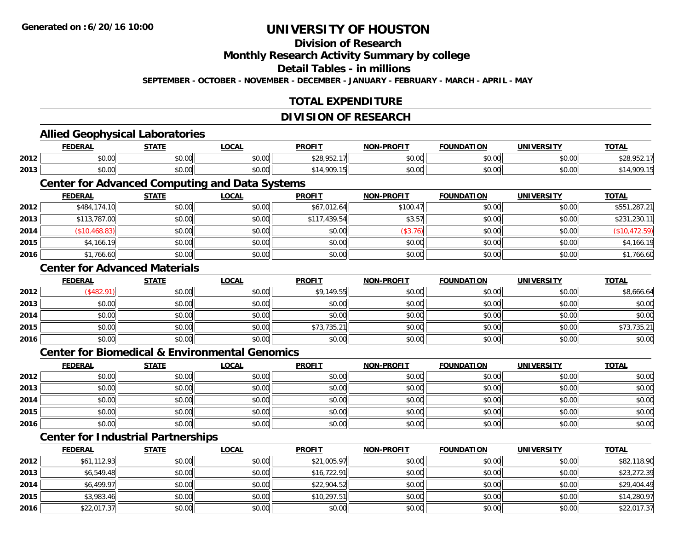#### **Division of Research**

**Monthly Research Activity Summary by college**

**Detail Tables - in millions**

**SEPTEMBER - OCTOBER - NOVEMBER - DECEMBER - JANUARY - FEBRUARY - MARCH - APRIL - MAY**

### **TOTAL EXPENDITURE**

#### **DIVISION OF RESEARCH**

#### **Allied Geophysical Laboratories FEDERAL STATE LOCAL PROFIT NON-PROFIT FOUNDATION UNIVERSITY TOTALTOTAL 2012**2 | \$0.00 \$0.00 \$0.00 \$0.00 \$0.00 \$0.00 \$0.00 \$28,952.17 \$0.00 \$0.00 \$0.00 \$0.00 \$0.00 \$28,952.17 **2013** $\textbf{3} \hspace{14mm} |\hspace{14mm} \text{$0.00]} \hspace{14mm} \text{$0.00]} \hspace{14mm} \text{$14,909.15]}$   $\text{$14,909.15}$   $\text{$0.00]} \hspace{14mm} \text{$0.00]} \hspace{14mm} \text{$14,909.15}$ **Center for Advanced Computing and Data Systems FEDERAL STATE LOCAL PROFIT NON-PROFIT FOUNDATION UNIVERSITY TOTALTOTAL 2012**2 | \$484,174.10| \$0.00| \$0.00| \$0.00| \$67,012.64| \$100.47|| \$100.47|| \$0.00| \$0.00| \$0.00| \$551,287.21 **2013** \$113,787.00 \$0.00 \$0.00 \$117,439.54 \$3.57 \$0.00 \$0.00 \$231,230.11 **2014** (\$10,468.83) \$0.00 \$0.00 \$0.00 (\$3.76) \$0.00 \$0.00 (\$10,472.59) **2015** \$4,166.19 \$0.00 \$0.00 \$0.00 \$0.00 \$0.00 \$0.00 \$4,166.19 **2016**6 \$1,766.60 \$0.00 \$0.00 \$0.00 \$0.00 \$0.00 \$0.00 \$0.00 \$0.00 \$0.00 \$0.00 \$0.00 \$1,766.60 **Center for Advanced MaterialsFEDERAL STATE LOCAL PROFIT NON-PROFIT FOUNDATION UNIVERSITY TOTAL2012**2 | (\$482.91)|| \$0.00|| \$0.00|| \$9,149.55|| \$0.00|| \$0.00|| \$8,666.64 **2013** $\textbf{3} \quad \textbf{\textcolor{blue}{\textbf{50.00}}} \quad \textbf{\textcolor{blue}{\textbf{50.00}}} \quad \textbf{\textcolor{blue}{\textbf{50.00}}} \quad \textbf{\textcolor{blue}{\textbf{50.00}}} \quad \textbf{\textcolor{blue}{\textbf{50.00}}} \quad \textbf{\textcolor{blue}{\textbf{50.00}}} \quad \textbf{\textcolor{blue}{\textbf{50.00}}} \quad \textbf{\textcolor{blue}{\textbf{50.00}}} \quad \textbf{\textcolor{blue}{\textbf{50.00}}} \quad \textbf{\textcolor{blue}{\textbf{50.00}}} \quad \text$ **2014**4 \$0.00 \$0.00 \$0.00 \$0.00 \$0.00 \$0.00 \$0.00 \$0.00 \$0.00 \$0.00 \$0.00 \$0.00 \$0.00 \$0.00 \$0.00 \$0.00 \$0.00 **2015** \$0.00 \$0.00 \$0.00 \$73,735.21 \$0.00 \$0.00 \$0.00 \$73,735.21 **2016** \$0.00 \$0.00 \$0.00 \$0.00 \$0.00 \$0.00 \$0.00 \$0.00 **Center for Biomedical & Environmental GenomicsFEDERAL STATE LOCAL PROFIT NON-PROFIT FOUNDATION UNIVERSITY TOTALTOTAL 2012**2 | \$0.00 \$0.00 \$0.00 \$0.00 \$0.00 \$0.00 \$0.00 \$0.00 \$0.00 \$0.00 \$0.00 \$0.00 \$0.00 \$0.00 \$0.00 \$0.00 \$0.00 \$0.0 **2013** \$0.00 \$0.00 \$0.00 \$0.00 \$0.00 \$0.00 \$0.00 \$0.00 **2014**4 \$0.00 \$0.00 \$0.00 \$0.00 \$0.00 \$0.00 \$0.00 \$0.00 \$0.00 \$0.00 \$0.00 \$0.00 \$0.00 \$0.00 \$0.00 \$0.00 \$0.00 **2015** \$0.00 \$0.00 \$0.00 \$0.00 \$0.00 \$0.00 \$0.00 \$0.00 **2016**6 \$0.00 \$0.00 \$0.00 \$0.00 \$0.00 \$0.00 \$0.00 \$0.00 \$0.00 \$0.00 \$0.00 \$0.00 \$0.00 \$0.00 \$0.00 \$0.00 \$0.00 **Center for Industrial Partnerships FEDERAL STATE LOCAL PROFIT NON-PROFIT FOUNDATION UNIVERSITY TOTAL**

| 2012 | \$61,112.93 | \$0.00 | \$0.00 | \$21,005.97 | \$0.00 | \$0.00 | \$0.00 | \$82,118.90 |
|------|-------------|--------|--------|-------------|--------|--------|--------|-------------|
| 2013 | \$6,549.48  | \$0.00 | \$0.00 | \$16,722.91 | \$0.00 | \$0.00 | \$0.00 | \$23,272.39 |
| 2014 | \$6,499.97  | \$0.00 | \$0.00 | \$22,904.52 | \$0.00 | \$0.00 | \$0.00 | \$29,404.49 |
| 2015 | \$3,983.46  | \$0.00 | \$0.00 | \$10,297.51 | \$0.00 | \$0.00 | \$0.00 | \$14,280.97 |
| 2016 | \$22,017.37 | \$0.00 | \$0.00 | \$0.00      | \$0.00 | \$0.00 | \$0.00 | \$22,017.37 |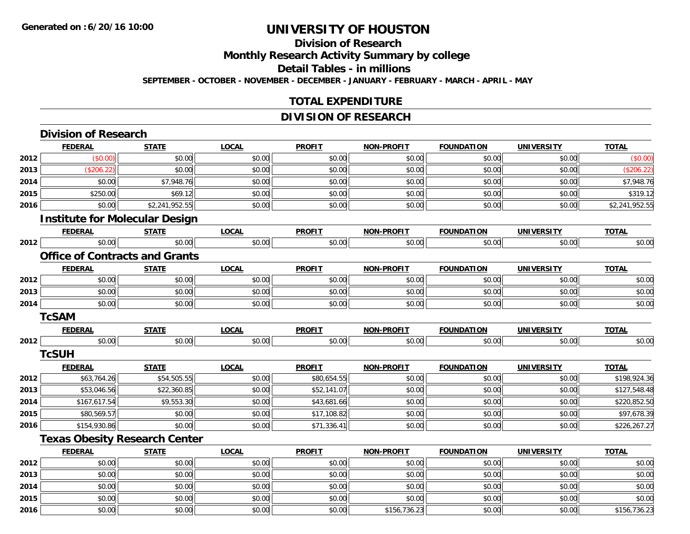**2015**

**2016**

# **UNIVERSITY OF HOUSTON**

# **Division of Research**

**Monthly Research Activity Summary by college**

**Detail Tables - in millions**

**SEPTEMBER - OCTOBER - NOVEMBER - DECEMBER - JANUARY - FEBRUARY - MARCH - APRIL - MAY**

#### **TOTAL EXPENDITURE**

### **DIVISION OF RESEARCH**

|      | <b>Division of Research</b>           |                |              |               |                   |                   |                   |                |
|------|---------------------------------------|----------------|--------------|---------------|-------------------|-------------------|-------------------|----------------|
|      | <b>FEDERAL</b>                        | <b>STATE</b>   | <b>LOCAL</b> | <b>PROFIT</b> | <b>NON-PROFIT</b> | <b>FOUNDATION</b> | <b>UNIVERSITY</b> | <b>TOTAL</b>   |
| 2012 | (\$0.00)                              | \$0.00         | \$0.00       | \$0.00        | \$0.00            | \$0.00            | \$0.00            | (\$0.00)       |
| 2013 | (\$206.22)                            | \$0.00         | \$0.00       | \$0.00        | \$0.00            | \$0.00            | \$0.00            | (\$206.22)     |
| 2014 | \$0.00                                | \$7,948.76     | \$0.00       | \$0.00        | \$0.00            | \$0.00            | \$0.00            | \$7,948.76     |
| 2015 | \$250.00                              | \$69.12        | \$0.00       | \$0.00        | \$0.00            | \$0.00            | \$0.00            | \$319.12       |
| 2016 | \$0.00                                | \$2,241,952.55 | \$0.00       | \$0.00        | \$0.00            | \$0.00            | \$0.00            | \$2,241,952.55 |
|      | <b>Institute for Molecular Design</b> |                |              |               |                   |                   |                   |                |
|      | <b>FEDERAL</b>                        | <b>STATE</b>   | <b>LOCAL</b> | <b>PROFIT</b> | NON-PROFIT        | <b>FOUNDATION</b> | <b>UNIVERSITY</b> | <b>TOTAL</b>   |
| 2012 | \$0.00                                | \$0.00         | \$0.00       | \$0.00        | \$0.00            | \$0.00            | \$0.00            | \$0.00         |
|      | <b>Office of Contracts and Grants</b> |                |              |               |                   |                   |                   |                |
|      | <b>FEDERAL</b>                        | <b>STATE</b>   | <b>LOCAL</b> | <b>PROFIT</b> | NON-PROFIT        | <b>FOUNDATION</b> | <b>UNIVERSITY</b> | <b>TOTAL</b>   |
| 2012 | \$0.00                                | \$0.00         | \$0.00       | \$0.00        | \$0.00            | \$0.00            | \$0.00            | \$0.00         |
| 2013 | \$0.00                                | \$0.00         | \$0.00       | \$0.00        | \$0.00            | \$0.00            | \$0.00            | \$0.00         |
| 2014 | \$0.00                                | \$0.00         | \$0.00       | \$0.00        | \$0.00            | \$0.00            | \$0.00            | \$0.00         |
|      | <b>TcSAM</b>                          |                |              |               |                   |                   |                   |                |
|      | <b>FEDERAL</b>                        | <b>STATE</b>   | <b>LOCAL</b> | <b>PROFIT</b> | NON-PROFIT        | <b>FOUNDATION</b> | <b>UNIVERSITY</b> | <b>TOTAL</b>   |
| 2012 | \$0.00                                | \$0.00         | \$0.00       | \$0.00        | \$0.00            | \$0.00            | \$0.00            | \$0.00         |
|      | <b>TcSUH</b>                          |                |              |               |                   |                   |                   |                |
|      | <b>FEDERAL</b>                        | <b>STATE</b>   | <b>LOCAL</b> | <b>PROFIT</b> | NON-PROFIT        | <b>FOUNDATION</b> | <b>UNIVERSITY</b> | <b>TOTAL</b>   |
| 2012 | \$63,764.26                           | \$54,505.55    | \$0.00       | \$80,654.55   | \$0.00            | \$0.00            | \$0.00            | \$198,924.36   |
| 2013 | \$53,046.56                           | \$22,360.85    | \$0.00       | \$52,141.07   | \$0.00            | \$0.00            | \$0.00            | \$127,548.48   |
| 2014 | \$167,617.54                          | \$9,553.30     | \$0.00       | \$43,681.66   | \$0.00            | \$0.00            | \$0.00            | \$220,852.50   |
| 2015 | \$80,569.57                           | \$0.00         | \$0.00       | \$17,108.82   | \$0.00            | \$0.00            | \$0.00            | \$97,678.39    |
| 2016 | \$154,930.86                          | \$0.00         | \$0.00       | \$71,336.41   | \$0.00            | \$0.00            | \$0.00            | \$226,267.27   |
|      | <b>Texas Obesity Research Center</b>  |                |              |               |                   |                   |                   |                |
|      | <b>FEDERAL</b>                        | <b>STATE</b>   | <b>LOCAL</b> | <b>PROFIT</b> | <b>NON-PROFIT</b> | <b>FOUNDATION</b> | <b>UNIVERSITY</b> | <b>TOTAL</b>   |
| 2012 | \$0.00                                | \$0.00         | \$0.00       | \$0.00        | \$0.00            | \$0.00            | \$0.00            | \$0.00         |
| 2013 | \$0.00                                | \$0.00         | \$0.00       | \$0.00        | \$0.00            | \$0.00            | \$0.00            | \$0.00         |
| 2014 | \$0.00                                | \$0.00         | \$0.00       | \$0.00        | \$0.00            | \$0.00            | \$0.00            | \$0.00         |

\$0.00 \$0.00 \$0.00 \$0.00 \$0.00 \$0.00 \$0.00 \$0.00

6 \$0.00 \$0.00 \$0.00 \$0.00 \$0.00 \$0.00 \$0.00 \$0.00 \$0.00 \$156,736.23 \$0.00 \$0.00 \$0.00 \$156,736.23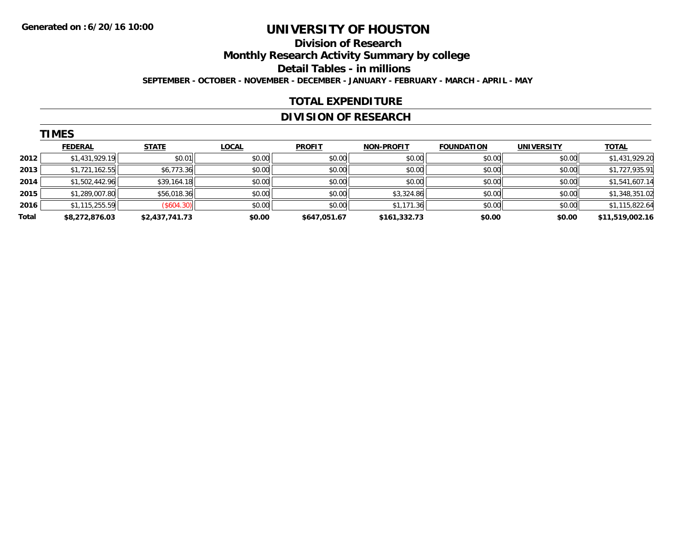#### **Division of Research Monthly Research Activity Summary by college Detail Tables - in millions SEPTEMBER - OCTOBER - NOVEMBER - DECEMBER - JANUARY - FEBRUARY - MARCH - APRIL - MAY**

#### **TOTAL EXPENDITURE**

### **DIVISION OF RESEARCH**

|       | <b>TIMES</b>   |                |              |               |                   |                   |                   |                 |  |  |  |  |
|-------|----------------|----------------|--------------|---------------|-------------------|-------------------|-------------------|-----------------|--|--|--|--|
|       | <b>FEDERAL</b> | <b>STATE</b>   | <b>LOCAL</b> | <b>PROFIT</b> | <b>NON-PROFIT</b> | <b>FOUNDATION</b> | <b>UNIVERSITY</b> | <b>TOTAL</b>    |  |  |  |  |
| 2012  | \$1,431,929.19 | \$0.01         | \$0.00       | \$0.00        | \$0.00            | \$0.00            | \$0.00            | \$1,431,929.20  |  |  |  |  |
| 2013  | \$1,721,162.55 | \$6,773.36     | \$0.00       | \$0.00        | \$0.00            | \$0.00            | \$0.00            | \$1,727,935.91  |  |  |  |  |
| 2014  | \$1,502,442.96 | \$39,164.18    | \$0.00       | \$0.00        | \$0.00            | \$0.00            | \$0.00            | \$1,541,607.14  |  |  |  |  |
| 2015  | \$1,289,007.80 | \$56,018.36    | \$0.00       | \$0.00        | \$3,324.86        | \$0.00            | \$0.00            | \$1,348,351.02  |  |  |  |  |
| 2016  | \$1,115,255.59 | (S604.30)      | \$0.00       | \$0.00        | \$1,171.36        | \$0.00            | \$0.00            | \$1,115,822.64  |  |  |  |  |
| Total | \$8,272,876.03 | \$2,437,741.73 | \$0.00       | \$647,051.67  | \$161,332.73      | \$0.00            | \$0.00            | \$11,519,002.16 |  |  |  |  |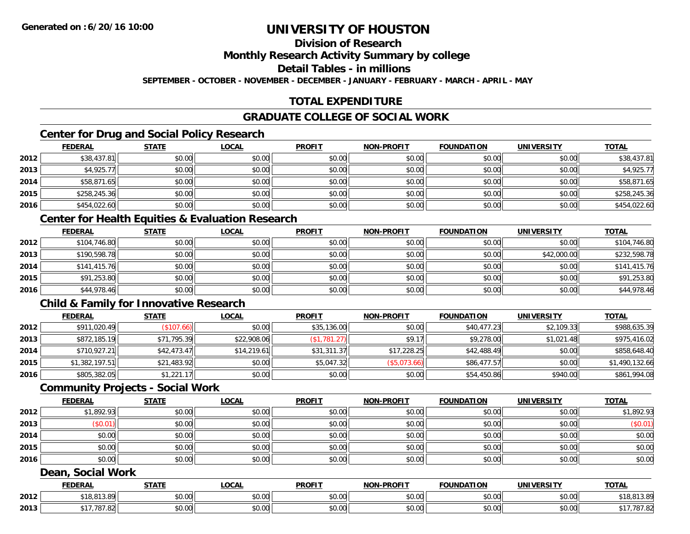# **Division of Research**

**Monthly Research Activity Summary by college**

**Detail Tables - in millions**

**SEPTEMBER - OCTOBER - NOVEMBER - DECEMBER - JANUARY - FEBRUARY - MARCH - APRIL - MAY**

# **TOTAL EXPENDITURE**

#### **GRADUATE COLLEGE OF SOCIAL WORK**

# **Center for Drug and Social Policy Research**

|      | <b>FEDERAL</b> | <b>STATE</b> | <u>LOCAL</u> | <b>PROFIT</b> | <b>NON-PROFIT</b> | <b>FOUNDATION</b> | <b>UNIVERSITY</b> | <b>TOTAL</b> |
|------|----------------|--------------|--------------|---------------|-------------------|-------------------|-------------------|--------------|
| 2012 | \$38,437.81    | \$0.00       | \$0.00       | \$0.00        | \$0.00            | \$0.00            | \$0.00            | \$38,437.81  |
| 2013 | \$4,925.77     | \$0.00       | \$0.00       | \$0.00        | \$0.00            | \$0.00            | \$0.00            | \$4,925.77   |
| 2014 | \$58,871.65    | \$0.00       | \$0.00       | \$0.00        | \$0.00            | \$0.00            | \$0.00            | \$58,871.65  |
| 2015 | \$258,245.36   | \$0.00       | \$0.00       | \$0.00        | \$0.00            | \$0.00            | \$0.00            | \$258,245.36 |
| 2016 | \$454,022.60   | \$0.00       | \$0.00       | \$0.00        | \$0.00            | \$0.00            | \$0.00            | \$454,022.60 |

#### **Center for Health Equities & Evaluation Research**

|      | <u>FEDERAL</u> | <u>STATE</u> | <u>LOCAL</u> | <b>PROFIT</b> | <b>NON-PROFIT</b> | <b>FOUNDATION</b> | <b>UNIVERSITY</b> | <b>TOTAL</b> |
|------|----------------|--------------|--------------|---------------|-------------------|-------------------|-------------------|--------------|
| 2012 | \$104,746.80   | \$0.00       | \$0.00       | \$0.00        | \$0.00            | \$0.00            | \$0.00            | \$104,746.80 |
| 2013 | \$190,598.78   | \$0.00       | \$0.00       | \$0.00        | \$0.00            | \$0.00            | \$42,000.00       | \$232,598.78 |
| 2014 | \$141,415.76   | \$0.00       | \$0.00       | \$0.00        | \$0.00            | \$0.00            | \$0.00            | \$141,415.76 |
| 2015 | \$91,253.80    | \$0.00       | \$0.00       | \$0.00        | \$0.00            | \$0.00            | \$0.00            | \$91,253.80  |
| 2016 | \$44,978.46    | \$0.00       | \$0.00       | \$0.00        | \$0.00            | \$0.00            | \$0.00            | \$44,978.46  |

### **Child & Family for Innovative Research**

|      | <b>FEDERAL</b> | <u>STATE</u> | <u>LOCAL</u> | <b>PROFIT</b> | <b>NON-PROFIT</b> | <b>FOUNDATION</b> | <b>UNIVERSITY</b> | <b>TOTAL</b>   |
|------|----------------|--------------|--------------|---------------|-------------------|-------------------|-------------------|----------------|
| 2012 | \$911,020.49   | \$107.66     | \$0.00       | \$35,136.00   | \$0.00            | \$40,477.23       | \$2,109.33        | \$988,635.39   |
| 2013 | \$872,185.19   | \$71,795.39  | \$22,908.06  | (\$1,781.27)  | \$9.17            | \$9,278.00        | \$1,021.48        | \$975,416.02   |
| 2014 | \$710,927.21   | \$42,473.47  | \$14,219.61  | \$31,311.37   | \$17,228.25       | \$42,488.49       | \$0.00            | \$858,648.40   |
| 2015 | \$1,382,197.51 | \$21,483.92  | \$0.00       | \$5,047.32    | (\$5,073.66)      | \$86,477.57       | \$0.00            | \$1,490,132.66 |
| 2016 | \$805,382.05   | \$1,221.17   | \$0.00       | \$0.00        | \$0.00            | \$54,450.86       | \$940.00          | \$861,994.08   |

#### **Community Projects - Social Work**

|      | <b>FEDERAL</b> | <b>STATE</b> | <u>LOCAL</u> | <b>PROFIT</b> | <b>NON-PROFIT</b> | <b>FOUNDATION</b> | <b>UNIVERSITY</b> | <b>TOTAL</b> |
|------|----------------|--------------|--------------|---------------|-------------------|-------------------|-------------------|--------------|
| 2012 | \$1,892.93     | \$0.00       | \$0.00       | \$0.00        | \$0.00            | \$0.00            | \$0.00            | \$1,892.93   |
| 2013 | \$0.01         | \$0.00       | \$0.00       | \$0.00        | \$0.00            | \$0.00            | \$0.00            | (\$0.01)     |
| 2014 | \$0.00         | \$0.00       | \$0.00       | \$0.00        | \$0.00            | \$0.00            | \$0.00            | \$0.00       |
| 2015 | \$0.00         | \$0.00       | \$0.00       | \$0.00        | \$0.00            | \$0.00            | \$0.00            | \$0.00       |
| 2016 | \$0.00         | \$0.00       | \$0.00       | \$0.00        | \$0.00            | \$0.00            | \$0.00            | \$0.00       |

#### **Dean, Social Work**

|      | <b>FEDERAL</b>                   | <b>CTATI</b><br>- 31 A . | 00n<br>.UCAL              | <b>PROFIT</b> | $-DD$ $\cap$<br><b>NIONI</b> | FOUNDATION | UNIVERSITY                    | <b>TOTAL</b>  |
|------|----------------------------------|--------------------------|---------------------------|---------------|------------------------------|------------|-------------------------------|---------------|
| 2012 | 01200<br>$+11$<br>1 J.U<br>,,,,, | \$0.00                   | $\sim$<br>$\sim$<br>vv.vv | 0000<br>DU.UG | 0.00<br>pu.uu                | \$0.00     | $\sim$ $\sim$<br><b>JU.UU</b> | 5.09<br>IO, O |
| 2013 | $\sim$<br>1.04                   | \$0.00                   | $\sim$<br>PU.UU           | 0000<br>DU.UG | 0.00<br><b>DU.UU</b>         | \$0.00     | $\sim$ $\sim$<br><b>JU.UU</b> | 01.02         |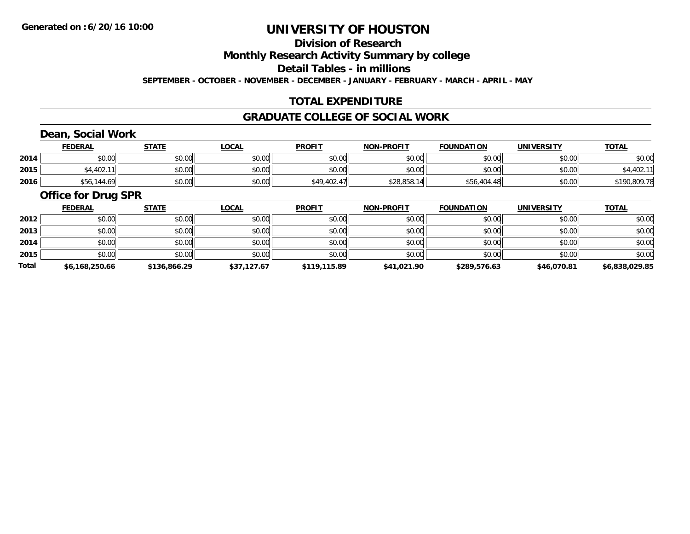# **Division of Research**

**Monthly Research Activity Summary by college**

**Detail Tables - in millions**

**SEPTEMBER - OCTOBER - NOVEMBER - DECEMBER - JANUARY - FEBRUARY - MARCH - APRIL - MAY**

### **TOTAL EXPENDITURE**

#### **GRADUATE COLLEGE OF SOCIAL WORK**

### **Dean, Social Work**

|      | <b>FEDERAL</b>     | <b>STATE</b>   | <u>LOCAL</u> | <b>PROFIT</b> | <b>NON-PROFIT</b> | <b>FOUNDATION</b> | <b>UNIVERSITY</b> | <b>TOTAL</b> |
|------|--------------------|----------------|--------------|---------------|-------------------|-------------------|-------------------|--------------|
| 2014 | ታ ሰ<br>DU.UU       | ≮N UV<br>JU.UU | \$0.00       | \$0.00        | \$0.00            | \$0.00            | \$0.00            | \$0.00       |
| 2015 | \$4,402.<br>11     | ⊄∩ ∩∩<br>JU.UU | \$0.00       | \$0.00        | \$0.00            | \$0.00            | \$0.00            |              |
| 2016 | ,56,144<br>' 69، ، | \$0.00         | \$0.00       | \$49,402.47   | \$28,858.<br>.14  | \$56,404.48       | \$0.00            | \$190,809.78 |

#### **Office for Drug SPR**

|              | <b>FEDERAL</b> | <b>STATE</b> | <u>LOCAL</u> | <b>PROFIT</b> | <b>NON-PROFIT</b> | <b>FOUNDATION</b> | <b>UNIVERSITY</b> | <b>TOTAL</b>   |
|--------------|----------------|--------------|--------------|---------------|-------------------|-------------------|-------------------|----------------|
| 2012         | \$0.00         | \$0.00       | \$0.00       | \$0.00        | \$0.00            | \$0.00            | \$0.00            | \$0.00         |
| 2013         | \$0.00         | \$0.00       | \$0.00       | \$0.00        | \$0.00            | \$0.00            | \$0.00            | \$0.00         |
| 2014         | \$0.00         | \$0.00       | \$0.00       | \$0.00        | \$0.00            | \$0.00            | \$0.00            | \$0.00         |
| 2015         | \$0.00         | \$0.00       | \$0.00       | \$0.00        | \$0.00            | \$0.00            | \$0.00            | \$0.00         |
| <b>Total</b> | \$6,168,250.66 | \$136,866.29 | \$37,127.67  | \$119,115.89  | \$41,021.90       | \$289,576.63      | \$46,070.81       | \$6,838,029.85 |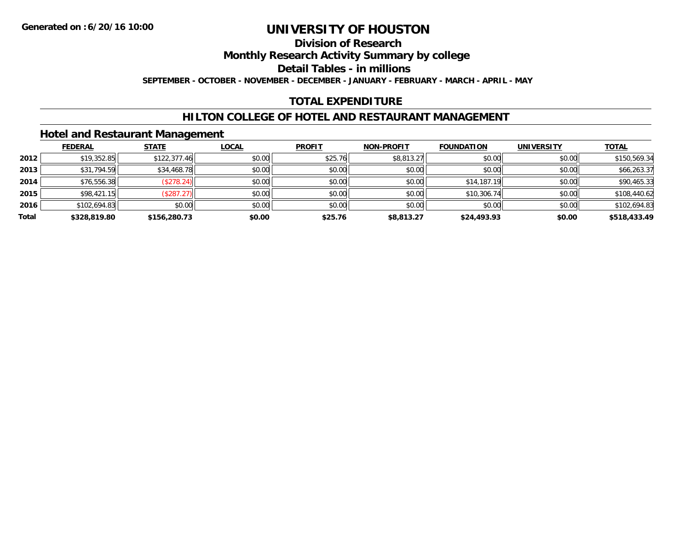#### **Division of Research**

**Monthly Research Activity Summary by college**

**Detail Tables - in millions**

**SEPTEMBER - OCTOBER - NOVEMBER - DECEMBER - JANUARY - FEBRUARY - MARCH - APRIL - MAY**

#### **TOTAL EXPENDITURE**

#### **HILTON COLLEGE OF HOTEL AND RESTAURANT MANAGEMENT**

#### **Hotel and Restaurant Management**

|       | <b>FEDERAL</b> | <b>STATE</b>  | <u>LOCAL</u> | <b>PROFIT</b> | <b>NON-PROFIT</b> | <b>FOUNDATION</b> | <b>UNIVERSITY</b> | <b>TOTAL</b> |
|-------|----------------|---------------|--------------|---------------|-------------------|-------------------|-------------------|--------------|
| 2012  | \$19,352.85    | \$122,377.46  | \$0.00       | \$25.76       | \$8,813.27        | \$0.00            | \$0.00            | \$150,569.34 |
| 2013  | \$31,794.59    | \$34,468.78   | \$0.00       | \$0.00        | \$0.00            | \$0.00            | \$0.00            | \$66,263.37  |
| 2014  | \$76,556.38    | $($ \$278.24) | \$0.00       | \$0.00        | \$0.00            | \$14,187.19       | \$0.00            | \$90,465.33  |
| 2015  | \$98,421.15    | (\$287.27)    | \$0.00       | \$0.00        | \$0.00            | \$10,306.74       | \$0.00            | \$108,440.62 |
| 2016  | \$102,694.83   | \$0.00        | \$0.00       | \$0.00        | \$0.00            | \$0.00            | \$0.00            | \$102,694.83 |
| Total | \$328,819.80   | \$156,280.73  | \$0.00       | \$25.76       | \$8,813.27        | \$24,493.93       | \$0.00            | \$518,433.49 |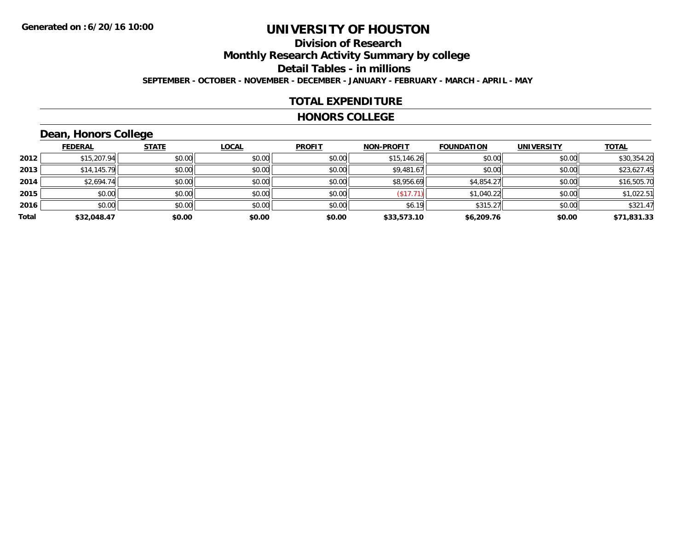### **Division of ResearchMonthly Research Activity Summary by college Detail Tables - in millions SEPTEMBER - OCTOBER - NOVEMBER - DECEMBER - JANUARY - FEBRUARY - MARCH - APRIL - MAY**

#### **TOTAL EXPENDITURE**

#### **HONORS COLLEGE**

# **Dean, Honors College**

|       |                | $\sim$       |              |               |                   |                   |                   |              |
|-------|----------------|--------------|--------------|---------------|-------------------|-------------------|-------------------|--------------|
|       | <b>FEDERAL</b> | <b>STATE</b> | <b>LOCAL</b> | <b>PROFIT</b> | <b>NON-PROFIT</b> | <b>FOUNDATION</b> | <b>UNIVERSITY</b> | <b>TOTAL</b> |
| 2012  | \$15,207.94    | \$0.00       | \$0.00       | \$0.00        | \$15,146.26       | \$0.00            | \$0.00            | \$30,354.20  |
| 2013  | \$14,145.79    | \$0.00       | \$0.00       | \$0.00        | \$9,481.67        | \$0.00            | \$0.00            | \$23,627.45  |
| 2014  | \$2,694.74     | \$0.00       | \$0.00       | \$0.00        | \$8,956.69        | \$4,854.27        | \$0.00            | \$16,505.70  |
| 2015  | \$0.00         | \$0.00       | \$0.00       | \$0.00        | (\$17.71)         | \$1,040.22        | \$0.00            | \$1,022.51   |
| 2016  | \$0.00         | \$0.00       | \$0.00       | \$0.00        | \$6.19            | \$315.27          | \$0.00            | \$321.47     |
| Total | \$32,048.47    | \$0.00       | \$0.00       | \$0.00        | \$33,573.10       | \$6,209.76        | \$0.00            | \$71,831.33  |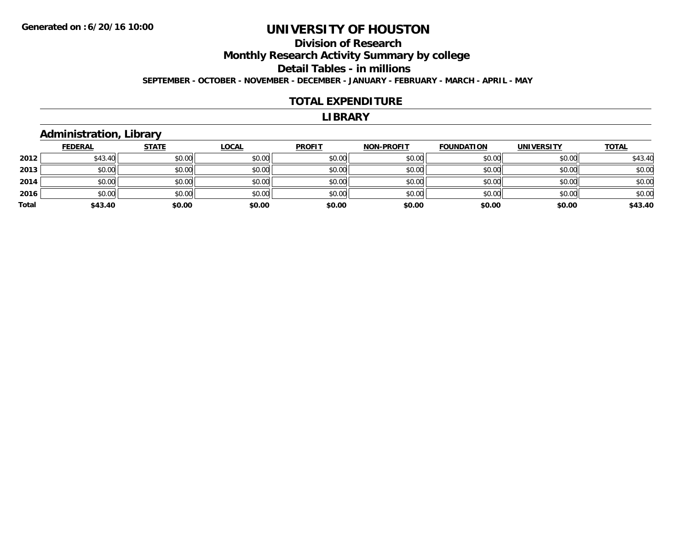## **Division of ResearchMonthly Research Activity Summary by college Detail Tables - in millions SEPTEMBER - OCTOBER - NOVEMBER - DECEMBER - JANUARY - FEBRUARY - MARCH - APRIL - MAY**

#### **TOTAL EXPENDITURE**

#### **LIBRARY**

#### **Administration, Library**

|       | <b>FEDERAL</b> | <b>STATE</b> | <b>LOCAL</b> | <b>PROFIT</b> | <b>NON-PROFIT</b> | <b>FOUNDATION</b> | <b>UNIVERSITY</b> | <b>TOTAL</b> |
|-------|----------------|--------------|--------------|---------------|-------------------|-------------------|-------------------|--------------|
| 2012  | \$43.40        | \$0.00       | \$0.00       | \$0.00        | \$0.00            | \$0.00            | \$0.00            | \$43.40      |
| 2013  | \$0.00         | \$0.00       | \$0.00       | \$0.00        | \$0.00            | \$0.00            | \$0.00            | \$0.00       |
| 2014  | \$0.00         | \$0.00       | \$0.00       | \$0.00        | \$0.00            | \$0.00            | \$0.00            | \$0.00       |
| 2016  | \$0.00         | \$0.00       | \$0.00       | \$0.00        | \$0.00            | \$0.00            | \$0.00            | \$0.00       |
| Total | \$43.40        | \$0.00       | \$0.00       | \$0.00        | \$0.00            | \$0.00            | \$0.00            | \$43.40      |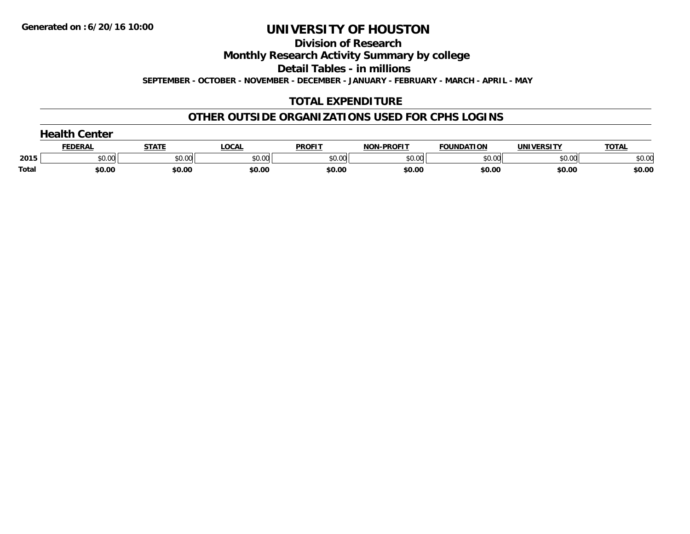**Division of Research**

**Monthly Research Activity Summary by college**

**Detail Tables - in millions**

**SEPTEMBER - OCTOBER - NOVEMBER - DECEMBER - JANUARY - FEBRUARY - MARCH - APRIL - MAY**

### **TOTAL EXPENDITURE**

#### **OTHER OUTSIDE ORGANIZATIONS USED FOR CPHS LOGINS**

|              | nealth ∂<br>Center |              |              |               |                   |                   |                   |              |  |  |
|--------------|--------------------|--------------|--------------|---------------|-------------------|-------------------|-------------------|--------------|--|--|
|              | <b>FEDERAL</b>     | <b>STATE</b> | <b>LOCAL</b> | <b>PROFIT</b> | <b>NON-PROFIT</b> | <b>FOUNDATION</b> | <b>UNIVERSITY</b> | <b>TOTAL</b> |  |  |
| 2015         | \$0.00             | \$0.00       | \$0.00       | \$0.00        | \$0.00            | \$0.00            | \$0.00            | \$0.00       |  |  |
| <b>Total</b> | \$0.00             | \$0.00       | \$0.00       | \$0.00        | \$0.00            | \$0.00            | \$0.00            | \$0.00       |  |  |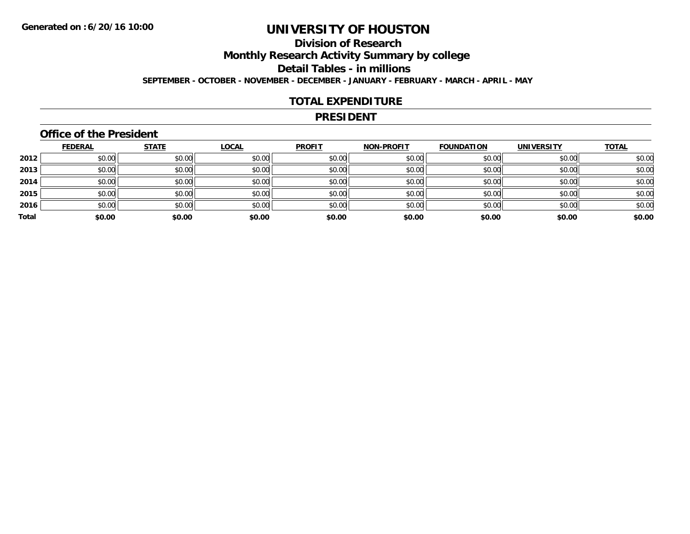### **Division of ResearchMonthly Research Activity Summary by college Detail Tables - in millions SEPTEMBER - OCTOBER - NOVEMBER - DECEMBER - JANUARY - FEBRUARY - MARCH - APRIL - MAY**

#### **TOTAL EXPENDITURE**

#### **PRESIDENT**

#### **Office of the President**

|       | <b>FEDERAL</b> | <b>STATE</b> | <b>LOCAL</b> | <b>PROFIT</b> | <b>NON-PROFIT</b> | <b>FOUNDATION</b> | <b>UNIVERSITY</b> | <b>TOTAL</b> |
|-------|----------------|--------------|--------------|---------------|-------------------|-------------------|-------------------|--------------|
| 2012  | \$0.00         | \$0.00       | \$0.00       | \$0.00        | \$0.00            | \$0.00            | \$0.00            | \$0.00       |
| 2013  | \$0.00         | \$0.00       | \$0.00       | \$0.00        | \$0.00            | \$0.00            | \$0.00            | \$0.00       |
| 2014  | \$0.00         | \$0.00       | \$0.00       | \$0.00        | \$0.00            | \$0.00            | \$0.00            | \$0.00       |
| 2015  | \$0.00         | \$0.00       | \$0.00       | \$0.00        | \$0.00            | \$0.00            | \$0.00            | \$0.00       |
| 2016  | \$0.00         | \$0.00       | \$0.00       | \$0.00        | \$0.00            | \$0.00            | \$0.00            | \$0.00       |
| Total | \$0.00         | \$0.00       | \$0.00       | \$0.00        | \$0.00            | \$0.00            | \$0.00            | \$0.00       |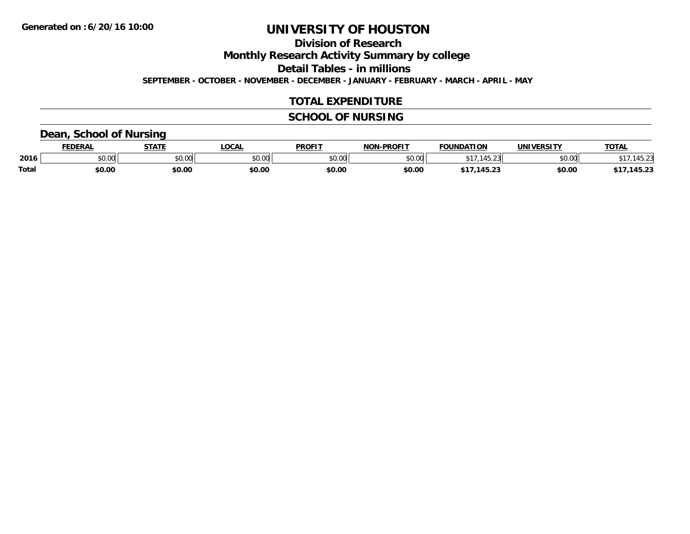**Division of Research**

**Monthly Research Activity Summary by college**

**Detail Tables - in millions**

**SEPTEMBER - OCTOBER - NOVEMBER - DECEMBER - JANUARY - FEBRUARY - MARCH - APRIL - MAY**

#### **TOTAL EXPENDITURE**

### **SCHOOL OF NURSING**

#### **Dean, School of Nursing**

|              | <b>DERAL</b> | <b>STATE</b>          | <b>LOCAL</b>  | <b>PROFIT</b> | <b>LPROFIT</b><br><b>ארות</b> | <b>FOUNDATION</b>          | UNIVERSITY | <b>TOTAL</b>    |
|--------------|--------------|-----------------------|---------------|---------------|-------------------------------|----------------------------|------------|-----------------|
| 2016         | \$0.00       | 0 <sup>n</sup><br>JU. | 0000<br>งบ.บเ | 0000<br>JU.UU | 0000<br>,u.uu                 |                            | \$0.00     | $\sim$<br>14    |
| <b>Total</b> | \$0.00       | \$0.00                | \$0.00        | \$0.00        | \$0.00                        | $\sim$<br><b>AC</b><br>æа. | \$0.00     | 145.22<br>70.ZU |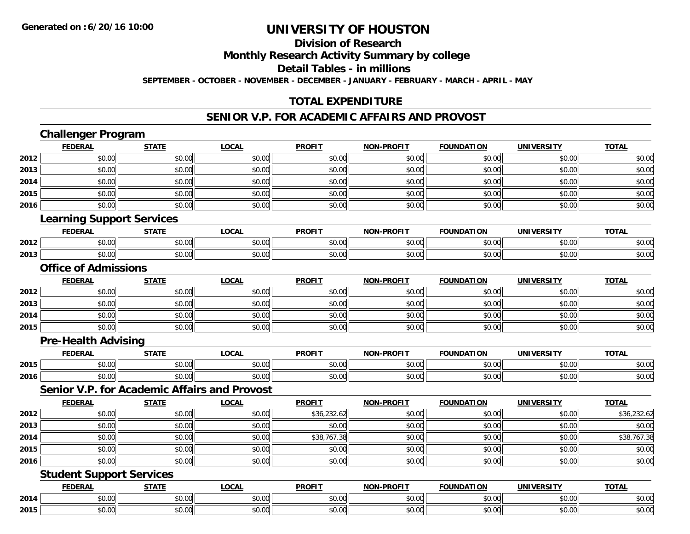# **Division of Research**

**Monthly Research Activity Summary by college**

**Detail Tables - in millions**

**SEPTEMBER - OCTOBER - NOVEMBER - DECEMBER - JANUARY - FEBRUARY - MARCH - APRIL - MAY**

### **TOTAL EXPENDITURE**

#### **SENIOR V.P. FOR ACADEMIC AFFAIRS AND PROVOST**

|      | <b>Challenger Program</b>                           |              |              |               |                   |                   |                   |              |
|------|-----------------------------------------------------|--------------|--------------|---------------|-------------------|-------------------|-------------------|--------------|
|      | <b>FEDERAL</b>                                      | <b>STATE</b> | <b>LOCAL</b> | <b>PROFIT</b> | NON-PROFIT        | <b>FOUNDATION</b> | <b>UNIVERSITY</b> | <b>TOTAL</b> |
| 2012 | \$0.00                                              | \$0.00       | \$0.00       | \$0.00        | \$0.00            | \$0.00            | \$0.00            | \$0.00       |
| 2013 | \$0.00                                              | \$0.00       | \$0.00       | \$0.00        | \$0.00            | \$0.00            | \$0.00            | \$0.00       |
| 2014 | \$0.00                                              | \$0.00       | \$0.00       | \$0.00        | \$0.00            | \$0.00            | \$0.00            | \$0.00       |
| 2015 | \$0.00                                              | \$0.00       | \$0.00       | \$0.00        | \$0.00            | \$0.00            | \$0.00            | \$0.00       |
| 2016 | \$0.00                                              | \$0.00       | \$0.00       | \$0.00        | \$0.00            | \$0.00            | \$0.00            | \$0.00       |
|      | <b>Learning Support Services</b>                    |              |              |               |                   |                   |                   |              |
|      | <b>FEDERAL</b>                                      | <b>STATE</b> | <b>LOCAL</b> | <b>PROFIT</b> | <b>NON-PROFIT</b> | <b>FOUNDATION</b> | <b>UNIVERSITY</b> | <b>TOTAL</b> |
| 2012 | \$0.00                                              | \$0.00       | \$0.00       | \$0.00        | \$0.00            | \$0.00            | \$0.00            | \$0.00       |
| 2013 | \$0.00                                              | \$0.00       | \$0.00       | \$0.00        | \$0.00            | \$0.00            | \$0.00            | \$0.00       |
|      | <b>Office of Admissions</b>                         |              |              |               |                   |                   |                   |              |
|      | <b>FEDERAL</b>                                      | <b>STATE</b> | <b>LOCAL</b> | <b>PROFIT</b> | <b>NON-PROFIT</b> | <b>FOUNDATION</b> | <b>UNIVERSITY</b> | <b>TOTAL</b> |
| 2012 | \$0.00                                              | \$0.00       | \$0.00       | \$0.00        | \$0.00            | \$0.00            | \$0.00            | \$0.00       |
| 2013 | \$0.00                                              | \$0.00       | \$0.00       | \$0.00        | \$0.00            | \$0.00            | \$0.00            | \$0.00       |
| 2014 | \$0.00                                              | \$0.00       | \$0.00       | \$0.00        | \$0.00            | \$0.00            | \$0.00            | \$0.00       |
| 2015 | \$0.00                                              | \$0.00       | \$0.00       | \$0.00        | \$0.00            | \$0.00            | \$0.00            | \$0.00       |
|      | <b>Pre-Health Advising</b>                          |              |              |               |                   |                   |                   |              |
|      | <b>FEDERAL</b>                                      | <b>STATE</b> | <b>LOCAL</b> | <b>PROFIT</b> | <b>NON-PROFIT</b> | <b>FOUNDATION</b> | <b>UNIVERSITY</b> | <b>TOTAL</b> |
| 2015 | \$0.00                                              | \$0.00       | \$0.00       | \$0.00        | \$0.00            | \$0.00            | \$0.00            | \$0.00       |
| 2016 | \$0.00                                              | \$0.00       | \$0.00       | \$0.00        | \$0.00            | \$0.00            | \$0.00            | \$0.00       |
|      | <b>Senior V.P. for Academic Affairs and Provost</b> |              |              |               |                   |                   |                   |              |
|      | <b>FEDERAL</b>                                      | <b>STATE</b> | <b>LOCAL</b> | <b>PROFIT</b> | <b>NON-PROFIT</b> | <b>FOUNDATION</b> | <b>UNIVERSITY</b> | <b>TOTAL</b> |
| 2012 | \$0.00                                              | \$0.00       | \$0.00       | \$36,232.62   | \$0.00            | \$0.00            | \$0.00            | \$36,232.62  |
| 2013 | \$0.00                                              | \$0.00       | \$0.00       | \$0.00        | \$0.00            | \$0.00            | \$0.00            | \$0.00       |
| 2014 | \$0.00                                              | \$0.00       | \$0.00       | \$38,767.38   | \$0.00            | \$0.00            | \$0.00            | \$38,767.38  |
| 2015 | \$0.00                                              | \$0.00       | \$0.00       | \$0.00        | \$0.00            | \$0.00            | \$0.00            | \$0.00       |
| 2016 | \$0.00                                              | \$0.00       | \$0.00       | \$0.00        | \$0.00            | \$0.00            | \$0.00            | \$0.00       |
|      | <b>Student Support Services</b>                     |              |              |               |                   |                   |                   |              |
|      | <b>FEDERAL</b>                                      | <b>STATE</b> | <b>LOCAL</b> | <b>PROFIT</b> | <b>NON-PROFIT</b> | <b>FOUNDATION</b> | <b>UNIVERSITY</b> | <b>TOTAL</b> |
| 2014 | \$0.00                                              | \$0.00       | \$0.00       | \$0.00        | \$0.00            | \$0.00            | \$0.00            | \$0.00       |
| 2015 | \$0.00                                              | \$0.00       | \$0.00       | \$0.00        | \$0.00            | \$0.00            | \$0.00            | \$0.00       |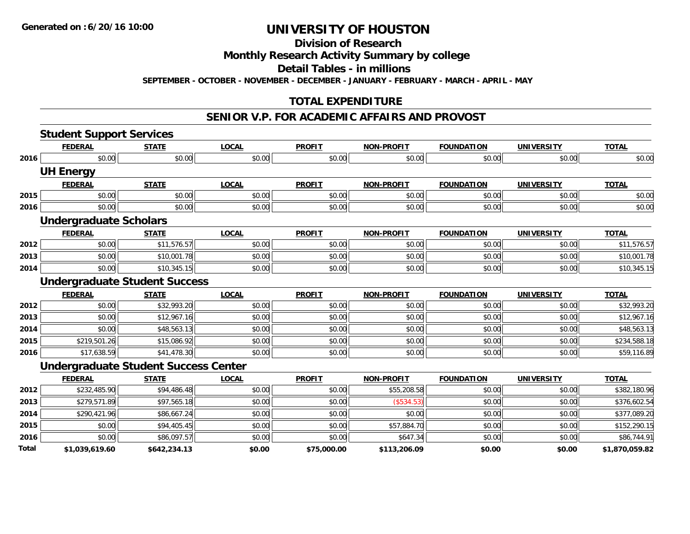**Division of Research**

**Monthly Research Activity Summary by college**

**Detail Tables - in millions**

**SEPTEMBER - OCTOBER - NOVEMBER - DECEMBER - JANUARY - FEBRUARY - MARCH - APRIL - MAY**

# **TOTAL EXPENDITURE**

#### **SENIOR V.P. FOR ACADEMIC AFFAIRS AND PROVOST**

|       | <b>Student Support Services</b> |                                             |              |               |                   |                   |                   |                |
|-------|---------------------------------|---------------------------------------------|--------------|---------------|-------------------|-------------------|-------------------|----------------|
|       | <b>FEDERAL</b>                  | <b>STATE</b>                                | <b>LOCAL</b> | <b>PROFIT</b> | <b>NON-PROFIT</b> | <b>FOUNDATION</b> | <b>UNIVERSITY</b> | <b>TOTAL</b>   |
| 2016  | \$0.00                          | \$0.00                                      | \$0.00       | \$0.00        | \$0.00            | \$0.00            | \$0.00            | \$0.00         |
|       | <b>UH Energy</b>                |                                             |              |               |                   |                   |                   |                |
|       | <b>FEDERAL</b>                  | <b>STATE</b>                                | <b>LOCAL</b> | <b>PROFIT</b> | <b>NON-PROFIT</b> | <b>FOUNDATION</b> | <b>UNIVERSITY</b> | <b>TOTAL</b>   |
| 2015  | \$0.00                          | \$0.00                                      | \$0.00       | \$0.00        | \$0.00            | \$0.00            | \$0.00            | \$0.00         |
| 2016  | \$0.00                          | \$0.00                                      | \$0.00       | \$0.00        | \$0.00            | \$0.00            | \$0.00            | \$0.00         |
|       | <b>Undergraduate Scholars</b>   |                                             |              |               |                   |                   |                   |                |
|       | <b>FEDERAL</b>                  | <b>STATE</b>                                | <b>LOCAL</b> | <b>PROFIT</b> | <b>NON-PROFIT</b> | <b>FOUNDATION</b> | <b>UNIVERSITY</b> | <b>TOTAL</b>   |
| 2012  | \$0.00                          | \$11,576.57                                 | \$0.00       | \$0.00        | \$0.00            | \$0.00            | \$0.00            | \$11,576.57    |
| 2013  | \$0.00                          | \$10,001.78                                 | \$0.00       | \$0.00        | \$0.00            | \$0.00            | \$0.00            | \$10,001.78    |
| 2014  | \$0.00                          | \$10,345.15                                 | \$0.00       | \$0.00        | \$0.00            | \$0.00            | \$0.00            | \$10,345.15    |
|       |                                 | <b>Undergraduate Student Success</b>        |              |               |                   |                   |                   |                |
|       | <b>FEDERAL</b>                  | <b>STATE</b>                                | <b>LOCAL</b> | <b>PROFIT</b> | <b>NON-PROFIT</b> | <b>FOUNDATION</b> | <b>UNIVERSITY</b> | <b>TOTAL</b>   |
| 2012  | \$0.00                          | \$32,993.20                                 | \$0.00       | \$0.00        | \$0.00            | \$0.00            | \$0.00            | \$32,993.20    |
| 2013  | \$0.00                          | \$12,967.16                                 | \$0.00       | \$0.00        | \$0.00            | \$0.00            | \$0.00            | \$12,967.16    |
| 2014  | \$0.00                          | \$48,563.13                                 | \$0.00       | \$0.00        | \$0.00            | \$0.00            | \$0.00            | \$48,563.13    |
| 2015  | \$219,501.26                    | \$15,086.92                                 | \$0.00       | \$0.00        | \$0.00            | \$0.00            | \$0.00            | \$234,588.18   |
| 2016  | \$17,638.59                     | \$41,478.30                                 | \$0.00       | \$0.00        | \$0.00            | \$0.00            | \$0.00            | \$59,116.89    |
|       |                                 | <b>Undergraduate Student Success Center</b> |              |               |                   |                   |                   |                |
|       | <b>FEDERAL</b>                  | <b>STATE</b>                                | <b>LOCAL</b> | <b>PROFIT</b> | <b>NON-PROFIT</b> | <b>FOUNDATION</b> | <b>UNIVERSITY</b> | <b>TOTAL</b>   |
| 2012  | \$232,485.90                    | \$94,486.48                                 | \$0.00       | \$0.00        | \$55,208.58       | \$0.00            | \$0.00            | \$382,180.96   |
| 2013  | \$279,571.89                    | \$97,565.18                                 | \$0.00       | \$0.00        | (\$534.53)        | \$0.00            | \$0.00            | \$376,602.54   |
| 2014  | \$290,421.96                    | \$86,667.24                                 | \$0.00       | \$0.00        | \$0.00            | \$0.00            | \$0.00            | \$377,089.20   |
| 2015  | \$0.00                          | \$94,405.45                                 | \$0.00       | \$0.00        | \$57,884.70       | \$0.00            | \$0.00            | \$152,290.15   |
| 2016  | \$0.00                          | \$86,097.57                                 | \$0.00       | \$0.00        | \$647.34          | \$0.00            | \$0.00            | \$86,744.91    |
| Total | \$1,039,619.60                  | \$642,234.13                                | \$0.00       | \$75,000.00   | \$113,206.09      | \$0.00            | \$0.00            | \$1,870,059.82 |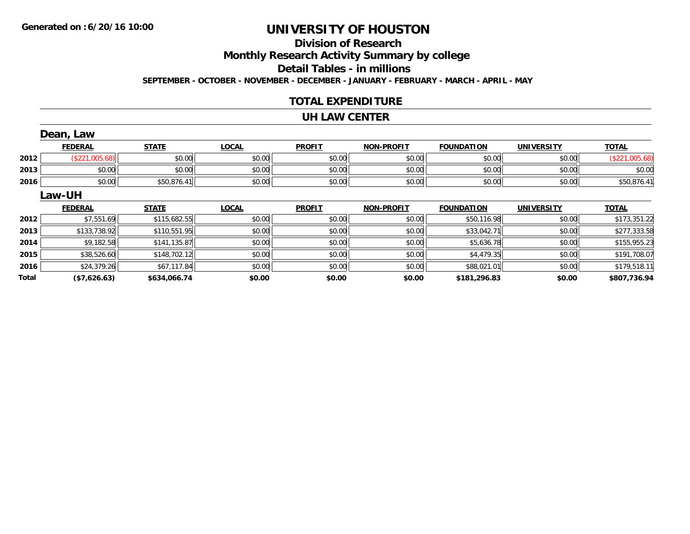# **Division of ResearchMonthly Research Activity Summary by college Detail Tables - in millions**

**SEPTEMBER - OCTOBER - NOVEMBER - DECEMBER - JANUARY - FEBRUARY - MARCH - APRIL - MAY**

#### **TOTAL EXPENDITURE**

#### **UH LAW CENTER**

|              | Dean, Law      |              |              |               |                   |                   |                   |                |
|--------------|----------------|--------------|--------------|---------------|-------------------|-------------------|-------------------|----------------|
|              | <b>FEDERAL</b> | <b>STATE</b> | <b>LOCAL</b> | <b>PROFIT</b> | <b>NON-PROFIT</b> | <b>FOUNDATION</b> | <b>UNIVERSITY</b> | <b>TOTAL</b>   |
| 2012         | (\$221,005.68) | \$0.00       | \$0.00       | \$0.00        | \$0.00            | \$0.00            | \$0.00            | (\$221,005.68) |
| 2013         | \$0.00         | \$0.00       | \$0.00       | \$0.00        | \$0.00            | \$0.00            | \$0.00            | \$0.00         |
| 2016         | \$0.00         | \$50,876.41  | \$0.00       | \$0.00        | \$0.00            | \$0.00            | \$0.00            | \$50,876.41    |
|              | Law-UH         |              |              |               |                   |                   |                   |                |
|              | <b>FEDERAL</b> | <b>STATE</b> | <b>LOCAL</b> | <b>PROFIT</b> | <b>NON-PROFIT</b> | <b>FOUNDATION</b> | <b>UNIVERSITY</b> | <b>TOTAL</b>   |
| 2012         | \$7,551.69     | \$115,682.55 | \$0.00       | \$0.00        | \$0.00            | \$50,116.98       | \$0.00            | \$173,351.22   |
| 2013         | \$133,738.92   | \$110,551.95 | \$0.00       | \$0.00        | \$0.00            | \$33,042.71       | \$0.00            | \$277,333.58   |
| 2014         | \$9,182.58     | \$141,135.87 | \$0.00       | \$0.00        | \$0.00            | \$5,636.78        | \$0.00            | \$155,955.23   |
| 2015         | \$38,526.60    | \$148,702.12 | \$0.00       | \$0.00        | \$0.00            | \$4,479.35        | \$0.00            | \$191,708.07   |
| 2016         | \$24,379.26    | \$67,117.84  | \$0.00       | \$0.00        | \$0.00            | \$88,021.01       | \$0.00            | \$179,518.11   |
| <b>Total</b> | (\$7,626.63)   | \$634,066.74 | \$0.00       | \$0.00        | \$0.00            | \$181,296.83      | \$0.00            | \$807,736.94   |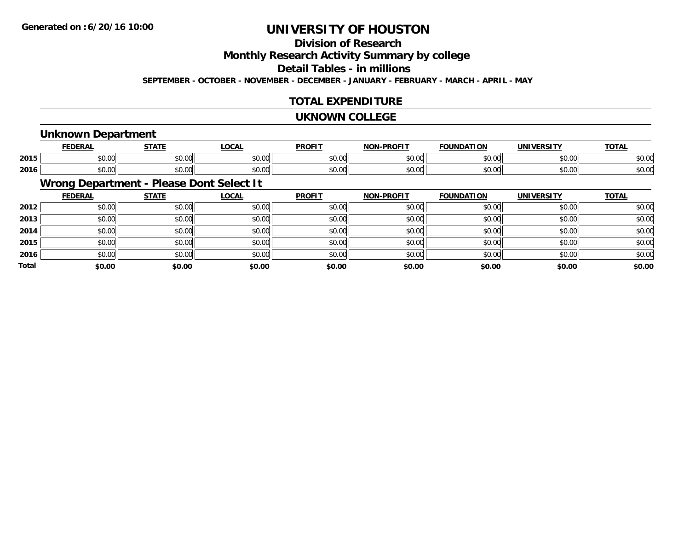# **Division of Research**

**Monthly Research Activity Summary by college**

**Detail Tables - in millions**

**SEPTEMBER - OCTOBER - NOVEMBER - DECEMBER - JANUARY - FEBRUARY - MARCH - APRIL - MAY**

#### **TOTAL EXPENDITURE**

#### **UKNOWN COLLEGE**

#### **Unknown Department**

|      | <b>FEDERAI</b>                       | <b>CTATE</b>  | 00 <sub>n</sub>        | <b>PROFIT</b> | <b>DDOEL1</b><br><b>MAR</b> | ΓΙΟΝ<br>IΊΔ   | UNIVERSITY | <b>TOTAL</b> |
|------|--------------------------------------|---------------|------------------------|---------------|-----------------------------|---------------|------------|--------------|
| 2015 | ሶስ ስስ<br>JU.UU                       | 0000<br>JU.UU | $\sim$ $\sim$<br>JU.UU | 0000<br>JU.UU | 0.00<br>וטטוע               | 0000<br>DU.UU | \$0.00     | \$0.00       |
| 2016 | $*$ $\circ$ $\circ$ $\circ$<br>JU.UU | 0000<br>JU.UU | JU.UU                  | 0000<br>JU.UU | $\sim$ 00<br>DU.UU          | \$0.00        | \$0.00     | \$0.00       |

### **Wrong Department - Please Dont Select It**

|              | <b>FEDERAL</b> | <b>STATE</b> | <u>LOCAL</u> | <b>PROFIT</b> | <b>NON-PROFIT</b> | <b>FOUNDATION</b> | <b>UNIVERSITY</b> | <b>TOTAL</b> |
|--------------|----------------|--------------|--------------|---------------|-------------------|-------------------|-------------------|--------------|
| 2012         | \$0.00         | \$0.00       | \$0.00       | \$0.00        | \$0.00            | \$0.00            | \$0.00            | \$0.00       |
| 2013         | \$0.00         | \$0.00       | \$0.00       | \$0.00        | \$0.00            | \$0.00            | \$0.00            | \$0.00       |
| 2014         | \$0.00         | \$0.00       | \$0.00       | \$0.00        | \$0.00            | \$0.00            | \$0.00            | \$0.00       |
| 2015         | \$0.00         | \$0.00       | \$0.00       | \$0.00        | \$0.00            | \$0.00            | \$0.00            | \$0.00       |
| 2016         | \$0.00         | \$0.00       | \$0.00       | \$0.00        | \$0.00            | \$0.00            | \$0.00            | \$0.00       |
| <b>Total</b> | \$0.00         | \$0.00       | \$0.00       | \$0.00        | \$0.00            | \$0.00            | \$0.00            | \$0.00       |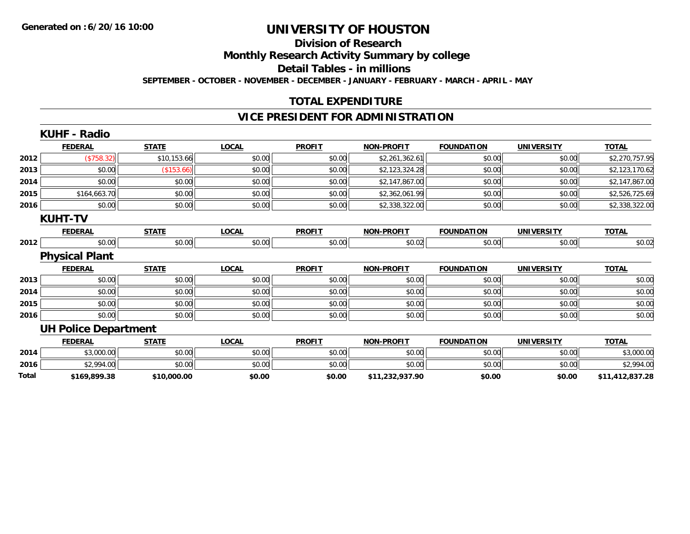#### **Division of Research**

**Monthly Research Activity Summary by college**

**Detail Tables - in millions**

**SEPTEMBER - OCTOBER - NOVEMBER - DECEMBER - JANUARY - FEBRUARY - MARCH - APRIL - MAY**

### **TOTAL EXPENDITURE**

#### **VICE PRESIDENT FOR ADMINISTRATION**

| <b>KUHF - Radio</b> |                                         |                             |               |                   |                   |                   |                 |
|---------------------|-----------------------------------------|-----------------------------|---------------|-------------------|-------------------|-------------------|-----------------|
| <b>FEDERAL</b>      | <b>STATE</b>                            | <b>LOCAL</b>                | <b>PROFIT</b> | <b>NON-PROFIT</b> | <b>FOUNDATION</b> | <b>UNIVERSITY</b> | <b>TOTAL</b>    |
| (\$758.32)          | \$10,153.66                             | \$0.00                      | \$0.00        | \$2,261,362.61    | \$0.00            | \$0.00            | \$2,270,757.95  |
| \$0.00              | (\$153.66)                              | \$0.00                      | \$0.00        | \$2,123,324.28    | \$0.00            | \$0.00            | \$2,123,170.62  |
| \$0.00              | \$0.00                                  | \$0.00                      | \$0.00        | \$2,147,867.00    | \$0.00            | \$0.00            | \$2,147,867.00  |
| \$164,663.70        | \$0.00                                  | \$0.00                      | \$0.00        | \$2,362,061.99    | \$0.00            | \$0.00            | \$2,526,725.69  |
| \$0.00              | \$0.00                                  | \$0.00                      | \$0.00        | \$2,338,322.00    | \$0.00            | \$0.00            | \$2,338,322.00  |
|                     |                                         |                             |               |                   |                   |                   |                 |
| <b>FEDERAL</b>      | <b>STATE</b>                            | <b>LOCAL</b>                | <b>PROFIT</b> | <b>NON-PROFIT</b> | <b>FOUNDATION</b> | <b>UNIVERSITY</b> | <b>TOTAL</b>    |
| \$0.00              |                                         | \$0.00                      | \$0.00        | \$0.02            | \$0.00            | \$0.00            | \$0.02          |
|                     |                                         |                             |               |                   |                   |                   |                 |
| <b>FEDERAL</b>      | <b>STATE</b>                            | <b>LOCAL</b>                | <b>PROFIT</b> | <b>NON-PROFIT</b> | <b>FOUNDATION</b> | <b>UNIVERSITY</b> | <b>TOTAL</b>    |
| \$0.00              | \$0.00                                  | \$0.00                      | \$0.00        | \$0.00            | \$0.00            | \$0.00            | \$0.00          |
| \$0.00              | \$0.00                                  | \$0.00                      | \$0.00        | \$0.00            | \$0.00            | \$0.00            | \$0.00          |
| \$0.00              | \$0.00                                  | \$0.00                      | \$0.00        | \$0.00            | \$0.00            | \$0.00            | \$0.00          |
| \$0.00              | \$0.00                                  | \$0.00                      | \$0.00        | \$0.00            | \$0.00            | \$0.00            | \$0.00          |
|                     |                                         |                             |               |                   |                   |                   |                 |
| <b>FEDERAL</b>      | <b>STATE</b>                            | <b>LOCAL</b>                | <b>PROFIT</b> | <b>NON-PROFIT</b> | <b>FOUNDATION</b> | <b>UNIVERSITY</b> | <b>TOTAL</b>    |
| \$3,000.00          | \$0.00                                  | \$0.00                      | \$0.00        | \$0.00            | \$0.00            | \$0.00            | \$3,000.00      |
| \$2,994.00          | \$0.00                                  | \$0.00                      | \$0.00        | \$0.00            | \$0.00            | \$0.00            | \$2,994.00      |
| \$169,899.38        | \$10,000.00                             | \$0.00                      | \$0.00        | \$11,232,937.90   | \$0.00            | \$0.00            | \$11,412,837.28 |
|                     | <b>KUHT-TV</b><br><b>Physical Plant</b> | <b>UH Police Department</b> | \$0.00        |                   |                   |                   |                 |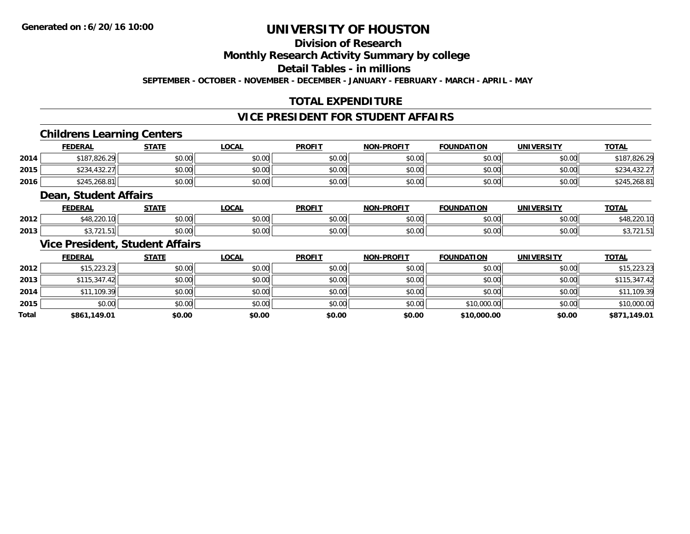### **Division of Research**

**Monthly Research Activity Summary by college**

**Detail Tables - in millions**

**SEPTEMBER - OCTOBER - NOVEMBER - DECEMBER - JANUARY - FEBRUARY - MARCH - APRIL - MAY**

# **TOTAL EXPENDITURE**

### **VICE PRESIDENT FOR STUDENT AFFAIRS**

#### **Childrens Learning Centers**

|      | <b>FEDERAL</b> | STATE  | _OCAL  | <b>PROFIT</b> | <b>NON-PROFIT</b> | <b>FOUNDATION</b> | <b>UNIVERSITY</b> | <b>TOTAL</b> |
|------|----------------|--------|--------|---------------|-------------------|-------------------|-------------------|--------------|
| 2014 | \$187,826.29   | \$0.00 | \$0.00 | \$0.00        | \$0.00            | \$0.00            | \$0.00            | \$187.826.29 |
| 2015 | \$234,432.27   | \$0.00 | \$0.00 | \$0.00        | \$0.00            | \$0.00            | \$0.00            | ተ ገ ገ        |
| 2016 | \$245,268.81   | \$0.00 | \$0.00 | \$0.00        | \$0.00            | \$0.00            | \$0.00            | ,268.81      |

#### **Dean, Student Affairs**

|      | <b>FEDERAL</b>   | <b>CTATE</b>      | <b>OCAL</b>                          | <b>PROFIT</b>          | <b>DDAFIT</b><br><b>NON</b> | <b>FOUNDATION</b> | UNIVERSITY | <b>TOTAL</b> |
|------|------------------|-------------------|--------------------------------------|------------------------|-----------------------------|-------------------|------------|--------------|
| 2012 | $\sim$<br>$\sim$ | $\cdots$<br>vv.vv | $\mathsf{A} \cap \mathsf{A}$<br>ט.טע | 0 <sub>n</sub><br>vv.v | 0000<br>vv.vu               | 0000              | 0000       | 5.10.00      |
| 2013 |                  | $\cdots$<br>JU.UU | 0000<br><b>JU.UU</b>                 | 0 <sub>n</sub><br>JU.U | 0000<br>vv.vv               |                   | 0000       |              |

#### **Vice President, Student Affairs**

|              | <b>FEDERAL</b> | <b>STATE</b> | <u>LOCAL</u> | <b>PROFIT</b> | <b>NON-PROFIT</b> | <b>FOUNDATION</b> | <b>UNIVERSITY</b> | <b>TOTAL</b> |
|--------------|----------------|--------------|--------------|---------------|-------------------|-------------------|-------------------|--------------|
| 2012         | \$15,223.23    | \$0.00       | \$0.00       | \$0.00        | \$0.00            | \$0.00            | \$0.00            | \$15,223.23  |
| 2013         | \$115,347.42   | \$0.00       | \$0.00       | \$0.00        | \$0.00            | \$0.00            | \$0.00            | \$115,347.42 |
| 2014         | \$11,109.39    | \$0.00       | \$0.00       | \$0.00        | \$0.00            | \$0.00            | \$0.00            | \$11,109.39  |
| 2015         | \$0.00         | \$0.00       | \$0.00       | \$0.00        | \$0.00            | \$10,000.00       | \$0.00            | \$10,000.00  |
| <b>Total</b> | \$861,149.01   | \$0.00       | \$0.00       | \$0.00        | \$0.00            | \$10,000.00       | \$0.00            | \$871,149.01 |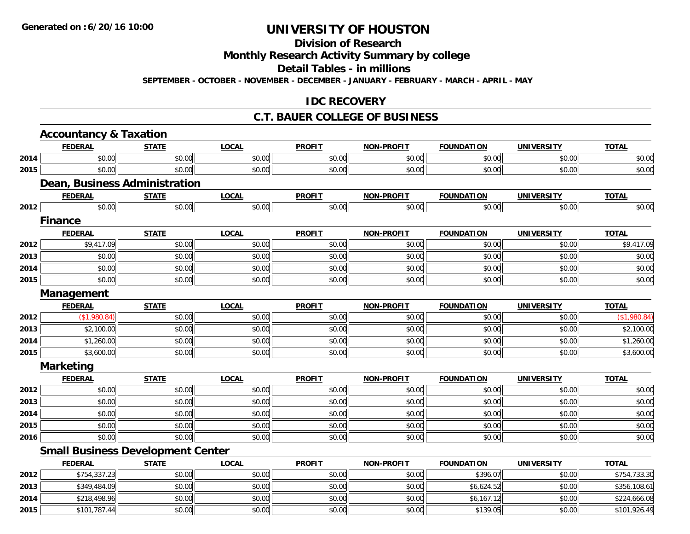# **Division of Research**

**Monthly Research Activity Summary by college**

**Detail Tables - in millions**

**SEPTEMBER - OCTOBER - NOVEMBER - DECEMBER - JANUARY - FEBRUARY - MARCH - APRIL - MAY**

#### **IDC RECOVERY**

#### **C.T. BAUER COLLEGE OF BUSINESS**

|      | <b>Accountancy &amp; Taxation</b>        |              |              |               |                   |                   |                   |              |
|------|------------------------------------------|--------------|--------------|---------------|-------------------|-------------------|-------------------|--------------|
|      | <b>FEDERAL</b>                           | <b>STATE</b> | <b>LOCAL</b> | <b>PROFIT</b> | <b>NON-PROFIT</b> | <b>FOUNDATION</b> | <b>UNIVERSITY</b> | <b>TOTAL</b> |
| 2014 | \$0.00                                   | \$0.00       | \$0.00       | \$0.00        | \$0.00            | \$0.00            | \$0.00            | \$0.00       |
| 2015 | \$0.00                                   | \$0.00       | \$0.00       | \$0.00        | \$0.00            | \$0.00            | \$0.00            | \$0.00       |
|      | Dean, Business Administration            |              |              |               |                   |                   |                   |              |
|      | <b>FEDERAL</b>                           | <b>STATE</b> | <b>LOCAL</b> | <b>PROFIT</b> | <b>NON-PROFIT</b> | <b>FOUNDATION</b> | <b>UNIVERSITY</b> | <b>TOTAL</b> |
| 2012 | \$0.00                                   | \$0.00       | \$0.00       | \$0.00        | \$0.00            | \$0.00            | \$0.00            | \$0.00       |
|      | <b>Finance</b>                           |              |              |               |                   |                   |                   |              |
|      | <b>FEDERAL</b>                           | <b>STATE</b> | <b>LOCAL</b> | <b>PROFIT</b> | <b>NON-PROFIT</b> | <b>FOUNDATION</b> | <b>UNIVERSITY</b> | <b>TOTAL</b> |
| 2012 | \$9,417.09                               | \$0.00       | \$0.00       | \$0.00        | \$0.00            | \$0.00            | \$0.00            | \$9,417.09   |
| 2013 | \$0.00                                   | \$0.00       | \$0.00       | \$0.00        | \$0.00            | \$0.00            | \$0.00            | \$0.00       |
| 2014 | \$0.00                                   | \$0.00       | \$0.00       | \$0.00        | \$0.00            | \$0.00            | \$0.00            | \$0.00       |
| 2015 | \$0.00                                   | \$0.00       | \$0.00       | \$0.00        | \$0.00            | \$0.00            | \$0.00            | \$0.00       |
|      | Management                               |              |              |               |                   |                   |                   |              |
|      | <b>FEDERAL</b>                           | <b>STATE</b> | <b>LOCAL</b> | <b>PROFIT</b> | <b>NON-PROFIT</b> | <b>FOUNDATION</b> | <b>UNIVERSITY</b> | <b>TOTAL</b> |
| 2012 | (\$1,980.84)                             | \$0.00       | \$0.00       | \$0.00        | \$0.00            | \$0.00            | \$0.00            | (\$1,980.84) |
| 2013 | \$2,100.00                               | \$0.00       | \$0.00       | \$0.00        | \$0.00            | \$0.00            | \$0.00            | \$2,100.00   |
| 2014 | \$1,260.00                               | \$0.00       | \$0.00       | \$0.00        | \$0.00            | \$0.00            | \$0.00            | \$1,260.00   |
| 2015 | \$3,600.00                               | \$0.00       | \$0.00       | \$0.00        | \$0.00            | \$0.00            | \$0.00            | \$3,600.00   |
|      | <b>Marketing</b>                         |              |              |               |                   |                   |                   |              |
|      | <b>FEDERAL</b>                           | <b>STATE</b> | <b>LOCAL</b> | <b>PROFIT</b> | <b>NON-PROFIT</b> | <b>FOUNDATION</b> | <b>UNIVERSITY</b> | <b>TOTAL</b> |
| 2012 | \$0.00                                   | \$0.00       | \$0.00       | \$0.00        | \$0.00            | \$0.00            | \$0.00            | \$0.00       |
| 2013 | \$0.00                                   | \$0.00       | \$0.00       | \$0.00        | \$0.00            | \$0.00            | \$0.00            | \$0.00       |
| 2014 | \$0.00                                   | \$0.00       | \$0.00       | \$0.00        | \$0.00            | \$0.00            | \$0.00            | \$0.00       |
| 2015 | \$0.00                                   | \$0.00       | \$0.00       | \$0.00        | \$0.00            | \$0.00            | \$0.00            | \$0.00       |
| 2016 | \$0.00                                   | \$0.00       | \$0.00       | \$0.00        | \$0.00            | \$0.00            | \$0.00            | \$0.00       |
|      | <b>Small Business Development Center</b> |              |              |               |                   |                   |                   |              |
|      | <b>FEDERAL</b>                           | <b>STATE</b> | <b>LOCAL</b> | <b>PROFIT</b> | <b>NON-PROFIT</b> | <b>FOUNDATION</b> | <b>UNIVERSITY</b> | <b>TOTAL</b> |
| 2012 | \$754,337.23                             | \$0.00       | \$0.00       | \$0.00        | \$0.00            | \$396.07          | \$0.00            | \$754,733.30 |
| 2013 | \$349,484.09                             | \$0.00       | \$0.00       | \$0.00        | \$0.00            | \$6,624.52        | \$0.00            | \$356,108.61 |
| 2014 | \$218,498.96                             | \$0.00       | \$0.00       | \$0.00        | \$0.00            | \$6,167.12        | \$0.00            | \$224,666.08 |
| 2015 | \$101,787.44                             | \$0.00       | \$0.00       | \$0.00        | \$0.00            | \$139.05          | \$0.00            | \$101,926.49 |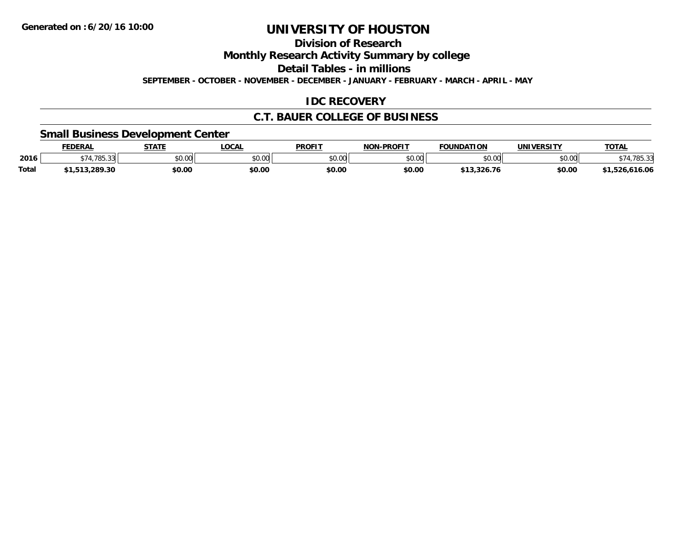**Division of Research**

**Monthly Research Activity Summary by college**

**Detail Tables - in millions**

**SEPTEMBER - OCTOBER - NOVEMBER - DECEMBER - JANUARY - FEBRUARY - MARCH - APRIL - MAY**

#### **IDC RECOVERY**

#### **C.T. BAUER COLLEGE OF BUSINESS**

#### **Small Business Development Center**

|              | <b>FEDERAL</b> | <b>STATE</b> | <b>LOCAL</b> | <b>PROFIT</b>  | <b>L-PROFIT</b><br>NON | <b>FOUNDATION</b> | UNIVERSITY | <b>TOTAL</b> |
|--------------|----------------|--------------|--------------|----------------|------------------------|-------------------|------------|--------------|
| 2016         | 785.<br>י הר   | \$0.00       | \$0.00       | ≮∩ ∩∩<br>JU.UU | \$0.00                 | \$0.00            | \$0.00     | $\sim$       |
| <b>Total</b> | 1.289.30       | \$0.00       | \$0.00       | \$0.00         | \$0.00                 | .326.76           | \$0.00     | 616.06       |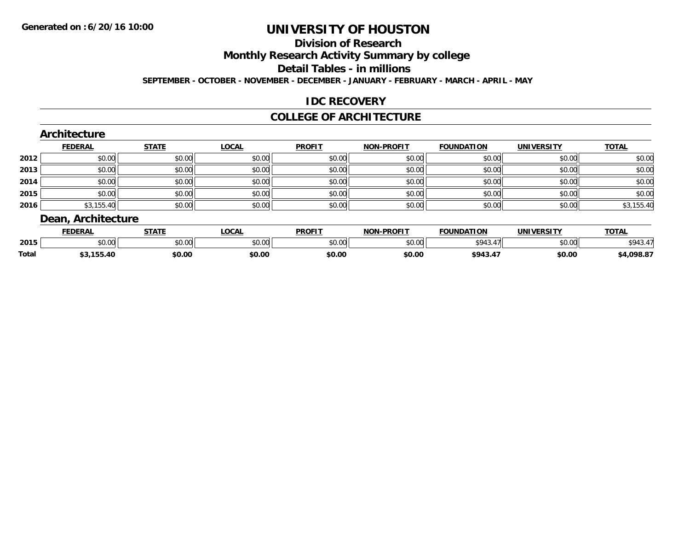# **Division of Research**

**Monthly Research Activity Summary by college**

**Detail Tables - in millions**

**SEPTEMBER - OCTOBER - NOVEMBER - DECEMBER - JANUARY - FEBRUARY - MARCH - APRIL - MAY**

#### **IDC RECOVERY**

#### **COLLEGE OF ARCHITECTURE**

|      | <b>FEDERAL</b> | <b>STATE</b> | <b>LOCAL</b> | <b>PROFIT</b> | <b>NON-PROFIT</b> | <b>FOUNDATION</b> | <b>UNIVERSITY</b> | <b>TOTAL</b> |
|------|----------------|--------------|--------------|---------------|-------------------|-------------------|-------------------|--------------|
| 2012 | \$0.00         | \$0.00       | \$0.00       | \$0.00        | \$0.00            | \$0.00            | \$0.00            | \$0.00       |
| 2013 | \$0.00         | \$0.00       | \$0.00       | \$0.00        | \$0.00            | \$0.00            | \$0.00            | \$0.00       |
| 2014 | \$0.00         | \$0.00       | \$0.00       | \$0.00        | \$0.00            | \$0.00            | \$0.00            | \$0.00       |
| 2015 | \$0.00         | \$0.00       | \$0.00       | \$0.00        | \$0.00            | \$0.00            | \$0.00            | \$0.00       |
| 2016 | \$3,155.40     | \$0.00       | \$0.00       | \$0.00        | \$0.00            | \$0.00            | \$0.00            | \$3,155.40   |

|              | <b>FEDERAL</b> | <b>CTATE</b><br>"מ   | <b>OCAL</b>   | <b>PROFIT</b> | <b>L-PROFIT</b><br>NON | <b>FOUNDATION</b> | IINIIVEDCITV  | <b>TOTAL</b> |
|--------------|----------------|----------------------|---------------|---------------|------------------------|-------------------|---------------|--------------|
| 2015         | ሶስ ሰሰ<br>JU.UU | 0000<br><b>JU.UU</b> | 0000<br>JU.UU | 0000<br>JU.UU | \$0.00                 | 4012<br>74.).     | ስ ለሰ<br>JU.UU | \$943.       |
| <b>Total</b> | 55.40          | \$0.00               | \$0.00        | \$0.00        | \$0.00                 | 4943              | \$0.00        | +.098.87     |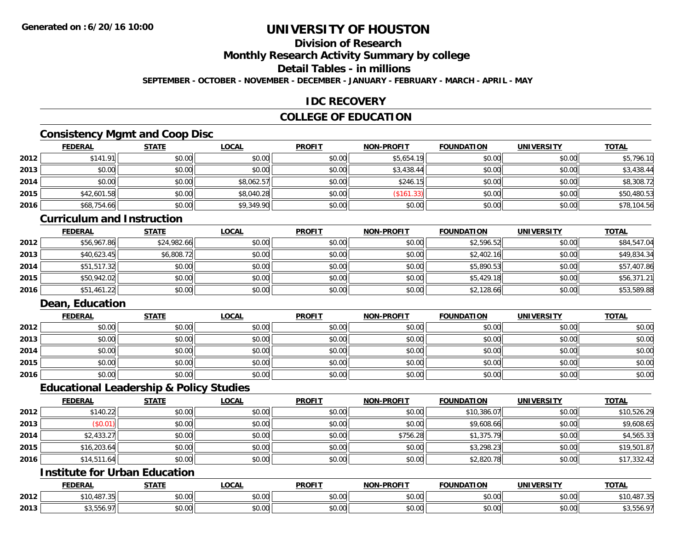### **Division of Research**

**Monthly Research Activity Summary by college**

**Detail Tables - in millions**

**SEPTEMBER - OCTOBER - NOVEMBER - DECEMBER - JANUARY - FEBRUARY - MARCH - APRIL - MAY**

#### **IDC RECOVERY**

#### **COLLEGE OF EDUCATION**

### **Consistency Mgmt and Coop Disc**

|      | <b>FEDERAL</b> | <b>STATE</b> | <u>LOCAL</u> | <b>PROFIT</b> | <b>NON-PROFIT</b> | <b>FOUNDATION</b> | <b>UNIVERSITY</b> | <b>TOTAL</b> |
|------|----------------|--------------|--------------|---------------|-------------------|-------------------|-------------------|--------------|
| 2012 | \$141.91       | \$0.00       | \$0.00       | \$0.00        | \$5,654.19        | \$0.00            | \$0.00            | \$5,796.10   |
| 2013 | \$0.00         | \$0.00       | \$0.00       | \$0.00        | \$3,438.44        | \$0.00            | \$0.00            | \$3,438.44   |
| 2014 | \$0.00         | \$0.00       | \$8,062.57   | \$0.00        | \$246.15          | \$0.00            | \$0.00            | \$8,308.72   |
| 2015 | \$42,601.58    | \$0.00       | \$8,040.28   | \$0.00        | (\$161.33)        | \$0.00            | \$0.00            | \$50,480.53  |
| 2016 | \$68,754.66    | \$0.00       | \$9,349.90   | \$0.00        | \$0.00            | \$0.00            | \$0.00            | \$78,104.56  |

#### **Curriculum and Instruction**

|      | <u>FEDERAL</u> | <u>STATE</u> | <u>LOCAL</u> | <b>PROFIT</b> | <b>NON-PROFIT</b> | <b>FOUNDATION</b> | <b>UNIVERSITY</b> | <b>TOTAL</b> |
|------|----------------|--------------|--------------|---------------|-------------------|-------------------|-------------------|--------------|
| 2012 | \$56,967.86    | \$24,982.66  | \$0.00       | \$0.00        | \$0.00            | \$2,596.52        | \$0.00            | \$84,547.04  |
| 2013 | \$40,623.45    | \$6,808.72   | \$0.00       | \$0.00        | \$0.00            | \$2,402.16        | \$0.00            | \$49,834.34  |
| 2014 | \$51,517.32    | \$0.00       | \$0.00       | \$0.00        | \$0.00            | \$5,890.53        | \$0.00            | \$57,407.86  |
| 2015 | \$50,942.02    | \$0.00       | \$0.00       | \$0.00        | \$0.00            | \$5,429.18        | \$0.00            | \$56,371.21  |
| 2016 | \$51,461.22    | \$0.00       | \$0.00       | \$0.00        | \$0.00            | \$2,128.66        | \$0.00            | \$53,589.88  |

### **Dean, Education**

|      | <b>FEDERAL</b> | <b>STATE</b> | <u>LOCAL</u> | <b>PROFIT</b> | <b>NON-PROFIT</b> | <b>FOUNDATION</b> | <b>UNIVERSITY</b> | <b>TOTAL</b> |
|------|----------------|--------------|--------------|---------------|-------------------|-------------------|-------------------|--------------|
| 2012 | \$0.00         | \$0.00       | \$0.00       | \$0.00        | \$0.00            | \$0.00            | \$0.00            | \$0.00       |
| 2013 | \$0.00         | \$0.00       | \$0.00       | \$0.00        | \$0.00            | \$0.00            | \$0.00            | \$0.00       |
| 2014 | \$0.00         | \$0.00       | \$0.00       | \$0.00        | \$0.00            | \$0.00            | \$0.00            | \$0.00       |
| 2015 | \$0.00         | \$0.00       | \$0.00       | \$0.00        | \$0.00            | \$0.00            | \$0.00            | \$0.00       |
| 2016 | \$0.00         | \$0.00       | \$0.00       | \$0.00        | \$0.00            | \$0.00            | \$0.00            | \$0.00       |

#### **Educational Leadership & Policy Studies**

|      | <b>FEDERAL</b> | <b>STATE</b> | <b>LOCAL</b> | <b>PROFIT</b> | <b>NON-PROFIT</b> | <b>FOUNDATION</b> | <b>UNIVERSITY</b> | <b>TOTAL</b> |
|------|----------------|--------------|--------------|---------------|-------------------|-------------------|-------------------|--------------|
| 2012 | \$140.22       | \$0.00       | \$0.00       | \$0.00        | \$0.00            | \$10,386.07       | \$0.00            | \$10,526.29  |
| 2013 | (\$0.01)       | \$0.00       | \$0.00       | \$0.00        | \$0.00            | \$9,608.66        | \$0.00            | \$9,608.65   |
| 2014 | \$2,433.27     | \$0.00       | \$0.00       | \$0.00        | \$756.28          | \$1,375.79        | \$0.00            | \$4,565.33   |
| 2015 | \$16,203.64    | \$0.00       | \$0.00       | \$0.00        | \$0.00            | \$3,298.23        | \$0.00            | \$19,501.87  |
| 2016 | \$14,511.64    | \$0.00       | \$0.00       | \$0.00        | \$0.00            | \$2,820.78        | \$0.00            | \$17,332.42  |

### **Institute for Urban Education**

|      | <b>FEDERAL</b>                    | <b>STATE</b>  | LOCAL           | <b>PROFIT</b>              | J-PROFI <sup>T</sup><br><b>BIABI</b> | <b>FOUNDATION</b>        | <b>UNIVERSITY</b>                   | <b>TOTAL</b> |
|------|-----------------------------------|---------------|-----------------|----------------------------|--------------------------------------|--------------------------|-------------------------------------|--------------|
| 2012 | 107.21<br>0.10<br>10,481<br>ر ر . | 0000<br>JU.UU | $\sim$<br>งง.งง | nn nn<br>JU.UU             | $\theta$ $\theta$ $\theta$<br>pu.uu  | \$0.00                   | $\uparrow$ $\land$ $\land$<br>JU.UU | \$10,487.35  |
| 2013 | $\sim$<br>.                       | 0000<br>JU.UU | vu.vu           | $*$ $\cap$ $\cap$<br>JU.UU | $\theta$ $\theta$ $\theta$<br>JU.UU  | $n \cap \Omega$<br>DU.UU | 0.00<br><b>JU.UU</b>                | 40,000.7     |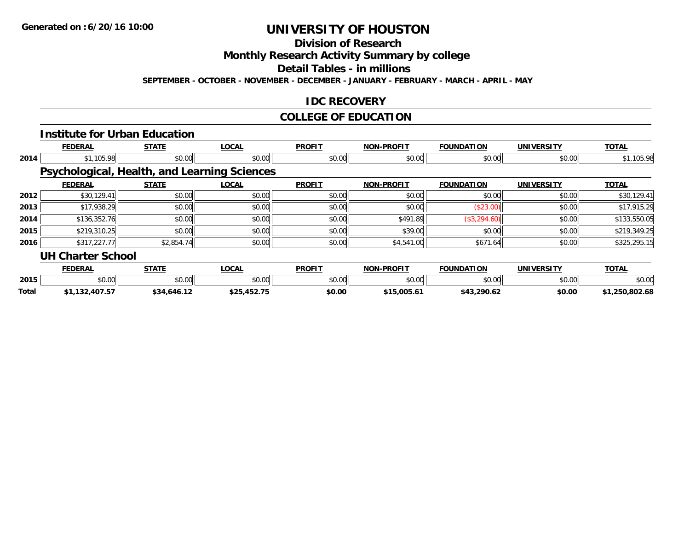#### **Division of Research**

**Monthly Research Activity Summary by college**

**Detail Tables - in millions**

**SEPTEMBER - OCTOBER - NOVEMBER - DECEMBER - JANUARY - FEBRUARY - MARCH - APRIL - MAY**

#### **IDC RECOVERY**

### **COLLEGE OF EDUCATION**

|       |                          | <b>Institute for Urban Education</b> |                                                     |               |                   |                   |                   |                |
|-------|--------------------------|--------------------------------------|-----------------------------------------------------|---------------|-------------------|-------------------|-------------------|----------------|
|       | <b>FEDERAL</b>           | <b>STATE</b>                         | <b>LOCAL</b>                                        | <b>PROFIT</b> | <b>NON-PROFIT</b> | <b>FOUNDATION</b> | <b>UNIVERSITY</b> | <b>TOTAL</b>   |
| 2014  | \$1,105.98               | \$0.00                               | \$0.00                                              | \$0.00        | \$0.00            | \$0.00            | \$0.00            | \$1,105.98     |
|       |                          |                                      | <b>Psychological, Health, and Learning Sciences</b> |               |                   |                   |                   |                |
|       | <b>FEDERAL</b>           | <b>STATE</b>                         | <b>LOCAL</b>                                        | <b>PROFIT</b> | <b>NON-PROFIT</b> | <b>FOUNDATION</b> | <b>UNIVERSITY</b> | <b>TOTAL</b>   |
| 2012  | \$30,129.41              | \$0.00                               | \$0.00                                              | \$0.00        | \$0.00            | \$0.00            | \$0.00            | \$30,129.41    |
| 2013  | \$17,938.29              | \$0.00                               | \$0.00                                              | \$0.00        | \$0.00            | (\$23.00)         | \$0.00            | \$17,915.29    |
| 2014  | \$136,352.76             | \$0.00                               | \$0.00                                              | \$0.00        | \$491.89          | (\$3,294.60)      | \$0.00            | \$133,550.05   |
| 2015  | \$219,310.25             | \$0.00                               | \$0.00                                              | \$0.00        | \$39.00           | \$0.00            | \$0.00            | \$219,349.25   |
| 2016  | \$317,227.77             | \$2,854.74                           | \$0.00                                              | \$0.00        | \$4,541.00        | \$671.64          | \$0.00            | \$325,295.15   |
|       | <b>UH Charter School</b> |                                      |                                                     |               |                   |                   |                   |                |
|       | <b>FEDERAL</b>           | <b>STATE</b>                         | <b>LOCAL</b>                                        | <b>PROFIT</b> | <b>NON-PROFIT</b> | <b>FOUNDATION</b> | <b>UNIVERSITY</b> | <b>TOTAL</b>   |
| 2015  | \$0.00                   | \$0.00                               | \$0.00                                              | \$0.00        | \$0.00            | \$0.00            | \$0.00            | \$0.00         |
| Total | \$1,132,407.57           | \$34,646.12                          | \$25,452.75                                         | \$0.00        | \$15,005.61       | \$43,290.62       | \$0.00            | \$1,250,802.68 |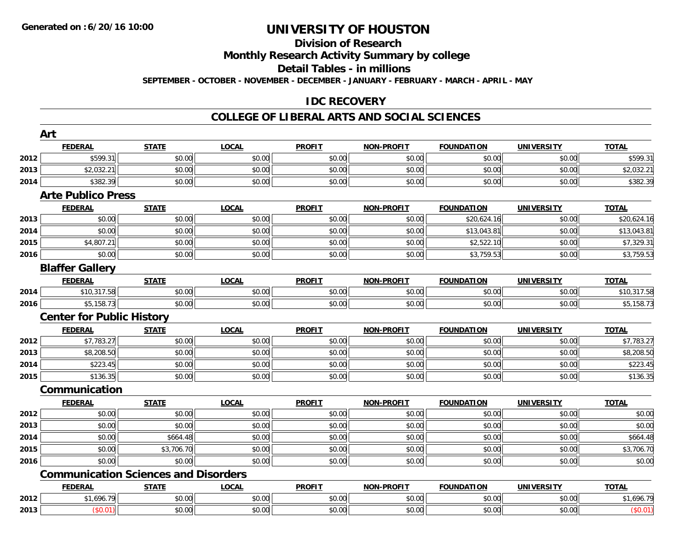# **Division of Research**

**Monthly Research Activity Summary by college**

**Detail Tables - in millions**

**SEPTEMBER - OCTOBER - NOVEMBER - DECEMBER - JANUARY - FEBRUARY - MARCH - APRIL - MAY**

#### **IDC RECOVERY**

|      | Art                                         |              |              |               |                   |                   |                   |              |
|------|---------------------------------------------|--------------|--------------|---------------|-------------------|-------------------|-------------------|--------------|
|      | <b>FEDERAL</b>                              | <b>STATE</b> | <b>LOCAL</b> | <b>PROFIT</b> | <b>NON-PROFIT</b> | <b>FOUNDATION</b> | <b>UNIVERSITY</b> | <b>TOTAL</b> |
| 2012 | \$599.31                                    | \$0.00       | \$0.00       | \$0.00        | \$0.00            | \$0.00            | \$0.00            | \$599.31     |
| 2013 | \$2,032.21                                  | \$0.00       | \$0.00       | \$0.00        | \$0.00            | \$0.00            | \$0.00            | \$2,032.21   |
| 2014 | \$382.39                                    | \$0.00       | \$0.00       | \$0.00        | \$0.00            | \$0.00            | \$0.00            | \$382.39     |
|      | <b>Arte Publico Press</b>                   |              |              |               |                   |                   |                   |              |
|      | <b>FEDERAL</b>                              | <b>STATE</b> | <b>LOCAL</b> | <b>PROFIT</b> | <b>NON-PROFIT</b> | <b>FOUNDATION</b> | <b>UNIVERSITY</b> | <b>TOTAL</b> |
| 2013 | \$0.00                                      | \$0.00       | \$0.00       | \$0.00        | \$0.00            | \$20,624.16       | \$0.00            | \$20,624.16  |
| 2014 | \$0.00                                      | \$0.00       | \$0.00       | \$0.00        | \$0.00            | \$13,043.81       | \$0.00            | \$13,043.81  |
| 2015 | \$4,807.21                                  | \$0.00       | \$0.00       | \$0.00        | \$0.00            | \$2,522.10        | \$0.00            | \$7,329.31   |
| 2016 | \$0.00                                      | \$0.00       | \$0.00       | \$0.00        | \$0.00            | \$3,759.53        | \$0.00            | \$3,759.53   |
|      | <b>Blaffer Gallery</b>                      |              |              |               |                   |                   |                   |              |
|      | <b>FEDERAL</b>                              | <b>STATE</b> | <b>LOCAL</b> | <b>PROFIT</b> | <b>NON-PROFIT</b> | <b>FOUNDATION</b> | <b>UNIVERSITY</b> | <b>TOTAL</b> |
| 2014 | \$10,317.58                                 | \$0.00       | \$0.00       | \$0.00        | \$0.00            | \$0.00            | \$0.00            | \$10,317.58  |
| 2016 | \$5,158.73                                  | \$0.00       | \$0.00       | \$0.00        | \$0.00            | \$0.00            | \$0.00            | \$5,158.73   |
|      | <b>Center for Public History</b>            |              |              |               |                   |                   |                   |              |
|      | <b>FEDERAL</b>                              | <b>STATE</b> | <b>LOCAL</b> | <b>PROFIT</b> | <b>NON-PROFIT</b> | <b>FOUNDATION</b> | <b>UNIVERSITY</b> | <b>TOTAL</b> |
| 2012 | \$7,783.27                                  | \$0.00       | \$0.00       | \$0.00        | \$0.00            | \$0.00            | \$0.00            | \$7,783.27   |
| 2013 | \$8,208.50                                  | \$0.00       | \$0.00       | \$0.00        | \$0.00            | \$0.00            | \$0.00            | \$8,208.50   |
| 2014 | \$223.45                                    | \$0.00       | \$0.00       | \$0.00        | \$0.00            | \$0.00            | \$0.00            | \$223.45     |
| 2015 | \$136.35                                    | \$0.00       | \$0.00       | \$0.00        | \$0.00            | \$0.00            | \$0.00            | \$136.35     |
|      | Communication                               |              |              |               |                   |                   |                   |              |
|      | <b>FEDERAL</b>                              | <b>STATE</b> | <b>LOCAL</b> | <b>PROFIT</b> | <b>NON-PROFIT</b> | <b>FOUNDATION</b> | <b>UNIVERSITY</b> | <b>TOTAL</b> |
| 2012 | \$0.00                                      | \$0.00       | \$0.00       | \$0.00        | \$0.00            | \$0.00            | \$0.00            | \$0.00       |
| 2013 | \$0.00                                      | \$0.00       | \$0.00       | \$0.00        | \$0.00            | \$0.00            | \$0.00            | \$0.00       |
| 2014 | \$0.00                                      | \$664.48     | \$0.00       | \$0.00        | \$0.00            | \$0.00            | \$0.00            | \$664.48     |
| 2015 | \$0.00                                      | \$3,706.70   | \$0.00       | \$0.00        | \$0.00            | \$0.00            | \$0.00            | \$3,706.70   |
| 2016 | \$0.00                                      | \$0.00       | \$0.00       | \$0.00        | \$0.00            | \$0.00            | \$0.00            | \$0.00       |
|      | <b>Communication Sciences and Disorders</b> |              |              |               |                   |                   |                   |              |
|      | <b>FEDERAL</b>                              | <b>STATE</b> | <b>LOCAL</b> | <b>PROFIT</b> | <b>NON-PROFIT</b> | <b>FOUNDATION</b> | <b>UNIVERSITY</b> | <b>TOTAL</b> |
| 2012 | \$1,696.79                                  | \$0.00       | \$0.00       | \$0.00        | \$0.00            | \$0.00            | \$0.00            | \$1,696.79   |
| 2013 | (\$0.01)                                    | \$0.00       | \$0.00       | \$0.00        | \$0.00            | \$0.00            | \$0.00            | (\$0.01)     |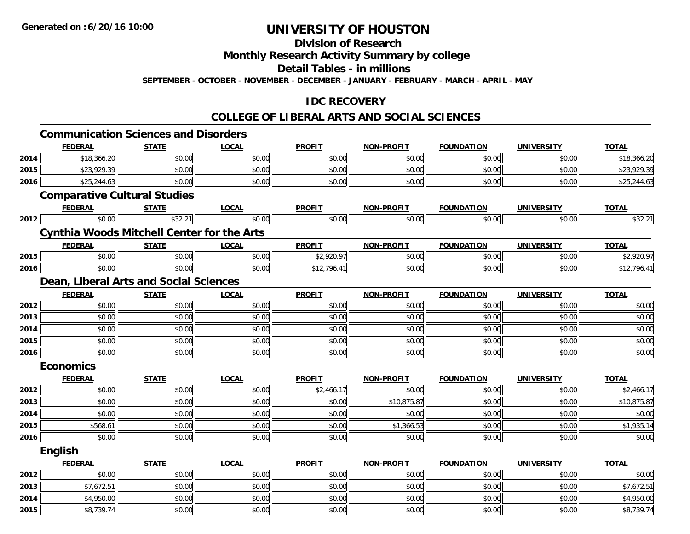### **Division of Research**

**Monthly Research Activity Summary by college**

**Detail Tables - in millions**

**SEPTEMBER - OCTOBER - NOVEMBER - DECEMBER - JANUARY - FEBRUARY - MARCH - APRIL - MAY**

#### **IDC RECOVERY**

|      | <b>Communication Sciences and Disorders</b>       |              |              |               |                   |                   |                   |              |
|------|---------------------------------------------------|--------------|--------------|---------------|-------------------|-------------------|-------------------|--------------|
|      | <b>FEDERAL</b>                                    | <b>STATE</b> | <b>LOCAL</b> | <b>PROFIT</b> | <b>NON-PROFIT</b> | <b>FOUNDATION</b> | <b>UNIVERSITY</b> | <b>TOTAL</b> |
| 2014 | \$18,366.20                                       | \$0.00       | \$0.00       | \$0.00        | \$0.00            | \$0.00            | \$0.00            | \$18,366.20  |
| 2015 | \$23,929.39                                       | \$0.00       | \$0.00       | \$0.00        | \$0.00            | \$0.00            | \$0.00            | \$23,929.39  |
| 2016 | \$25,244.63                                       | \$0.00       | \$0.00       | \$0.00        | \$0.00            | \$0.00            | \$0.00            | \$25,244.63  |
|      | <b>Comparative Cultural Studies</b>               |              |              |               |                   |                   |                   |              |
|      | <b>FEDERAL</b>                                    | <b>STATE</b> | <b>LOCAL</b> | <b>PROFIT</b> | <b>NON-PROFIT</b> | <b>FOUNDATION</b> | <b>UNIVERSITY</b> | <b>TOTAL</b> |
| 2012 | \$0.00                                            | \$32.21      | \$0.00       | \$0.00        | \$0.00            | \$0.00            | \$0.00            | \$32.21      |
|      | <b>Cynthia Woods Mitchell Center for the Arts</b> |              |              |               |                   |                   |                   |              |
|      | <b>FEDERAL</b>                                    | <b>STATE</b> | <b>LOCAL</b> | <b>PROFIT</b> | <b>NON-PROFIT</b> | <b>FOUNDATION</b> | <b>UNIVERSITY</b> | <b>TOTAL</b> |
| 2015 | \$0.00                                            | \$0.00       | \$0.00       | \$2,920.97    | \$0.00            | \$0.00            | \$0.00            | \$2,920.97   |
| 2016 | \$0.00                                            | \$0.00       | \$0.00       | \$12,796.41   | \$0.00            | \$0.00            | \$0.00            | \$12,796.41  |
|      | Dean, Liberal Arts and Social Sciences            |              |              |               |                   |                   |                   |              |
|      | <b>FEDERAL</b>                                    | <b>STATE</b> | <b>LOCAL</b> | <b>PROFIT</b> | <b>NON-PROFIT</b> | <b>FOUNDATION</b> | <b>UNIVERSITY</b> | <b>TOTAL</b> |
| 2012 | \$0.00                                            | \$0.00       | \$0.00       | \$0.00        | \$0.00            | \$0.00            | \$0.00            | \$0.00       |
| 2013 | \$0.00                                            | \$0.00       | \$0.00       | \$0.00        | \$0.00            | \$0.00            | \$0.00            | \$0.00       |
| 2014 | \$0.00                                            | \$0.00       | \$0.00       | \$0.00        | \$0.00            | \$0.00            | \$0.00            | \$0.00       |
| 2015 | \$0.00                                            | \$0.00       | \$0.00       | \$0.00        | \$0.00            | \$0.00            | \$0.00            | \$0.00       |
| 2016 | \$0.00                                            | \$0.00       | \$0.00       | \$0.00        | \$0.00            | \$0.00            | \$0.00            | \$0.00       |
|      | <b>Economics</b>                                  |              |              |               |                   |                   |                   |              |
|      | <b>FEDERAL</b>                                    | <b>STATE</b> | <b>LOCAL</b> | <b>PROFIT</b> | <b>NON-PROFIT</b> | <b>FOUNDATION</b> | <b>UNIVERSITY</b> | <b>TOTAL</b> |
| 2012 | \$0.00                                            | \$0.00       | \$0.00       | \$2,466.17    | \$0.00            | \$0.00            | \$0.00            | \$2,466.17   |
| 2013 | \$0.00                                            | \$0.00       | \$0.00       | \$0.00        | \$10,875.87       | \$0.00            | \$0.00            | \$10,875.87  |
| 2014 | \$0.00                                            | \$0.00       | \$0.00       | \$0.00        | \$0.00            | \$0.00            | \$0.00            | \$0.00       |
| 2015 | \$568.61                                          | \$0.00       | \$0.00       | \$0.00        | \$1,366.53        | \$0.00            | \$0.00            | \$1,935.14   |
| 2016 | \$0.00                                            | \$0.00       | \$0.00       | \$0.00        | \$0.00            | \$0.00            | \$0.00            | \$0.00       |
|      | <b>English</b>                                    |              |              |               |                   |                   |                   |              |
|      | <b>FEDERAL</b>                                    | <b>STATE</b> | <b>LOCAL</b> | <b>PROFIT</b> | <b>NON-PROFIT</b> | <b>FOUNDATION</b> | <b>UNIVERSITY</b> | <b>TOTAL</b> |
| 2012 | \$0.00                                            | \$0.00       | \$0.00       | \$0.00        | \$0.00            | \$0.00            | \$0.00            | \$0.00       |
| 2013 | \$7,672.51                                        | \$0.00       | \$0.00       | \$0.00        | \$0.00            | \$0.00            | \$0.00            | \$7,672.51   |
| 2014 | \$4,950.00                                        | \$0.00       | \$0.00       | \$0.00        | \$0.00            | \$0.00            | \$0.00            | \$4,950.00   |
| 2015 | \$8,739.74                                        | \$0.00       | \$0.00       | \$0.00        | \$0.00            | \$0.00            | \$0.00            | \$8,739.74   |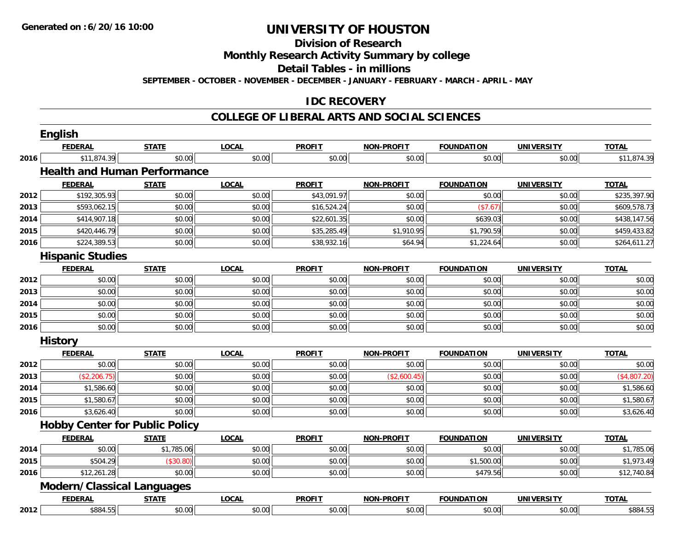**Division of Research**

**Monthly Research Activity Summary by college**

**Detail Tables - in millions**

**SEPTEMBER - OCTOBER - NOVEMBER - DECEMBER - JANUARY - FEBRUARY - MARCH - APRIL - MAY**

#### **IDC RECOVERY**

|      | <b>English</b>                        |              |              |               |                   |                   |                   |              |
|------|---------------------------------------|--------------|--------------|---------------|-------------------|-------------------|-------------------|--------------|
|      | <b>FEDERAL</b>                        | <b>STATE</b> | <b>LOCAL</b> | <b>PROFIT</b> | <b>NON-PROFIT</b> | <b>FOUNDATION</b> | <b>UNIVERSITY</b> | <b>TOTAL</b> |
| 2016 | \$11,874.39                           | \$0.00       | \$0.00       | \$0.00        | \$0.00            | \$0.00            | \$0.00            | \$11,874.39  |
|      | <b>Health and Human Performance</b>   |              |              |               |                   |                   |                   |              |
|      | <b>FEDERAL</b>                        | <b>STATE</b> | <b>LOCAL</b> | <b>PROFIT</b> | <b>NON-PROFIT</b> | <b>FOUNDATION</b> | <b>UNIVERSITY</b> | <b>TOTAL</b> |
| 2012 | \$192,305.93                          | \$0.00       | \$0.00       | \$43,091.97   | \$0.00            | \$0.00            | \$0.00            | \$235,397.90 |
| 2013 | \$593,062.15                          | \$0.00       | \$0.00       | \$16,524.24   | \$0.00            | (\$7.67)          | \$0.00            | \$609,578.73 |
| 2014 | \$414,907.18                          | \$0.00       | \$0.00       | \$22,601.35   | \$0.00            | \$639.03          | \$0.00            | \$438,147.56 |
| 2015 | \$420,446.79                          | \$0.00       | \$0.00       | \$35,285.49   | \$1,910.95        | \$1,790.59        | \$0.00            | \$459,433.82 |
| 2016 | \$224,389.53                          | \$0.00       | \$0.00       | \$38,932.16   | \$64.94           | \$1,224.64        | \$0.00            | \$264,611.27 |
|      | <b>Hispanic Studies</b>               |              |              |               |                   |                   |                   |              |
|      | <b>FEDERAL</b>                        | <b>STATE</b> | <b>LOCAL</b> | <b>PROFIT</b> | <b>NON-PROFIT</b> | <b>FOUNDATION</b> | <b>UNIVERSITY</b> | <b>TOTAL</b> |
| 2012 | \$0.00                                | \$0.00       | \$0.00       | \$0.00        | \$0.00            | \$0.00            | \$0.00            | \$0.00       |
| 2013 | \$0.00                                | \$0.00       | \$0.00       | \$0.00        | \$0.00            | \$0.00            | \$0.00            | \$0.00       |
| 2014 | \$0.00                                | \$0.00       | \$0.00       | \$0.00        | \$0.00            | \$0.00            | \$0.00            | \$0.00       |
| 2015 | \$0.00                                | \$0.00       | \$0.00       | \$0.00        | \$0.00            | \$0.00            | \$0.00            | \$0.00       |
| 2016 | \$0.00                                | \$0.00       | \$0.00       | \$0.00        | \$0.00            | \$0.00            | \$0.00            | \$0.00       |
|      | <b>History</b>                        |              |              |               |                   |                   |                   |              |
|      | <b>FEDERAL</b>                        | <b>STATE</b> | <b>LOCAL</b> | <b>PROFIT</b> | <b>NON-PROFIT</b> | <b>FOUNDATION</b> | <b>UNIVERSITY</b> | <b>TOTAL</b> |
| 2012 | \$0.00                                | \$0.00       | \$0.00       | \$0.00        | \$0.00            | \$0.00            | \$0.00            | \$0.00       |
| 2013 | (\$2,206.75)                          | \$0.00       | \$0.00       | \$0.00        | (\$2,600.45)      | \$0.00            | \$0.00            | (\$4,807.20) |
| 2014 | \$1,586.60                            | \$0.00       | \$0.00       | \$0.00        | \$0.00            | \$0.00            | \$0.00            | \$1,586.60   |
| 2015 | \$1,580.67                            | \$0.00       | \$0.00       | \$0.00        | \$0.00            | \$0.00            | \$0.00            | \$1,580.67   |
| 2016 | \$3,626.40                            | \$0.00       | \$0.00       | \$0.00        | \$0.00            | \$0.00            | \$0.00            | \$3,626.40   |
|      | <b>Hobby Center for Public Policy</b> |              |              |               |                   |                   |                   |              |
|      | <b>FEDERAL</b>                        | <b>STATE</b> | <b>LOCAL</b> | <b>PROFIT</b> | <b>NON-PROFIT</b> | <b>FOUNDATION</b> | <b>UNIVERSITY</b> | <b>TOTAL</b> |
| 2014 | \$0.00                                | \$1,785.06   | \$0.00       | \$0.00        | \$0.00            | \$0.00            | \$0.00            | \$1,785.06   |
| 2015 | \$504.29                              | (\$30.80)    | \$0.00       | \$0.00        | \$0.00            | \$1,500.00        | \$0.00            | \$1,973.49   |
| 2016 | \$12,261.28                           | \$0.00       | \$0.00       | \$0.00        | \$0.00            | \$479.56          | \$0.00            | \$12,740.84  |
|      | <b>Modern/Classical Languages</b>     |              |              |               |                   |                   |                   |              |
|      | <b>FEDERAL</b>                        | <b>STATE</b> | <b>LOCAL</b> | <b>PROFIT</b> | <b>NON-PROFIT</b> | <b>FOUNDATION</b> | <b>UNIVERSITY</b> | <b>TOTAL</b> |
| 2012 | \$884.55                              | \$0.00       | \$0.00       | \$0.00        | \$0.00            | \$0.00            | \$0.00            | \$884.55     |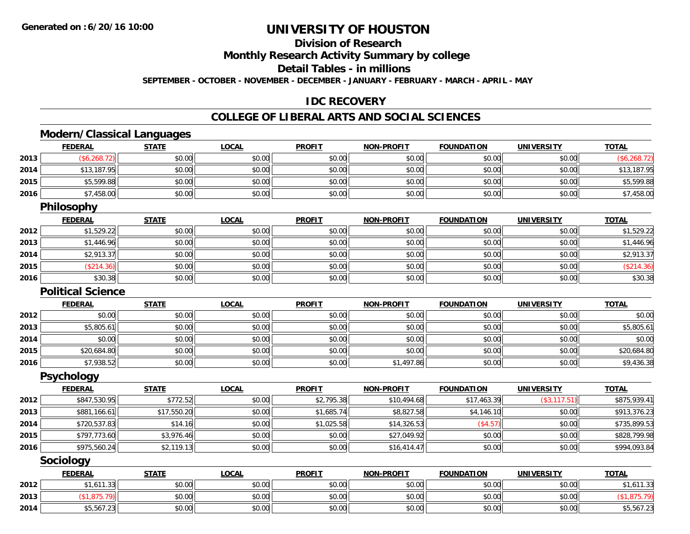# **Division of Research**

**Monthly Research Activity Summary by college**

**Detail Tables - in millions**

**SEPTEMBER - OCTOBER - NOVEMBER - DECEMBER - JANUARY - FEBRUARY - MARCH - APRIL - MAY**

#### **IDC RECOVERY**

#### **COLLEGE OF LIBERAL ARTS AND SOCIAL SCIENCES**

# **Modern/Classical Languages**

|      | <b>FEDERAL</b>           | <b>STATE</b> | <b>LOCAL</b> | <b>PROFIT</b> | <u>NON-PROFIT</u> | <b>FOUNDATION</b> | <u>UNIVERSITY</u> | <u>TOTAL</u> |
|------|--------------------------|--------------|--------------|---------------|-------------------|-------------------|-------------------|--------------|
| 2013 | (\$6,268.72)             | \$0.00       | \$0.00       | \$0.00        | \$0.00            | \$0.00            | \$0.00            | (\$6,268.72) |
| 2014 | \$13,187.95              | \$0.00       | \$0.00       | \$0.00        | \$0.00            | \$0.00            | \$0.00            | \$13,187.95  |
| 2015 | \$5,599.88               | \$0.00       | \$0.00       | \$0.00        | \$0.00            | \$0.00            | \$0.00            | \$5,599.88   |
| 2016 | \$7,458.00               | \$0.00       | \$0.00       | \$0.00        | \$0.00            | \$0.00            | \$0.00            | \$7,458.00   |
|      | Philosophy               |              |              |               |                   |                   |                   |              |
|      | <b>FEDERAL</b>           | <b>STATE</b> | <b>LOCAL</b> | <b>PROFIT</b> | <b>NON-PROFIT</b> | <b>FOUNDATION</b> | <b>UNIVERSITY</b> | <b>TOTAL</b> |
| 2012 | \$1,529.22               | \$0.00       | \$0.00       | \$0.00        | \$0.00            | \$0.00            | \$0.00            | \$1,529.22   |
| 2013 | \$1,446.96               | \$0.00       | \$0.00       | \$0.00        | \$0.00            | \$0.00            | \$0.00            | \$1,446.96   |
| 2014 | \$2,913.37               | \$0.00       | \$0.00       | \$0.00        | \$0.00            | \$0.00            | \$0.00            | \$2,913.37   |
| 2015 | (\$214.36)               | \$0.00       | \$0.00       | \$0.00        | \$0.00            | \$0.00            | \$0.00            | (\$214.36)   |
| 2016 | \$30.38                  | \$0.00       | \$0.00       | \$0.00        | \$0.00            | \$0.00            | \$0.00            | \$30.38      |
|      | <b>Political Science</b> |              |              |               |                   |                   |                   |              |
|      | <b>FEDERAL</b>           | <b>STATE</b> | <b>LOCAL</b> | <b>PROFIT</b> | NON-PROFIT        | <b>FOUNDATION</b> | <b>UNIVERSITY</b> | <b>TOTAL</b> |
| 2012 | \$0.00                   | \$0.00       | \$0.00       | \$0.00        | \$0.00            | \$0.00            | \$0.00            | \$0.00       |
| 2013 | \$5,805.61               | \$0.00       | \$0.00       | \$0.00        | \$0.00            | \$0.00            | \$0.00            | \$5,805.61   |
| 2014 | \$0.00                   | \$0.00       | \$0.00       | \$0.00        | \$0.00            | \$0.00            | \$0.00            | \$0.00       |
| 2015 | \$20,684.80              | \$0.00       | \$0.00       | \$0.00        | \$0.00            | \$0.00            | \$0.00            | \$20,684.80  |
| 2016 | \$7,938.52               | \$0.00       | \$0.00       | \$0.00        | \$1,497.86        | \$0.00            | \$0.00            | \$9,436.38   |
|      | <b>Psychology</b>        |              |              |               |                   |                   |                   |              |
|      | <b>FEDERAL</b>           | <b>STATE</b> | <b>LOCAL</b> | <b>PROFIT</b> | NON-PROFIT        | <b>FOUNDATION</b> | <b>UNIVERSITY</b> | <b>TOTAL</b> |
| 2012 | \$847,530.95             | \$772.52     | \$0.00       | \$2,795.38    | \$10,494.68       | \$17,463.39       | (\$3,117.51)      | \$875,939.41 |
| 2013 | \$881,166.61             | \$17,550.20  | \$0.00       | \$1,685.74    | \$8,827.58        | \$4,146.10        | \$0.00            | \$913,376.23 |
| 2014 | \$720,537.83             | \$14.16      | \$0.00       | \$1,025.58    | \$14,326.53       | (\$4.57)          | \$0.00            | \$735,899.53 |
| 2015 | \$797,773.60             | \$3,976.46   | \$0.00       | \$0.00        | \$27,049.92       | \$0.00            | \$0.00            | \$828,799.98 |
| 2016 | \$975,560.24             | \$2,119.13   | \$0.00       | \$0.00        | \$16,414.47       | \$0.00            | \$0.00            | \$994,093.84 |
|      | Sociology                |              |              |               |                   |                   |                   |              |
|      | <b>FEDERAL</b>           | <b>STATE</b> | <b>LOCAL</b> | <b>PROFIT</b> | <b>NON-PROFIT</b> | <b>FOUNDATION</b> | <b>UNIVERSITY</b> | <b>TOTAL</b> |
| 2012 | \$1,611.33               | \$0.00       | \$0.00       | \$0.00        | \$0.00            | \$0.00            | \$0.00            | \$1,611.33   |
| 2013 | (\$1,875.79)             | \$0.00       | \$0.00       | \$0.00        | \$0.00            | \$0.00            | \$0.00            | (\$1,875.79) |
| 2014 | \$5,567.23               | \$0.00       | \$0.00       | \$0.00        | \$0.00            | \$0.00            | \$0.00            | \$5,567.23   |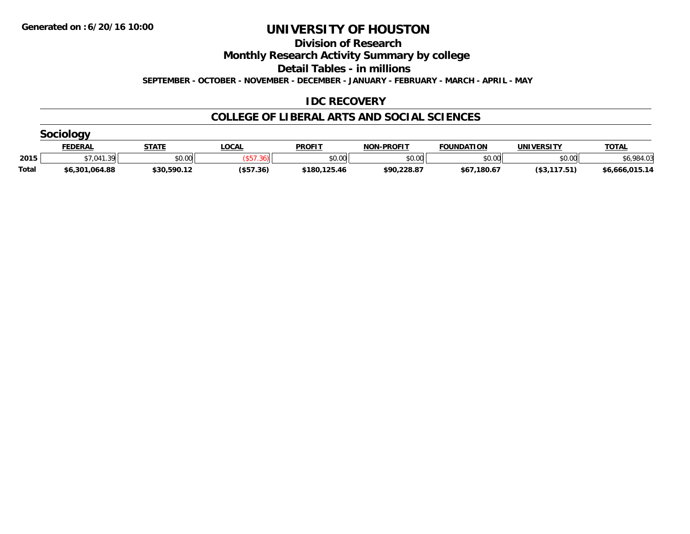**Division of Research**

**Monthly Research Activity Summary by college**

**Detail Tables - in millions**

**SEPTEMBER - OCTOBER - NOVEMBER - DECEMBER - JANUARY - FEBRUARY - MARCH - APRIL - MAY**

### **IDC RECOVERY**

|              | Socialogy      |              |             |               |                   |                   |              |                |  |  |  |  |
|--------------|----------------|--------------|-------------|---------------|-------------------|-------------------|--------------|----------------|--|--|--|--|
|              | <b>FEDERAL</b> | <b>STATE</b> | <b>OCAL</b> | <b>PROFIT</b> | <b>NON-PROFIT</b> | <b>FOUNDATION</b> | UNIVERSITY   | <b>TOTAL</b>   |  |  |  |  |
| 2015         | \$7,041.39     | \$0.00       |             | \$0.00        | \$0.00            | \$0.00            | \$0.00       | .984.03        |  |  |  |  |
| <b>Total</b> | \$6,301,064.88 | \$30,590.12  | (\$57.36)   | \$180,125.46  | \$90,228.87       | \$67,180.67       | (\$3,117.51) | \$6,666,015.14 |  |  |  |  |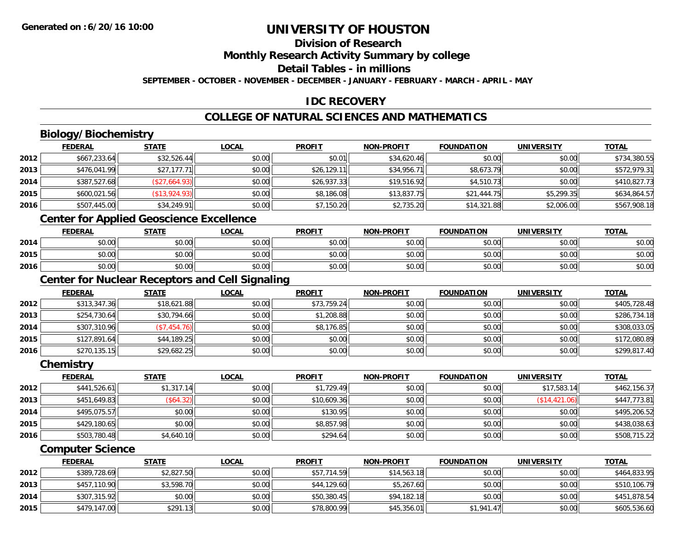# **Division of Research**

**Monthly Research Activity Summary by college**

**Detail Tables - in millions**

**SEPTEMBER - OCTOBER - NOVEMBER - DECEMBER - JANUARY - FEBRUARY - MARCH - APRIL - MAY**

### **IDC RECOVERY**

## **COLLEGE OF NATURAL SCIENCES AND MATHEMATICS**

# **Biology/Biochemistry**

|      | <b>FEDERAL</b> | <b>STATE</b>  | <b>LOCAL</b> | <b>PROFIT</b> | <b>NON-PROFIT</b> | <b>FOUNDATION</b> | <b>UNIVERSITY</b> | <b>TOTAL</b> |
|------|----------------|---------------|--------------|---------------|-------------------|-------------------|-------------------|--------------|
| 2012 | \$667,233.64   | \$32,526.44   | \$0.00       | \$0.01        | \$34,620.46       | \$0.00            | \$0.00            | \$734,380.55 |
| 2013 | \$476,041.99   | \$27,177.71   | \$0.00       | \$26,129.11   | \$34,956.71       | \$8,673.79        | \$0.00            | \$572,979.31 |
| 2014 | \$387,527.68   | (\$27,664.93) | \$0.00       | \$26,937.33   | \$19,516.92       | \$4,510.73        | \$0.00            | \$410,827.73 |
| 2015 | \$600,021.56   | (\$13,924.93) | \$0.00       | \$8,186.08    | \$13,837.75       | \$21,444.75       | \$5.299.35        | \$634,864.57 |
| 2016 | \$507,445.00   | \$34,249.91   | \$0.00       | \$7,150.20    | \$2,735.20        | \$14,321.88       | \$2,006.00        | \$567,908.18 |

### **Center for Applied Geoscience Excellence**

|      | <b>FEDERAL</b>             | <b>STATE</b>                                | LOCAL  | <b>PROFIT</b> | <b>NON-PROFIT</b> | <b>FOUNDATION</b> | UNIVERSITY | <b>TOTAL</b> |
|------|----------------------------|---------------------------------------------|--------|---------------|-------------------|-------------------|------------|--------------|
| 2014 | ሶስ ሰሰ<br>90.UU             | 0.00<br>JU.UU                               | \$0.00 | \$0.00        | \$0.00            | en uu<br>JU.UU    | \$0.00     | \$0.00       |
| 2015 | $*$ $\cap$ $\cap$<br>90.UU | $\mathfrak{c}\cap\mathfrak{a}\cap$<br>JU.UU | \$0.00 | \$0.00        | \$0.00            | \$0.00            | \$0.00     | \$0.00       |
| 2016 | 0 <sub>n</sub><br>JU.UU    | 0.00<br><b>JU.UU</b>                        | \$0.00 | \$0.00        | \$0.00            | \$0.00            | \$0.00     | \$0.00       |

### **Center for Nuclear Receptors and Cell Signaling**

|      | <b>FEDERAL</b> | <b>STATE</b> | <b>LOCAL</b> | <b>PROFIT</b> | <b>NON-PROFIT</b> | <b>FOUNDATION</b> | <b>UNIVERSITY</b> | <b>TOTAL</b> |
|------|----------------|--------------|--------------|---------------|-------------------|-------------------|-------------------|--------------|
| 2012 | \$313,347.36   | \$18,621.88  | \$0.00       | \$73,759.24   | \$0.00            | \$0.00            | \$0.00            | \$405,728.48 |
| 2013 | \$254,730.64   | \$30,794.66  | \$0.00       | \$1,208.88    | \$0.00            | \$0.00            | \$0.00            | \$286,734.18 |
| 2014 | \$307,310.96   | (\$7,454.76) | \$0.00       | \$8,176.85    | \$0.00            | \$0.00            | \$0.00            | \$308,033.05 |
| 2015 | \$127,891.64   | \$44,189.25  | \$0.00       | \$0.00        | \$0.00            | \$0.00            | \$0.00            | \$172,080.89 |
| 2016 | \$270,135.15   | \$29,682.25  | \$0.00       | \$0.00        | \$0.00            | \$0.00            | \$0.00            | \$299,817.40 |

#### **Chemistry**

|      | <b>FEDERAL</b> | <b>STATE</b> | <b>LOCAL</b> | <b>PROFIT</b> | <b>NON-PROFIT</b> | <b>FOUNDATION</b> | <b>UNIVERSITY</b> | <b>TOTAL</b> |
|------|----------------|--------------|--------------|---------------|-------------------|-------------------|-------------------|--------------|
| 2012 | \$441,526.61   | \$1,317.14   | \$0.00       | \$1,729.49    | \$0.00            | \$0.00            | \$17.583.14       | \$462,156.37 |
| 2013 | \$451,649.83   | (\$64.32)    | \$0.00       | \$10,609.36   | \$0.00            | \$0.00            | (S14, 421.06)     | \$447,773.81 |
| 2014 | \$495,075.57   | \$0.00       | \$0.00       | \$130.95      | \$0.00            | \$0.00            | \$0.00            | \$495,206.52 |
| 2015 | \$429,180.65   | \$0.00       | \$0.00       | \$8,857.98    | \$0.00            | \$0.00            | \$0.00            | \$438,038.63 |
| 2016 | \$503,780.48   | \$4,640.10   | \$0.00       | \$294.64      | \$0.00            | \$0.00            | \$0.00            | \$508,715.22 |

#### **Computer Science**

|      | <b>FEDERAL</b> | <u>STATE</u> | <u>LOCAL</u> | <b>PROFIT</b> | <b>NON-PROFIT</b> | <b>FOUNDATION</b> | <b>UNIVERSITY</b> | <b>TOTAL</b> |
|------|----------------|--------------|--------------|---------------|-------------------|-------------------|-------------------|--------------|
| 2012 | \$389,728.69   | \$2,827.50   | \$0.00       | \$57,714.59   | \$14,563.18       | \$0.00            | \$0.00            | \$464,833.95 |
| 2013 | \$457,110.90   | \$3,598.70   | \$0.00       | \$44,129.60   | \$5,267.60        | \$0.00            | \$0.00            | \$510,106.79 |
| 2014 | \$307,315.92   | \$0.00       | \$0.00       | \$50,380.45   | \$94,182.18       | \$0.00            | \$0.00            | \$451,878.54 |
| 2015 | \$479,147.00   | \$291.13     | \$0.00       | \$78,800.99   | \$45.356.01       | \$1.941.47        | \$0.00            | \$605,536.60 |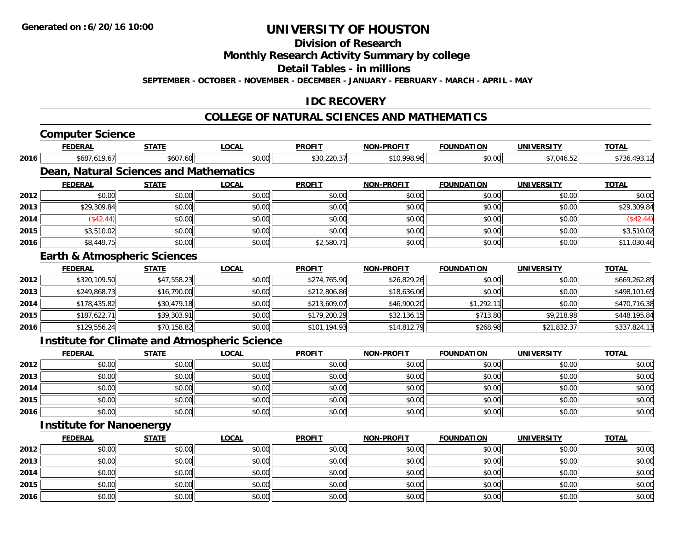**Division of Research**

**Monthly Research Activity Summary by college**

**Detail Tables - in millions**

**SEPTEMBER - OCTOBER - NOVEMBER - DECEMBER - JANUARY - FEBRUARY - MARCH - APRIL - MAY**

#### **IDC RECOVERY**

#### **COLLEGE OF NATURAL SCIENCES AND MATHEMATICS**

|      | <b>Computer Science</b>                 |              |                                                      |               |                   |                   |                   |              |
|------|-----------------------------------------|--------------|------------------------------------------------------|---------------|-------------------|-------------------|-------------------|--------------|
|      | <b>FEDERAL</b>                          | <b>STATE</b> | <b>LOCAL</b>                                         | <b>PROFIT</b> | <b>NON-PROFIT</b> | <b>FOUNDATION</b> | <b>UNIVERSITY</b> | <b>TOTAL</b> |
| 2016 | \$687,619.67                            | \$607.60     | \$0.00                                               | \$30,220.37   | \$10,998.96       | \$0.00            | \$7,046.52        | \$736,493.12 |
|      | Dean, Natural Sciences and Mathematics  |              |                                                      |               |                   |                   |                   |              |
|      | <b>FEDERAL</b>                          | <b>STATE</b> | <b>LOCAL</b>                                         | <b>PROFIT</b> | <b>NON-PROFIT</b> | <b>FOUNDATION</b> | <b>UNIVERSITY</b> | <b>TOTAL</b> |
| 2012 | \$0.00                                  | \$0.00       | \$0.00                                               | \$0.00        | \$0.00            | \$0.00            | \$0.00            | \$0.00       |
| 2013 | \$29,309.84                             | \$0.00       | \$0.00                                               | \$0.00        | \$0.00            | \$0.00            | \$0.00            | \$29,309.84  |
| 2014 | (\$42.44)                               | \$0.00       | \$0.00                                               | \$0.00        | \$0.00            | \$0.00            | \$0.00            | (\$42.44)    |
| 2015 | \$3,510.02                              | \$0.00       | \$0.00                                               | \$0.00        | \$0.00            | \$0.00            | \$0.00            | \$3,510.02   |
| 2016 | \$8,449.75                              | \$0.00       | \$0.00                                               | \$2,580.71    | \$0.00            | \$0.00            | \$0.00            | \$11,030.46  |
|      | <b>Earth &amp; Atmospheric Sciences</b> |              |                                                      |               |                   |                   |                   |              |
|      | <b>FEDERAL</b>                          | <b>STATE</b> | <b>LOCAL</b>                                         | <b>PROFIT</b> | <b>NON-PROFIT</b> | <b>FOUNDATION</b> | <b>UNIVERSITY</b> | <b>TOTAL</b> |
| 2012 | \$320,109.50                            | \$47,558.23  | \$0.00                                               | \$274,765.90  | \$26,829.26       | \$0.00            | \$0.00            | \$669,262.89 |
| 2013 | \$249.868.73                            | \$16,790.00  | \$0.00                                               | \$212,806.86  | \$18,636.06       | \$0.00            | \$0.00            | \$498,101.65 |
| 2014 | \$178,435.82                            | \$30,479.18  | \$0.00                                               | \$213,609.07  | \$46,900.20       | \$1,292.11        | \$0.00            | \$470,716.38 |
| 2015 | \$187,622.71                            | \$39,303.91  | \$0.00                                               | \$179,200.29  | \$32,136.15       | \$713.80          | \$9,218.98        | \$448,195.84 |
| 2016 | \$129,556.24                            | \$70,158.82  | \$0.00                                               | \$101,194.93  | \$14,812.79       | \$268.98          | \$21,832.37       | \$337,824.13 |
|      |                                         |              | <b>Institute for Climate and Atmospheric Science</b> |               |                   |                   |                   |              |
|      | <b>FEDERAL</b>                          | <b>STATE</b> | <b>LOCAL</b>                                         | <b>PROFIT</b> | <b>NON-PROFIT</b> | <b>FOUNDATION</b> | <b>UNIVERSITY</b> | <b>TOTAL</b> |
| 2012 | \$0.00                                  | \$0.00       | \$0.00                                               | \$0.00        | \$0.00            | \$0.00            | \$0.00            | \$0.00       |
| 2013 | \$0.00                                  | \$0.00       | \$0.00                                               | \$0.00        | \$0.00            | \$0.00            | \$0.00            | \$0.00       |
| 2014 | \$0.00                                  | \$0.00       | \$0.00                                               | \$0.00        | \$0.00            | \$0.00            | \$0.00            | \$0.00       |
| 2015 | \$0.00                                  | \$0.00       | \$0.00                                               | \$0.00        | \$0.00            | \$0.00            | \$0.00            | \$0.00       |
| 2016 | \$0.00                                  | \$0.00       | \$0.00                                               | \$0.00        | \$0.00            | \$0.00            | \$0.00            | \$0.00       |
|      | <b>Institute for Nanoenergy</b>         |              |                                                      |               |                   |                   |                   |              |
|      | <b>FEDERAL</b>                          | <b>STATE</b> | <b>LOCAL</b>                                         | <b>PROFIT</b> | <b>NON-PROFIT</b> | <b>FOUNDATION</b> | <b>UNIVERSITY</b> | <b>TOTAL</b> |
| 2012 | \$0.00                                  | \$0.00       | \$0.00                                               | \$0.00        | \$0.00            | \$0.00            | \$0.00            | \$0.00       |
| 2013 | \$0.00                                  | \$0.00       | \$0.00                                               | \$0.00        | \$0.00            | \$0.00            | \$0.00            | \$0.00       |
| 2014 | \$0.00                                  | \$0.00       | \$0.00                                               | \$0.00        | \$0.00            | \$0.00            | \$0.00            | \$0.00       |
| 2015 | \$0.00                                  | \$0.00       | \$0.00                                               | \$0.00        | \$0.00            | \$0.00            | \$0.00            | \$0.00       |
| 2016 | \$0.00                                  | \$0.00       | \$0.00                                               | \$0.00        | \$0.00            | \$0.00            | \$0.00            | \$0.00       |
|      |                                         |              |                                                      |               |                   |                   |                   |              |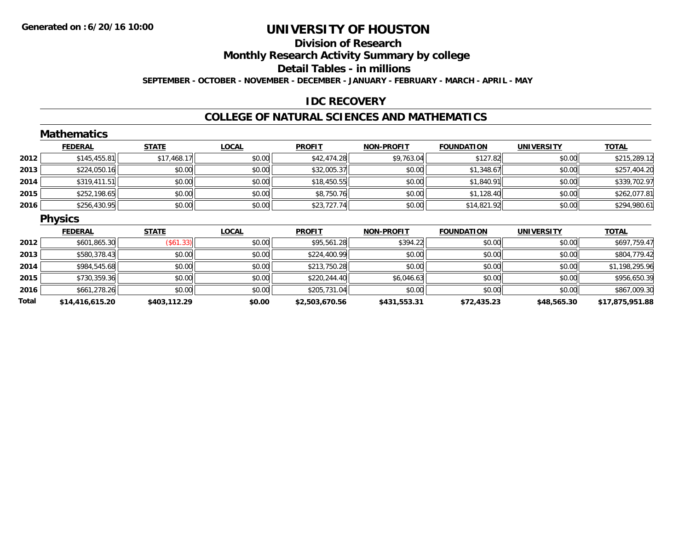### **Division of ResearchMonthly Research Activity Summary by college Detail Tables - in millions SEPTEMBER - OCTOBER - NOVEMBER - DECEMBER - JANUARY - FEBRUARY - MARCH - APRIL - MAY**

#### **IDC RECOVERY**

#### **COLLEGE OF NATURAL SCIENCES AND MATHEMATICS**

|       | <b>Mathematics</b> |              |              |                |                   |                   |                   |                 |
|-------|--------------------|--------------|--------------|----------------|-------------------|-------------------|-------------------|-----------------|
|       | <b>FEDERAL</b>     | <b>STATE</b> | <b>LOCAL</b> | <b>PROFIT</b>  | <b>NON-PROFIT</b> | <b>FOUNDATION</b> | <b>UNIVERSITY</b> | <b>TOTAL</b>    |
| 2012  | \$145,455.81       | \$17,468.17  | \$0.00       | \$42,474.28    | \$9,763.04        | \$127.82          | \$0.00            | \$215,289.12    |
| 2013  | \$224,050.16       | \$0.00       | \$0.00       | \$32,005.37    | \$0.00            | \$1,348.67        | \$0.00            | \$257,404.20    |
| 2014  | \$319,411.51       | \$0.00       | \$0.00       | \$18,450.55    | \$0.00            | \$1,840.91        | \$0.00            | \$339,702.97    |
| 2015  | \$252,198.65       | \$0.00       | \$0.00       | \$8,750.76     | \$0.00            | \$1,128.40        | \$0.00            | \$262,077.81    |
| 2016  | \$256,430.95       | \$0.00       | \$0.00       | \$23,727.74    | \$0.00            | \$14,821.92       | \$0.00            | \$294,980.61    |
|       | <b>Physics</b>     |              |              |                |                   |                   |                   |                 |
|       | <b>FEDERAL</b>     | <b>STATE</b> | <b>LOCAL</b> | <b>PROFIT</b>  | <b>NON-PROFIT</b> | <b>FOUNDATION</b> | <b>UNIVERSITY</b> | <b>TOTAL</b>    |
| 2012  | \$601,865.30       | (\$61.33)    | \$0.00       | \$95,561.28    | \$394.22          | \$0.00            | \$0.00            | \$697,759.47    |
| 2013  | \$580,378.43       | \$0.00       | \$0.00       | \$224,400.99   | \$0.00            | \$0.00            | \$0.00            | \$804,779.42    |
| 2014  | \$984,545.68       | \$0.00       | \$0.00       | \$213,750.28   | \$0.00            | \$0.00            | \$0.00            | \$1,198,295.96  |
| 2015  | \$730,359.36       | \$0.00       | \$0.00       | \$220,244.40   | \$6,046.63        | \$0.00            | \$0.00            | \$956,650.39    |
| 2016  | \$661,278.26       | \$0.00       | \$0.00       | \$205,731.04   | \$0.00            | \$0.00            | \$0.00            | \$867,009.30    |
| Total | \$14,416,615.20    | \$403,112.29 | \$0.00       | \$2,503,670.56 | \$431,553.31      | \$72,435.23       | \$48,565.30       | \$17,875,951.88 |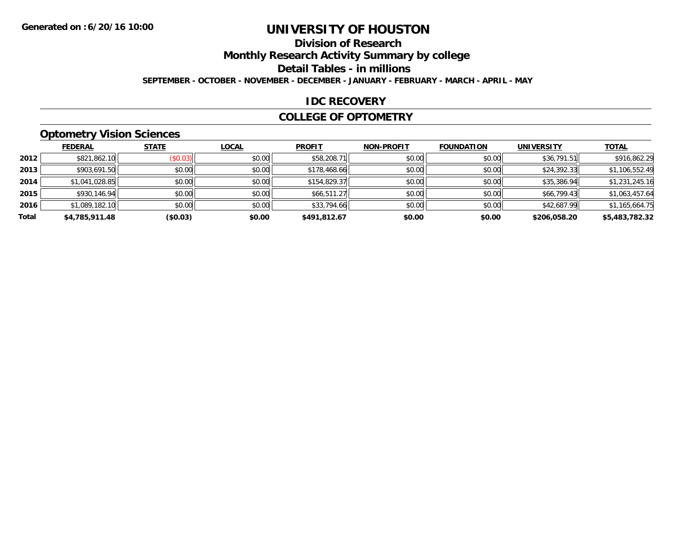# **Division of Research**

**Monthly Research Activity Summary by college**

**Detail Tables - in millions**

**SEPTEMBER - OCTOBER - NOVEMBER - DECEMBER - JANUARY - FEBRUARY - MARCH - APRIL - MAY**

#### **IDC RECOVERY**

#### **COLLEGE OF OPTOMETRY**

### **Optometry Vision Sciences**

|       | <b>FEDERAL</b> | <b>STATE</b>            | <b>LOCAL</b> | <b>PROFIT</b> | <b>NON-PROFIT</b> | <b>FOUNDATION</b> | <b>UNIVERSITY</b> | <b>TOTAL</b>   |
|-------|----------------|-------------------------|--------------|---------------|-------------------|-------------------|-------------------|----------------|
| 2012  | \$821,862.10   | $($ \$0.03) $\parallel$ | \$0.00       | \$58,208.71   | \$0.00            | \$0.00            | \$36,791.51       | \$916,862.29   |
| 2013  | \$903,691.50   | \$0.00                  | \$0.00       | \$178,468.66  | \$0.00            | \$0.00            | \$24,392.33       | \$1,106,552.49 |
| 2014  | \$1,041,028.85 | \$0.00                  | \$0.00       | \$154,829.37  | \$0.00            | \$0.00            | \$35,386.94       | \$1,231,245.16 |
| 2015  | \$930,146.94   | \$0.00                  | \$0.00       | \$66,511.27   | \$0.00            | \$0.00            | \$66,799.43       | \$1,063,457.64 |
| 2016  | \$1,089,182.10 | \$0.00                  | \$0.00       | \$33,794.66   | \$0.00            | \$0.00            | \$42,687.99       | \$1,165,664.75 |
| Total | \$4,785,911.48 | (\$0.03)                | \$0.00       | \$491.812.67  | \$0.00            | \$0.00            | \$206,058.20      | \$5,483,782.32 |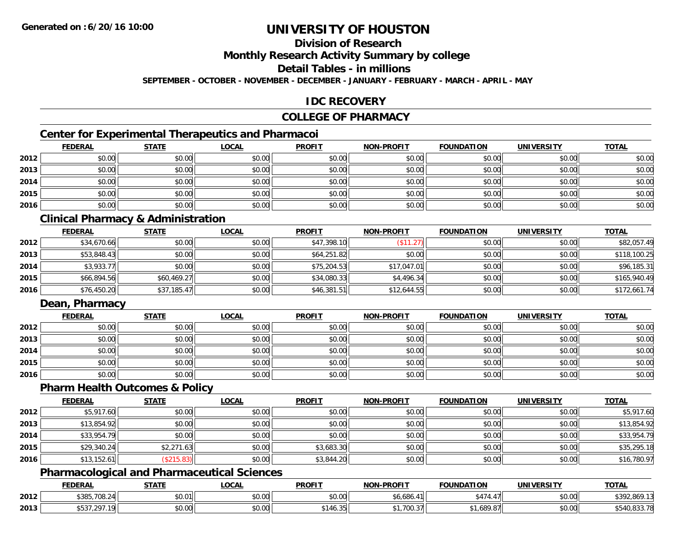### **Division of Research**

**Monthly Research Activity Summary by college**

**Detail Tables - in millions**

**SEPTEMBER - OCTOBER - NOVEMBER - DECEMBER - JANUARY - FEBRUARY - MARCH - APRIL - MAY**

#### **IDC RECOVERY**

#### **COLLEGE OF PHARMACY**

### **Center for Experimental Therapeutics and Pharmacoi**

|      | <b>FEDERAL</b> | <b>STATE</b> | <b>LOCAL</b> | <b>PROFIT</b> | <b>NON-PROFIT</b> | <b>FOUNDATION</b> | <b>UNIVERSITY</b> | <b>TOTAL</b> |
|------|----------------|--------------|--------------|---------------|-------------------|-------------------|-------------------|--------------|
| 2012 | \$0.00         | \$0.00       | \$0.00       | \$0.00        | \$0.00            | \$0.00            | \$0.00            | \$0.00       |
| 2013 | \$0.00         | \$0.00       | \$0.00       | \$0.00        | \$0.00            | \$0.00            | \$0.00            | \$0.00       |
| 2014 | \$0.00         | \$0.00       | \$0.00       | \$0.00        | \$0.00            | \$0.00            | \$0.00            | \$0.00       |
| 2015 | \$0.00         | \$0.00       | \$0.00       | \$0.00        | \$0.00            | \$0.00            | \$0.00            | \$0.00       |
| 2016 | \$0.00         | \$0.00       | \$0.00       | \$0.00        | \$0.00            | \$0.00            | \$0.00            | \$0.00       |

### **Clinical Pharmacy & Administration**

|      | <b>FEDERAL</b> | <b>STATE</b> | <u>LOCAL</u> | <b>PROFIT</b> | <b>NON-PROFIT</b> | <b>FOUNDATION</b> | <b>UNIVERSITY</b> | <b>TOTAL</b> |
|------|----------------|--------------|--------------|---------------|-------------------|-------------------|-------------------|--------------|
| 2012 | \$34,670.66    | \$0.00       | \$0.00       | \$47,398.10   | \$11.27           | \$0.00            | \$0.00            | \$82,057.49  |
| 2013 | \$53,848.43    | \$0.00       | \$0.00       | \$64,251.82   | \$0.00            | \$0.00            | \$0.00            | \$118,100.25 |
| 2014 | \$3,933.77     | \$0.00       | \$0.00       | \$75,204.53   | \$17,047.01       | \$0.00            | \$0.00            | \$96,185.31  |
| 2015 | \$66,894.56    | \$60,469.27  | \$0.00       | \$34,080.33   | \$4,496.34        | \$0.00            | \$0.00            | \$165,940.49 |
| 2016 | \$76,450.20    | \$37,185.47  | \$0.00       | \$46,381.51   | \$12,644.55       | \$0.00            | \$0.00            | \$172,661.74 |

#### **Dean, Pharmacy**

|      | <b>FEDERAL</b> | <b>STATE</b> | <u>LOCAL</u> | <b>PROFIT</b> | <b>NON-PROFIT</b> | <b>FOUNDATION</b> | <b>UNIVERSITY</b> | <b>TOTAL</b> |
|------|----------------|--------------|--------------|---------------|-------------------|-------------------|-------------------|--------------|
| 2012 | \$0.00         | \$0.00       | \$0.00       | \$0.00        | \$0.00            | \$0.00            | \$0.00            | \$0.00       |
| 2013 | \$0.00         | \$0.00       | \$0.00       | \$0.00        | \$0.00            | \$0.00            | \$0.00            | \$0.00       |
| 2014 | \$0.00         | \$0.00       | \$0.00       | \$0.00        | \$0.00            | \$0.00            | \$0.00            | \$0.00       |
| 2015 | \$0.00         | \$0.00       | \$0.00       | \$0.00        | \$0.00            | \$0.00            | \$0.00            | \$0.00       |
| 2016 | \$0.00         | \$0.00       | \$0.00       | \$0.00        | \$0.00            | \$0.00            | \$0.00            | \$0.00       |

#### **Pharm Health Outcomes & Policy**

|      | <b>FEDERAL</b> | <b>STATE</b> | <u>LOCAL</u> | <b>PROFIT</b> | <b>NON-PROFIT</b> | <b>FOUNDATION</b> | <b>UNIVERSITY</b> | <b>TOTAL</b> |
|------|----------------|--------------|--------------|---------------|-------------------|-------------------|-------------------|--------------|
| 2012 | \$5,917.60     | \$0.00       | \$0.00       | \$0.00        | \$0.00            | \$0.00            | \$0.00            | \$5,917.60   |
| 2013 | \$13,854.92    | \$0.00       | \$0.00       | \$0.00        | \$0.00            | \$0.00            | \$0.00            | \$13,854.92  |
| 2014 | \$33,954.79    | \$0.00       | \$0.00       | \$0.00        | \$0.00            | \$0.00            | \$0.00            | \$33,954.79  |
| 2015 | \$29,340.24    | \$2,271.63   | \$0.00       | \$3,683.30    | \$0.00            | \$0.00            | \$0.00            | \$35,295.18  |
| 2016 | \$13,152.61    | (\$215.83)   | \$0.00       | \$3,844.20    | \$0.00            | \$0.00            | \$0.00            | \$16,780.97  |

#### **Pharmacological and Pharmaceutical Sciences**

|      | <b>FEDERAL</b>              | <b>CTATE</b><br>אוכ | .OCAL                            | <b>PROFIT</b>  | MON-PROFIT | <b>FOUNDATION</b> | UNIVERSITY                    | <b>TOTAL</b>                |
|------|-----------------------------|---------------------|----------------------------------|----------------|------------|-------------------|-------------------------------|-----------------------------|
| 2012 | \$385,708.<br>0.24          | 00001<br>JU.U       | ሶስ ሰሰ<br>JU.UU                   | ልስ ስስ<br>JU.UU |            | $+17.$            | $\sim$ $\sim$<br>PO.OO        | <b>¢30つ</b><br>−392،869.13ھ |
| 2013 | $\sim$ $\sim$ $\sim$<br>ں ر | \$0.00              | $\sim$<br>$\sim$ $\sim$<br>vu.uu | ነ146.35        | 100.51     | יטס.              | $\sim$ $\sim$<br><b>JU.UU</b> | n o<br>+u.o.ว.ว. / o        |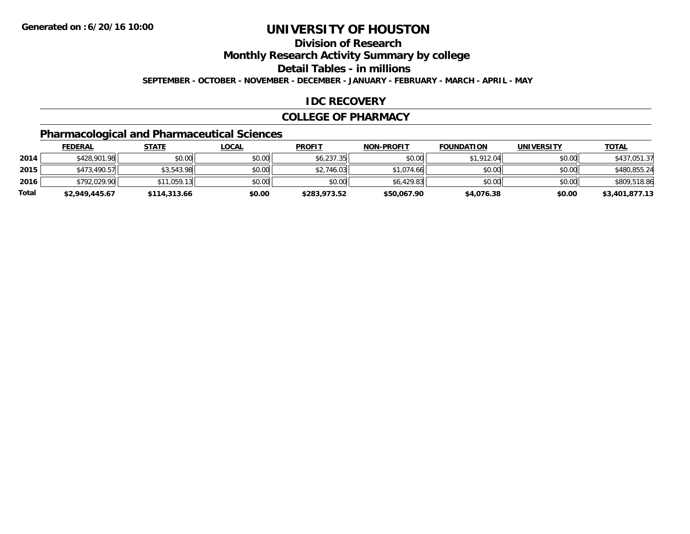### **Division of Research**

**Monthly Research Activity Summary by college**

**Detail Tables - in millions**

**SEPTEMBER - OCTOBER - NOVEMBER - DECEMBER - JANUARY - FEBRUARY - MARCH - APRIL - MAY**

#### **IDC RECOVERY**

#### **COLLEGE OF PHARMACY**

# **Pharmacological and Pharmaceutical Sciences**

|       | <u>FEDERAL</u> | <u>STATE</u> | <u>LOCAL</u> | <b>PROFIT</b> | <b>NON-PROFIT</b> | <b>FOUNDATION</b> | <b>UNIVERSITY</b> | <b>TOTAL</b>   |
|-------|----------------|--------------|--------------|---------------|-------------------|-------------------|-------------------|----------------|
| 2014  | \$428,901.98   | \$0.00       | \$0.00       | \$6,237.35    | \$0.00            | \$1,912.04        | \$0.00            | \$437,051.37   |
| 2015  | \$473,490.57   | \$3,543.98   | \$0.00       | \$2,746.03    | \$1,074.66        | \$0.00            | \$0.00            | \$480,855.24   |
| 2016  | \$792,029.90   | \$11.059.13  | \$0.00       | \$0.00        | \$6.429.83        | \$0.00            | \$0.00            | \$809,518.86   |
| Total | \$2,949,445.67 | \$114,313.66 | \$0.00       | \$283,973.52  | \$50,067.90       | \$4,076.38        | \$0.00            | \$3,401,877.13 |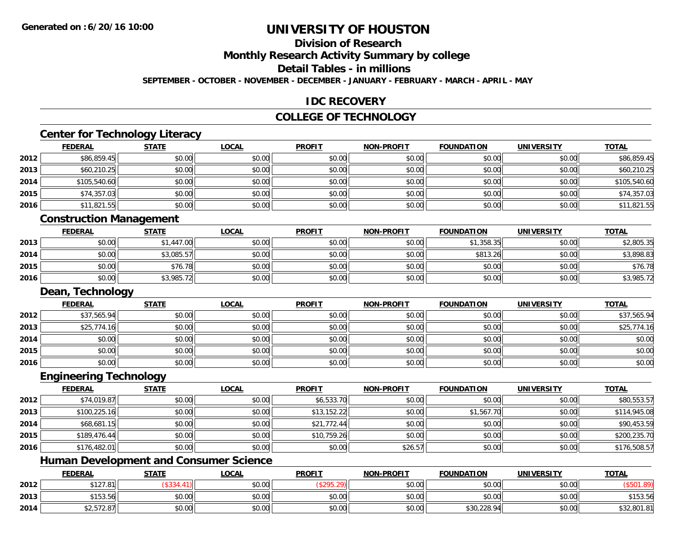### **Division of Research**

**Monthly Research Activity Summary by college**

**Detail Tables - in millions**

**SEPTEMBER - OCTOBER - NOVEMBER - DECEMBER - JANUARY - FEBRUARY - MARCH - APRIL - MAY**

#### **IDC RECOVERY**

### **COLLEGE OF TECHNOLOGY**

# **Center for Technology Literacy**

|      | <b>FEDERAL</b> | <b>STATE</b> | <u>LOCAL</u> | <b>PROFIT</b> | <b>NON-PROFIT</b> | <b>FOUNDATION</b> | <b>UNIVERSITY</b> | <b>TOTAL</b> |
|------|----------------|--------------|--------------|---------------|-------------------|-------------------|-------------------|--------------|
| 2012 | \$86,859.45    | \$0.00       | \$0.00       | \$0.00        | \$0.00            | \$0.00            | \$0.00            | \$86,859.45  |
| 2013 | \$60,210.25    | \$0.00       | \$0.00       | \$0.00        | \$0.00            | \$0.00            | \$0.00            | \$60,210.25  |
| 2014 | \$105,540.60   | \$0.00       | \$0.00       | \$0.00        | \$0.00            | \$0.00            | \$0.00            | \$105,540.60 |
| 2015 | \$74,357.03    | \$0.00       | \$0.00       | \$0.00        | \$0.00            | \$0.00            | \$0.00            | \$74,357.03  |
| 2016 | \$11,821.55    | \$0.00       | \$0.00       | \$0.00        | \$0.00            | \$0.00            | \$0.00            | \$11,821.55  |
|      |                |              |              |               |                   |                   |                   |              |

#### **Construction Management**

|      | <u>FEDERAL</u> | <b>STATE</b> | <u>LOCAL</u> | <b>PROFIT</b> | <b>NON-PROFIT</b> | <b>FOUNDATION</b> | <b>UNIVERSITY</b> | <b>TOTAL</b> |
|------|----------------|--------------|--------------|---------------|-------------------|-------------------|-------------------|--------------|
| 2013 | \$0.00         | \$1,447.00   | \$0.00       | \$0.00        | \$0.00            | \$1,358.35        | \$0.00            | \$2,805.35   |
| 2014 | \$0.00         | \$3,085.57   | \$0.00       | \$0.00        | \$0.00            | \$813.26          | \$0.00            | \$3,898.83   |
| 2015 | \$0.00         | \$76.78      | \$0.00       | \$0.00        | \$0.00            | \$0.00            | \$0.00            | \$76.78      |
| 2016 | \$0.00         | \$3,985.72   | \$0.00       | \$0.00        | \$0.00            | \$0.00            | \$0.00            | \$3,985.72   |

#### **Dean, Technology**

|      | <b>FEDERAL</b> | <b>STATE</b> | <u>LOCAL</u> | <b>PROFIT</b> | <b>NON-PROFIT</b> | <b>FOUNDATION</b> | <b>UNIVERSITY</b> | <b>TOTAL</b> |
|------|----------------|--------------|--------------|---------------|-------------------|-------------------|-------------------|--------------|
| 2012 | \$37,565.94    | \$0.00       | \$0.00       | \$0.00        | \$0.00            | \$0.00            | \$0.00            | \$37,565.94  |
| 2013 | \$25,774.16    | \$0.00       | \$0.00       | \$0.00        | \$0.00            | \$0.00            | \$0.00            | \$25,774.16  |
| 2014 | \$0.00         | \$0.00       | \$0.00       | \$0.00        | \$0.00            | \$0.00            | \$0.00            | \$0.00       |
| 2015 | \$0.00         | \$0.00       | \$0.00       | \$0.00        | \$0.00            | \$0.00            | \$0.00            | \$0.00       |
| 2016 | \$0.00         | \$0.00       | \$0.00       | \$0.00        | \$0.00            | \$0.00            | \$0.00            | \$0.00       |

#### **Engineering Technology**

|      | <b>FEDERAL</b> | <b>STATE</b> | <u>LOCAL</u> | <b>PROFIT</b> | <b>NON-PROFIT</b> | <b>FOUNDATION</b> | <b>UNIVERSITY</b> | <b>TOTAL</b> |
|------|----------------|--------------|--------------|---------------|-------------------|-------------------|-------------------|--------------|
| 2012 | \$74,019.87    | \$0.00       | \$0.00       | \$6,533.70    | \$0.00            | \$0.00            | \$0.00            | \$80,553.57  |
| 2013 | \$100,225.16   | \$0.00       | \$0.00       | \$13,152.22   | \$0.00            | \$1,567.70        | \$0.00            | \$114,945.08 |
| 2014 | \$68,681.15    | \$0.00       | \$0.00       | \$21,772.44   | \$0.00            | \$0.00            | \$0.00            | \$90,453.59  |
| 2015 | \$189,476.44   | \$0.00       | \$0.00       | \$10,759.26   | \$0.00            | \$0.00            | \$0.00            | \$200,235.70 |
| 2016 | \$176,482.01   | \$0.00       | \$0.00       | \$0.00        | \$26.57           | \$0.00            | \$0.00            | \$176,508.57 |

### **Human Development and Consumer Science**

|      | <b>FEDERAL</b>        | <b>STATE</b> | <u>LOCAL</u> | <b>PROFIT</b> | <b>NON-PROFIT</b> | <b>FOUNDATION</b> | <b>UNIVERSITY</b> | <b>TOTAL</b> |
|------|-----------------------|--------------|--------------|---------------|-------------------|-------------------|-------------------|--------------|
| 2012 | \$127.81              |              | \$0.00       |               | \$0.00            | \$0.00            | \$0.00            |              |
| 2013 | <b>4150</b><br>טט.כטו | \$0.00       | \$0.00       | \$0.00        | \$0.00            | \$0.00            | \$0.00            | \$153.56     |
| 2014 | 4257207<br>92.972.071 | \$0.00       | \$0.00       | \$0.00        | \$0.00            | \$30,228.94       | \$0.00            | \$32,801.81  |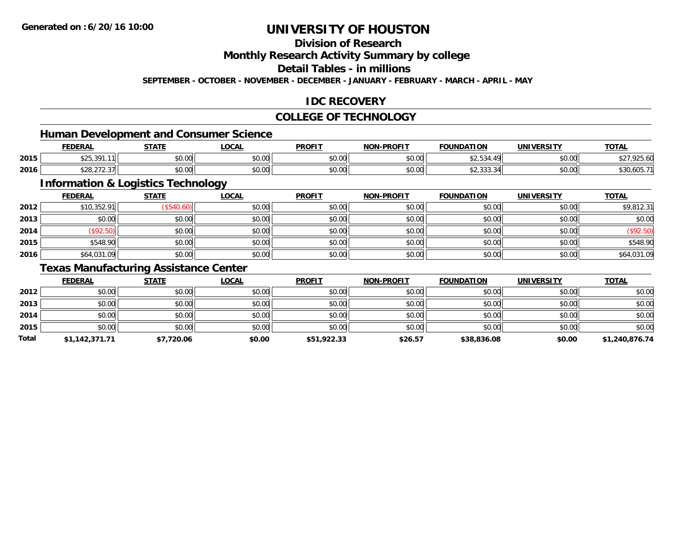### **Division of Research**

**Monthly Research Activity Summary by college**

**Detail Tables - in millions**

**SEPTEMBER - OCTOBER - NOVEMBER - DECEMBER - JANUARY - FEBRUARY - MARCH - APRIL - MAY**

### **IDC RECOVERY**

### **COLLEGE OF TECHNOLOGY**

<u> 1980 - Johann Barbara, martxa amerikan bashkar (</u>

#### **Human Development and Consumer Science**

|      | <b>FEDERAL</b>                      | <b>STATE</b><br>,,,,, | <b>LOCAL</b>                               | <b>PROFIT</b> | <b>NON-PROFIT</b> | <b>FOUNDATION</b>                                             | <b>UNIVERSITY</b> | <u>TOTAL</u>         |
|------|-------------------------------------|-----------------------|--------------------------------------------|---------------|-------------------|---------------------------------------------------------------|-------------------|----------------------|
| 2015 | 301<br>$\uparrow$ $\uparrow$<br>.11 | 0000<br>DU.UG         | $\theta$ $\theta$ $\theta$<br>JU.UU        | 0000<br>vv.vv | 0000<br>JU.UU     | $\uparrow$<br>ودن ے م                                         | \$0.00            | $\sim$               |
| 2016 | $\cdots$<br>328.212.31              | \$0.00                | $\theta$ $\theta$ $\theta$<br><b>DU.UU</b> | 0000<br>JU.UU | 40.00<br>PO.OO    | $\uparrow$ $\uparrow$ $\uparrow$<br>$\sim$<br><b>JZ,JJJ,J</b> | \$0.00            | 105.74<br>\$30,605.1 |

# **Information & Logistics Technology**

|      | <b>FEDERAL</b> | <b>STATE</b> | <u>LOCAL</u> | <b>PROFIT</b> | <b>NON-PROFIT</b> | <b>FOUNDATION</b> | <b>UNIVERSITY</b> | <b>TOTAL</b> |
|------|----------------|--------------|--------------|---------------|-------------------|-------------------|-------------------|--------------|
| 2012 | \$10,352.91    | (\$540.60)   | \$0.00       | \$0.00        | \$0.00            | \$0.00            | \$0.00            | \$9,812.31   |
| 2013 | \$0.00         | \$0.00       | \$0.00       | \$0.00        | \$0.00            | \$0.00            | \$0.00            | \$0.00       |
| 2014 | \$92.50        | \$0.00       | \$0.00       | \$0.00        | \$0.00            | \$0.00            | \$0.00            | (\$92.50)    |
| 2015 | \$548.90       | \$0.00       | \$0.00       | \$0.00        | \$0.00            | \$0.00            | \$0.00            | \$548.90     |
| 2016 | \$64,031.09    | \$0.00       | \$0.00       | \$0.00        | \$0.00            | \$0.00            | \$0.00            | \$64,031.09  |

### **Texas Manufacturing Assistance Center**

|       | <b>FEDERAL</b> | <u>STATE</u> | <b>LOCAL</b> | <b>PROFIT</b> | <b>NON-PROFIT</b> | <b>FOUNDATION</b> | <b>UNIVERSITY</b> | <b>TOTAL</b>   |
|-------|----------------|--------------|--------------|---------------|-------------------|-------------------|-------------------|----------------|
| 2012  | \$0.00         | \$0.00       | \$0.00       | \$0.00        | \$0.00            | \$0.00            | \$0.00            | \$0.00         |
| 2013  | \$0.00         | \$0.00       | \$0.00       | \$0.00        | \$0.00            | \$0.00            | \$0.00            | \$0.00         |
| 2014  | \$0.00         | \$0.00       | \$0.00       | \$0.00        | \$0.00            | \$0.00            | \$0.00            | \$0.00         |
| 2015  | \$0.00         | \$0.00       | \$0.00       | \$0.00        | \$0.00            | \$0.00            | \$0.00            | \$0.00         |
| Total | \$1,142,371.71 | \$7,720.06   | \$0.00       | \$51,922.33   | \$26.57           | \$38,836.08       | \$0.00            | \$1,240,876.74 |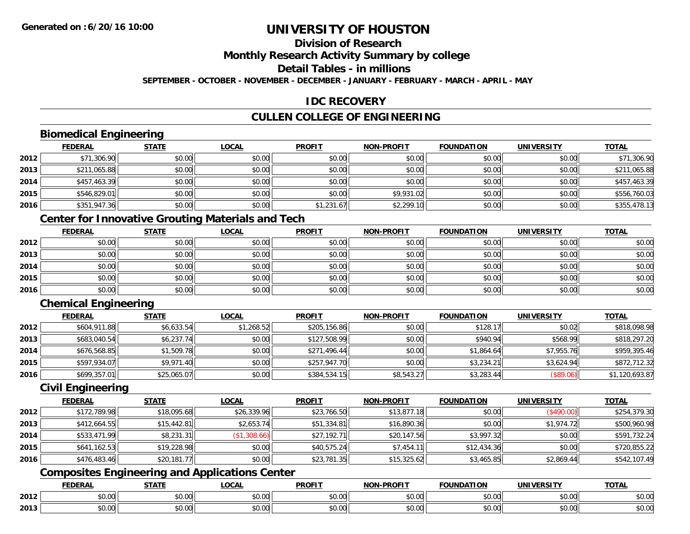# **Division of Research**

**Monthly Research Activity Summary by college**

**Detail Tables - in millions**

**SEPTEMBER - OCTOBER - NOVEMBER - DECEMBER - JANUARY - FEBRUARY - MARCH - APRIL - MAY**

### **IDC RECOVERY**

# **CULLEN COLLEGE OF ENGINEERING**

### **Biomedical Engineering**

|      | <b>FEDERAL</b> | <b>STATE</b> | <b>LOCAL</b> | <b>PROFIT</b> | <b>NON-PROFIT</b> | <b>FOUNDATION</b> | <b>UNIVERSITY</b> | <u>TOTAL</u> |
|------|----------------|--------------|--------------|---------------|-------------------|-------------------|-------------------|--------------|
| 2012 | \$71,306.90    | \$0.00       | \$0.00       | \$0.00        | \$0.00            | \$0.00            | \$0.00            | \$71,306.90  |
| 2013 | \$211,065.88   | \$0.00       | \$0.00       | \$0.00        | \$0.00            | \$0.00            | \$0.00            | \$211,065.88 |
| 2014 | \$457,463.39   | \$0.00       | \$0.00       | \$0.00        | \$0.00            | \$0.00            | \$0.00            | \$457,463.39 |
| 2015 | \$546,829.01   | \$0.00       | \$0.00       | \$0.00        | \$9,931.02        | \$0.00            | \$0.00            | \$556,760.03 |
| 2016 | \$351,947.36   | \$0.00       | \$0.00       | \$1,231.67    | \$2,299.10        | \$0.00            | \$0.00            | \$355,478.13 |

## **Center for Innovative Grouting Materials and Tech**

|      | <b>FEDERAL</b> | <b>STATE</b> | <u>LOCAL</u> | <b>PROFIT</b> | <b>NON-PROFIT</b> | <b>FOUNDATION</b> | <b>UNIVERSITY</b> | <b>TOTAL</b> |
|------|----------------|--------------|--------------|---------------|-------------------|-------------------|-------------------|--------------|
| 2012 | \$0.00         | \$0.00       | \$0.00       | \$0.00        | \$0.00            | \$0.00            | \$0.00            | \$0.00       |
| 2013 | \$0.00         | \$0.00       | \$0.00       | \$0.00        | \$0.00            | \$0.00            | \$0.00            | \$0.00       |
| 2014 | \$0.00         | \$0.00       | \$0.00       | \$0.00        | \$0.00            | \$0.00            | \$0.00            | \$0.00       |
| 2015 | \$0.00         | \$0.00       | \$0.00       | \$0.00        | \$0.00            | \$0.00            | \$0.00            | \$0.00       |
| 2016 | \$0.00         | \$0.00       | \$0.00       | \$0.00        | \$0.00            | \$0.00            | \$0.00            | \$0.00       |

# **Chemical Engineering**

|      | <b>FEDERAL</b> | <b>STATE</b> | <b>LOCAL</b> | <b>PROFIT</b> | <b>NON-PROFIT</b> | <b>FOUNDATION</b> | <b>UNIVERSITY</b> | <b>TOTAL</b>   |
|------|----------------|--------------|--------------|---------------|-------------------|-------------------|-------------------|----------------|
| 2012 | \$604,911.88   | \$6,633.54   | \$1,268.52   | \$205,156.86  | \$0.00            | \$128.17          | \$0.02            | \$818,098.98   |
| 2013 | \$683,040.54   | \$6,237.74   | \$0.00       | \$127,508.99  | \$0.00            | \$940.94          | \$568.99          | \$818,297.20   |
| 2014 | \$676,568.85   | \$1,509.78   | \$0.00       | \$271,496.44  | \$0.00            | \$1,864.64        | \$7,955.76        | \$959,395.46   |
| 2015 | \$597,934.07   | \$9,971.40   | \$0.00       | \$257,947.70  | \$0.00            | \$3,234.21        | \$3,624.94        | \$872,712.32   |
| 2016 | \$699,357.01   | \$25,065.07  | \$0.00       | \$384,534.15  | \$8,543.27        | \$3,283.44        | (\$89.06)         | \$1,120,693.87 |

#### **Civil Engineering**

|      | <b>FEDERAL</b> | <b>STATE</b> | <u>LOCAL</u> | <b>PROFIT</b> | <b>NON-PROFIT</b> | <b>FOUNDATION</b> | <b>UNIVERSITY</b> | <b>TOTAL</b> |
|------|----------------|--------------|--------------|---------------|-------------------|-------------------|-------------------|--------------|
| 2012 | \$172,789.98   | \$18,095.68  | \$26,339.96  | \$23,766.50   | \$13,877.18       | \$0.00            | (\$490.00)        | \$254,379.30 |
| 2013 | \$412,664.55   | \$15,442.81  | \$2,653.74   | \$51,334.81   | \$16,890.36       | \$0.00            | \$1,974.72        | \$500,960.98 |
| 2014 | \$533,471.99   | \$8,231.31   | (\$1,308.66) | \$27,192.71   | \$20,147.56       | \$3,997.32        | \$0.00            | \$591,732.24 |
| 2015 | \$641,162.53   | \$19,228.98  | \$0.00       | \$40,575.24   | \$7,454.11        | \$12,434.36       | \$0.00            | \$720,855.22 |
| 2016 | \$476,483.46   | \$20,181.77  | \$0.00       | \$23,781.35   | \$15,325.62       | \$3,465.85        | \$2,869.44        | \$542,107.49 |

# **Composites Engineering and Applications Center**

|      | DERAI  | CTATI     | .OCAL     | <b>PROFIT</b> | <b>DDOEL1</b><br><b>ארות</b> | ΓΙΟΝ    | UNIVERSITY                                   | <b>TOTAL</b> |
|------|--------|-----------|-----------|---------------|------------------------------|---------|----------------------------------------------|--------------|
| 2012 | $\sim$ | $\sim$    | $\sim$    | $\cdots$      | 0000                         | 0.00    | $\mathsf{A} \cap \mathsf{A} \cap \mathsf{A}$ | 0000         |
|      | וט.טי  | JU.UU     | vv.vv     | vu.vu         | J∪.∪∪                        | - JU.UU | PO.OO                                        | <b>JU.UU</b> |
|      | 0.00   | $\sim$ 00 | $\sim$ 00 | $\cdots$      | 0.00                         | 0.00    | $\sim$ 00                                    | $\cdots$     |
| 2013 | וט.טי  | JU.L      | JU.UU     | vv.vv         | JU.UU                        | ww.uu   | <b>JU.UU</b>                                 | <b>JU.UU</b> |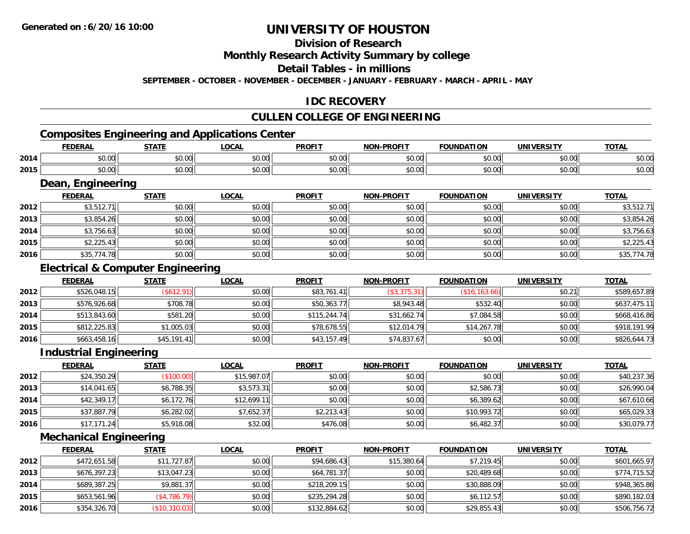## **Division of Research**

**Monthly Research Activity Summary by college**

**Detail Tables - in millions**

**SEPTEMBER - OCTOBER - NOVEMBER - DECEMBER - JANUARY - FEBRUARY - MARCH - APRIL - MAY**

#### **IDC RECOVERY**

### **CULLEN COLLEGE OF ENGINEERING**

# **Composites Engineering and Applications Center**

|      | EENED A<br>-115          | <b>CTATE</b>   | 001<br>.uuni             | <b>PROFIT</b>           | <b>DDAEIT</b><br><b>NON</b> | <b>FOUNDATION</b> | <b><i>INIVERSITY</i></b> | $T^{\prime}$<br>או שי  |
|------|--------------------------|----------------|--------------------------|-------------------------|-----------------------------|-------------------|--------------------------|------------------------|
| 2014 | $\sim$<br>$\sim$<br>וטט. | ტი იი<br>JU.UU | $\sim$<br>וחח ו<br>JU.UU | 0 <sub>n</sub><br>JU.U  | $\sim$ 00<br>vv.vv          | 0000<br>- JU.UU   | 0.00<br>JU.UU            | $\sim$ $\sim$<br>DU.UÇ |
| 2015 | $\sim$ $\sim$<br>וטט.    | ሐሴ ሰሰ<br>JU.UU | 0000<br>JU.UU            | 0 <sub>n</sub><br>JU.UL | $\sim$ 00<br>JU.UU          | 0000<br>vv.vv.    | 0.00<br>JU.UU            | $\sim$ $\sim$<br>งบ.บเ |

#### **Dean, Engineering**

|      | Dean, Engineering |              |              |               |                   |                   |                   |              |  |  |  |
|------|-------------------|--------------|--------------|---------------|-------------------|-------------------|-------------------|--------------|--|--|--|
|      | <b>FEDERAL</b>    | <b>STATE</b> | <b>LOCAL</b> | <b>PROFIT</b> | <b>NON-PROFIT</b> | <b>FOUNDATION</b> | <b>UNIVERSITY</b> | <b>TOTAL</b> |  |  |  |
| 2012 | \$3,512.71        | \$0.00       | \$0.00       | \$0.00        | \$0.00            | \$0.00            | \$0.00            | \$3,512.71   |  |  |  |
| 2013 | \$3,854.26        | \$0.00       | \$0.00       | \$0.00        | \$0.00            | \$0.00            | \$0.00            | \$3,854.26   |  |  |  |
| 2014 | \$3,756.63        | \$0.00       | \$0.00       | \$0.00        | \$0.00            | \$0.00            | \$0.00            | \$3,756.63   |  |  |  |
| 2015 | \$2,225.43        | \$0.00       | \$0.00       | \$0.00        | \$0.00            | \$0.00            | \$0.00            | \$2,225.43   |  |  |  |
| 2016 | \$35,774.78       | \$0.00       | \$0.00       | \$0.00        | \$0.00            | \$0.00            | \$0.00            | \$35,774.78  |  |  |  |

### **Electrical & Computer Engineering**

|      | <b>FEDERAL</b> | <b>STATE</b> | <u>LOCAL</u> | <b>PROFIT</b> | <b>NON-PROFIT</b> | <b>FOUNDATION</b> | UNIVERSITY | <b>TOTAL</b> |
|------|----------------|--------------|--------------|---------------|-------------------|-------------------|------------|--------------|
| 2012 | \$526,048.15   | (S612.91)    | \$0.00       | \$83,761.41   | (\$3,375.31)      | (S16, 163.66)     | \$0.21     | \$589,657.89 |
| 2013 | \$576,926.68   | \$708.78     | \$0.00       | \$50,363.77   | \$8,943.48        | \$532.40          | \$0.00     | \$637,475.11 |
| 2014 | \$513,843.60   | \$581.20     | \$0.00       | \$115,244.74  | \$31,662.74       | \$7,084.58        | \$0.00     | \$668,416.86 |
| 2015 | \$812,225.83   | \$1,005.03   | \$0.00       | \$78,678.55   | \$12,014.79       | \$14,267.78       | \$0.00     | \$918,191.99 |
| 2016 | \$663,458.16   | \$45,191.41  | \$0.00       | \$43,157.49   | \$74,837.67       | \$0.00            | \$0.00     | \$826,644.73 |

#### **Industrial Engineering**

|      | <b>FEDERAL</b> | <b>STATE</b> | <b>LOCAL</b> | <b>PROFIT</b> | <b>NON-PROFIT</b> | <b>FOUNDATION</b> | <b>UNIVERSITY</b> | <b>TOTAL</b> |
|------|----------------|--------------|--------------|---------------|-------------------|-------------------|-------------------|--------------|
| 2012 | \$24,350.29    | (\$100.00)   | \$15,987.07  | \$0.00        | \$0.00            | \$0.00            | \$0.00            | \$40,237.36  |
| 2013 | \$14,041.65    | \$6,788.35   | \$3,573.31   | \$0.00        | \$0.00            | \$2,586.73        | \$0.00            | \$26,990.04  |
| 2014 | \$42,349.17    | \$6,172.76   | \$12,699.11  | \$0.00        | \$0.00            | \$6,389.62        | \$0.00            | \$67,610.66  |
| 2015 | \$37,887.79    | \$6,282.02   | \$7.652.37   | \$2,213.43    | \$0.00            | \$10,993.72       | \$0.00            | \$65,029.33  |
| 2016 | \$17,171.24    | \$5,918.08   | \$32.00      | \$476.08      | \$0.00            | \$6,482.37        | \$0.00            | \$30,079.77  |

#### **Mechanical Engineering**

|      | <b>FEDERAL</b> | <u>STATE</u>        | <b>LOCAL</b> | <b>PROFIT</b> | <b>NON-PROFIT</b> | <b>FOUNDATION</b> | <b>UNIVERSITY</b> | <u>TOTAL</u> |
|------|----------------|---------------------|--------------|---------------|-------------------|-------------------|-------------------|--------------|
| 2012 | \$472,651.58   | \$11,727.87         | \$0.00       | \$94,686.43   | \$15,380.64       | \$7.219.45        | \$0.00            | \$601,665.97 |
| 2013 | \$676,397.23   | \$13,047.23         | \$0.00       | \$64,781.37   | \$0.00            | \$20,489.68       | \$0.00            | \$774,715.52 |
| 2014 | \$689,387.25   | \$9,881.37          | \$0.00       | \$218,209.15  | \$0.00            | \$30,888.09       | \$0.00            | \$948,365.86 |
| 2015 | \$653,561.96   | $($ \$4,786.79) $ $ | \$0.00       | \$235,294.28  | \$0.00            | \$6,112.57        | \$0.00            | \$890,182.03 |
| 2016 | \$354,326.70   | (\$10,310.03)       | \$0.00       | \$132,884.62  | \$0.00            | \$29,855.43       | \$0.00            | \$506,756.72 |

<u> 1980 - Andrea Station Barbara, actor a component de la componentación de la componentación de la componentaci</u>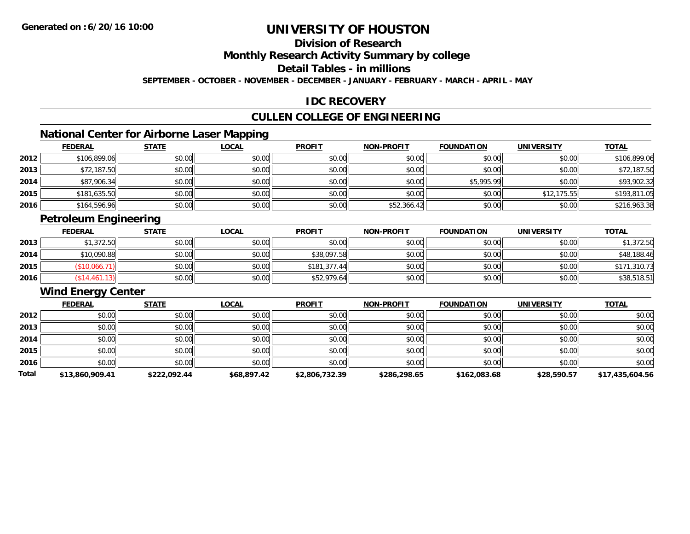# **Division of Research**

**Monthly Research Activity Summary by college**

**Detail Tables - in millions**

**SEPTEMBER - OCTOBER - NOVEMBER - DECEMBER - JANUARY - FEBRUARY - MARCH - APRIL - MAY**

#### **IDC RECOVERY**

### **CULLEN COLLEGE OF ENGINEERING**

### **National Center for Airborne Laser Mapping**

|      | <b>FEDERAL</b> | <b>STATE</b> | <b>LOCAL</b> | <b>PROFIT</b> | <b>NON-PROFIT</b> | <b>FOUNDATION</b> | <b>UNIVERSITY</b> | <b>TOTAL</b> |
|------|----------------|--------------|--------------|---------------|-------------------|-------------------|-------------------|--------------|
| 2012 | \$106,899.06   | \$0.00       | \$0.00       | \$0.00        | \$0.00            | \$0.00            | \$0.00            | \$106,899.06 |
| 2013 | \$72,187.50    | \$0.00       | \$0.00       | \$0.00        | \$0.00            | \$0.00            | \$0.00            | \$72,187.50  |
| 2014 | \$87,906.34    | \$0.00       | \$0.00       | \$0.00        | \$0.00            | \$5,995.99        | \$0.00            | \$93,902.32  |
| 2015 | \$181,635.50   | \$0.00       | \$0.00       | \$0.00        | \$0.00            | \$0.00            | \$12,175.55       | \$193,811.05 |
| 2016 | \$164,596.96   | \$0.00       | \$0.00       | \$0.00        | \$52,366.42       | \$0.00            | \$0.00            | \$216,963.38 |

## **Petroleum Engineering**

|      | <b>FEDERAL</b> | <b>STATE</b> | <u>LOCAL</u> | <b>PROFIT</b> | <b>NON-PROFIT</b> | <b>FOUNDATION</b> | <b>UNIVERSITY</b> | <b>TOTAL</b> |
|------|----------------|--------------|--------------|---------------|-------------------|-------------------|-------------------|--------------|
| 2013 | \$1,372.50     | \$0.00       | \$0.00       | \$0.00        | \$0.00            | \$0.00            | \$0.00            | \$1,372.50   |
| 2014 | \$10,090.88    | \$0.00       | \$0.00       | \$38,097.58   | \$0.00            | \$0.00            | \$0.00            | \$48,188.46  |
| 2015 | \$10,066.      | \$0.00       | \$0.00       | \$181.377.44  | \$0.00            | \$0.00            | \$0.00            | \$171,310.73 |
| 2016 | \$14,461.13    | \$0.00       | \$0.00       | \$52,979.64   | \$0.00            | \$0.00            | \$0.00            | \$38,518.51  |

# **Wind Energy Center**

|       | <b>FEDERAL</b>  | <b>STATE</b> | <b>LOCAL</b> | <b>PROFIT</b>  | <b>NON-PROFIT</b> | <b>FOUNDATION</b> | <b>UNIVERSITY</b> | <b>TOTAL</b>    |
|-------|-----------------|--------------|--------------|----------------|-------------------|-------------------|-------------------|-----------------|
| 2012  | \$0.00          | \$0.00       | \$0.00       | \$0.00         | \$0.00            | \$0.00            | \$0.00            | \$0.00          |
| 2013  | \$0.00          | \$0.00       | \$0.00       | \$0.00         | \$0.00            | \$0.00            | \$0.00            | \$0.00          |
| 2014  | \$0.00          | \$0.00       | \$0.00       | \$0.00         | \$0.00            | \$0.00            | \$0.00            | \$0.00          |
| 2015  | \$0.00          | \$0.00       | \$0.00       | \$0.00         | \$0.00            | \$0.00            | \$0.00            | \$0.00          |
| 2016  | \$0.00          | \$0.00       | \$0.00       | \$0.00         | \$0.00            | \$0.00            | \$0.00            | \$0.00          |
| Total | \$13,860,909.41 | \$222,092.44 | \$68,897.42  | \$2,806,732.39 | \$286,298.65      | \$162,083.68      | \$28,590.57       | \$17,435,604.56 |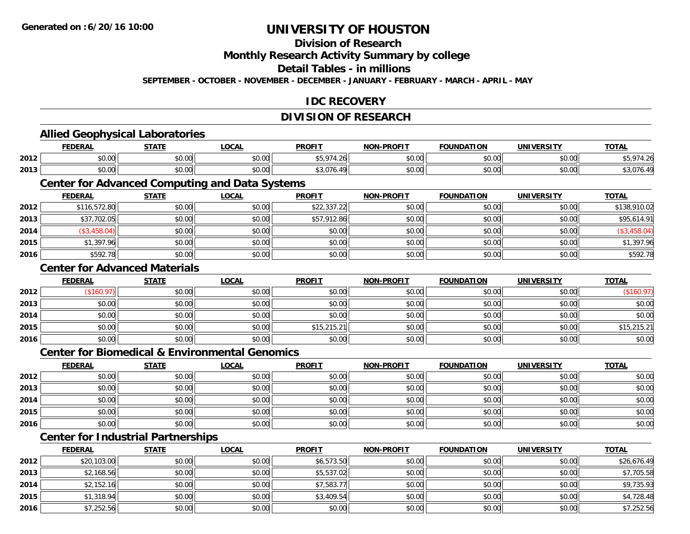**2015**

**2016**

# **UNIVERSITY OF HOUSTON**

# **Division of Research**

**Monthly Research Activity Summary by college**

**Detail Tables - in millions**

**SEPTEMBER - OCTOBER - NOVEMBER - DECEMBER - JANUARY - FEBRUARY - MARCH - APRIL - MAY**

#### **IDC RECOVERY**

# **DIVISION OF RESEARCH**

|      | <b>Allied Geophysical Laboratories</b>                    |              |              |               |                   |                   |                   |              |
|------|-----------------------------------------------------------|--------------|--------------|---------------|-------------------|-------------------|-------------------|--------------|
|      | <b>FEDERAL</b>                                            | <b>STATE</b> | <b>LOCAL</b> | <b>PROFIT</b> | <b>NON-PROFIT</b> | <b>FOUNDATION</b> | <b>UNIVERSITY</b> | <b>TOTAL</b> |
| 2012 | \$0.00                                                    | \$0.00       | \$0.00       | \$5,974.26    | \$0.00            | \$0.00            | \$0.00            | \$5,974.26   |
| 2013 | \$0.00                                                    | \$0.00       | \$0.00       | \$3,076.49    | \$0.00            | \$0.00            | \$0.00            | \$3,076.49   |
|      | <b>Center for Advanced Computing and Data Systems</b>     |              |              |               |                   |                   |                   |              |
|      | <b>FEDERAL</b>                                            | <b>STATE</b> | <b>LOCAL</b> | <b>PROFIT</b> | <b>NON-PROFIT</b> | <b>FOUNDATION</b> | <b>UNIVERSITY</b> | <b>TOTAL</b> |
| 2012 | \$116,572.80                                              | \$0.00       | \$0.00       | \$22,337.22   | \$0.00            | \$0.00            | \$0.00            | \$138,910.02 |
| 2013 | \$37,702.05                                               | \$0.00       | \$0.00       | \$57,912.86   | \$0.00            | \$0.00            | \$0.00            | \$95,614.91  |
| 2014 | (\$3,458.04)                                              | \$0.00       | \$0.00       | \$0.00        | \$0.00            | \$0.00            | \$0.00            | (\$3,458.04) |
| 2015 | \$1,397.96                                                | \$0.00       | \$0.00       | \$0.00        | \$0.00            | \$0.00            | \$0.00            | \$1,397.96   |
| 2016 | \$592.78                                                  | \$0.00       | \$0.00       | \$0.00        | \$0.00            | \$0.00            | \$0.00            | \$592.78     |
|      | <b>Center for Advanced Materials</b>                      |              |              |               |                   |                   |                   |              |
|      | <b>FEDERAL</b>                                            | <b>STATE</b> | <b>LOCAL</b> | <b>PROFIT</b> | <b>NON-PROFIT</b> | <b>FOUNDATION</b> | <b>UNIVERSITY</b> | <b>TOTAL</b> |
| 2012 | (\$160.97)                                                | \$0.00       | \$0.00       | \$0.00        | \$0.00            | \$0.00            | \$0.00            | (\$160.97)   |
| 2013 | \$0.00                                                    | \$0.00       | \$0.00       | \$0.00        | \$0.00            | \$0.00            | \$0.00            | \$0.00       |
| 2014 | \$0.00                                                    | \$0.00       | \$0.00       | \$0.00        | \$0.00            | \$0.00            | \$0.00            | \$0.00       |
| 2015 | \$0.00                                                    | \$0.00       | \$0.00       | \$15,215.21   | \$0.00            | \$0.00            | \$0.00            | \$15,215.21  |
| 2016 | \$0.00                                                    | \$0.00       | \$0.00       | \$0.00        | \$0.00            | \$0.00            | \$0.00            | \$0.00       |
|      | <b>Center for Biomedical &amp; Environmental Genomics</b> |              |              |               |                   |                   |                   |              |
|      | <b>FEDERAL</b>                                            | <b>STATE</b> | <b>LOCAL</b> | <b>PROFIT</b> | <b>NON-PROFIT</b> | <b>FOUNDATION</b> | <b>UNIVERSITY</b> | <b>TOTAL</b> |
| 2012 | \$0.00                                                    | \$0.00       | \$0.00       | \$0.00        | \$0.00            | \$0.00            | \$0.00            | \$0.00       |
| 2013 | \$0.00                                                    | \$0.00       | \$0.00       | \$0.00        | \$0.00            | \$0.00            | \$0.00            | \$0.00       |
| 2014 | \$0.00                                                    | \$0.00       | \$0.00       | \$0.00        | \$0.00            | \$0.00            | \$0.00            | \$0.00       |
| 2015 | \$0.00                                                    | \$0.00       | \$0.00       | \$0.00        | \$0.00            | \$0.00            | \$0.00            | \$0.00       |
| 2016 | \$0.00                                                    | \$0.00       | \$0.00       | \$0.00        | \$0.00            | \$0.00            | \$0.00            | \$0.00       |
|      | <b>Center for Industrial Partnerships</b>                 |              |              |               |                   |                   |                   |              |
|      | <b>FEDERAL</b>                                            | <b>STATE</b> | <b>LOCAL</b> | <b>PROFIT</b> | <b>NON-PROFIT</b> | <b>FOUNDATION</b> | <b>UNIVERSITY</b> | <b>TOTAL</b> |
| 2012 | \$20,103.00                                               | \$0.00       | \$0.00       | \$6,573.50    | \$0.00            | \$0.00            | \$0.00            | \$26,676.49  |
| 2013 | \$2,168.56                                                | \$0.00       | \$0.00       | \$5,537.02    | \$0.00            | \$0.00            | \$0.00            | \$7,705.58   |
| 2014 | \$2,152.16                                                | \$0.00       | \$0.00       | \$7,583.77    | \$0.00            | \$0.00            | \$0.00            | \$9,735.93   |

\$1,318.94 \$0.00 \$0.00 \$3,409.54 \$0.00 \$0.00 \$0.00 \$4,728.48

\$7,252.56 \$0.00 \$0.00 \$0.00 \$0.00 \$0.00 \$0.00 \$7,252.56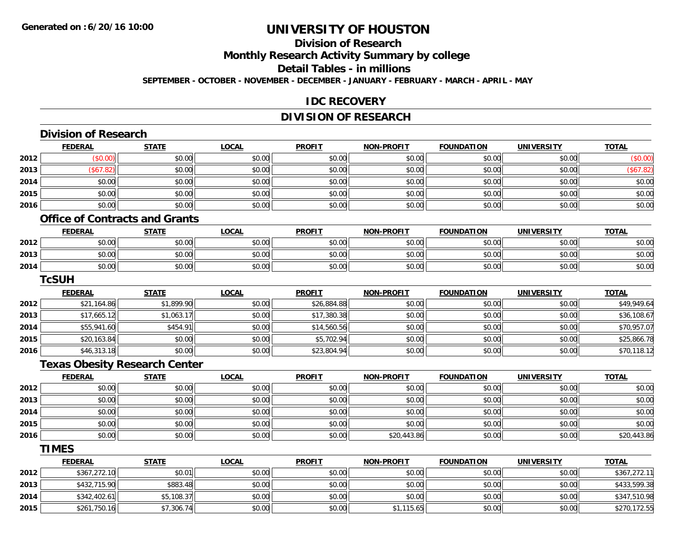# **Division of Research**

**Monthly Research Activity Summary by college**

**Detail Tables - in millions**

**SEPTEMBER - OCTOBER - NOVEMBER - DECEMBER - JANUARY - FEBRUARY - MARCH - APRIL - MAY**

#### **IDC RECOVERY**

### **DIVISION OF RESEARCH**

|      | <b>Division of Research</b>           |              |              |               |                   |                   |                   |              |
|------|---------------------------------------|--------------|--------------|---------------|-------------------|-------------------|-------------------|--------------|
|      | <b>FEDERAL</b>                        | <b>STATE</b> | <b>LOCAL</b> | <b>PROFIT</b> | <b>NON-PROFIT</b> | <b>FOUNDATION</b> | <b>UNIVERSITY</b> | <b>TOTAL</b> |
| 2012 | (\$0.00)                              | \$0.00       | \$0.00       | \$0.00        | \$0.00            | \$0.00            | \$0.00            | (\$0.00)     |
| 2013 | (\$67.82)                             | \$0.00       | \$0.00       | \$0.00        | \$0.00            | \$0.00            | \$0.00            | (\$67.82)    |
| 2014 | \$0.00                                | \$0.00       | \$0.00       | \$0.00        | \$0.00            | \$0.00            | \$0.00            | \$0.00       |
| 2015 | \$0.00                                | \$0.00       | \$0.00       | \$0.00        | \$0.00            | \$0.00            | \$0.00            | \$0.00       |
| 2016 | \$0.00                                | \$0.00       | \$0.00       | \$0.00        | \$0.00            | \$0.00            | \$0.00            | \$0.00       |
|      | <b>Office of Contracts and Grants</b> |              |              |               |                   |                   |                   |              |
|      | <b>FEDERAL</b>                        | <b>STATE</b> | <b>LOCAL</b> | <b>PROFIT</b> | <b>NON-PROFIT</b> | <b>FOUNDATION</b> | <b>UNIVERSITY</b> | <b>TOTAL</b> |
| 2012 | \$0.00                                | \$0.00       | \$0.00       | \$0.00        | \$0.00            | \$0.00            | \$0.00            | \$0.00       |
| 2013 | \$0.00                                | \$0.00       | \$0.00       | \$0.00        | \$0.00            | \$0.00            | \$0.00            | \$0.00       |
| 2014 | \$0.00                                | \$0.00       | \$0.00       | \$0.00        | \$0.00            | \$0.00            | \$0.00            | \$0.00       |
|      | <b>TcSUH</b>                          |              |              |               |                   |                   |                   |              |
|      | <b>FEDERAL</b>                        | <b>STATE</b> | <b>LOCAL</b> | <b>PROFIT</b> | <b>NON-PROFIT</b> | <b>FOUNDATION</b> | <b>UNIVERSITY</b> | <b>TOTAL</b> |
| 2012 | \$21,164.86                           | \$1,899.90   | \$0.00       | \$26,884.88   | \$0.00            | \$0.00            | \$0.00            | \$49,949.64  |
| 2013 | \$17,665.12                           | \$1,063.17   | \$0.00       | \$17,380.38   | \$0.00            | \$0.00            | \$0.00            | \$36,108.67  |
| 2014 | \$55,941.60                           | \$454.91     | \$0.00       | \$14,560.56   | \$0.00            | \$0.00            | \$0.00            | \$70,957.07  |
| 2015 | \$20,163.84                           | \$0.00       | \$0.00       | \$5,702.94    | \$0.00            | \$0.00            | \$0.00            | \$25,866.78  |
| 2016 | \$46,313.18                           | \$0.00       | \$0.00       | \$23,804.94   | \$0.00            | \$0.00            | \$0.00            | \$70,118.12  |
|      | <b>Texas Obesity Research Center</b>  |              |              |               |                   |                   |                   |              |
|      | <b>FEDERAL</b>                        | <b>STATE</b> | <b>LOCAL</b> | <b>PROFIT</b> | <b>NON-PROFIT</b> | <b>FOUNDATION</b> | <b>UNIVERSITY</b> | <b>TOTAL</b> |
| 2012 | \$0.00                                | \$0.00       | \$0.00       | \$0.00        | \$0.00            | \$0.00            | \$0.00            | \$0.00       |
| 2013 | \$0.00                                | \$0.00       | \$0.00       | \$0.00        | \$0.00            | \$0.00            | \$0.00            | \$0.00       |
| 2014 | \$0.00                                | \$0.00       | \$0.00       | \$0.00        | \$0.00            | \$0.00            | \$0.00            | \$0.00       |
| 2015 | \$0.00                                | \$0.00       | \$0.00       | \$0.00        | \$0.00            | \$0.00            | \$0.00            | \$0.00       |
| 2016 | \$0.00                                | \$0.00       | \$0.00       | \$0.00        | \$20,443.86       | \$0.00            | \$0.00            | \$20,443.86  |
|      | <b>TIMES</b>                          |              |              |               |                   |                   |                   |              |
|      | <b>FEDERAL</b>                        | <b>STATE</b> | <b>LOCAL</b> | <b>PROFIT</b> | <b>NON-PROFIT</b> | <b>FOUNDATION</b> | <b>UNIVERSITY</b> | <b>TOTAL</b> |
| 2012 | \$367,272.10                          | \$0.01       | \$0.00       | \$0.00        | \$0.00            | \$0.00            | \$0.00            | \$367,272.11 |
| 2013 | \$432,715.90                          | \$883.48     | \$0.00       | \$0.00        | \$0.00            | \$0.00            | \$0.00            | \$433,599.38 |
| 2014 | \$342,402.61                          | \$5,108.37   | \$0.00       | \$0.00        | \$0.00            | \$0.00            | \$0.00            | \$347,510.98 |
| 2015 | \$261,750.16                          | \$7,306.74   | \$0.00       | \$0.00        | \$1,115.65        | \$0.00            | \$0.00            | \$270,172.55 |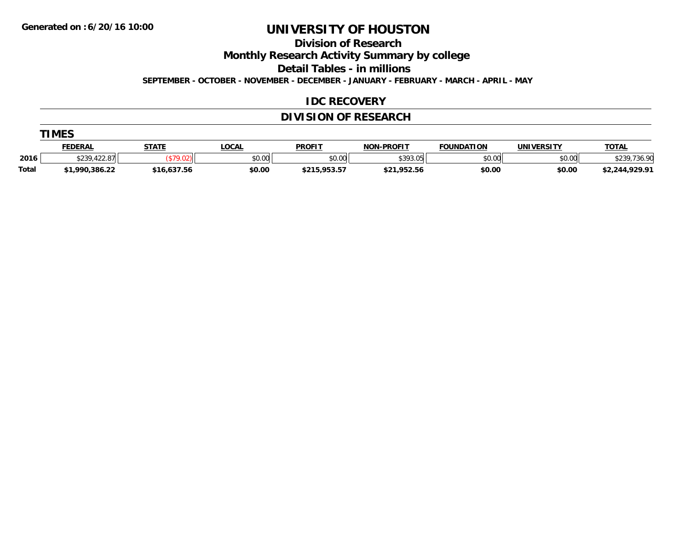**TIMES** 

# **UNIVERSITY OF HOUSTON**

**Division of Research**

**Monthly Research Activity Summary by college**

**Detail Tables - in millions**

**SEPTEMBER - OCTOBER - NOVEMBER - DECEMBER - JANUARY - FEBRUARY - MARCH - APRIL - MAY**

#### **IDC RECOVERY**

### **DIVISION OF RESEARCH**

|              | TMES           |              |        |               |                   |                   |                   |                |  |  |  |
|--------------|----------------|--------------|--------|---------------|-------------------|-------------------|-------------------|----------------|--|--|--|
|              | <b>FEDERAL</b> | <b>STATE</b> | .OCAL  | <b>PROFIT</b> | <b>NON-PROFIT</b> | <b>FOUNDATION</b> | <b>UNIVERSITY</b> | <b>TOTAL</b>   |  |  |  |
| 2016         | \$239,422.87   |              | \$0.00 | \$0.00        | \$393.05          | \$0.00            | \$0.00            | \$239,736.90   |  |  |  |
| <b>Total</b> | \$1,990,386.22 | \$16,637.56  | \$0.00 | \$215,953.57  | \$21,952.56       | \$0.00            | \$0.00            | \$2,244,929.91 |  |  |  |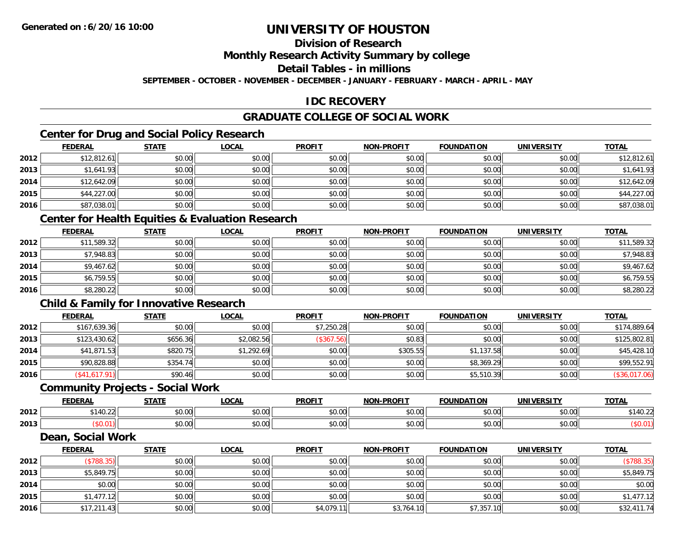### **Division of Research**

**Monthly Research Activity Summary by college**

**Detail Tables - in millions**

**SEPTEMBER - OCTOBER - NOVEMBER - DECEMBER - JANUARY - FEBRUARY - MARCH - APRIL - MAY**

#### **IDC RECOVERY**

### **GRADUATE COLLEGE OF SOCIAL WORK**

### **Center for Drug and Social Policy Research**

|      | <b>FEDERAL</b> | <b>STATE</b> | <b>LOCAL</b> | <b>PROFIT</b> | <b>NON-PROFIT</b> | <b>FOUNDATION</b> | <b>UNIVERSITY</b> | <b>TOTAL</b> |
|------|----------------|--------------|--------------|---------------|-------------------|-------------------|-------------------|--------------|
| 2012 | \$12,812.61    | \$0.00       | \$0.00       | \$0.00        | \$0.00            | \$0.00            | \$0.00            | \$12,812.61  |
| 2013 | \$1,641.93     | \$0.00       | \$0.00       | \$0.00        | \$0.00            | \$0.00            | \$0.00            | \$1,641.93   |
| 2014 | \$12,642.09    | \$0.00       | \$0.00       | \$0.00        | \$0.00            | \$0.00            | \$0.00            | \$12,642.09  |
| 2015 | \$44,227.00    | \$0.00       | \$0.00       | \$0.00        | \$0.00            | \$0.00            | \$0.00            | \$44,227.00  |
| 2016 | \$87,038.01    | \$0.00       | \$0.00       | \$0.00        | \$0.00            | \$0.00            | \$0.00            | \$87,038.01  |

#### **Center for Health Equities & Evaluation Research**

|      | <b>FEDERAL</b> | <b>STATE</b> | <b>LOCAL</b> | <b>PROFIT</b> | <b>NON-PROFIT</b> | <b>FOUNDATION</b> | <b>UNIVERSITY</b> | <b>TOTAL</b> |
|------|----------------|--------------|--------------|---------------|-------------------|-------------------|-------------------|--------------|
| 2012 | \$11,589.32    | \$0.00       | \$0.00       | \$0.00        | \$0.00            | \$0.00            | \$0.00            | \$11,589.32  |
| 2013 | \$7,948.83     | \$0.00       | \$0.00       | \$0.00        | \$0.00            | \$0.00            | \$0.00            | \$7,948.83   |
| 2014 | \$9,467.62     | \$0.00       | \$0.00       | \$0.00        | \$0.00            | \$0.00            | \$0.00            | \$9,467.62   |
| 2015 | \$6,759.55     | \$0.00       | \$0.00       | \$0.00        | \$0.00            | \$0.00            | \$0.00            | \$6,759.55   |
| 2016 | \$8,280.22     | \$0.00       | \$0.00       | \$0.00        | \$0.00            | \$0.00            | \$0.00            | \$8,280.22   |

#### **Child & Family for Innovative Research**

|      | <b>FEDERAL</b> | <b>STATE</b> | <b>LOCAL</b> | <b>PROFIT</b> | <b>NON-PROFIT</b> | <b>FOUNDATION</b> | <b>UNIVERSITY</b> | <b>TOTAL</b>  |
|------|----------------|--------------|--------------|---------------|-------------------|-------------------|-------------------|---------------|
| 2012 | \$167,639.36   | \$0.00       | \$0.00       | \$7,250.28    | \$0.00            | \$0.00            | \$0.00            | \$174,889.64  |
| 2013 | \$123,430.62   | \$656.36     | \$2,082.56   | (\$367.56)    | \$0.83            | \$0.00            | \$0.00            | \$125,802.81  |
| 2014 | \$41,871.53    | \$820.75     | \$1,292.69   | \$0.00        | \$305.55          | \$1,137.58        | \$0.00            | \$45,428.10   |
| 2015 | \$90,828.88    | \$354.74     | \$0.00       | \$0.00        | \$0.00            | \$8,369.29        | \$0.00            | \$99,552.91   |
| 2016 | \$41,617.91    | \$90.46      | \$0.00       | \$0.00        | \$0.00            | \$5,510.39        | \$0.00            | (\$36,017.06) |

#### **Community Projects - Social Work**

|      | <b>DERAL</b>   | <b>STATI</b>                               | $\sim$ $\sim$<br>.UUNI | <b>PROFIT</b> | <b>.PROFIT</b><br>חחו                                                                                                                                                                                                                                                                                                                                                                                                                                                | .<br>אחומו וח | $I = R$<br>UNI | <u>TOTAL</u> |
|------|----------------|--------------------------------------------|------------------------|---------------|----------------------------------------------------------------------------------------------------------------------------------------------------------------------------------------------------------------------------------------------------------------------------------------------------------------------------------------------------------------------------------------------------------------------------------------------------------------------|---------------|----------------|--------------|
| 2012 | $\sim$<br>U.LL | $\triangle$ $\triangle$ $\triangle$<br>ט.ט | $\sim$ 00<br>vv.vv     | 0.00<br>JU.UU | $\mathsf{A}\cap\mathsf{A}\cap\mathsf{A}\cap\mathsf{A}\cap\mathsf{A}\cap\mathsf{A}\cap\mathsf{A}\cap\mathsf{A}\cap\mathsf{A}\cap\mathsf{A}\cap\mathsf{A}\cap\mathsf{A}\cap\mathsf{A}\cap\mathsf{A}\cap\mathsf{A}\cap\mathsf{A}\cap\mathsf{A}\cap\mathsf{A}\cap\mathsf{A}\cap\mathsf{A}\cap\mathsf{A}\cap\mathsf{A}\cap\mathsf{A}\cap\mathsf{A}\cap\mathsf{A}\cap\mathsf{A}\cap\mathsf{A}\cap\mathsf{A}\cap\mathsf{A}\cap\mathsf{A}\cap\mathsf{A}\cap\mathsf$<br>JU.UL | \$0.00        | \$0.00         | <br>--       |
| 2013 |                | $\sim$<br>JU.U                             | 0.00<br>JU.UU          | JU.UU         | $\sim$ $\sim$<br><b>JU.UL</b>                                                                                                                                                                                                                                                                                                                                                                                                                                        | \$0.00        | \$0.00         |              |

#### **Dean, Social Work**

|      | <b>FEDERAL</b> | <b>STATE</b> | <b>LOCAL</b> | <b>PROFIT</b> | <b>NON-PROFIT</b> | <b>FOUNDATION</b> | <b>UNIVERSITY</b> | <b>TOTAL</b> |
|------|----------------|--------------|--------------|---------------|-------------------|-------------------|-------------------|--------------|
| 2012 | \$788.35       | \$0.00       | \$0.00       | \$0.00        | \$0.00            | \$0.00            | \$0.00            | (\$788.35)   |
| 2013 | \$5,849.75     | \$0.00       | \$0.00       | \$0.00        | \$0.00            | \$0.00            | \$0.00            | \$5,849.75   |
| 2014 | \$0.00         | \$0.00       | \$0.00       | \$0.00        | \$0.00            | \$0.00            | \$0.00            | \$0.00       |
| 2015 | \$1,477.12     | \$0.00       | \$0.00       | \$0.00        | \$0.00            | \$0.00            | \$0.00            | \$1,477.12   |
| 2016 | \$17,211.43    | \$0.00       | \$0.00       | \$4,079.1     | \$3,764.10        | \$7,357.10        | \$0.00            | \$32,411.74  |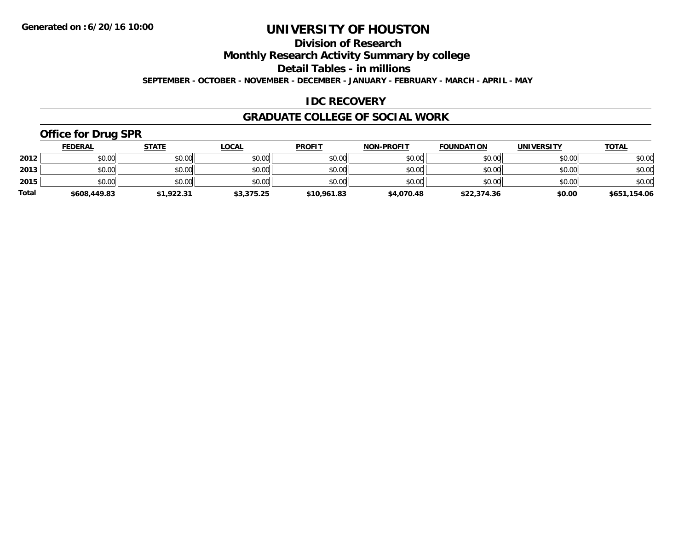### **Division of Research**

**Monthly Research Activity Summary by college**

**Detail Tables - in millions**

**SEPTEMBER - OCTOBER - NOVEMBER - DECEMBER - JANUARY - FEBRUARY - MARCH - APRIL - MAY**

#### **IDC RECOVERY**

#### **GRADUATE COLLEGE OF SOCIAL WORK**

# **Office for Drug SPR**

|              | <b>FEDERAL</b> | <b>STATE</b> | <u>LOCAL</u> | <b>PROFIT</b> | <b>NON-PROFIT</b> | <b>FOUNDATION</b> | <b>UNIVERSITY</b> | <b>TOTAL</b> |
|--------------|----------------|--------------|--------------|---------------|-------------------|-------------------|-------------------|--------------|
| 2012         | \$0.00         | \$0.00       | \$0.00       | \$0.00        | \$0.00            | \$0.00            | \$0.00            | \$0.00       |
| 2013         | \$0.00         | \$0.00       | \$0.00       | \$0.00        | \$0.00            | \$0.00            | \$0.00            | \$0.00       |
| 2015         | \$0.00         | \$0.00       | \$0.00       | \$0.00        | \$0.00            | \$0.00            | \$0.00            | \$0.00       |
| <b>Total</b> | \$608,449.83   | \$1,922.31   | \$3,375.25   | \$10,961.83   | \$4,070.48        | \$22,374.36       | \$0.00            | \$651,154.06 |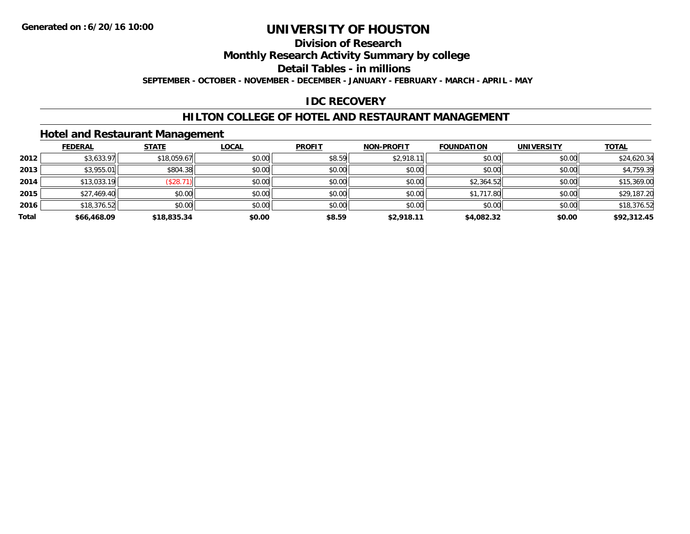#### **Division of Research**

**Monthly Research Activity Summary by college**

**Detail Tables - in millions**

**SEPTEMBER - OCTOBER - NOVEMBER - DECEMBER - JANUARY - FEBRUARY - MARCH - APRIL - MAY**

#### **IDC RECOVERY**

#### **HILTON COLLEGE OF HOTEL AND RESTAURANT MANAGEMENT**

#### **Hotel and Restaurant Management**

|       | <b>FEDERAL</b> | <b>STATE</b> | <b>LOCAL</b> | <b>PROFIT</b> | <b>NON-PROFIT</b> | <b>FOUNDATION</b> | <b>UNIVERSITY</b> | <b>TOTAL</b> |
|-------|----------------|--------------|--------------|---------------|-------------------|-------------------|-------------------|--------------|
| 2012  | \$3,633.97     | \$18,059.67  | \$0.00       | \$8.59        | \$2,918.1         | \$0.00            | \$0.00            | \$24,620.34  |
| 2013  | \$3,955.01     | \$804.38     | \$0.00       | \$0.00        | \$0.00            | \$0.00            | \$0.00            | \$4,759.39   |
| 2014  | \$13,033.19    | (\$28.7)     | \$0.00       | \$0.00        | \$0.00            | \$2,364.52        | \$0.00            | \$15,369.00  |
| 2015  | \$27,469.40    | \$0.00       | \$0.00       | \$0.00        | \$0.00            | \$1,717.80        | \$0.00            | \$29,187.20  |
| 2016  | \$18,376.52    | \$0.00       | \$0.00       | \$0.00        | \$0.00            | \$0.00            | \$0.00            | \$18,376.52  |
| Total | \$66,468.09    | \$18,835.34  | \$0.00       | \$8.59        | \$2,918.11        | \$4,082.32        | \$0.00            | \$92,312.45  |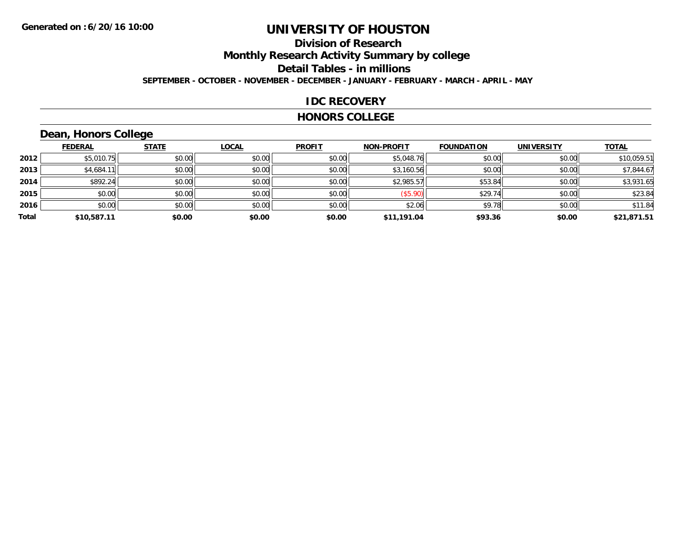### **Division of ResearchMonthly Research Activity Summary by college Detail Tables - in millions SEPTEMBER - OCTOBER - NOVEMBER - DECEMBER - JANUARY - FEBRUARY - MARCH - APRIL - MAY**

#### **IDC RECOVERY**

#### **HONORS COLLEGE**

# **Dean, Honors College**

|       | <b>FEDERAL</b> | <b>STATE</b> | <b>LOCAL</b> | <b>PROFIT</b> | <b>NON-PROFIT</b> | <b>FOUNDATION</b> | <b>UNIVERSITY</b> | <b>TOTAL</b> |
|-------|----------------|--------------|--------------|---------------|-------------------|-------------------|-------------------|--------------|
| 2012  | \$5,010.75     | \$0.00       | \$0.00       | \$0.00        | \$5,048.76        | \$0.00            | \$0.00            | \$10,059.51  |
| 2013  | \$4,684.1      | \$0.00       | \$0.00       | \$0.00        | \$3,160.56        | \$0.00            | \$0.00            | \$7,844.67   |
| 2014  | \$892.24       | \$0.00       | \$0.00       | \$0.00        | \$2,985.57        | \$53.84           | \$0.00            | \$3,931.65   |
| 2015  | \$0.00         | \$0.00       | \$0.00       | \$0.00        | (\$5.90)          | \$29.74           | \$0.00            | \$23.84      |
| 2016  | \$0.00         | \$0.00       | \$0.00       | \$0.00        | \$2.06            | \$9.78            | \$0.00            | \$11.84      |
| Total | \$10,587.11    | \$0.00       | \$0.00       | \$0.00        | \$11,191.04       | \$93.36           | \$0.00            | \$21,871.51  |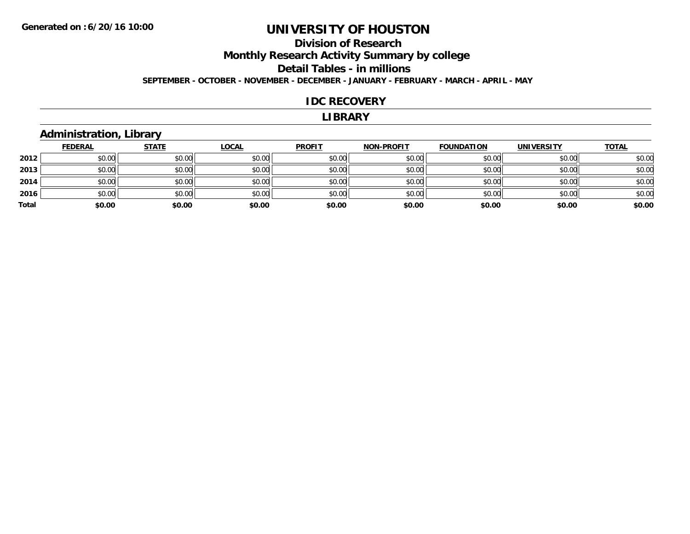### **Division of ResearchMonthly Research Activity Summary by college Detail Tables - in millions SEPTEMBER - OCTOBER - NOVEMBER - DECEMBER - JANUARY - FEBRUARY - MARCH - APRIL - MAY**

#### **IDC RECOVERY**

#### **LIBRARY**

#### **Administration, Library**

|       | <u>FEDERAL</u> | <u>STATE</u> | <b>LOCAL</b> | <b>PROFIT</b> | <b>NON-PROFIT</b> | <b>FOUNDATION</b> | <b>UNIVERSITY</b> | <b>TOTAL</b> |
|-------|----------------|--------------|--------------|---------------|-------------------|-------------------|-------------------|--------------|
| 2012  | \$0.00         | \$0.00       | \$0.00       | \$0.00        | \$0.00            | \$0.00            | \$0.00            | \$0.00       |
| 2013  | \$0.00         | \$0.00       | \$0.00       | \$0.00        | \$0.00            | \$0.00            | \$0.00            | \$0.00       |
| 2014  | \$0.00         | \$0.00       | \$0.00       | \$0.00        | \$0.00            | \$0.00            | \$0.00            | \$0.00       |
| 2016  | \$0.00         | \$0.00       | \$0.00       | \$0.00        | \$0.00            | \$0.00            | \$0.00            | \$0.00       |
| Total | \$0.00         | \$0.00       | \$0.00       | \$0.00        | \$0.00            | \$0.00            | \$0.00            | \$0.00       |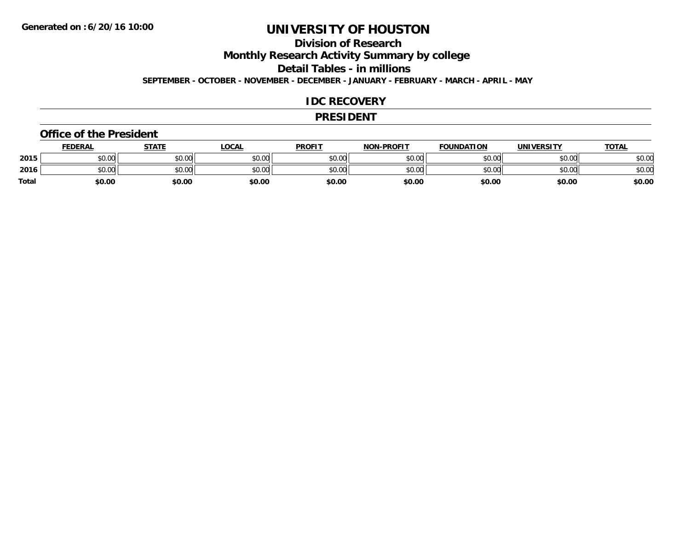#### **Division of Research**

**Monthly Research Activity Summary by college**

**Detail Tables - in millions**

**SEPTEMBER - OCTOBER - NOVEMBER - DECEMBER - JANUARY - FEBRUARY - MARCH - APRIL - MAY**

#### **IDC RECOVERY**

#### **PRESIDENT**

#### **Office of the President**

|              | <b>FEDERAL</b> | STATE  | <u>LOCAL</u> | <b>PROFIT</b> | <b>NON-PROFIT</b> | <b>FOUNDATION</b> | <b>UNIVERSITY</b> | <b>TOTAL</b> |
|--------------|----------------|--------|--------------|---------------|-------------------|-------------------|-------------------|--------------|
| 2015         | \$0.00         | \$0.00 | \$0.00       | \$0.00        | \$0.00            | \$0.00            | \$0.00            | \$0.00       |
| 2016         | \$0.00         | \$0.00 | \$0.00       | \$0.00        | \$0.00            | \$0.00            | \$0.00            | \$0.00       |
| <b>Total</b> | \$0.00         | \$0.00 | \$0.00       | \$0.00        | \$0.00            | \$0.00            | \$0.00            | \$0.00       |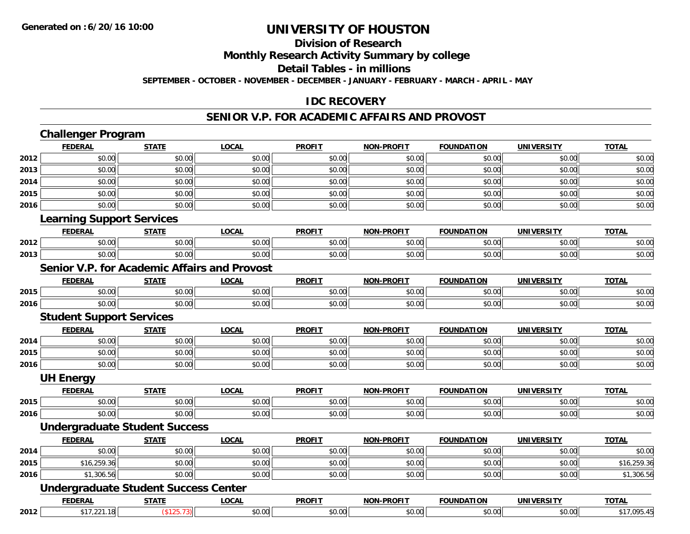#### **Division of Research**

**Monthly Research Activity Summary by college**

**Detail Tables - in millions**

**SEPTEMBER - OCTOBER - NOVEMBER - DECEMBER - JANUARY - FEBRUARY - MARCH - APRIL - MAY**

#### **IDC RECOVERY**

#### **SENIOR V.P. FOR ACADEMIC AFFAIRS AND PROVOST**

|      | <b>Challenger Program</b>                           |              |              |               |                   |                   |                   |              |
|------|-----------------------------------------------------|--------------|--------------|---------------|-------------------|-------------------|-------------------|--------------|
|      | <b>FEDERAL</b>                                      | <b>STATE</b> | <b>LOCAL</b> | <b>PROFIT</b> | <b>NON-PROFIT</b> | <b>FOUNDATION</b> | <b>UNIVERSITY</b> | <b>TOTAL</b> |
| 2012 | \$0.00                                              | \$0.00       | \$0.00       | \$0.00        | \$0.00            | \$0.00            | \$0.00            | \$0.00       |
| 2013 | \$0.00                                              | \$0.00       | \$0.00       | \$0.00        | \$0.00            | \$0.00            | \$0.00            | \$0.00       |
| 2014 | \$0.00                                              | \$0.00       | \$0.00       | \$0.00        | \$0.00            | \$0.00            | \$0.00            | \$0.00       |
| 2015 | \$0.00                                              | \$0.00       | \$0.00       | \$0.00        | \$0.00            | \$0.00            | \$0.00            | \$0.00       |
| 2016 | \$0.00                                              | \$0.00       | \$0.00       | \$0.00        | \$0.00            | \$0.00            | \$0.00            | \$0.00       |
|      | <b>Learning Support Services</b>                    |              |              |               |                   |                   |                   |              |
|      | <b>FEDERAL</b>                                      | <b>STATE</b> | <b>LOCAL</b> | <b>PROFIT</b> | <b>NON-PROFIT</b> | <b>FOUNDATION</b> | <b>UNIVERSITY</b> | <b>TOTAL</b> |
| 2012 | \$0.00                                              | \$0.00       | \$0.00       | \$0.00        | \$0.00            | \$0.00            | \$0.00            | \$0.00       |
| 2013 | \$0.00                                              | \$0.00       | \$0.00       | \$0.00        | \$0.00            | \$0.00            | \$0.00            | \$0.00       |
|      | <b>Senior V.P. for Academic Affairs and Provost</b> |              |              |               |                   |                   |                   |              |
|      | <b>FEDERAL</b>                                      | <b>STATE</b> | <b>LOCAL</b> | <b>PROFIT</b> | <b>NON-PROFIT</b> | <b>FOUNDATION</b> | <b>UNIVERSITY</b> | <b>TOTAL</b> |
| 2015 | \$0.00                                              | \$0.00       | \$0.00       | \$0.00        | \$0.00            | \$0.00            | \$0.00            | \$0.00       |
| 2016 | \$0.00                                              | \$0.00       | \$0.00       | \$0.00        | \$0.00            | \$0.00            | \$0.00            | \$0.00       |
|      | <b>Student Support Services</b>                     |              |              |               |                   |                   |                   |              |
|      | <b>FEDERAL</b>                                      | <b>STATE</b> | <b>LOCAL</b> | <b>PROFIT</b> | <b>NON-PROFIT</b> | <b>FOUNDATION</b> | <b>UNIVERSITY</b> | <b>TOTAL</b> |
| 2014 | \$0.00                                              | \$0.00       | \$0.00       | \$0.00        | \$0.00            | \$0.00            | \$0.00            | \$0.00       |
| 2015 | \$0.00                                              | \$0.00       | \$0.00       | \$0.00        | \$0.00            | \$0.00            | \$0.00            | \$0.00       |
| 2016 | \$0.00                                              | \$0.00       | \$0.00       | \$0.00        | \$0.00            | \$0.00            | \$0.00            | \$0.00       |
|      | <b>UH Energy</b>                                    |              |              |               |                   |                   |                   |              |
|      | <b>FEDERAL</b>                                      | <b>STATE</b> | <b>LOCAL</b> | <b>PROFIT</b> | <b>NON-PROFIT</b> | <b>FOUNDATION</b> | <b>UNIVERSITY</b> | <b>TOTAL</b> |
| 2015 | \$0.00                                              | \$0.00       | \$0.00       | \$0.00        | \$0.00            | \$0.00            | \$0.00            | \$0.00       |
| 2016 | \$0.00                                              | \$0.00       | \$0.00       | \$0.00        | \$0.00            | \$0.00            | \$0.00            | \$0.00       |
|      | <b>Undergraduate Student Success</b>                |              |              |               |                   |                   |                   |              |
|      | <b>FEDERAL</b>                                      | <b>STATE</b> | <b>LOCAL</b> | <b>PROFIT</b> | <b>NON-PROFIT</b> | <b>FOUNDATION</b> | <b>UNIVERSITY</b> | <b>TOTAL</b> |
| 2014 | \$0.00                                              | \$0.00       | \$0.00       | \$0.00        | \$0.00            | \$0.00            | \$0.00            | \$0.00       |
| 2015 | \$16,259.36                                         | \$0.00       | \$0.00       | \$0.00        | \$0.00            | \$0.00            | \$0.00            | \$16,259.36  |
| 2016 | \$1,306.56                                          | \$0.00       | \$0.00       | \$0.00        | \$0.00            | \$0.00            | \$0.00            | \$1,306.56   |
|      | <b>Undergraduate Student Success Center</b>         |              |              |               |                   |                   |                   |              |
|      | <b>FEDERAL</b>                                      | <b>STATE</b> | <b>LOCAL</b> | <b>PROFIT</b> | <b>NON-PROFIT</b> | <b>FOUNDATION</b> | <b>UNIVERSITY</b> | <b>TOTAL</b> |
| 2012 | \$17,221.18                                         | (\$125.73)   | \$0.00       | \$0.00        | \$0.00            | \$0.00            | \$0.00            | \$17,095.45  |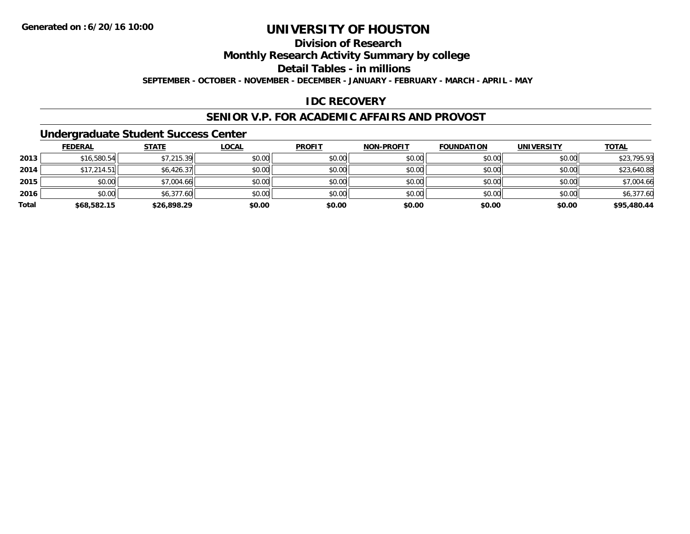### **Division of Research**

**Monthly Research Activity Summary by college**

**Detail Tables - in millions**

**SEPTEMBER - OCTOBER - NOVEMBER - DECEMBER - JANUARY - FEBRUARY - MARCH - APRIL - MAY**

#### **IDC RECOVERY**

#### **SENIOR V.P. FOR ACADEMIC AFFAIRS AND PROVOST**

#### **Undergraduate Student Success Center**

|       | <b>FEDERAL</b> | <u>STATE</u> | <b>LOCAL</b> | <b>PROFIT</b> | <b>NON-PROFIT</b> | <b>FOUNDATION</b> | <b>UNIVERSITY</b> | <b>TOTAL</b> |
|-------|----------------|--------------|--------------|---------------|-------------------|-------------------|-------------------|--------------|
| 2013  | \$16,580.54    | \$7,215.39   | \$0.00       | \$0.00        | \$0.00            | \$0.00            | \$0.00            | \$23,795.93  |
| 2014  | \$17,214.51    | \$6,426.37   | \$0.00       | \$0.00        | \$0.00            | \$0.00            | \$0.00            | \$23,640.88  |
| 2015  | \$0.00         | \$7,004.66   | \$0.00       | \$0.00        | \$0.00            | \$0.00            | \$0.00            | \$7,004.66   |
| 2016  | \$0.00         | \$6,377.60   | \$0.00       | \$0.00        | \$0.00            | \$0.00            | \$0.00            | \$6,377.60   |
| Total | \$68,582.15    | \$26,898.29  | \$0.00       | \$0.00        | \$0.00            | \$0.00            | \$0.00            | \$95,480.44  |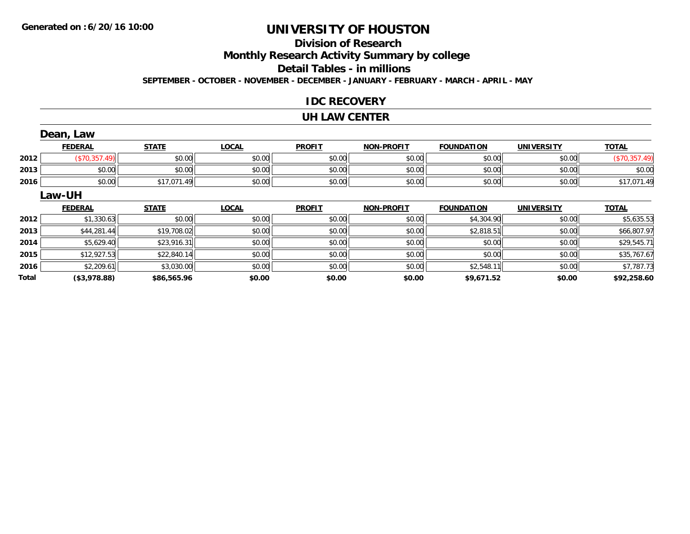# **Division of Research**

**Monthly Research Activity Summary by college**

**Detail Tables - in millions**

**SEPTEMBER - OCTOBER - NOVEMBER - DECEMBER - JANUARY - FEBRUARY - MARCH - APRIL - MAY**

#### **IDC RECOVERY**

#### **UH LAW CENTER**

|       | Dean, Law      |              |              |               |                   |                   |                   |               |
|-------|----------------|--------------|--------------|---------------|-------------------|-------------------|-------------------|---------------|
|       | <b>FEDERAL</b> | <b>STATE</b> | <b>LOCAL</b> | <b>PROFIT</b> | <b>NON-PROFIT</b> | <b>FOUNDATION</b> | <b>UNIVERSITY</b> | <b>TOTAL</b>  |
| 2012  | (\$70,357.49)  | \$0.00       | \$0.00       | \$0.00        | \$0.00            | \$0.00            | \$0.00            | (\$70,357.49) |
| 2013  | \$0.00         | \$0.00       | \$0.00       | \$0.00        | \$0.00            | \$0.00            | \$0.00            | \$0.00        |
| 2016  | \$0.00         | \$17,071.49  | \$0.00       | \$0.00        | \$0.00            | \$0.00            | \$0.00            | \$17,071.49   |
|       | Law-UH         |              |              |               |                   |                   |                   |               |
|       | <b>FEDERAL</b> | <b>STATE</b> | <b>LOCAL</b> | <b>PROFIT</b> | <b>NON-PROFIT</b> | <b>FOUNDATION</b> | <b>UNIVERSITY</b> | <b>TOTAL</b>  |
| 2012  | \$1,330.63     | \$0.00       | \$0.00       | \$0.00        | \$0.00            | \$4,304.90        | \$0.00            | \$5,635.53    |
| 2013  | \$44,281.44    | \$19,708.02  | \$0.00       | \$0.00        | \$0.00            | \$2,818.51        | \$0.00            | \$66,807.97   |
| 2014  | \$5,629.40     | \$23,916.31  | \$0.00       | \$0.00        | \$0.00            | \$0.00            | \$0.00            | \$29,545.71   |
| 2015  | \$12,927.53    | \$22,840.14  | \$0.00       | \$0.00        | \$0.00            | \$0.00            | \$0.00            | \$35,767.67   |
| 2016  | \$2,209.61     | \$3,030.00   | \$0.00       | \$0.00        | \$0.00            | \$2,548.11        | \$0.00            | \$7,787.73    |
| Total | (\$3,978.88)   | \$86,565.96  | \$0.00       | \$0.00        | \$0.00            | \$9,671.52        | \$0.00            | \$92,258.60   |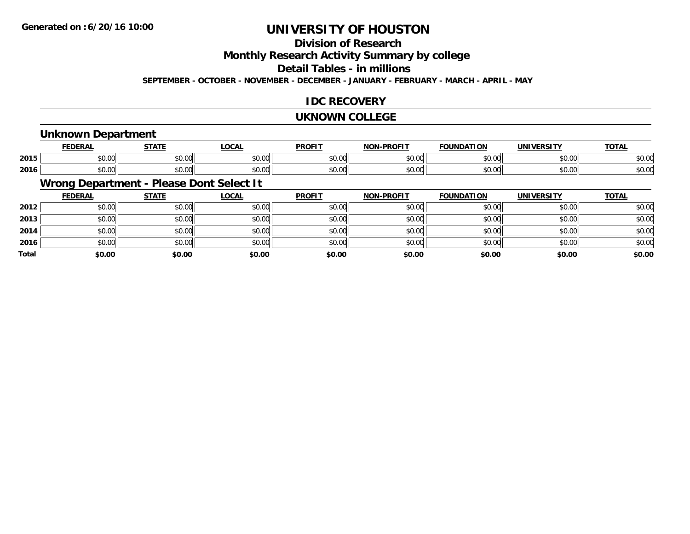# **Division of Research**

**Monthly Research Activity Summary by college**

**Detail Tables - in millions**

**SEPTEMBER - OCTOBER - NOVEMBER - DECEMBER - JANUARY - FEBRUARY - MARCH - APRIL - MAY**

#### **IDC RECOVERY**

#### **UKNOWN COLLEGE**

#### **Unknown Department**

|      | cr.                | <b>СТЛТІ</b>    | <b>_OCAL</b>   | <b>DDOFIT</b> | <b>BBAFIT</b><br>יממ | ΓΙΟΝ   | UNIVERSITY | <u>TOTAL</u> |
|------|--------------------|-----------------|----------------|---------------|----------------------|--------|------------|--------------|
| 2015 | $\sim$ 00<br>JU.UU | ሶስ ስስ<br>וטט.טע | 0.00<br>wu.uu. | \$0.00        | $\sim$ 00<br>וטטוע   | \$0.00 | \$0.00     | \$0.00       |
| 2016 | $\sim$ 00<br>JU.UU | ሶስ ሰሰ<br>JU.UU  | 0.00<br>JU.UU  | \$0.00        | $\sim$ 00<br>וטטוע   | \$0.00 | \$0.00     | \$0.00       |

# **Wrong Department - Please Dont Select It**

|              | <u>FEDERAL</u> | <b>STATE</b> | <u>LOCAL</u> | <b>PROFIT</b> | <b>NON-PROFIT</b> | <b>FOUNDATION</b> | <b>UNIVERSITY</b> | <b>TOTAL</b> |
|--------------|----------------|--------------|--------------|---------------|-------------------|-------------------|-------------------|--------------|
| 2012         | \$0.00         | \$0.00       | \$0.00       | \$0.00        | \$0.00            | \$0.00            | \$0.00            | \$0.00       |
| 2013         | \$0.00         | \$0.00       | \$0.00       | \$0.00        | \$0.00            | \$0.00            | \$0.00            | \$0.00       |
| 2014         | \$0.00         | \$0.00       | \$0.00       | \$0.00        | \$0.00            | \$0.00            | \$0.00            | \$0.00       |
| 2016         | \$0.00         | \$0.00       | \$0.00       | \$0.00        | \$0.00            | \$0.00            | \$0.00            | \$0.00       |
| <b>Total</b> | \$0.00         | \$0.00       | \$0.00       | \$0.00        | \$0.00            | \$0.00            | \$0.00            | \$0.00       |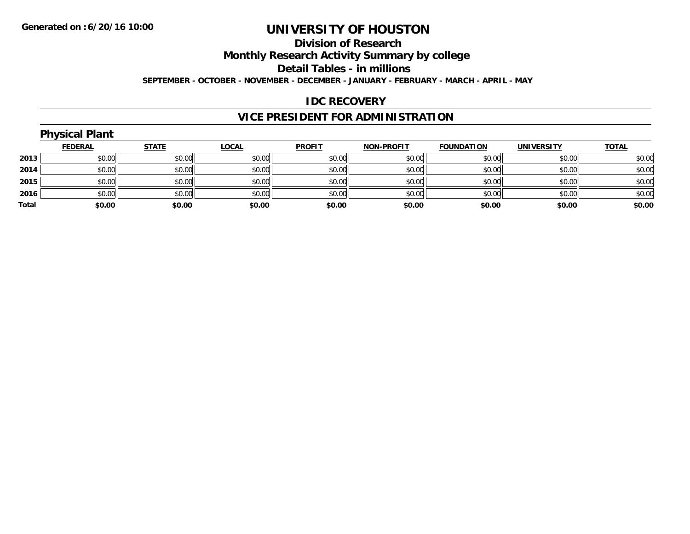#### **Division of Research Monthly Research Activity Summary by college Detail Tables - in millions SEPTEMBER - OCTOBER - NOVEMBER - DECEMBER - JANUARY - FEBRUARY - MARCH - APRIL - MAY**

#### **IDC RECOVERY**

## **VICE PRESIDENT FOR ADMINISTRATION**

|       | <b>Physical Plant</b> |              |              |               |                   |                   |                   |              |
|-------|-----------------------|--------------|--------------|---------------|-------------------|-------------------|-------------------|--------------|
|       | <b>FEDERAL</b>        | <b>STATE</b> | <b>LOCAL</b> | <b>PROFIT</b> | <b>NON-PROFIT</b> | <b>FOUNDATION</b> | <b>UNIVERSITY</b> | <b>TOTAL</b> |
| 2013  | \$0.00                | \$0.00       | \$0.00       | \$0.00        | \$0.00            | \$0.00            | \$0.00            | \$0.00       |
| 2014  | \$0.00                | \$0.00       | \$0.00       | \$0.00        | \$0.00            | \$0.00            | \$0.00            | \$0.00       |
| 2015  | \$0.00                | \$0.00       | \$0.00       | \$0.00        | \$0.00            | \$0.00            | \$0.00            | \$0.00       |
| 2016  | \$0.00                | \$0.00       | \$0.00       | \$0.00        | \$0.00            | \$0.00            | \$0.00            | \$0.00       |
| Total | \$0.00                | \$0.00       | \$0.00       | \$0.00        | \$0.00            | \$0.00            | \$0.00            | \$0.00       |